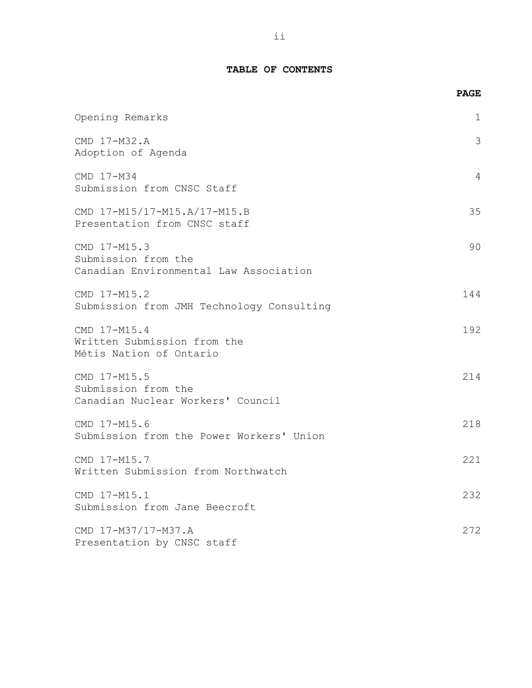# **TABLE OF CONTENTS**

|                                                                               | <b>PAGE</b> |
|-------------------------------------------------------------------------------|-------------|
| Opening Remarks                                                               | 1           |
| CMD 17-M32.A<br>Adoption of Agenda                                            | 3           |
| CMD 17-M34<br>Submission from CNSC Staff                                      | 4           |
| CMD 17-M15/17-M15.A/17-M15.B<br>Presentation from CNSC staff                  | 35          |
| CMD 17-M15.3<br>Submission from the<br>Canadian Environmental Law Association | 90          |
| CMD 17-M15.2<br>Submission from JMH Technology Consulting                     | 144         |
| CMD 17-M15.4<br>Written Submission from the<br>Métis Nation of Ontario        | 192         |
| CMD 17-M15.5<br>Submission from the<br>Canadian Nuclear Workers' Council      | 214         |
| CMD 17-M15.6<br>Submission from the Power Workers' Union                      | 218         |
| CMD 17-M15.7<br>Written Submission from Northwatch                            | 221         |
| CMD 17-M15.1<br>Submission from Jane Beecroft                                 | 232         |
| CMD 17-M37/17-M37.A<br>Presentation by CNSC staff                             | 272         |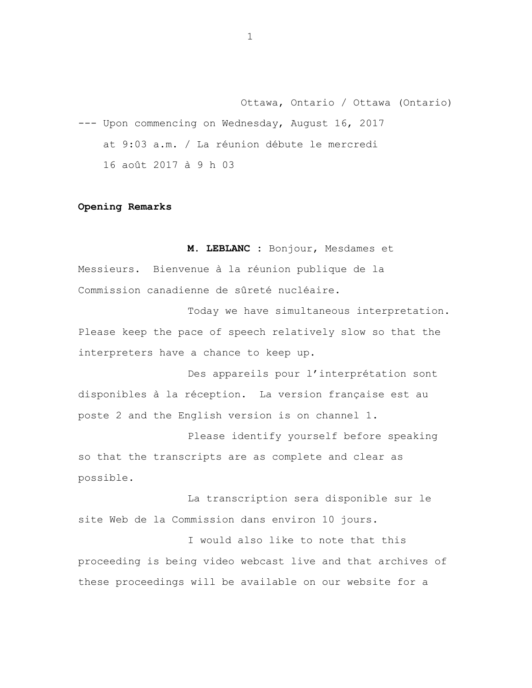Ottawa, Ontario / Ottawa (Ontario) --- Upon commencing on Wednesday, August 16, 2017 at 9:03 a.m. / La réunion débute le mercredi 16 août 2017 à 9 h 03

## **Opening Remarks**

**M. LEBLANC :** Bonjour, Mesdames et Messieurs. Bienvenue à la réunion publique de la Commission canadienne de sûreté nucléaire.

Today we have simultaneous interpretation. Please keep the pace of speech relatively slow so that the interpreters have a chance to keep up.

Des appareils pour l'interprétation sont disponibles à la réception. La version française est au poste 2 and the English version is on channel 1.

Please identify yourself before speaking so that the transcripts are as complete and clear as possible.

La transcription sera disponible sur le site Web de la Commission dans environ 10 jours.

I would also like to note that this proceeding is being video webcast live and that archives of these proceedings will be available on our website for a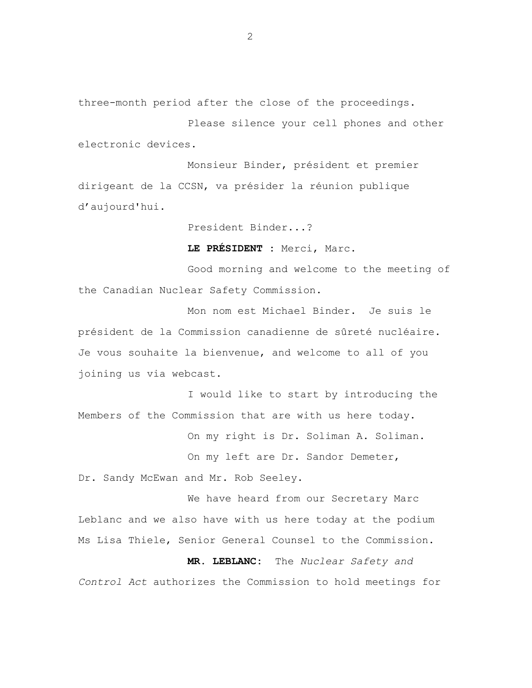three-month period after the close of the proceedings.

Please silence your cell phones and other electronic devices.

Monsieur Binder, président et premier dirigeant de la CCSN, va présider la réunion publique d'aujourd'hui.

President Binder...?

**LE PRÉSIDENT :** Merci, Marc.

Good morning and welcome to the meeting of the Canadian Nuclear Safety Commission.

Mon nom est Michael Binder. Je suis le président de la Commission canadienne de sûreté nucléaire. Je vous souhaite la bienvenue, and welcome to all of you joining us via webcast.

I would like to start by introducing the Members of the Commission that are with us here today.

On my right is Dr. Soliman A. Soliman.

On my left are Dr. Sandor Demeter,

Dr. Sandy McEwan and Mr. Rob Seeley.

We have heard from our Secretary Marc Leblanc and we also have with us here today at the podium Ms Lisa Thiele, Senior General Counsel to the Commission.

**MR. LEBLANC:** The *Nuclear Safety and Control Act* authorizes the Commission to hold meetings for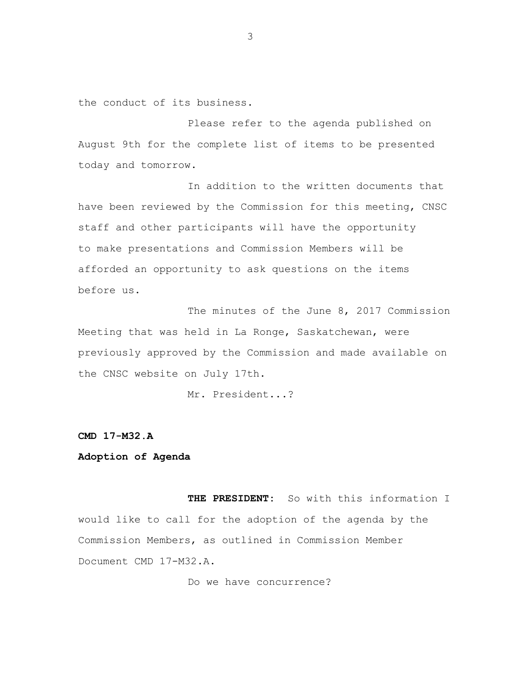the conduct of its business.

Please refer to the agenda published on August 9th for the complete list of items to be presented today and tomorrow.

In addition to the written documents that have been reviewed by the Commission for this meeting, CNSC staff and other participants will have the opportunity to make presentations and Commission Members will be afforded an opportunity to ask questions on the items before us.

The minutes of the June 8, 2017 Commission Meeting that was held in La Ronge, Saskatchewan, were previously approved by the Commission and made available on the CNSC website on July 17th.

Mr. President...?

**CMD 17-M32.A** 

# **Adoption of Agenda**

**THE PRESIDENT:** So with this information I would like to call for the adoption of the agenda by the Commission Members, as outlined in Commission Member Document CMD 17-M32.A.

Do we have concurrence?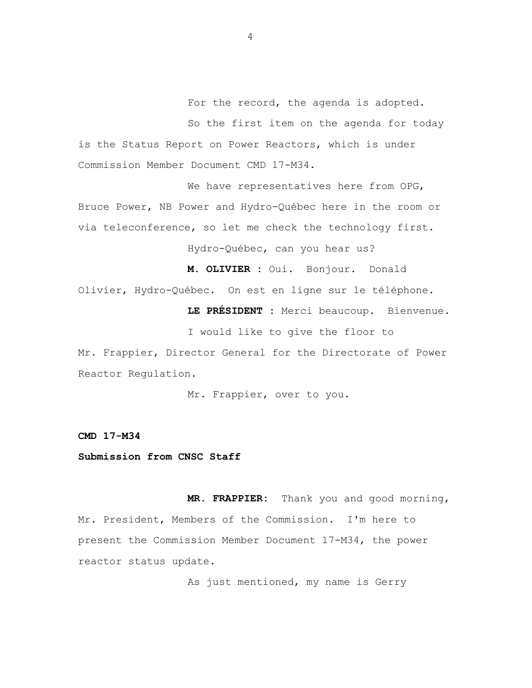For the record, the agenda is adopted. So the first item on the agenda for today is the Status Report on Power Reactors, which is under Commission Member Document CMD 17-M34.

We have representatives here from OPG, Bruce Power, NB Power and Hydro-Québec here in the room or via teleconference, so let me check the technology first.

Hydro-Québec, can you hear us?

**M. OLIVIER :** Oui. Bonjour. Donald

Olivier, Hydro-Québec. On est en ligne sur le téléphone.

**LE PRÉSIDENT :** Merci beaucoup. Bienvenue.

I would like to give the floor to Mr. Frappier, Director General for the Directorate of Power Reactor Regulation.

Mr. Frappier, over to you.

**CMD 17-M34** 

**Submission from CNSC Staff** 

**MR. FRAPPIER:** Thank you and good morning, Mr. President, Members of the Commission. I'm here to present the Commission Member Document 17-M34, the power reactor status update.

As just mentioned, my name is Gerry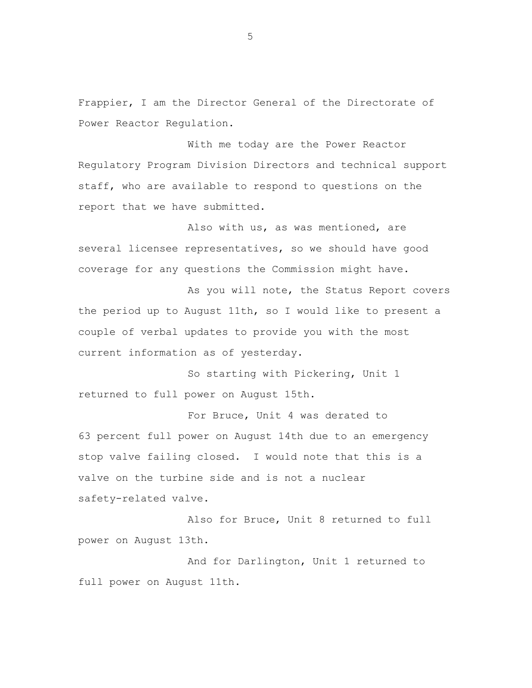Frappier, I am the Director General of the Directorate of Power Reactor Regulation.

With me today are the Power Reactor Regulatory Program Division Directors and technical support staff, who are available to respond to questions on the report that we have submitted.

Also with us, as was mentioned, are several licensee representatives, so we should have good coverage for any questions the Commission might have.

As you will note, the Status Report covers the period up to August 11th, so I would like to present a couple of verbal updates to provide you with the most current information as of yesterday.

So starting with Pickering, Unit 1 returned to full power on August 15th.

For Bruce, Unit 4 was derated to 63 percent full power on August 14th due to an emergency stop valve failing closed. I would note that this is a valve on the turbine side and is not a nuclear safety-related valve.

Also for Bruce, Unit 8 returned to full power on August 13th.

And for Darlington, Unit 1 returned to full power on August 11th.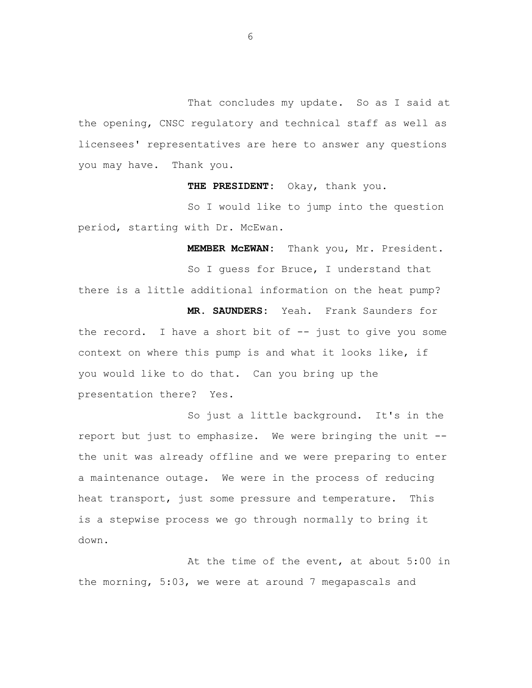That concludes my update. So as I said at the opening, CNSC regulatory and technical staff as well as licensees' representatives are here to answer any questions you may have. Thank you.

**THE PRESIDENT:** Okay, thank you.

So I would like to jump into the question period, starting with Dr. McEwan.

**MEMBER McEWAN:** Thank you, Mr. President.

So I guess for Bruce, I understand that there is a little additional information on the heat pump? **MR. SAUNDERS:** Yeah. Frank Saunders for the record. I have a short bit of  $-$  just to give you some context on where this pump is and what it looks like, if you would like to do that. Can you bring up the presentation there? Yes.

So just a little background. It's in the report but just to emphasize. We were bringing the unit the unit was already offline and we were preparing to enter a maintenance outage. We were in the process of reducing heat transport, just some pressure and temperature. This is a stepwise process we go through normally to bring it down.

At the time of the event, at about 5:00 in the morning, 5:03, we were at around 7 megapascals and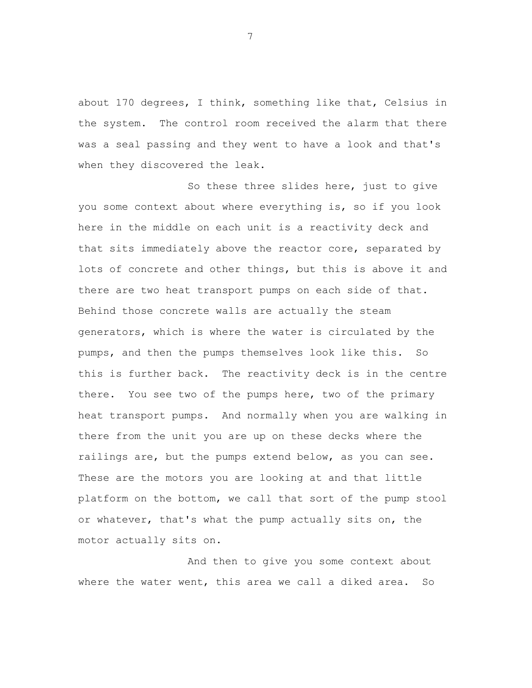about 170 degrees, I think, something like that, Celsius in the system. The control room received the alarm that there was a seal passing and they went to have a look and that's when they discovered the leak.

So these three slides here, just to give you some context about where everything is, so if you look here in the middle on each unit is a reactivity deck and that sits immediately above the reactor core, separated by lots of concrete and other things, but this is above it and there are two heat transport pumps on each side of that. Behind those concrete walls are actually the steam generators, which is where the water is circulated by the pumps, and then the pumps themselves look like this. So this is further back. The reactivity deck is in the centre there. You see two of the pumps here, two of the primary heat transport pumps. And normally when you are walking in there from the unit you are up on these decks where the railings are, but the pumps extend below, as you can see. These are the motors you are looking at and that little platform on the bottom, we call that sort of the pump stool or whatever, that's what the pump actually sits on, the motor actually sits on.

And then to give you some context about where the water went, this area we call a diked area. So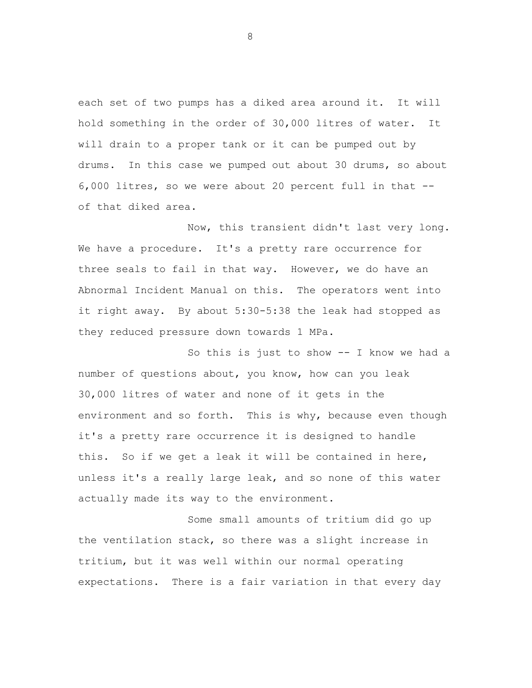each set of two pumps has a diked area around it. It will hold something in the order of 30,000 litres of water. It will drain to a proper tank or it can be pumped out by drums. In this case we pumped out about 30 drums, so about 6,000 litres, so we were about 20 percent full in that of that diked area.

Now, this transient didn't last very long. We have a procedure. It's a pretty rare occurrence for three seals to fail in that way. However, we do have an Abnormal Incident Manual on this. The operators went into it right away. By about 5:30-5:38 the leak had stopped as they reduced pressure down towards 1 MPa.

So this is just to show -- I know we had a number of questions about, you know, how can you leak 30,000 litres of water and none of it gets in the environment and so forth. This is why, because even though it's a pretty rare occurrence it is designed to handle this. So if we get a leak it will be contained in here, unless it's a really large leak, and so none of this water actually made its way to the environment.

Some small amounts of tritium did go up the ventilation stack, so there was a slight increase in tritium, but it was well within our normal operating expectations. There is a fair variation in that every day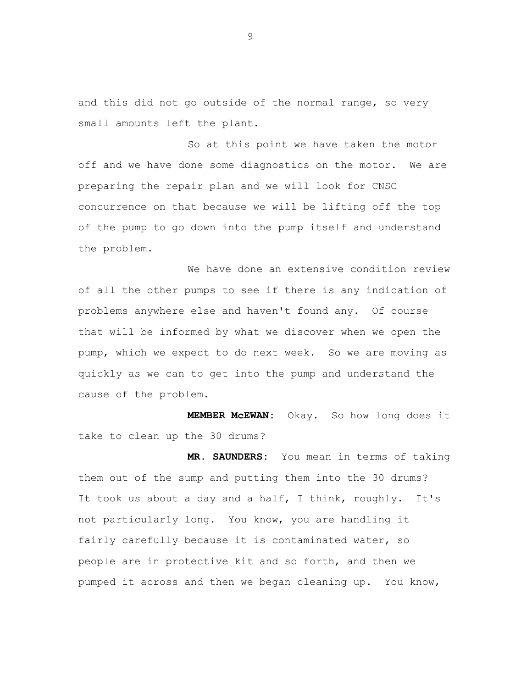and this did not go outside of the normal range, so very small amounts left the plant.

So at this point we have taken the motor off and we have done some diagnostics on the motor. We are preparing the repair plan and we will look for CNSC concurrence on that because we will be lifting off the top of the pump to go down into the pump itself and understand the problem.

We have done an extensive condition review of all the other pumps to see if there is any indication of problems anywhere else and haven't found any. Of course that will be informed by what we discover when we open the pump, which we expect to do next week. So we are moving as quickly as we can to get into the pump and understand the cause of the problem.

**MEMBER McEWAN:** Okay. So how long does it take to clean up the 30 drums?

**MR. SAUNDERS:** You mean in terms of taking them out of the sump and putting them into the 30 drums? It took us about a day and a half, I think, roughly. It's not particularly long. You know, you are handling it fairly carefully because it is contaminated water, so people are in protective kit and so forth, and then we pumped it across and then we began cleaning up. You know,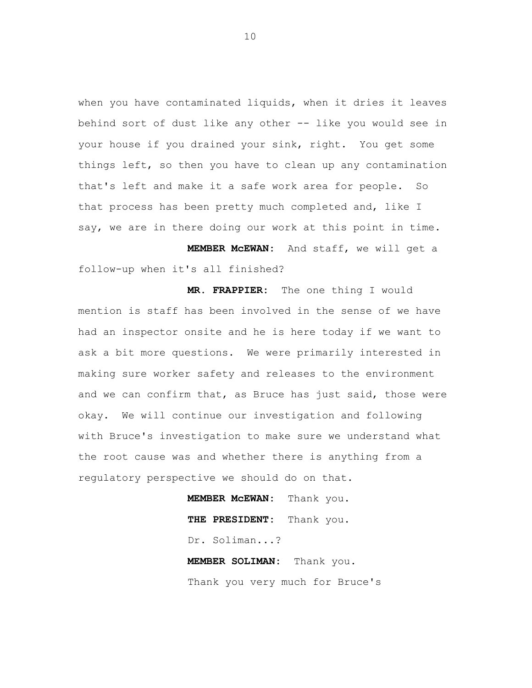when you have contaminated liquids, when it dries it leaves behind sort of dust like any other -- like you would see in your house if you drained your sink, right. You get some things left, so then you have to clean up any contamination that's left and make it a safe work area for people. So that process has been pretty much completed and, like I say, we are in there doing our work at this point in time.

**MEMBER McEWAN:** And staff, we will get a follow-up when it's all finished?

**MR. FRAPPIER:** The one thing I would mention is staff has been involved in the sense of we have had an inspector onsite and he is here today if we want to ask a bit more questions. We were primarily interested in making sure worker safety and releases to the environment and we can confirm that, as Bruce has just said, those were okay. We will continue our investigation and following with Bruce's investigation to make sure we understand what the root cause was and whether there is anything from a regulatory perspective we should do on that.

> **MEMBER McEWAN:** Thank you. **THE PRESIDENT:** Thank you. Dr. Soliman...? **MEMBER SOLIMAN:** Thank you.

Thank you very much for Bruce's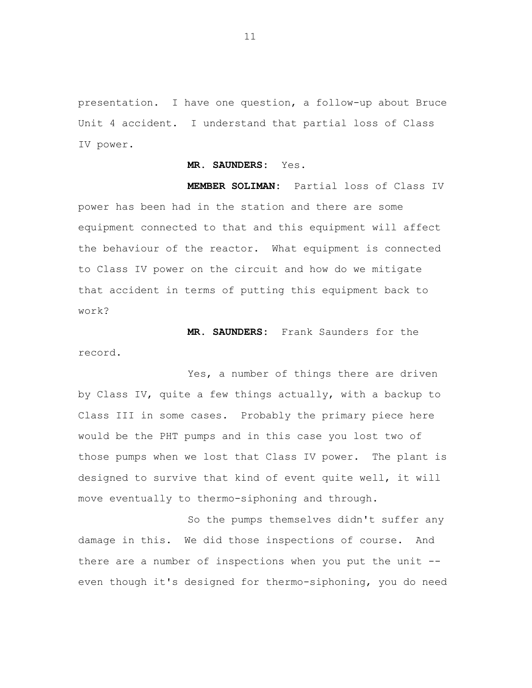presentation. I have one question, a follow-up about Bruce Unit 4 accident. I understand that partial loss of Class IV power.

#### **MR. SAUNDERS:** Yes.

**MEMBER SOLIMAN:** Partial loss of Class IV power has been had in the station and there are some equipment connected to that and this equipment will affect the behaviour of the reactor. What equipment is connected to Class IV power on the circuit and how do we mitigate that accident in terms of putting this equipment back to work?

**MR. SAUNDERS:** Frank Saunders for the record.

Yes, a number of things there are driven by Class IV, quite a few things actually, with a backup to Class III in some cases. Probably the primary piece here would be the PHT pumps and in this case you lost two of those pumps when we lost that Class IV power. The plant is designed to survive that kind of event quite well, it will move eventually to thermo-siphoning and through.

So the pumps themselves didn't suffer any damage in this. We did those inspections of course. And there are a number of inspections when you put the unit -even though it's designed for thermo-siphoning, you do need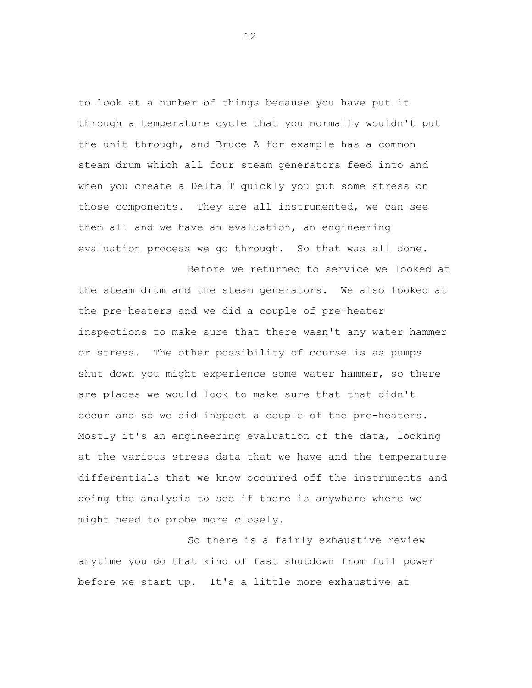to look at a number of things because you have put it through a temperature cycle that you normally wouldn't put the unit through, and Bruce A for example has a common steam drum which all four steam generators feed into and when you create a Delta T quickly you put some stress on those components. They are all instrumented, we can see them all and we have an evaluation, an engineering evaluation process we go through. So that was all done.

Before we returned to service we looked at the steam drum and the steam generators. We also looked at the pre-heaters and we did a couple of pre-heater inspections to make sure that there wasn't any water hammer or stress. The other possibility of course is as pumps shut down you might experience some water hammer, so there are places we would look to make sure that that didn't occur and so we did inspect a couple of the pre-heaters. Mostly it's an engineering evaluation of the data, looking at the various stress data that we have and the temperature differentials that we know occurred off the instruments and doing the analysis to see if there is anywhere where we might need to probe more closely.

So there is a fairly exhaustive review anytime you do that kind of fast shutdown from full power before we start up. It's a little more exhaustive at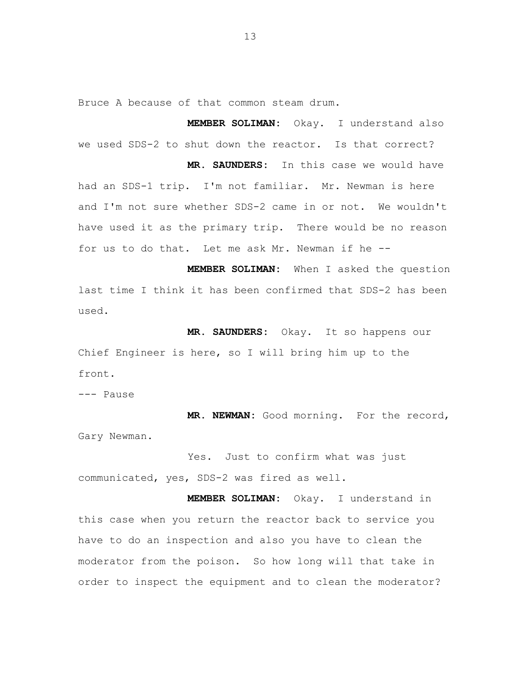Bruce A because of that common steam drum.

**MEMBER SOLIMAN:** Okay. I understand also we used SDS-2 to shut down the reactor. Is that correct?

**MR. SAUNDERS:** In this case we would have had an SDS-1 trip. I'm not familiar. Mr. Newman is here and I'm not sure whether SDS-2 came in or not. We wouldn't have used it as the primary trip. There would be no reason for us to do that. Let me ask Mr. Newman if he -

**MEMBER SOLIMAN:** When I asked the question last time I think it has been confirmed that SDS-2 has been used.

**MR. SAUNDERS:** Okay. It so happens our Chief Engineer is here, so I will bring him up to the front.

--- Pause

**MR. NEWMAN:** Good morning. For the record, Gary Newman.

Yes. Just to confirm what was just communicated, yes, SDS-2 was fired as well.

**MEMBER SOLIMAN:** Okay. I understand in this case when you return the reactor back to service you have to do an inspection and also you have to clean the moderator from the poison. So how long will that take in order to inspect the equipment and to clean the moderator?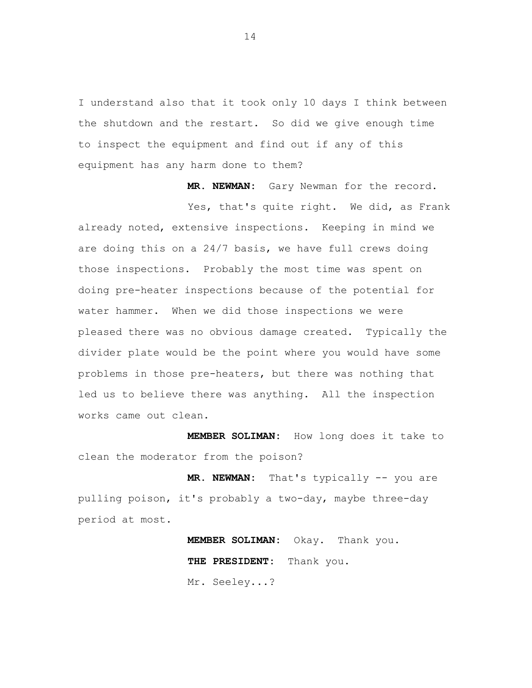I understand also that it took only 10 days I think between the shutdown and the restart. So did we give enough time to inspect the equipment and find out if any of this equipment has any harm done to them?

**MR. NEWMAN:** Gary Newman for the record.

Yes, that's quite right. We did, as Frank already noted, extensive inspections. Keeping in mind we are doing this on a 24/7 basis, we have full crews doing those inspections. Probably the most time was spent on doing pre-heater inspections because of the potential for water hammer. When we did those inspections we were pleased there was no obvious damage created. Typically the divider plate would be the point where you would have some problems in those pre-heaters, but there was nothing that led us to believe there was anything. All the inspection works came out clean.

**MEMBER SOLIMAN:** How long does it take to clean the moderator from the poison?

**MR. NEWMAN:** That's typically -- you are pulling poison, it's probably a two-day, maybe three-day period at most.

> **MEMBER SOLIMAN:** Okay. Thank you. **THE PRESIDENT:** Thank you. Mr. Seeley...?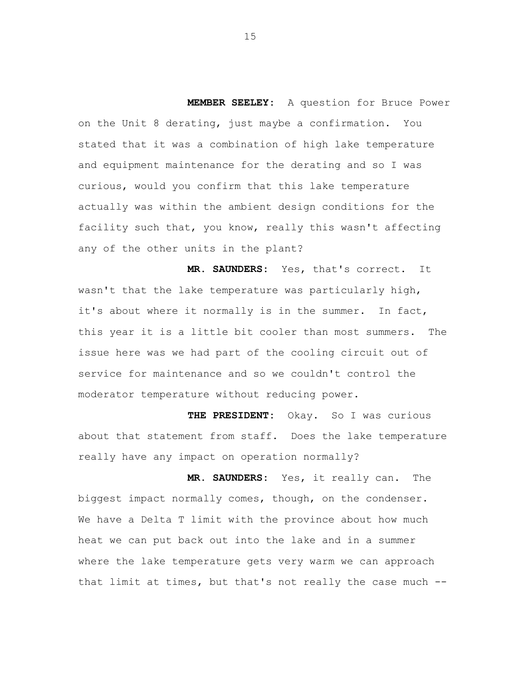**MEMBER SEELEY:** A question for Bruce Power on the Unit 8 derating, just maybe a confirmation. You stated that it was a combination of high lake temperature and equipment maintenance for the derating and so I was curious, would you confirm that this lake temperature actually was within the ambient design conditions for the facility such that, you know, really this wasn't affecting any of the other units in the plant?

**MR. SAUNDERS:** Yes, that's correct. It wasn't that the lake temperature was particularly high, it's about where it normally is in the summer. In fact, this year it is a little bit cooler than most summers. The issue here was we had part of the cooling circuit out of service for maintenance and so we couldn't control the moderator temperature without reducing power.

**THE PRESIDENT:** Okay. So I was curious about that statement from staff. Does the lake temperature really have any impact on operation normally?

**MR. SAUNDERS:** Yes, it really can. The biggest impact normally comes, though, on the condenser. We have a Delta T limit with the province about how much heat we can put back out into the lake and in a summer where the lake temperature gets very warm we can approach that limit at times, but that's not really the case much -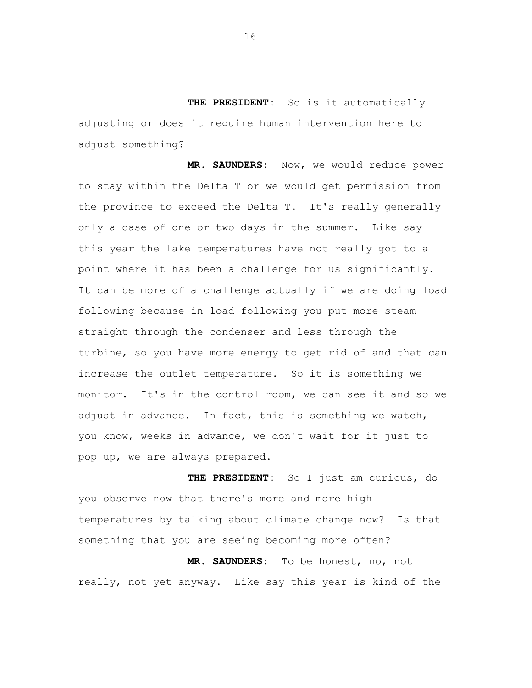**THE PRESIDENT:** So is it automatically adjusting or does it require human intervention here to adjust something?

**MR. SAUNDERS:** Now, we would reduce power to stay within the Delta T or we would get permission from the province to exceed the Delta T. It's really generally only a case of one or two days in the summer. Like say this year the lake temperatures have not really got to a point where it has been a challenge for us significantly. It can be more of a challenge actually if we are doing load following because in load following you put more steam straight through the condenser and less through the turbine, so you have more energy to get rid of and that can increase the outlet temperature. So it is something we monitor. It's in the control room, we can see it and so we adjust in advance. In fact, this is something we watch, you know, weeks in advance, we don't wait for it just to pop up, we are always prepared.

**THE PRESIDENT:** So I just am curious, do you observe now that there's more and more high temperatures by talking about climate change now? Is that something that you are seeing becoming more often?

**MR. SAUNDERS:** To be honest, no, not really, not yet anyway. Like say this year is kind of the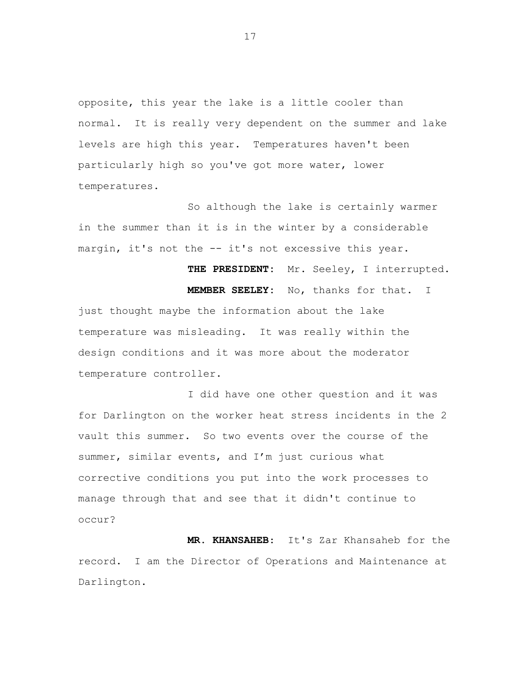opposite, this year the lake is a little cooler than normal. It is really very dependent on the summer and lake levels are high this year. Temperatures haven't been particularly high so you've got more water, lower temperatures.

So although the lake is certainly warmer in the summer than it is in the winter by a considerable margin, it's not the -- it's not excessive this year.

**THE PRESIDENT:** Mr. Seeley, I interrupted.

**MEMBER SEELEY:** No, thanks for that. I just thought maybe the information about the lake temperature was misleading. It was really within the design conditions and it was more about the moderator temperature controller.

I did have one other question and it was for Darlington on the worker heat stress incidents in the 2 vault this summer. So two events over the course of the summer, similar events, and I'm just curious what corrective conditions you put into the work processes to manage through that and see that it didn't continue to occur?

 **MR. KHANSAHEB**: It's Zar Khansaheb for the record. I am the Director of Operations and Maintenance at Darlington.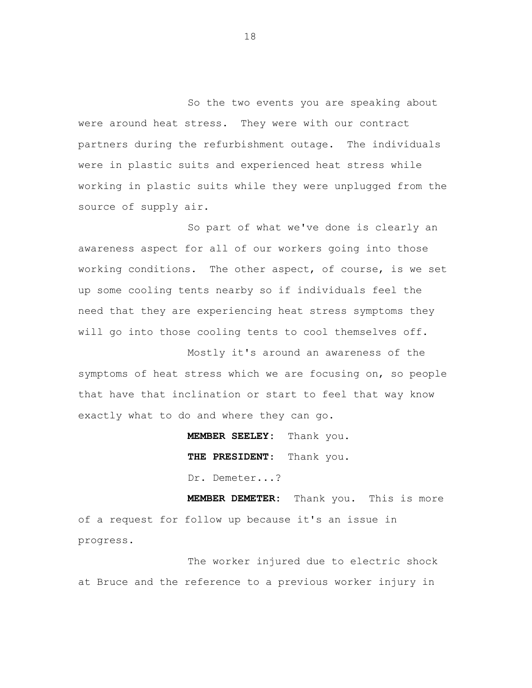So the two events you are speaking about were around heat stress. They were with our contract partners during the refurbishment outage. The individuals were in plastic suits and experienced heat stress while working in plastic suits while they were unplugged from the source of supply air.

So part of what we've done is clearly an awareness aspect for all of our workers going into those working conditions. The other aspect, of course, is we set up some cooling tents nearby so if individuals feel the need that they are experiencing heat stress symptoms they will go into those cooling tents to cool themselves off.

Mostly it's around an awareness of the symptoms of heat stress which we are focusing on, so people that have that inclination or start to feel that way know exactly what to do and where they can go.

> **MEMBER SEELEY:** Thank you.  **THE PRESIDENT**: Thank you. Dr. Demeter...?

**MEMBER DEMETER:** Thank you. This is more of a request for follow up because it's an issue in progress.

The worker injured due to electric shock at Bruce and the reference to a previous worker injury in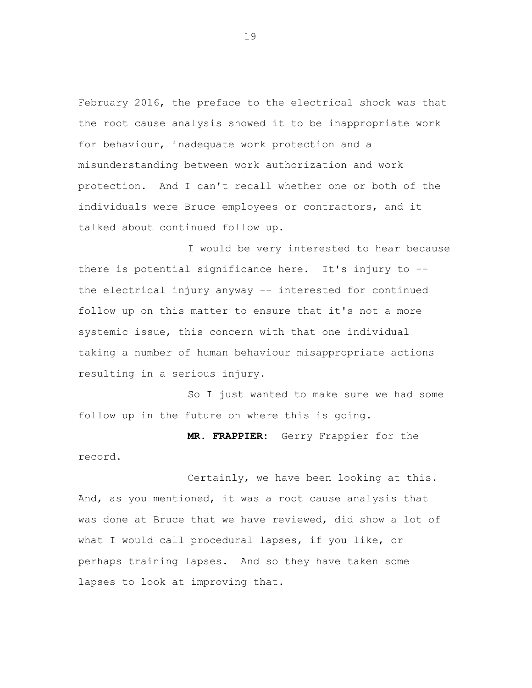February 2016, the preface to the electrical shock was that the root cause analysis showed it to be inappropriate work for behaviour, inadequate work protection and a misunderstanding between work authorization and work protection. And I can't recall whether one or both of the individuals were Bruce employees or contractors, and it talked about continued follow up.

I would be very interested to hear because there is potential significance here. It's injury to the electrical injury anyway -- interested for continued follow up on this matter to ensure that it's not a more systemic issue, this concern with that one individual taking a number of human behaviour misappropriate actions resulting in a serious injury.

So I just wanted to make sure we had some follow up in the future on where this is going.

**MR. FRAPPIER:** Gerry Frappier for the record.

Certainly, we have been looking at this. And, as you mentioned, it was a root cause analysis that was done at Bruce that we have reviewed, did show a lot of what I would call procedural lapses, if you like, or perhaps training lapses. And so they have taken some lapses to look at improving that.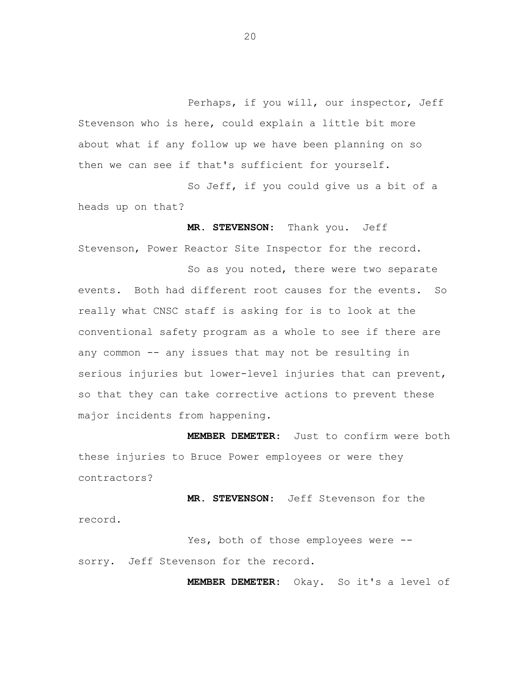Perhaps, if you will, our inspector, Jeff Stevenson who is here, could explain a little bit more about what if any follow up we have been planning on so then we can see if that's sufficient for yourself.

So Jeff, if you could give us a bit of a heads up on that?

**MR. STEVENSON**: Thank you. Jeff Stevenson, Power Reactor Site Inspector for the record.

So as you noted, there were two separate events. Both had different root causes for the events. So really what CNSC staff is asking for is to look at the conventional safety program as a whole to see if there are any common -- any issues that may not be resulting in serious injuries but lower-level injuries that can prevent, so that they can take corrective actions to prevent these major incidents from happening.

 **MEMBER DEMETER**: Just to confirm were both these injuries to Bruce Power employees or were they contractors?

 **MR. STEVENSON**: Jeff Stevenson for the record.

Yes, both of those employees were -sorry. Jeff Stevenson for the record.

**MEMBER DEMETER:** Okay. So it's a level of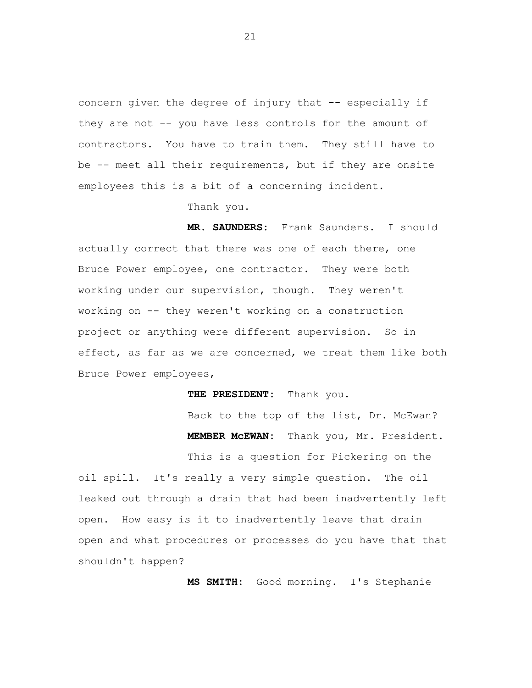concern given the degree of injury that -- especially if they are not -- you have less controls for the amount of contractors. You have to train them. They still have to be -- meet all their requirements, but if they are onsite employees this is a bit of a concerning incident.

Thank you.

**MR. SAUNDERS:** Frank Saunders. I should actually correct that there was one of each there, one Bruce Power employee, one contractor. They were both working under our supervision, though. They weren't working on -- they weren't working on a construction project or anything were different supervision. So in effect, as far as we are concerned, we treat them like both Bruce Power employees,

**THE PRESIDENT:** Thank you.

Back to the top of the list, Dr. McEwan? **MEMBER McEWAN:** Thank you, Mr. President.

This is a question for Pickering on the oil spill. It's really a very simple question. The oil leaked out through a drain that had been inadvertently left open. How easy is it to inadvertently leave that drain open and what procedures or processes do you have that that shouldn't happen?

**MS SMITH:** Good morning. I's Stephanie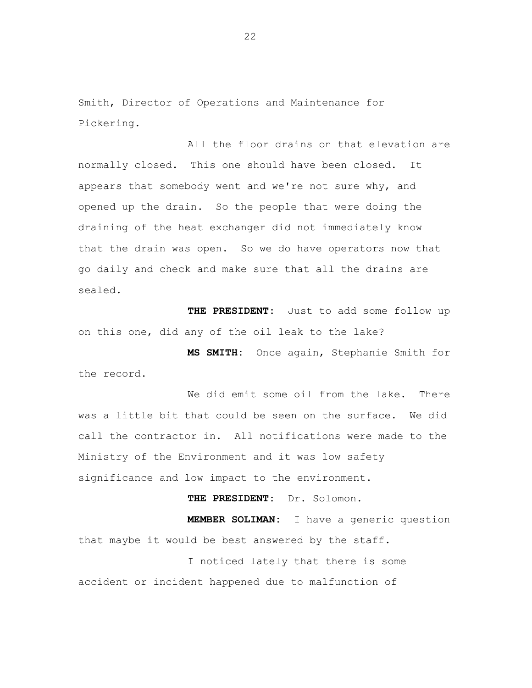Smith, Director of Operations and Maintenance for Pickering.

All the floor drains on that elevation are normally closed. This one should have been closed. It appears that somebody went and we're not sure why, and opened up the drain. So the people that were doing the draining of the heat exchanger did not immediately know that the drain was open. So we do have operators now that go daily and check and make sure that all the drains are sealed.

**THE PRESIDENT:** Just to add some follow up on this one, did any of the oil leak to the lake?

**MS SMITH:** Once again, Stephanie Smith for the record.

We did emit some oil from the lake. There was a little bit that could be seen on the surface. We did call the contractor in. All notifications were made to the Ministry of the Environment and it was low safety significance and low impact to the environment.

**THE PRESIDENT:** Dr. Solomon.

**MEMBER SOLIMAN:** I have a generic question that maybe it would be best answered by the staff.

I noticed lately that there is some accident or incident happened due to malfunction of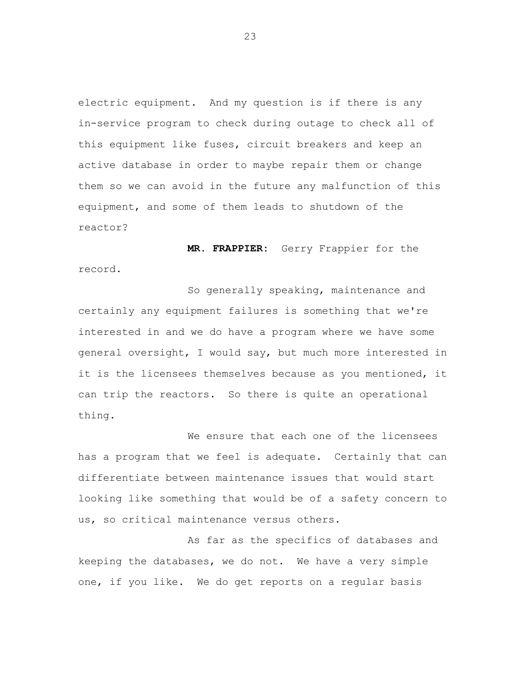electric equipment. And my question is if there is any in-service program to check during outage to check all of this equipment like fuses, circuit breakers and keep an active database in order to maybe repair them or change them so we can avoid in the future any malfunction of this equipment, and some of them leads to shutdown of the reactor?

**MR. FRAPPIER:** Gerry Frappier for the record.

So generally speaking, maintenance and certainly any equipment failures is something that we're interested in and we do have a program where we have some general oversight, I would say, but much more interested in it is the licensees themselves because as you mentioned, it can trip the reactors. So there is quite an operational thing.

We ensure that each one of the licensees has a program that we feel is adequate. Certainly that can differentiate between maintenance issues that would start looking like something that would be of a safety concern to us, so critical maintenance versus others.

As far as the specifics of databases and keeping the databases, we do not. We have a very simple one, if you like. We do get reports on a regular basis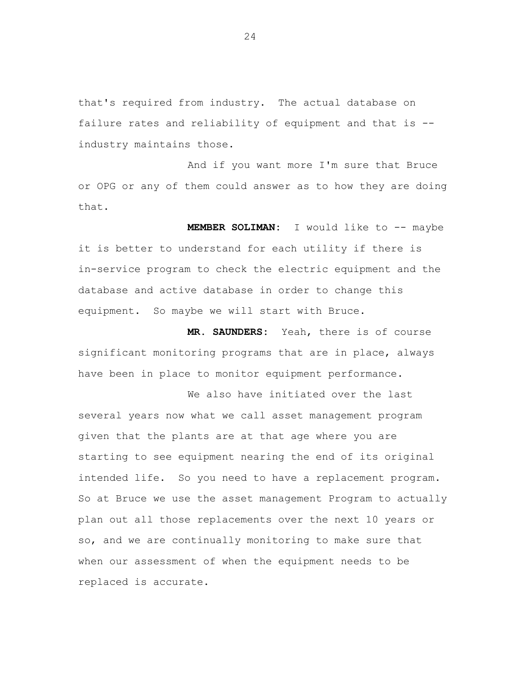that's required from industry. The actual database on failure rates and reliability of equipment and that is industry maintains those.

And if you want more I'm sure that Bruce or OPG or any of them could answer as to how they are doing that.

**MEMBER SOLIMAN:** I would like to -- maybe it is better to understand for each utility if there is in-service program to check the electric equipment and the database and active database in order to change this equipment. So maybe we will start with Bruce.

**MR. SAUNDERS:** Yeah, there is of course significant monitoring programs that are in place, always have been in place to monitor equipment performance.

We also have initiated over the last several years now what we call asset management program given that the plants are at that age where you are starting to see equipment nearing the end of its original intended life. So you need to have a replacement program. So at Bruce we use the asset management Program to actually plan out all those replacements over the next 10 years or so, and we are continually monitoring to make sure that when our assessment of when the equipment needs to be replaced is accurate.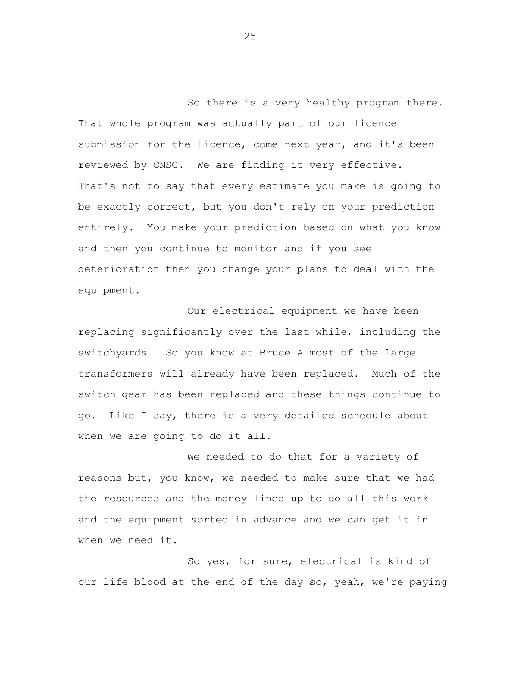So there is a very healthy program there. That whole program was actually part of our licence submission for the licence, come next year, and it's been reviewed by CNSC. We are finding it very effective. That's not to say that every estimate you make is going to be exactly correct, but you don't rely on your prediction entirely. You make your prediction based on what you know and then you continue to monitor and if you see deterioration then you change your plans to deal with the equipment.

Our electrical equipment we have been replacing significantly over the last while, including the switchyards. So you know at Bruce A most of the large transformers will already have been replaced. Much of the switch gear has been replaced and these things continue to go. Like I say, there is a very detailed schedule about when we are going to do it all.

We needed to do that for a variety of reasons but, you know, we needed to make sure that we had the resources and the money lined up to do all this work and the equipment sorted in advance and we can get it in when we need it.

So yes, for sure, electrical is kind of our life blood at the end of the day so, yeah, we're paying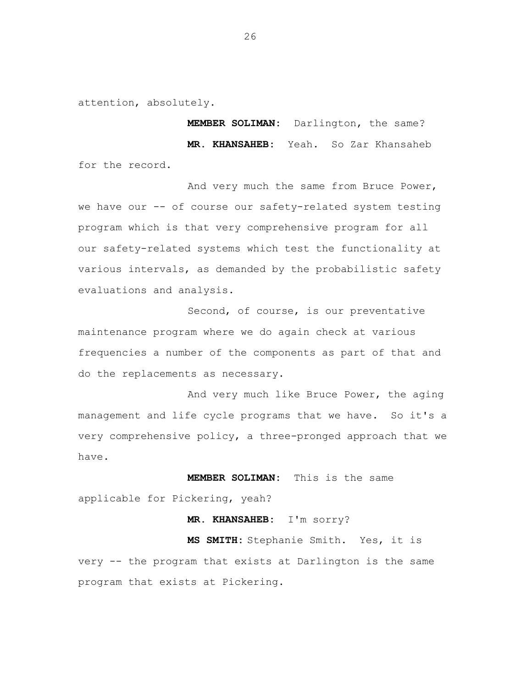attention, absolutely.

**MEMBER SOLIMAN:** Darlington, the same? **MR. KHANSAHEB:** Yeah. So Zar Khansaheb for the record.

And very much the same from Bruce Power, we have our -- of course our safety-related system testing program which is that very comprehensive program for all our safety-related systems which test the functionality at various intervals, as demanded by the probabilistic safety evaluations and analysis.

Second, of course, is our preventative maintenance program where we do again check at various frequencies a number of the components as part of that and do the replacements as necessary.

And very much like Bruce Power, the aging management and life cycle programs that we have. So it's a very comprehensive policy, a three-pronged approach that we have.

**MEMBER SOLIMAN:** This is the same

applicable for Pickering, yeah?

# **MR. KHANSAHEB:** I'm sorry?

**MS SMITH:** Stephanie Smith. Yes, it is very -- the program that exists at Darlington is the same program that exists at Pickering.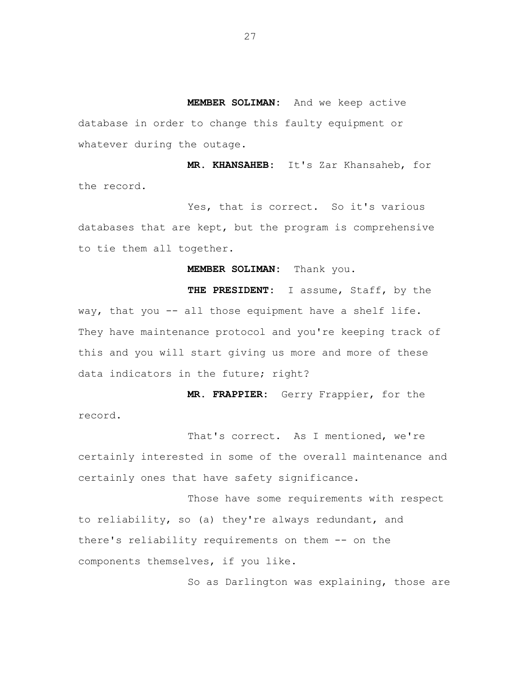**MEMBER SOLIMAN:** And we keep active database in order to change this faulty equipment or whatever during the outage.

**MR. KHANSAHEB:** It's Zar Khansaheb, for the record.

Yes, that is correct. So it's various databases that are kept, but the program is comprehensive to tie them all together.

**MEMBER SOLIMAN:** Thank you.

**THE PRESIDENT:** I assume, Staff, by the way, that you -- all those equipment have a shelf life. They have maintenance protocol and you're keeping track of this and you will start giving us more and more of these data indicators in the future; right?

**MR. FRAPPIER:** Gerry Frappier, for the record.

That's correct. As I mentioned, we're certainly interested in some of the overall maintenance and certainly ones that have safety significance.

Those have some requirements with respect to reliability, so (a) they're always redundant, and there's reliability requirements on them -- on the components themselves, if you like.

So as Darlington was explaining, those are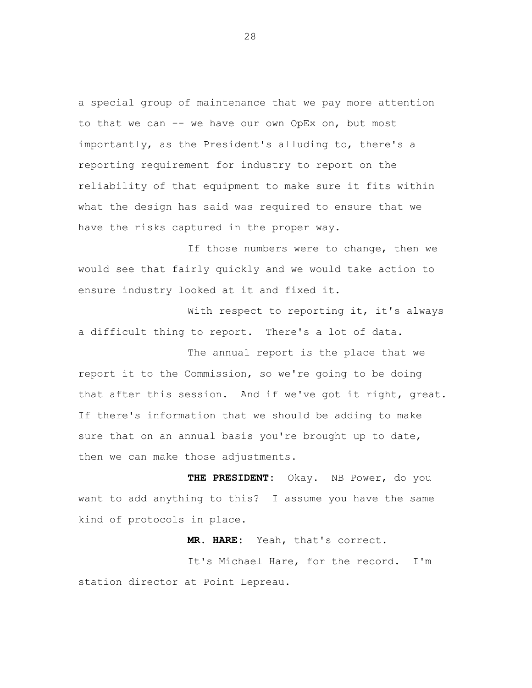a special group of maintenance that we pay more attention to that we can -- we have our own OpEx on, but most importantly, as the President's alluding to, there's a reporting requirement for industry to report on the reliability of that equipment to make sure it fits within what the design has said was required to ensure that we have the risks captured in the proper way.

If those numbers were to change, then we would see that fairly quickly and we would take action to ensure industry looked at it and fixed it.

With respect to reporting it, it's always a difficult thing to report. There's a lot of data.

The annual report is the place that we report it to the Commission, so we're going to be doing that after this session. And if we've got it right, great. If there's information that we should be adding to make sure that on an annual basis you're brought up to date, then we can make those adjustments.

**THE PRESIDENT:** Okay. NB Power, do you want to add anything to this? I assume you have the same kind of protocols in place.

**MR. HARE:** Yeah, that's correct.

It's Michael Hare, for the record. I'm station director at Point Lepreau.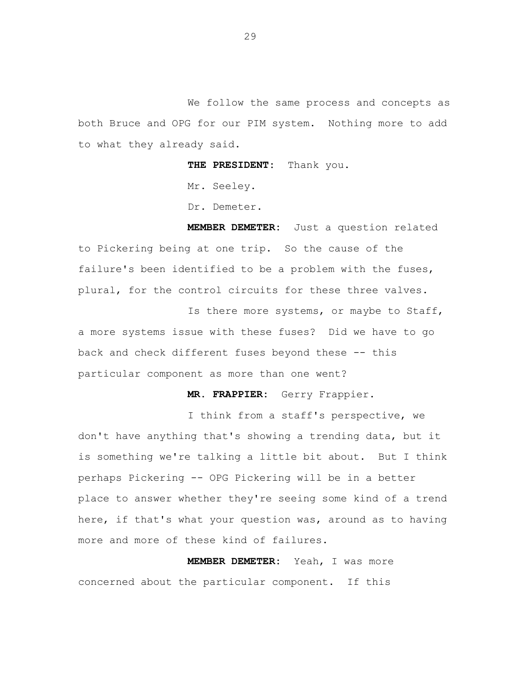We follow the same process and concepts as both Bruce and OPG for our PIM system. Nothing more to add to what they already said.

**THE PRESIDENT:** Thank you.

Mr. Seeley.

Dr. Demeter.

**MEMBER DEMETER:** Just a question related to Pickering being at one trip. So the cause of the failure's been identified to be a problem with the fuses, plural, for the control circuits for these three valves.

Is there more systems, or maybe to Staff, a more systems issue with these fuses? Did we have to go back and check different fuses beyond these -- this particular component as more than one went?

**MR. FRAPPIER:** Gerry Frappier.

I think from a staff's perspective, we don't have anything that's showing a trending data, but it is something we're talking a little bit about. But I think perhaps Pickering -- OPG Pickering will be in a better place to answer whether they're seeing some kind of a trend here, if that's what your question was, around as to having more and more of these kind of failures.

**MEMBER DEMETER:** Yeah, I was more concerned about the particular component. If this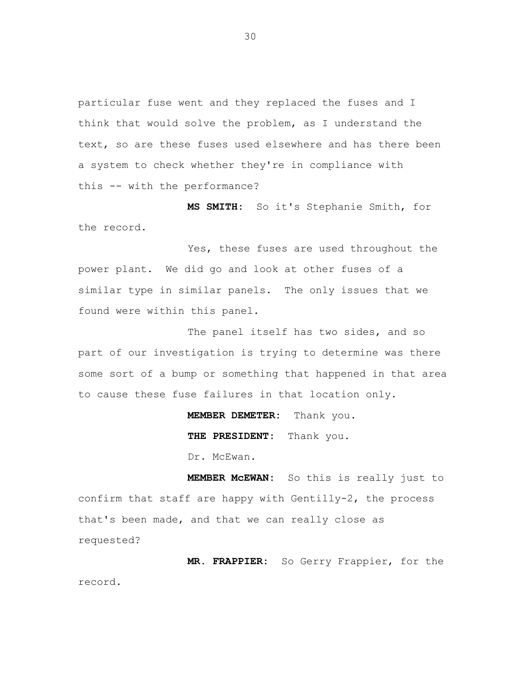particular fuse went and they replaced the fuses and I think that would solve the problem, as I understand the text, so are these fuses used elsewhere and has there been a system to check whether they're in compliance with this -- with the performance?

**MS SMITH:** So it's Stephanie Smith, for the record.

Yes, these fuses are used throughout the power plant. We did go and look at other fuses of a similar type in similar panels. The only issues that we found were within this panel.

The panel itself has two sides, and so part of our investigation is trying to determine was there some sort of a bump or something that happened in that area to cause these fuse failures in that location only.

**MEMBER DEMETER:** Thank you.

**THE PRESIDENT:** Thank you.

Dr. McEwan.

**MEMBER McEWAN:** So this is really just to confirm that staff are happy with Gentilly-2, the process that's been made, and that we can really close as requested?

**MR. FRAPPIER:** So Gerry Frappier, for the record.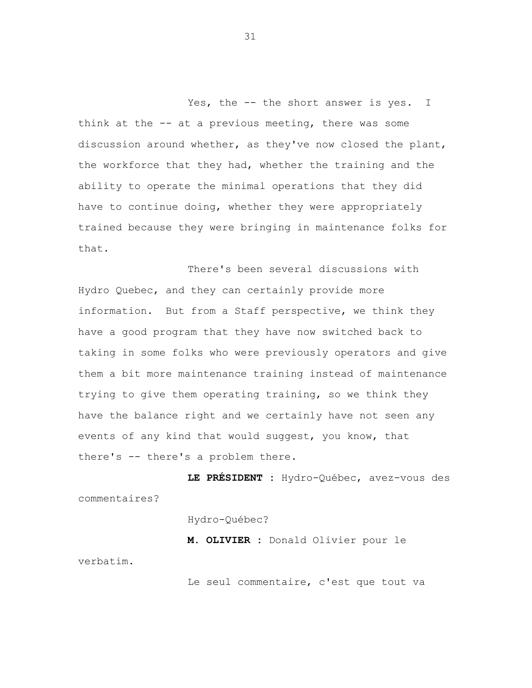Yes, the -- the short answer is yes. I think at the -- at a previous meeting, there was some discussion around whether, as they've now closed the plant, the workforce that they had, whether the training and the ability to operate the minimal operations that they did have to continue doing, whether they were appropriately trained because they were bringing in maintenance folks for that.

There's been several discussions with Hydro Quebec, and they can certainly provide more information. But from a Staff perspective, we think they have a good program that they have now switched back to taking in some folks who were previously operators and give them a bit more maintenance training instead of maintenance trying to give them operating training, so we think they have the balance right and we certainly have not seen any events of any kind that would suggest, you know, that there's -- there's a problem there.

**LE PRÉSIDENT :** Hydro-Québec, avez-vous des commentaires?

Hydro-Québec?

**M. OLIVIER :** Donald Olivier pour le verbatim.

Le seul commentaire, c'est que tout va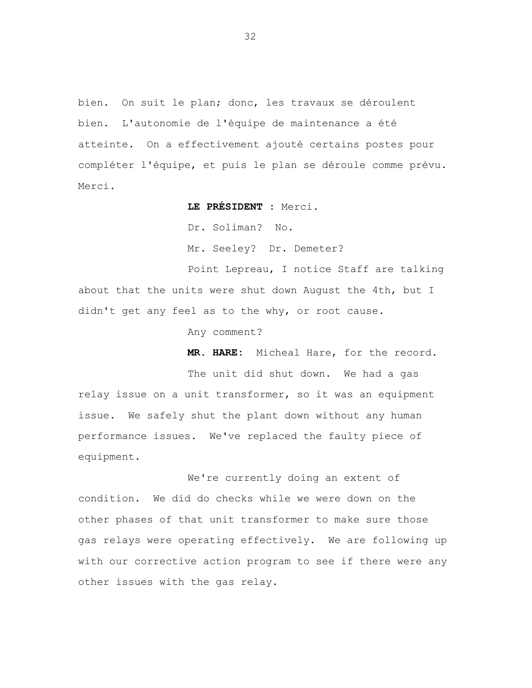bien. On suit le plan; donc, les travaux se déroulent bien. L'autonomie de l'équipe de maintenance a été atteinte. On a effectivement ajouté certains postes pour compléter l'équipe, et puis le plan se déroule comme prévu. Merci.

**LE PRÉSIDENT :** Merci.

Dr. Soliman? No.

Mr. Seeley? Dr. Demeter?

Point Lepreau, I notice Staff are talking about that the units were shut down August the 4th, but I didn't get any feel as to the why, or root cause.

Any comment?

**MR. HARE:** Micheal Hare, for the record.

The unit did shut down. We had a gas relay issue on a unit transformer, so it was an equipment issue. We safely shut the plant down without any human performance issues. We've replaced the faulty piece of equipment.

We're currently doing an extent of condition. We did do checks while we were down on the other phases of that unit transformer to make sure those gas relays were operating effectively. We are following up with our corrective action program to see if there were any other issues with the gas relay.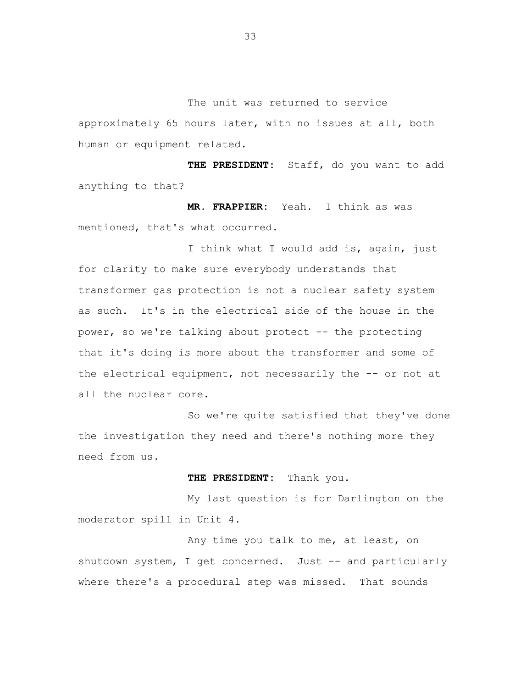The unit was returned to service approximately 65 hours later, with no issues at all, both human or equipment related.

**THE PRESIDENT:** Staff, do you want to add anything to that?

**MR. FRAPPIER:** Yeah. I think as was mentioned, that's what occurred.

I think what I would add is, again, just for clarity to make sure everybody understands that transformer gas protection is not a nuclear safety system as such. It's in the electrical side of the house in the power, so we're talking about protect -- the protecting that it's doing is more about the transformer and some of the electrical equipment, not necessarily the -- or not at all the nuclear core.

So we're quite satisfied that they've done the investigation they need and there's nothing more they need from us.

# **THE PRESIDENT:** Thank you.

My last question is for Darlington on the moderator spill in Unit 4.

Any time you talk to me, at least, on shutdown system, I get concerned. Just -- and particularly where there's a procedural step was missed. That sounds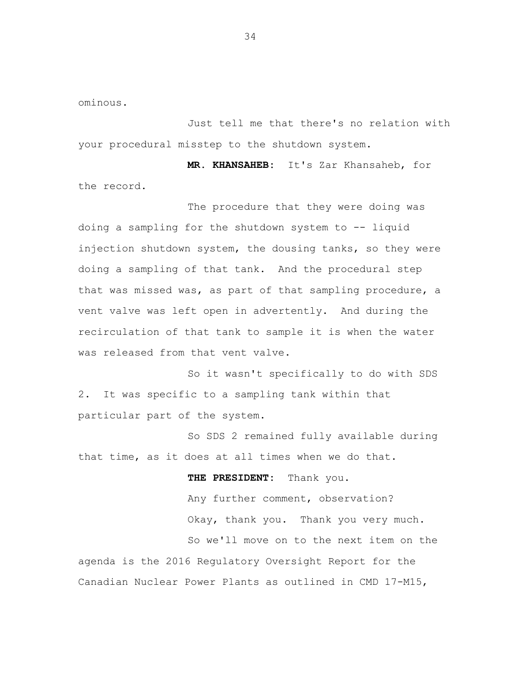ominous.

Just tell me that there's no relation with your procedural misstep to the shutdown system.

**MR. KHANSAHEB:** It's Zar Khansaheb, for the record.

The procedure that they were doing was doing a sampling for the shutdown system to -- liquid injection shutdown system, the dousing tanks, so they were doing a sampling of that tank. And the procedural step that was missed was, as part of that sampling procedure, a vent valve was left open in advertently. And during the recirculation of that tank to sample it is when the water was released from that vent valve.

So it wasn't specifically to do with SDS 2. It was specific to a sampling tank within that particular part of the system.

So SDS 2 remained fully available during that time, as it does at all times when we do that.

**THE PRESIDENT:** Thank you. Any further comment, observation? Okay, thank you. Thank you very much. So we'll move on to the next item on the agenda is the 2016 Regulatory Oversight Report for the Canadian Nuclear Power Plants as outlined in CMD 17-M15,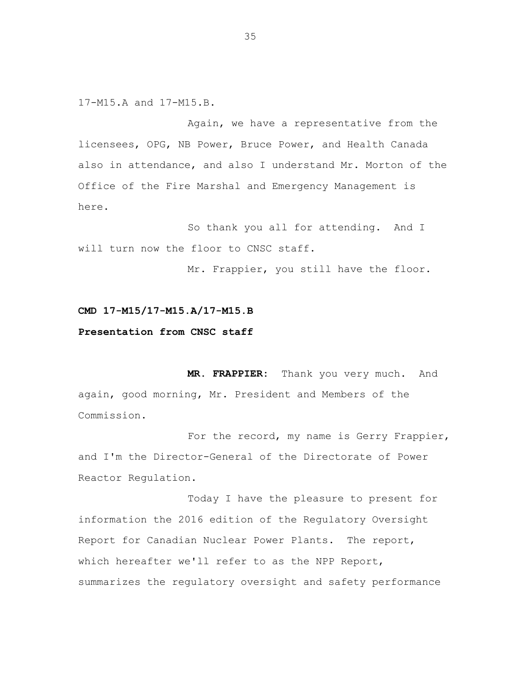17-M15.A and 17-M15.B.

Again, we have a representative from the licensees, OPG, NB Power, Bruce Power, and Health Canada also in attendance, and also I understand Mr. Morton of the Office of the Fire Marshal and Emergency Management is here.

So thank you all for attending. And I will turn now the floor to CNSC staff.

Mr. Frappier, you still have the floor.

## **CMD 17-M15/17-M15.A/17-M15.B**

## **Presentation from CNSC staff**

**MR. FRAPPIER:** Thank you very much. And again, good morning, Mr. President and Members of the Commission.

For the record, my name is Gerry Frappier, and I'm the Director-General of the Directorate of Power Reactor Regulation.

Today I have the pleasure to present for information the 2016 edition of the Regulatory Oversight Report for Canadian Nuclear Power Plants. The report, which hereafter we'll refer to as the NPP Report, summarizes the regulatory oversight and safety performance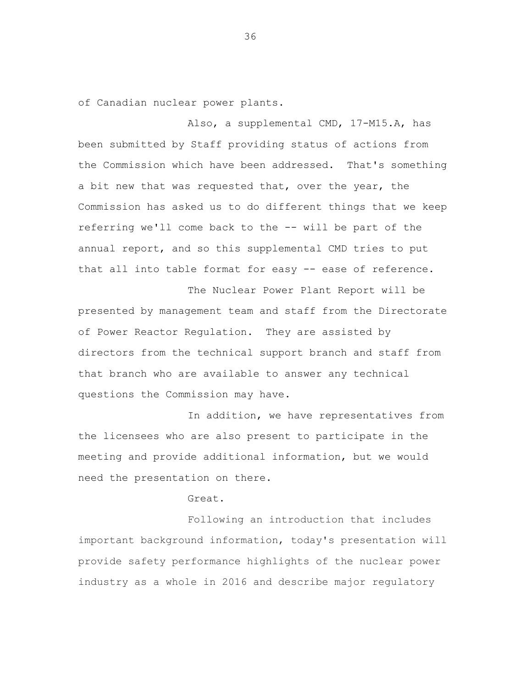of Canadian nuclear power plants.

Also, a supplemental CMD, 17-M15.A, has been submitted by Staff providing status of actions from the Commission which have been addressed. That's something a bit new that was requested that, over the year, the Commission has asked us to do different things that we keep referring we'll come back to the -- will be part of the annual report, and so this supplemental CMD tries to put that all into table format for easy -- ease of reference.

The Nuclear Power Plant Report will be presented by management team and staff from the Directorate of Power Reactor Regulation. They are assisted by directors from the technical support branch and staff from that branch who are available to answer any technical questions the Commission may have.

In addition, we have representatives from the licensees who are also present to participate in the meeting and provide additional information, but we would need the presentation on there.

Great.

Following an introduction that includes important background information, today's presentation will provide safety performance highlights of the nuclear power industry as a whole in 2016 and describe major regulatory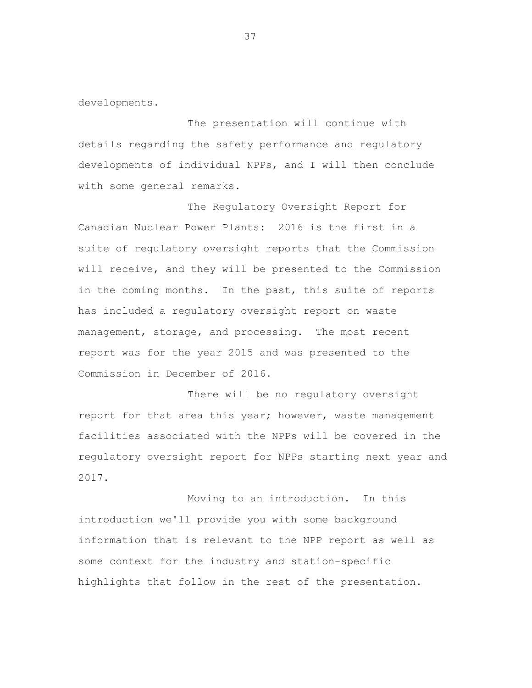developments.

The presentation will continue with details regarding the safety performance and regulatory developments of individual NPPs, and I will then conclude with some general remarks.

The Regulatory Oversight Report for Canadian Nuclear Power Plants: 2016 is the first in a suite of regulatory oversight reports that the Commission will receive, and they will be presented to the Commission in the coming months. In the past, this suite of reports has included a regulatory oversight report on waste management, storage, and processing. The most recent report was for the year 2015 and was presented to the Commission in December of 2016.

There will be no regulatory oversight report for that area this year; however, waste management facilities associated with the NPPs will be covered in the regulatory oversight report for NPPs starting next year and 2017.

Moving to an introduction. In this introduction we'll provide you with some background information that is relevant to the NPP report as well as some context for the industry and station-specific highlights that follow in the rest of the presentation.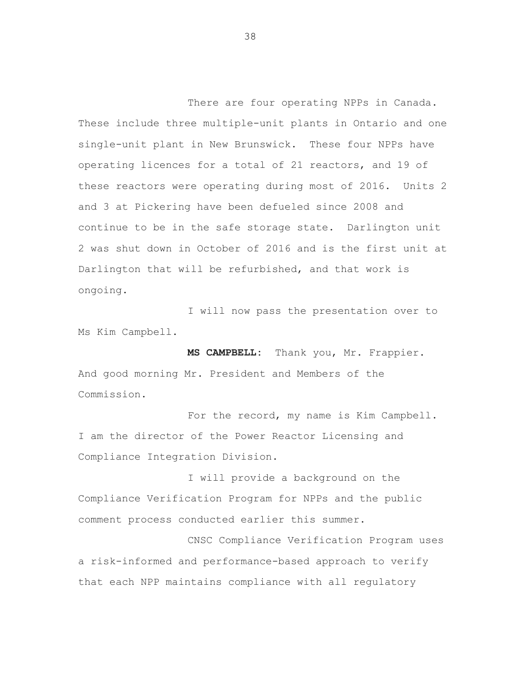There are four operating NPPs in Canada. These include three multiple-unit plants in Ontario and one single-unit plant in New Brunswick. These four NPPs have operating licences for a total of 21 reactors, and 19 of these reactors were operating during most of 2016. Units 2 and 3 at Pickering have been defueled since 2008 and continue to be in the safe storage state. Darlington unit 2 was shut down in October of 2016 and is the first unit at Darlington that will be refurbished, and that work is ongoing.

I will now pass the presentation over to Ms Kim Campbell.

**MS CAMPBELL:** Thank you, Mr. Frappier. And good morning Mr. President and Members of the Commission.

For the record, my name is Kim Campbell. I am the director of the Power Reactor Licensing and Compliance Integration Division.

I will provide a background on the Compliance Verification Program for NPPs and the public comment process conducted earlier this summer.

CNSC Compliance Verification Program uses a risk-informed and performance-based approach to verify that each NPP maintains compliance with all regulatory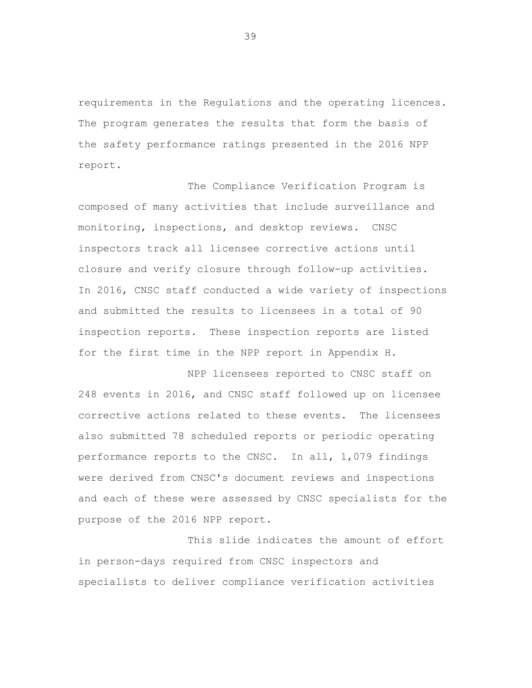requirements in the Regulations and the operating licences. The program generates the results that form the basis of the safety performance ratings presented in the 2016 NPP report.

The Compliance Verification Program is composed of many activities that include surveillance and monitoring, inspections, and desktop reviews. CNSC inspectors track all licensee corrective actions until closure and verify closure through follow-up activities. In 2016, CNSC staff conducted a wide variety of inspections and submitted the results to licensees in a total of 90 inspection reports. These inspection reports are listed for the first time in the NPP report in Appendix H.

NPP licensees reported to CNSC staff on 248 events in 2016, and CNSC staff followed up on licensee corrective actions related to these events. The licensees also submitted 78 scheduled reports or periodic operating performance reports to the CNSC. In all, 1,079 findings were derived from CNSC's document reviews and inspections and each of these were assessed by CNSC specialists for the purpose of the 2016 NPP report.

This slide indicates the amount of effort in person-days required from CNSC inspectors and specialists to deliver compliance verification activities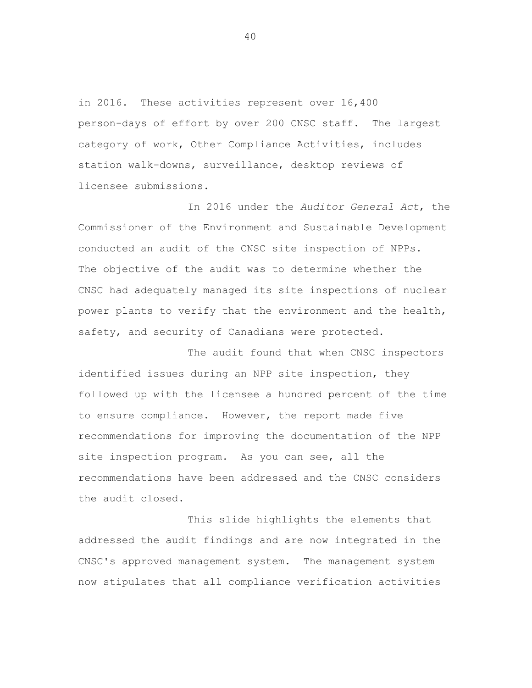in 2016. These activities represent over 16,400 person-days of effort by over 200 CNSC staff. The largest category of work, Other Compliance Activities, includes station walk-downs, surveillance, desktop reviews of licensee submissions.

In 2016 under the *Auditor General Act*, the Commissioner of the Environment and Sustainable Development conducted an audit of the CNSC site inspection of NPPs. The objective of the audit was to determine whether the CNSC had adequately managed its site inspections of nuclear power plants to verify that the environment and the health, safety, and security of Canadians were protected.

The audit found that when CNSC inspectors identified issues during an NPP site inspection, they followed up with the licensee a hundred percent of the time to ensure compliance. However, the report made five recommendations for improving the documentation of the NPP site inspection program. As you can see, all the recommendations have been addressed and the CNSC considers the audit closed.

This slide highlights the elements that addressed the audit findings and are now integrated in the CNSC's approved management system. The management system now stipulates that all compliance verification activities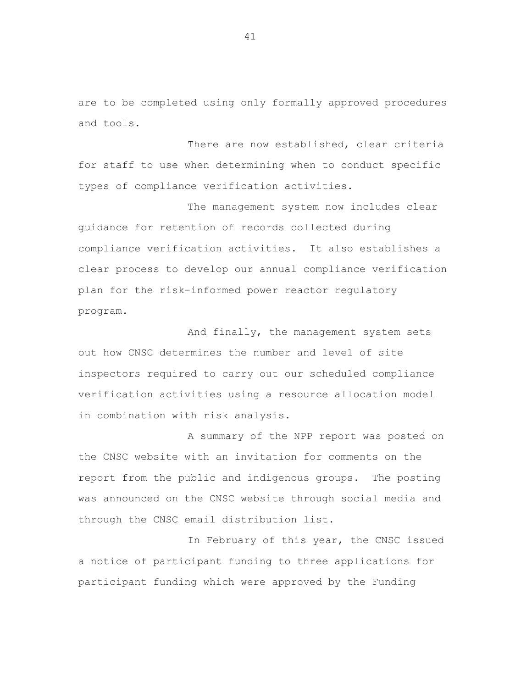are to be completed using only formally approved procedures and tools.

There are now established, clear criteria for staff to use when determining when to conduct specific types of compliance verification activities.

The management system now includes clear guidance for retention of records collected during compliance verification activities. It also establishes a clear process to develop our annual compliance verification plan for the risk-informed power reactor regulatory program.

And finally, the management system sets out how CNSC determines the number and level of site inspectors required to carry out our scheduled compliance verification activities using a resource allocation model in combination with risk analysis.

A summary of the NPP report was posted on the CNSC website with an invitation for comments on the report from the public and indigenous groups. The posting was announced on the CNSC website through social media and through the CNSC email distribution list.

In February of this year, the CNSC issued a notice of participant funding to three applications for participant funding which were approved by the Funding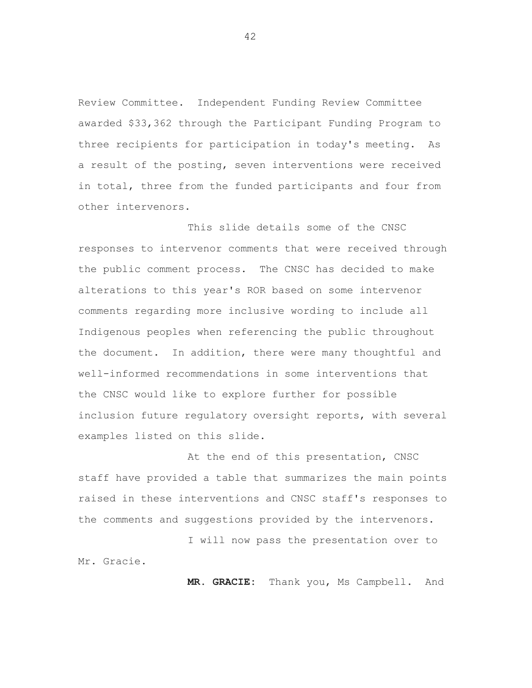Review Committee. Independent Funding Review Committee awarded \$33,362 through the Participant Funding Program to three recipients for participation in today's meeting. As a result of the posting, seven interventions were received in total, three from the funded participants and four from other intervenors.

This slide details some of the CNSC responses to intervenor comments that were received through the public comment process. The CNSC has decided to make alterations to this year's ROR based on some intervenor comments regarding more inclusive wording to include all Indigenous peoples when referencing the public throughout the document. In addition, there were many thoughtful and well-informed recommendations in some interventions that the CNSC would like to explore further for possible inclusion future regulatory oversight reports, with several examples listed on this slide.

At the end of this presentation, CNSC staff have provided a table that summarizes the main points raised in these interventions and CNSC staff's responses to the comments and suggestions provided by the intervenors.

I will now pass the presentation over to Mr. Gracie.

**MR. GRACIE:** Thank you, Ms Campbell. And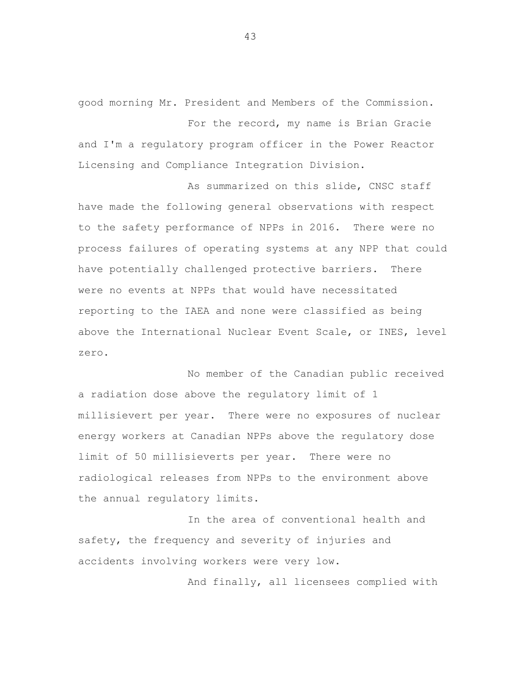good morning Mr. President and Members of the Commission.

For the record, my name is Brian Gracie and I'm a regulatory program officer in the Power Reactor Licensing and Compliance Integration Division.

As summarized on this slide, CNSC staff have made the following general observations with respect to the safety performance of NPPs in 2016. There were no process failures of operating systems at any NPP that could have potentially challenged protective barriers. There were no events at NPPs that would have necessitated reporting to the IAEA and none were classified as being above the International Nuclear Event Scale, or INES, level zero.

No member of the Canadian public received a radiation dose above the regulatory limit of 1 millisievert per year. There were no exposures of nuclear energy workers at Canadian NPPs above the regulatory dose limit of 50 millisieverts per year. There were no radiological releases from NPPs to the environment above the annual regulatory limits.

In the area of conventional health and safety, the frequency and severity of injuries and accidents involving workers were very low.

And finally, all licensees complied with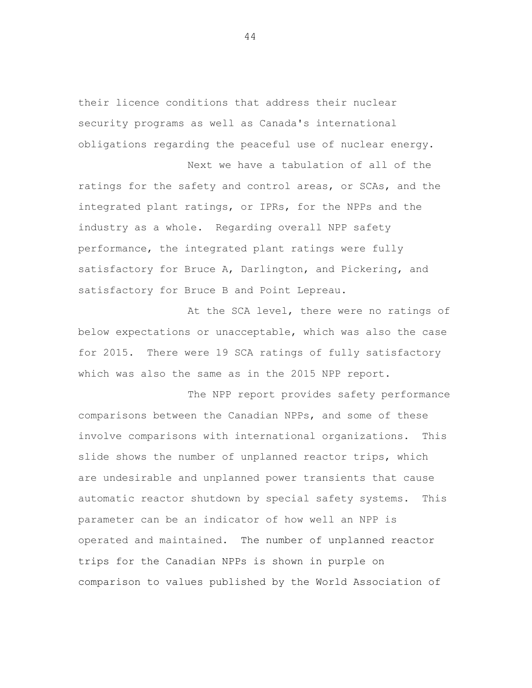their licence conditions that address their nuclear security programs as well as Canada's international obligations regarding the peaceful use of nuclear energy.

Next we have a tabulation of all of the ratings for the safety and control areas, or SCAs, and the integrated plant ratings, or IPRs, for the NPPs and the industry as a whole. Regarding overall NPP safety performance, the integrated plant ratings were fully satisfactory for Bruce A, Darlington, and Pickering, and satisfactory for Bruce B and Point Lepreau.

At the SCA level, there were no ratings of below expectations or unacceptable, which was also the case for 2015. There were 19 SCA ratings of fully satisfactory which was also the same as in the 2015 NPP report.

The NPP report provides safety performance comparisons between the Canadian NPPs, and some of these involve comparisons with international organizations. This slide shows the number of unplanned reactor trips, which are undesirable and unplanned power transients that cause automatic reactor shutdown by special safety systems. This parameter can be an indicator of how well an NPP is operated and maintained. The number of unplanned reactor trips for the Canadian NPPs is shown in purple on comparison to values published by the World Association of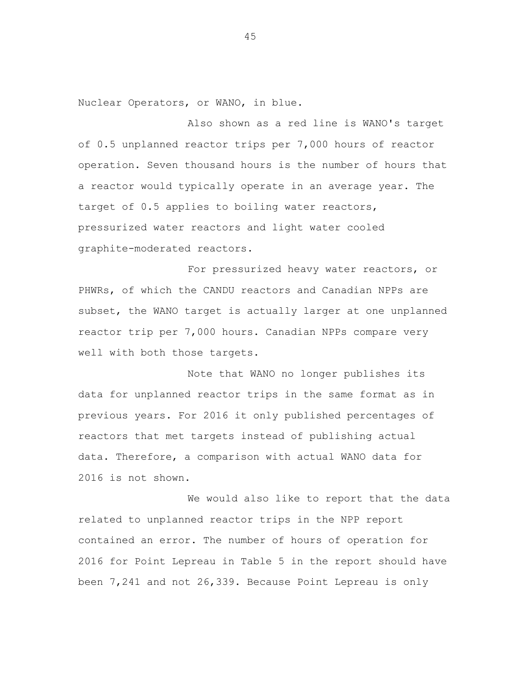Nuclear Operators, or WANO, in blue.

Also shown as a red line is WANO's target of 0.5 unplanned reactor trips per 7,000 hours of reactor operation. Seven thousand hours is the number of hours that a reactor would typically operate in an average year. The target of 0.5 applies to boiling water reactors, pressurized water reactors and light water cooled graphite-moderated reactors.

For pressurized heavy water reactors, or PHWRs, of which the CANDU reactors and Canadian NPPs are subset, the WANO target is actually larger at one unplanned reactor trip per 7,000 hours. Canadian NPPs compare very well with both those targets.

Note that WANO no longer publishes its data for unplanned reactor trips in the same format as in previous years. For 2016 it only published percentages of reactors that met targets instead of publishing actual data. Therefore, a comparison with actual WANO data for 2016 is not shown.

We would also like to report that the data related to unplanned reactor trips in the NPP report contained an error. The number of hours of operation for 2016 for Point Lepreau in Table 5 in the report should have been 7,241 and not 26,339. Because Point Lepreau is only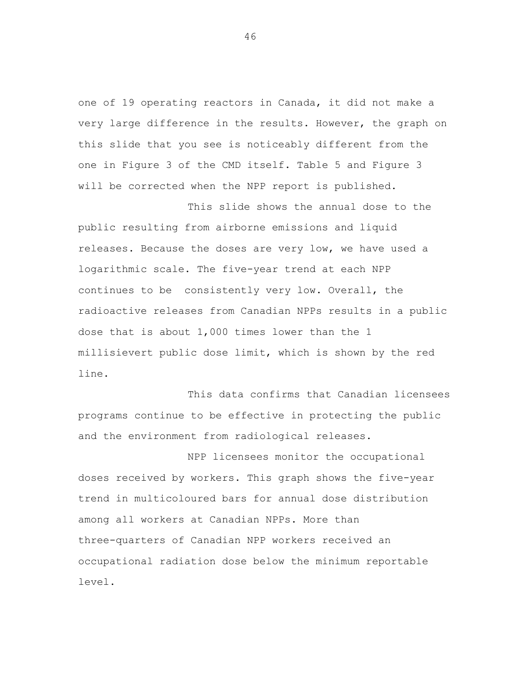one of 19 operating reactors in Canada, it did not make a very large difference in the results. However, the graph on this slide that you see is noticeably different from the one in Figure 3 of the CMD itself. Table 5 and Figure 3 will be corrected when the NPP report is published.

This slide shows the annual dose to the public resulting from airborne emissions and liquid releases. Because the doses are very low, we have used a logarithmic scale. The five-year trend at each NPP continues to be consistently very low. Overall, the radioactive releases from Canadian NPPs results in a public dose that is about 1,000 times lower than the 1 millisievert public dose limit, which is shown by the red line.

This data confirms that Canadian licensees programs continue to be effective in protecting the public and the environment from radiological releases.

NPP licensees monitor the occupational doses received by workers. This graph shows the five-year trend in multicoloured bars for annual dose distribution among all workers at Canadian NPPs. More than three-quarters of Canadian NPP workers received an occupational radiation dose below the minimum reportable level.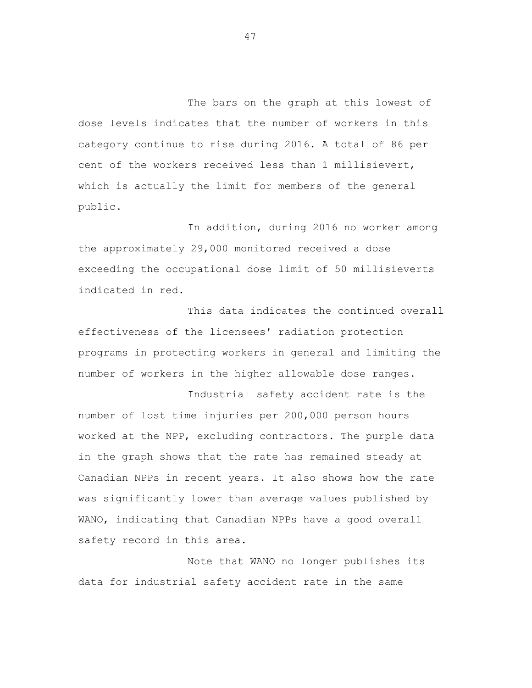The bars on the graph at this lowest of dose levels indicates that the number of workers in this category continue to rise during 2016. A total of 86 per cent of the workers received less than 1 millisievert, which is actually the limit for members of the general public.

In addition, during 2016 no worker among the approximately 29,000 monitored received a dose exceeding the occupational dose limit of 50 millisieverts indicated in red.

This data indicates the continued overall effectiveness of the licensees' radiation protection programs in protecting workers in general and limiting the number of workers in the higher allowable dose ranges.

Industrial safety accident rate is the number of lost time injuries per 200,000 person hours worked at the NPP, excluding contractors. The purple data in the graph shows that the rate has remained steady at Canadian NPPs in recent years. It also shows how the rate was significantly lower than average values published by WANO, indicating that Canadian NPPs have a good overall safety record in this area.

Note that WANO no longer publishes its data for industrial safety accident rate in the same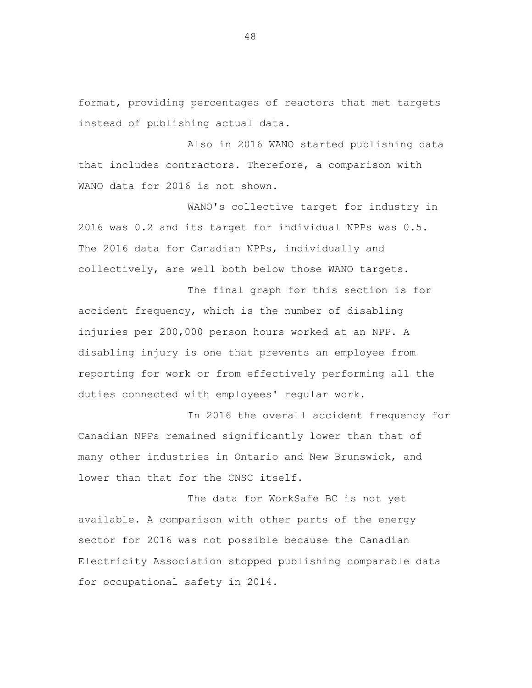format, providing percentages of reactors that met targets instead of publishing actual data.

Also in 2016 WANO started publishing data that includes contractors. Therefore, a comparison with WANO data for 2016 is not shown.

WANO's collective target for industry in 2016 was 0.2 and its target for individual NPPs was 0.5. The 2016 data for Canadian NPPs, individually and collectively, are well both below those WANO targets.

The final graph for this section is for accident frequency, which is the number of disabling injuries per 200,000 person hours worked at an NPP. A disabling injury is one that prevents an employee from reporting for work or from effectively performing all the duties connected with employees' regular work.

In 2016 the overall accident frequency for Canadian NPPs remained significantly lower than that of many other industries in Ontario and New Brunswick, and lower than that for the CNSC itself.

The data for WorkSafe BC is not yet available. A comparison with other parts of the energy sector for 2016 was not possible because the Canadian Electricity Association stopped publishing comparable data for occupational safety in 2014.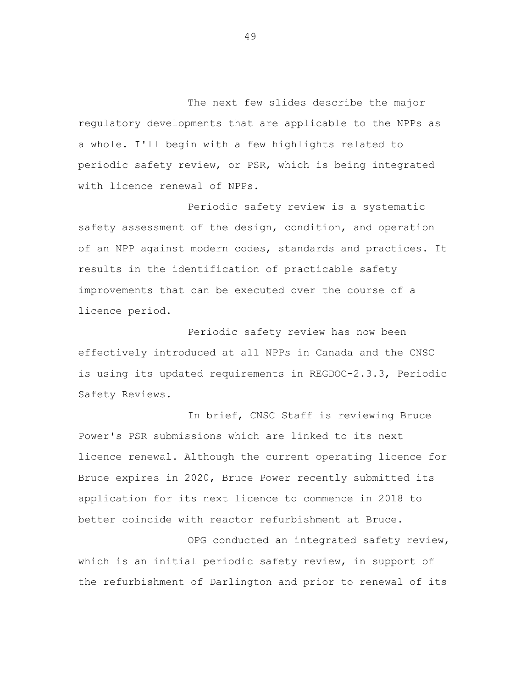The next few slides describe the major regulatory developments that are applicable to the NPPs as a whole. I'll begin with a few highlights related to periodic safety review, or PSR, which is being integrated with licence renewal of NPPs.

Periodic safety review is a systematic safety assessment of the design, condition, and operation of an NPP against modern codes, standards and practices. It results in the identification of practicable safety improvements that can be executed over the course of a licence period.

Periodic safety review has now been effectively introduced at all NPPs in Canada and the CNSC is using its updated requirements in REGDOC-2.3.3, Periodic Safety Reviews.

In brief, CNSC Staff is reviewing Bruce Power's PSR submissions which are linked to its next licence renewal. Although the current operating licence for Bruce expires in 2020, Bruce Power recently submitted its application for its next licence to commence in 2018 to better coincide with reactor refurbishment at Bruce.

OPG conducted an integrated safety review, which is an initial periodic safety review, in support of the refurbishment of Darlington and prior to renewal of its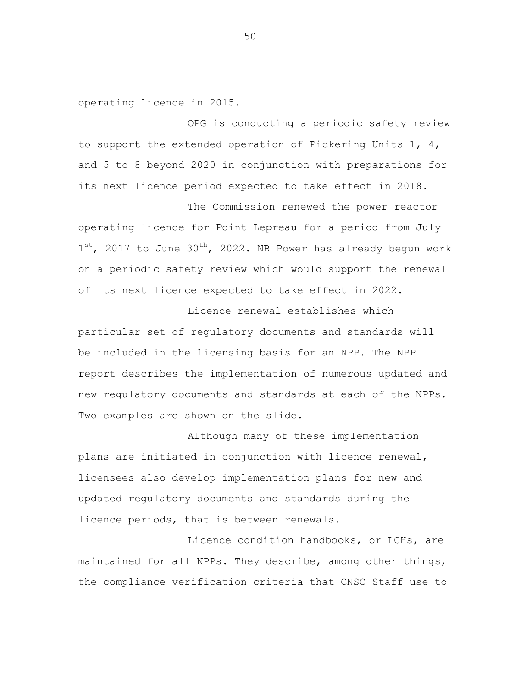operating licence in 2015.

OPG is conducting a periodic safety review to support the extended operation of Pickering Units  $1, 4,$ and 5 to 8 beyond 2020 in conjunction with preparations for its next licence period expected to take effect in 2018.

The Commission renewed the power reactor operating licence for Point Lepreau for a period from July  $1^{st}$ , 2017 to June 30<sup>th</sup>, 2022. NB Power has already begun work on a periodic safety review which would support the renewal of its next licence expected to take effect in 2022.

Licence renewal establishes which particular set of regulatory documents and standards will be included in the licensing basis for an NPP. The NPP report describes the implementation of numerous updated and new regulatory documents and standards at each of the NPPs. Two examples are shown on the slide.

Although many of these implementation plans are initiated in conjunction with licence renewal, licensees also develop implementation plans for new and updated regulatory documents and standards during the licence periods, that is between renewals.

Licence condition handbooks, or LCHs, are maintained for all NPPs. They describe, among other things, the compliance verification criteria that CNSC Staff use to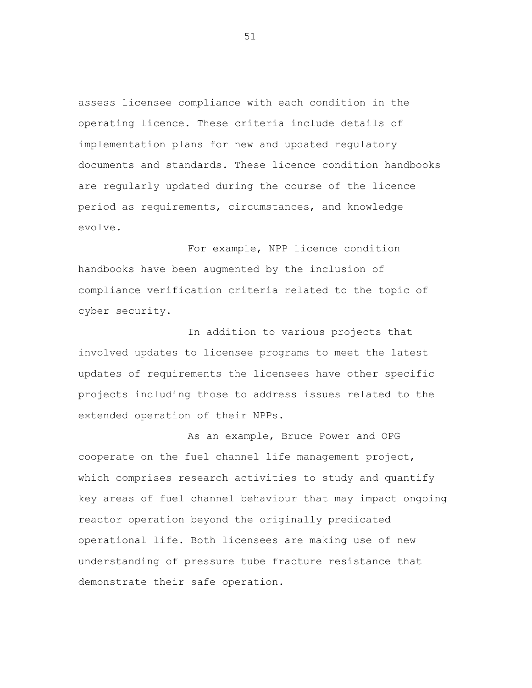assess licensee compliance with each condition in the operating licence. These criteria include details of implementation plans for new and updated regulatory documents and standards. These licence condition handbooks are regularly updated during the course of the licence period as requirements, circumstances, and knowledge evolve.

For example, NPP licence condition handbooks have been augmented by the inclusion of compliance verification criteria related to the topic of cyber security.

In addition to various projects that involved updates to licensee programs to meet the latest updates of requirements the licensees have other specific projects including those to address issues related to the extended operation of their NPPs.

As an example, Bruce Power and OPG cooperate on the fuel channel life management project, which comprises research activities to study and quantify key areas of fuel channel behaviour that may impact ongoing reactor operation beyond the originally predicated operational life. Both licensees are making use of new understanding of pressure tube fracture resistance that demonstrate their safe operation.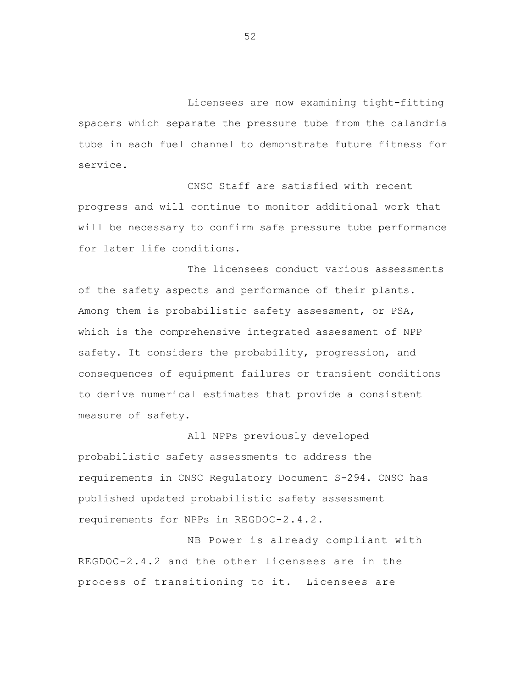Licensees are now examining tight-fitting spacers which separate the pressure tube from the calandria tube in each fuel channel to demonstrate future fitness for service.

CNSC Staff are satisfied with recent progress and will continue to monitor additional work that will be necessary to confirm safe pressure tube performance for later life conditions.

The licensees conduct various assessments of the safety aspects and performance of their plants. Among them is probabilistic safety assessment, or PSA, which is the comprehensive integrated assessment of NPP safety. It considers the probability, progression, and consequences of equipment failures or transient conditions to derive numerical estimates that provide a consistent measure of safety.

All NPPs previously developed probabilistic safety assessments to address the requirements in CNSC Regulatory Document S-294. CNSC has published updated probabilistic safety assessment requirements for NPPs in REGDOC-2.4.2.

NB Power is already compliant with REGDOC-2.4.2 and the other licensees are in the process of transitioning to it. Licensees are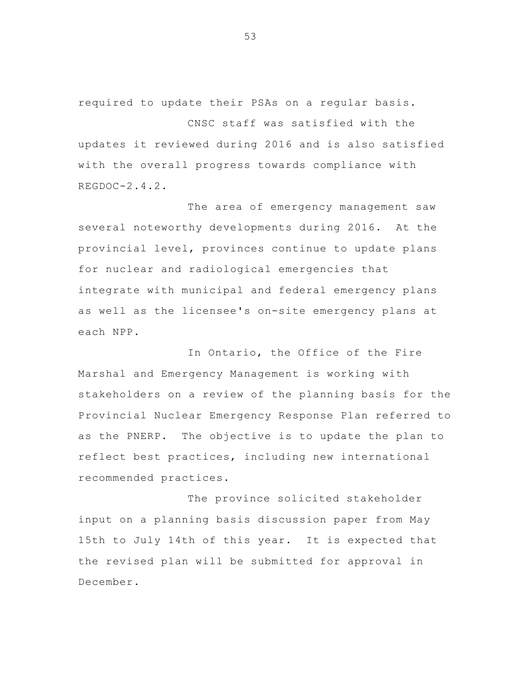required to update their PSAs on a regular basis.

CNSC staff was satisfied with the updates it reviewed during 2016 and is also satisfied with the overall progress towards compliance with REGDOC-2.4.2.

The area of emergency management saw several noteworthy developments during 2016. At the provincial level, provinces continue to update plans for nuclear and radiological emergencies that integrate with municipal and federal emergency plans as well as the licensee's on-site emergency plans at each NPP.

In Ontario, the Office of the Fire Marshal and Emergency Management is working with stakeholders on a review of the planning basis for the Provincial Nuclear Emergency Response Plan referred to as the PNERP. The objective is to update the plan to reflect best practices, including new international recommended practices.

The province solicited stakeholder input on a planning basis discussion paper from May 15th to July 14th of this year. It is expected that the revised plan will be submitted for approval in December.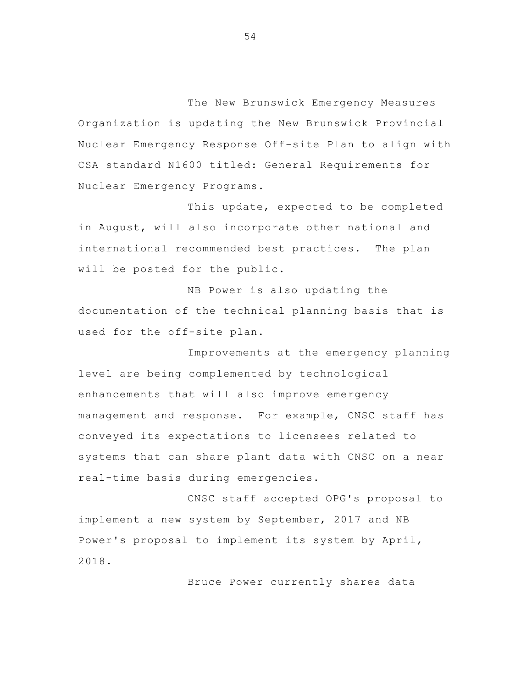The New Brunswick Emergency Measures Organization is updating the New Brunswick Provincial Nuclear Emergency Response Off-site Plan to align with CSA standard N1600 titled: General Requirements for Nuclear Emergency Programs.

 This update, expected to be completed in August, will also incorporate other national and international recommended best practices. The plan will be posted for the public.

NB Power is also updating the documentation of the technical planning basis that is used for the off-site plan.

Improvements at the emergency planning level are being complemented by technological enhancements that will also improve emergency management and response. For example, CNSC staff has conveyed its expectations to licensees related to systems that can share plant data with CNSC on a near real-time basis during emergencies.

 CNSC staff accepted OPG's proposal to implement a new system by September, 2017 and NB Power's proposal to implement its system by April, 2018.

Bruce Power currently shares data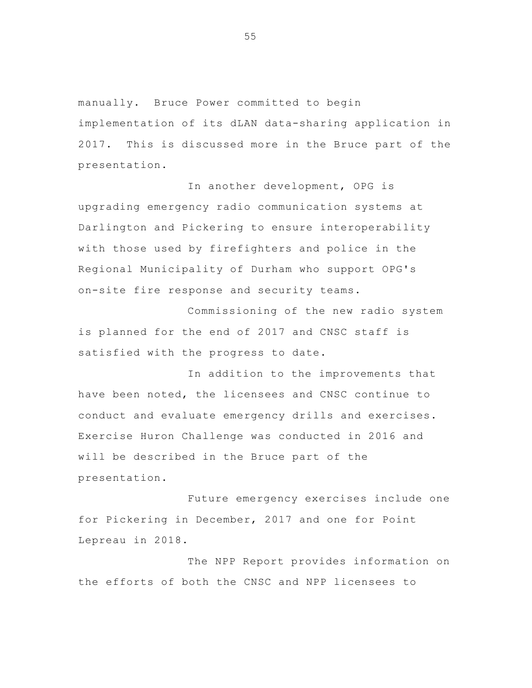manually. Bruce Power committed to begin implementation of its dLAN data-sharing application in 2017. This is discussed more in the Bruce part of the presentation.

 In another development, OPG is upgrading emergency radio communication systems at Darlington and Pickering to ensure interoperability with those used by firefighters and police in the Regional Municipality of Durham who support OPG's on-site fire response and security teams.

Commissioning of the new radio system is planned for the end of 2017 and CNSC staff is satisfied with the progress to date.

In addition to the improvements that have been noted, the licensees and CNSC continue to conduct and evaluate emergency drills and exercises. Exercise Huron Challenge was conducted in 2016 and will be described in the Bruce part of the presentation.

 Future emergency exercises include one for Pickering in December, 2017 and one for Point Lepreau in 2018.

The NPP Report provides information on the efforts of both the CNSC and NPP licensees to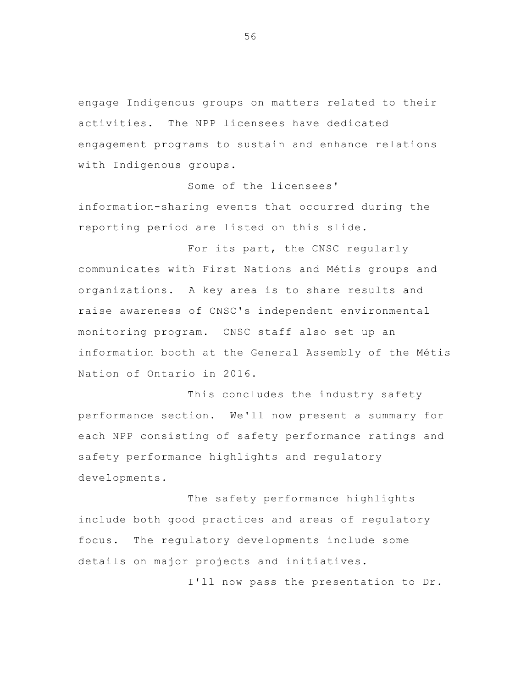engage Indigenous groups on matters related to their activities. The NPP licensees have dedicated engagement programs to sustain and enhance relations with Indigenous groups.

 Some of the licensees' information-sharing events that occurred during the reporting period are listed on this slide.

For its part, the CNSC regularly communicates with First Nations and Métis groups and organizations. A key area is to share results and raise awareness of CNSC's independent environmental monitoring program. CNSC staff also set up an information booth at the General Assembly of the Métis Nation of Ontario in 2016.

 This concludes the industry safety performance section. We'll now present a summary for each NPP consisting of safety performance ratings and safety performance highlights and regulatory developments.

The safety performance highlights include both good practices and areas of regulatory focus. The regulatory developments include some details on major projects and initiatives.

I'll now pass the presentation to Dr.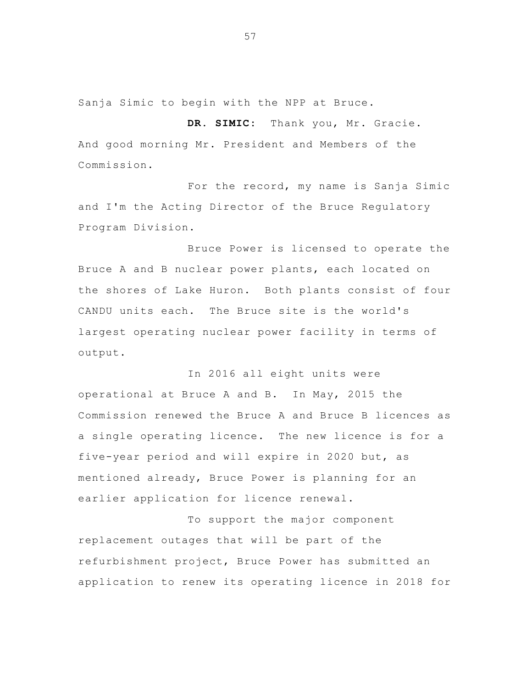Sanja Simic to begin with the NPP at Bruce.

**DR. SIMIC:** Thank you, Mr. Gracie. And good morning Mr. President and Members of the Commission.

For the record, my name is Sanja Simic and I'm the Acting Director of the Bruce Regulatory Program Division.

 Bruce Power is licensed to operate the Bruce A and B nuclear power plants, each located on the shores of Lake Huron. Both plants consist of four CANDU units each. The Bruce site is the world's largest operating nuclear power facility in terms of output.

In 2016 all eight units were operational at Bruce A and B. In May, 2015 the Commission renewed the Bruce A and Bruce B licences as a single operating licence. The new licence is for a five-year period and will expire in 2020 but, as mentioned already, Bruce Power is planning for an earlier application for licence renewal.

 To support the major component replacement outages that will be part of the refurbishment project, Bruce Power has submitted an application to renew its operating licence in 2018 for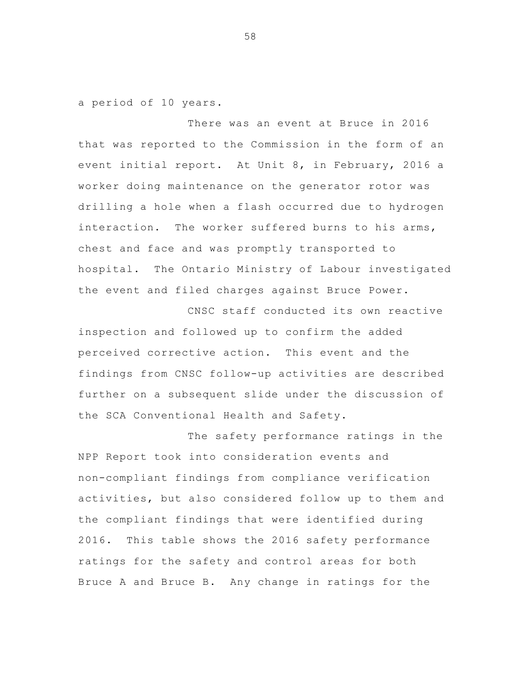a period of 10 years.

 There was an event at Bruce in 2016 that was reported to the Commission in the form of an event initial report. At Unit 8, in February, 2016 a worker doing maintenance on the generator rotor was drilling a hole when a flash occurred due to hydrogen interaction. The worker suffered burns to his arms, chest and face and was promptly transported to hospital. The Ontario Ministry of Labour investigated the event and filed charges against Bruce Power.

 CNSC staff conducted its own reactive inspection and followed up to confirm the added perceived corrective action. This event and the findings from CNSC follow-up activities are described further on a subsequent slide under the discussion of the SCA Conventional Health and Safety.

The safety performance ratings in the NPP Report took into consideration events and non-compliant findings from compliance verification activities, but also considered follow up to them and the compliant findings that were identified during 2016. This table shows the 2016 safety performance ratings for the safety and control areas for both Bruce A and Bruce B. Any change in ratings for the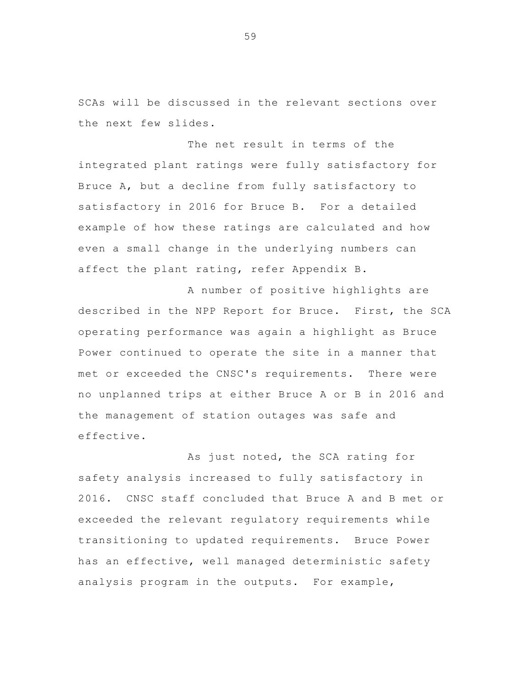SCAs will be discussed in the relevant sections over the next few slides.

The net result in terms of the integrated plant ratings were fully satisfactory for Bruce A, but a decline from fully satisfactory to satisfactory in 2016 for Bruce B. For a detailed example of how these ratings are calculated and how even a small change in the underlying numbers can affect the plant rating, refer Appendix B.

A number of positive highlights are described in the NPP Report for Bruce. First, the SCA operating performance was again a highlight as Bruce Power continued to operate the site in a manner that met or exceeded the CNSC's requirements. There were no unplanned trips at either Bruce A or B in 2016 and the management of station outages was safe and effective.

 As just noted, the SCA rating for safety analysis increased to fully satisfactory in 2016. CNSC staff concluded that Bruce A and B met or exceeded the relevant regulatory requirements while transitioning to updated requirements. Bruce Power has an effective, well managed deterministic safety analysis program in the outputs. For example,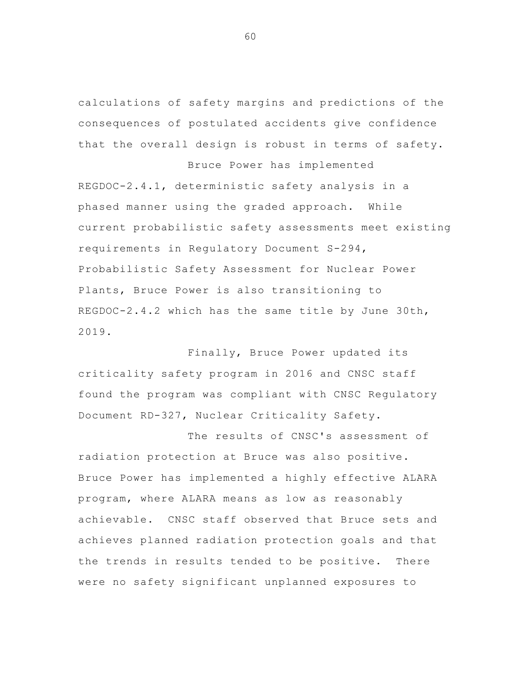calculations of safety margins and predictions of the consequences of postulated accidents give confidence that the overall design is robust in terms of safety.

Bruce Power has implemented

REGDOC-2.4.1, deterministic safety analysis in a phased manner using the graded approach. While current probabilistic safety assessments meet existing requirements in Regulatory Document S-294, Probabilistic Safety Assessment for Nuclear Power Plants, Bruce Power is also transitioning to REGDOC-2.4.2 which has the same title by June 30th, 2019.

Finally, Bruce Power updated its criticality safety program in 2016 and CNSC staff found the program was compliant with CNSC Regulatory Document RD-327, Nuclear Criticality Safety.

The results of CNSC's assessment of radiation protection at Bruce was also positive. Bruce Power has implemented a highly effective ALARA program, where ALARA means as low as reasonably achievable. CNSC staff observed that Bruce sets and achieves planned radiation protection goals and that the trends in results tended to be positive. There were no safety significant unplanned exposures to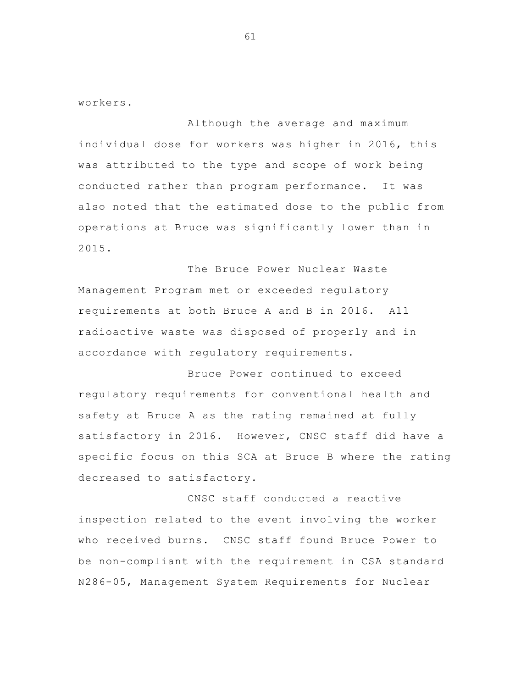workers.

Although the average and maximum individual dose for workers was higher in 2016, this was attributed to the type and scope of work being conducted rather than program performance. It was also noted that the estimated dose to the public from operations at Bruce was significantly lower than in 2015.

 The Bruce Power Nuclear Waste Management Program met or exceeded regulatory requirements at both Bruce A and B in 2016. All radioactive waste was disposed of properly and in accordance with regulatory requirements.

 Bruce Power continued to exceed regulatory requirements for conventional health and safety at Bruce A as the rating remained at fully satisfactory in 2016. However, CNSC staff did have a specific focus on this SCA at Bruce B where the rating decreased to satisfactory.

 CNSC staff conducted a reactive inspection related to the event involving the worker who received burns. CNSC staff found Bruce Power to be non-compliant with the requirement in CSA standard N286-05, Management System Requirements for Nuclear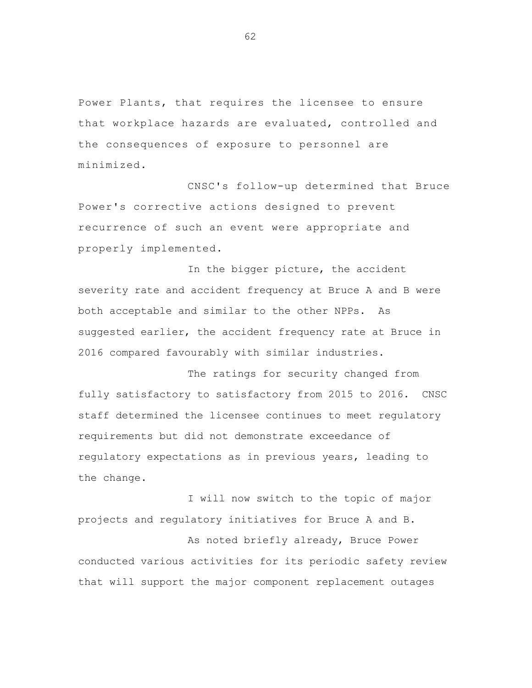Power Plants, that requires the licensee to ensure that workplace hazards are evaluated, controlled and the consequences of exposure to personnel are minimized.

CNSC's follow-up determined that Bruce Power's corrective actions designed to prevent recurrence of such an event were appropriate and properly implemented.

In the bigger picture, the accident severity rate and accident frequency at Bruce A and B were both acceptable and similar to the other NPPs. As suggested earlier, the accident frequency rate at Bruce in 2016 compared favourably with similar industries.

The ratings for security changed from fully satisfactory to satisfactory from 2015 to 2016. CNSC staff determined the licensee continues to meet regulatory requirements but did not demonstrate exceedance of regulatory expectations as in previous years, leading to the change.

I will now switch to the topic of major projects and regulatory initiatives for Bruce A and B.

As noted briefly already, Bruce Power conducted various activities for its periodic safety review that will support the major component replacement outages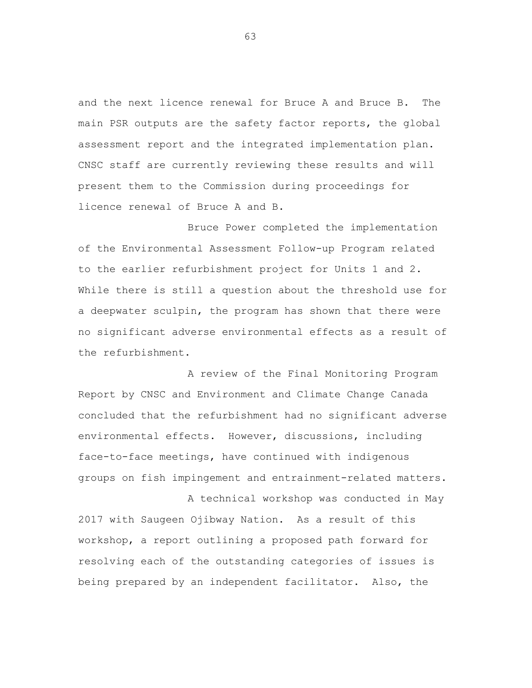and the next licence renewal for Bruce A and Bruce B. The main PSR outputs are the safety factor reports, the global assessment report and the integrated implementation plan. CNSC staff are currently reviewing these results and will present them to the Commission during proceedings for licence renewal of Bruce A and B.

Bruce Power completed the implementation of the Environmental Assessment Follow-up Program related to the earlier refurbishment project for Units 1 and 2. While there is still a question about the threshold use for a deepwater sculpin, the program has shown that there were no significant adverse environmental effects as a result of the refurbishment.

A review of the Final Monitoring Program Report by CNSC and Environment and Climate Change Canada concluded that the refurbishment had no significant adverse environmental effects. However, discussions, including face-to-face meetings, have continued with indigenous groups on fish impingement and entrainment-related matters.

A technical workshop was conducted in May 2017 with Saugeen Ojibway Nation. As a result of this workshop, a report outlining a proposed path forward for resolving each of the outstanding categories of issues is being prepared by an independent facilitator. Also, the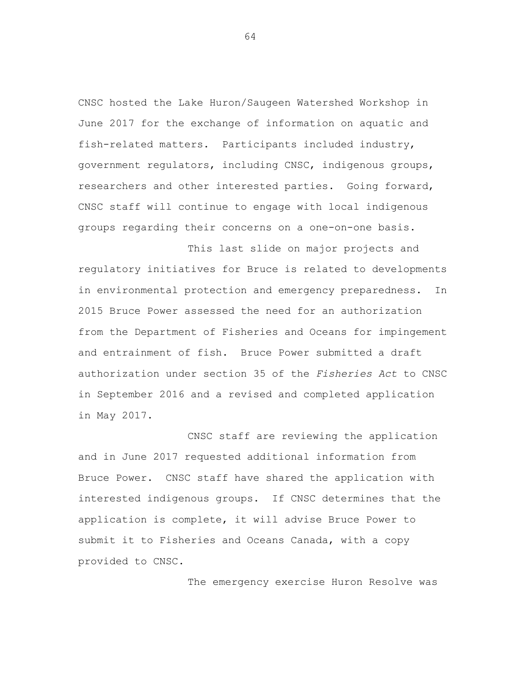CNSC hosted the Lake Huron/Saugeen Watershed Workshop in June 2017 for the exchange of information on aquatic and fish-related matters. Participants included industry, government regulators, including CNSC, indigenous groups, researchers and other interested parties. Going forward, CNSC staff will continue to engage with local indigenous groups regarding their concerns on a one-on-one basis.

This last slide on major projects and regulatory initiatives for Bruce is related to developments in environmental protection and emergency preparedness. In 2015 Bruce Power assessed the need for an authorization from the Department of Fisheries and Oceans for impingement and entrainment of fish. Bruce Power submitted a draft authorization under section 35 of the *Fisheries Act* to CNSC in September 2016 and a revised and completed application in May 2017.

CNSC staff are reviewing the application and in June 2017 requested additional information from Bruce Power. CNSC staff have shared the application with interested indigenous groups. If CNSC determines that the application is complete, it will advise Bruce Power to submit it to Fisheries and Oceans Canada, with a copy provided to CNSC.

The emergency exercise Huron Resolve was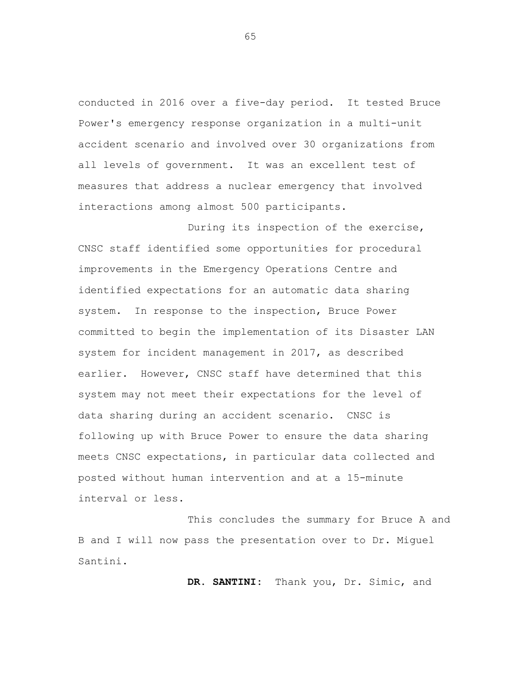conducted in 2016 over a five-day period. It tested Bruce Power's emergency response organization in a multi-unit accident scenario and involved over 30 organizations from all levels of government. It was an excellent test of measures that address a nuclear emergency that involved interactions among almost 500 participants.

During its inspection of the exercise, CNSC staff identified some opportunities for procedural improvements in the Emergency Operations Centre and identified expectations for an automatic data sharing system. In response to the inspection, Bruce Power committed to begin the implementation of its Disaster LAN system for incident management in 2017, as described earlier. However, CNSC staff have determined that this system may not meet their expectations for the level of data sharing during an accident scenario. CNSC is following up with Bruce Power to ensure the data sharing meets CNSC expectations, in particular data collected and posted without human intervention and at a 15-minute interval or less.

This concludes the summary for Bruce A and B and I will now pass the presentation over to Dr. Miguel Santini.

**DR. SANTINI:** Thank you, Dr. Simic, and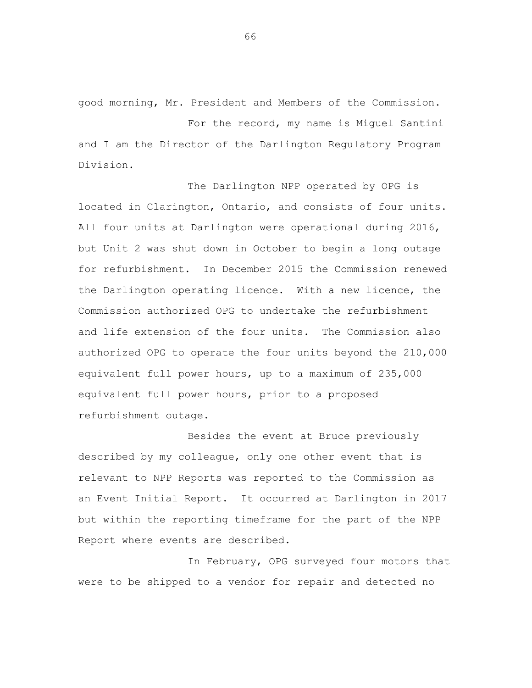good morning, Mr. President and Members of the Commission.

For the record, my name is Miguel Santini and I am the Director of the Darlington Regulatory Program Division.

The Darlington NPP operated by OPG is located in Clarington, Ontario, and consists of four units. All four units at Darlington were operational during 2016, but Unit 2 was shut down in October to begin a long outage for refurbishment. In December 2015 the Commission renewed the Darlington operating licence. With a new licence, the Commission authorized OPG to undertake the refurbishment and life extension of the four units. The Commission also authorized OPG to operate the four units beyond the 210,000 equivalent full power hours, up to a maximum of 235,000 equivalent full power hours, prior to a proposed refurbishment outage.

Besides the event at Bruce previously described by my colleague, only one other event that is relevant to NPP Reports was reported to the Commission as an Event Initial Report. It occurred at Darlington in 2017 but within the reporting timeframe for the part of the NPP Report where events are described.

In February, OPG surveyed four motors that were to be shipped to a vendor for repair and detected no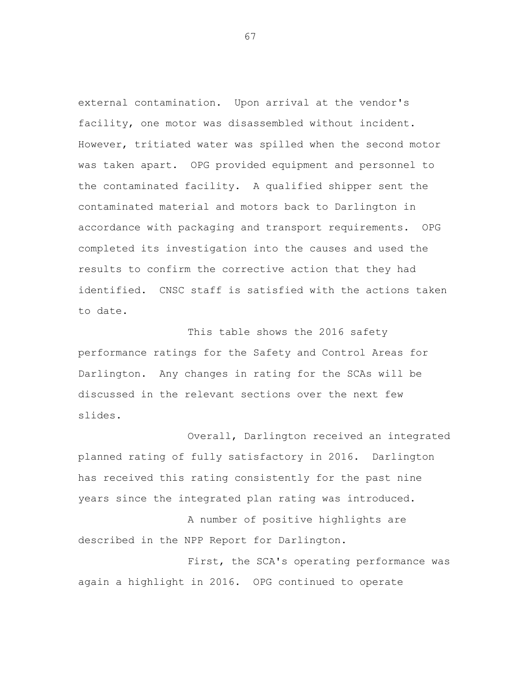external contamination. Upon arrival at the vendor's facility, one motor was disassembled without incident. However, tritiated water was spilled when the second motor was taken apart. OPG provided equipment and personnel to the contaminated facility. A qualified shipper sent the contaminated material and motors back to Darlington in accordance with packaging and transport requirements. OPG completed its investigation into the causes and used the results to confirm the corrective action that they had identified. CNSC staff is satisfied with the actions taken to date.

This table shows the 2016 safety performance ratings for the Safety and Control Areas for Darlington. Any changes in rating for the SCAs will be discussed in the relevant sections over the next few slides.

Overall, Darlington received an integrated planned rating of fully satisfactory in 2016. Darlington has received this rating consistently for the past nine years since the integrated plan rating was introduced.

A number of positive highlights are described in the NPP Report for Darlington.

First, the SCA's operating performance was again a highlight in 2016. OPG continued to operate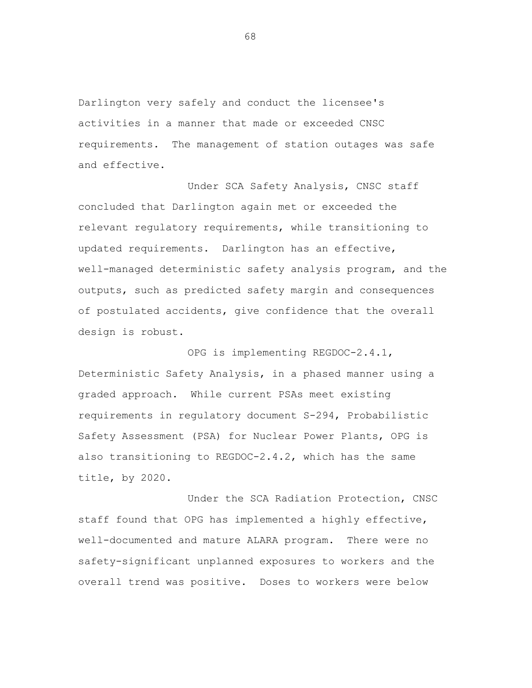Darlington very safely and conduct the licensee's activities in a manner that made or exceeded CNSC requirements. The management of station outages was safe and effective.

Under SCA Safety Analysis, CNSC staff concluded that Darlington again met or exceeded the relevant regulatory requirements, while transitioning to updated requirements. Darlington has an effective, well-managed deterministic safety analysis program, and the outputs, such as predicted safety margin and consequences of postulated accidents, give confidence that the overall design is robust.

OPG is implementing REGDOC-2.4.1, Deterministic Safety Analysis, in a phased manner using a graded approach. While current PSAs meet existing requirements in regulatory document S-294, Probabilistic Safety Assessment (PSA) for Nuclear Power Plants, OPG is also transitioning to REGDOC-2.4.2, which has the same title, by 2020.

Under the SCA Radiation Protection, CNSC staff found that OPG has implemented a highly effective, well-documented and mature ALARA program. There were no safety-significant unplanned exposures to workers and the overall trend was positive. Doses to workers were below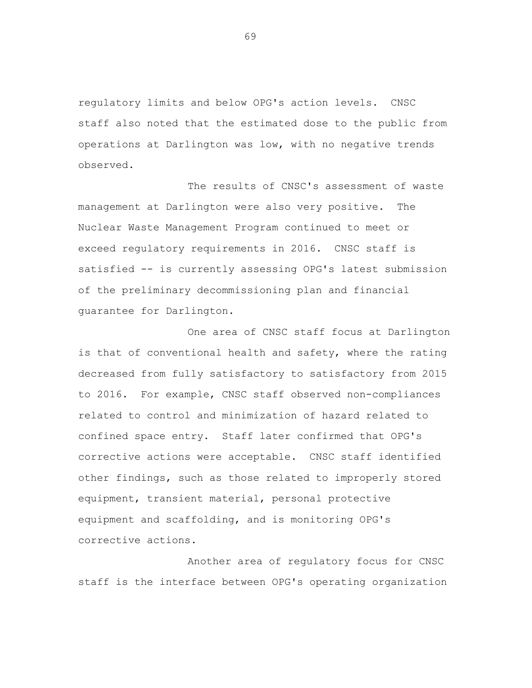regulatory limits and below OPG's action levels. CNSC staff also noted that the estimated dose to the public from operations at Darlington was low, with no negative trends observed.

The results of CNSC's assessment of waste management at Darlington were also very positive. The Nuclear Waste Management Program continued to meet or exceed regulatory requirements in 2016. CNSC staff is satisfied -- is currently assessing OPG's latest submission of the preliminary decommissioning plan and financial guarantee for Darlington.

One area of CNSC staff focus at Darlington is that of conventional health and safety, where the rating decreased from fully satisfactory to satisfactory from 2015 to 2016. For example, CNSC staff observed non-compliances related to control and minimization of hazard related to confined space entry. Staff later confirmed that OPG's corrective actions were acceptable. CNSC staff identified other findings, such as those related to improperly stored equipment, transient material, personal protective equipment and scaffolding, and is monitoring OPG's corrective actions.

Another area of regulatory focus for CNSC staff is the interface between OPG's operating organization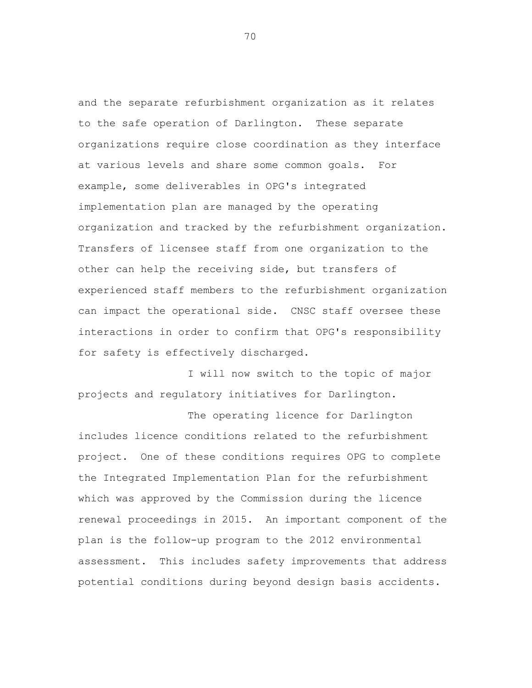and the separate refurbishment organization as it relates to the safe operation of Darlington. These separate organizations require close coordination as they interface at various levels and share some common goals. For example, some deliverables in OPG's integrated implementation plan are managed by the operating organization and tracked by the refurbishment organization. Transfers of licensee staff from one organization to the other can help the receiving side, but transfers of experienced staff members to the refurbishment organization can impact the operational side. CNSC staff oversee these interactions in order to confirm that OPG's responsibility for safety is effectively discharged.

I will now switch to the topic of major projects and regulatory initiatives for Darlington.

The operating licence for Darlington includes licence conditions related to the refurbishment project. One of these conditions requires OPG to complete the Integrated Implementation Plan for the refurbishment which was approved by the Commission during the licence renewal proceedings in 2015. An important component of the plan is the follow-up program to the 2012 environmental assessment. This includes safety improvements that address potential conditions during beyond design basis accidents.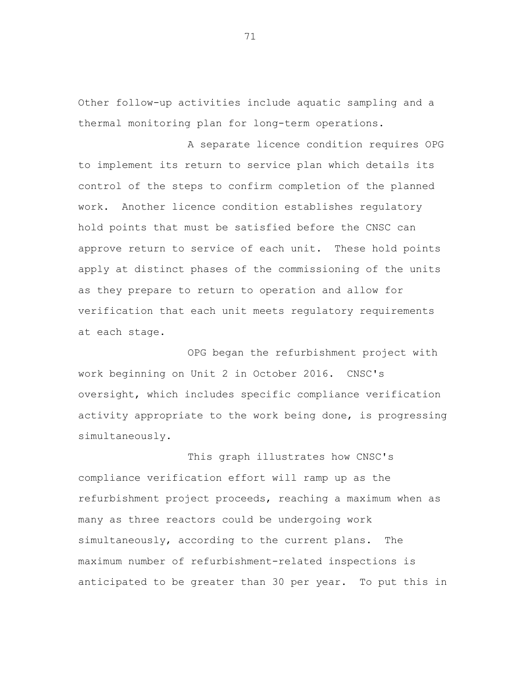Other follow-up activities include aquatic sampling and a thermal monitoring plan for long-term operations.

A separate licence condition requires OPG to implement its return to service plan which details its control of the steps to confirm completion of the planned work. Another licence condition establishes regulatory hold points that must be satisfied before the CNSC can approve return to service of each unit. These hold points apply at distinct phases of the commissioning of the units as they prepare to return to operation and allow for verification that each unit meets regulatory requirements at each stage.

OPG began the refurbishment project with work beginning on Unit 2 in October 2016. CNSC's oversight, which includes specific compliance verification activity appropriate to the work being done, is progressing simultaneously.

This graph illustrates how CNSC's compliance verification effort will ramp up as the refurbishment project proceeds, reaching a maximum when as many as three reactors could be undergoing work simultaneously, according to the current plans. The maximum number of refurbishment-related inspections is anticipated to be greater than 30 per year. To put this in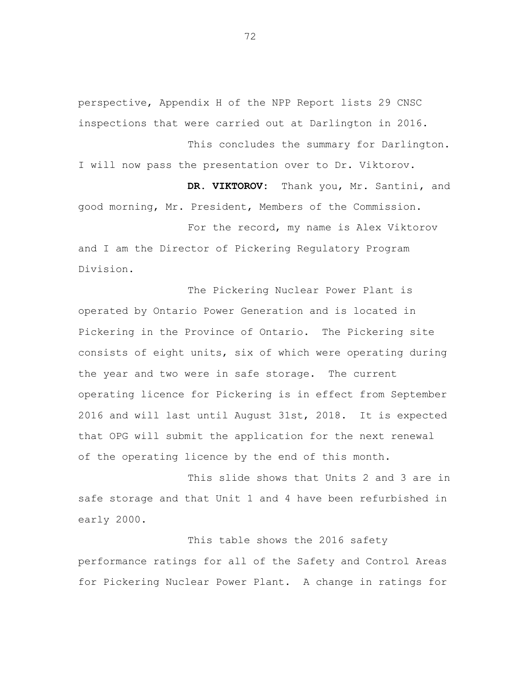perspective, Appendix H of the NPP Report lists 29 CNSC inspections that were carried out at Darlington in 2016.

This concludes the summary for Darlington. I will now pass the presentation over to Dr. Viktorov.

DR. VIKTOROV: Thank you, Mr. Santini, and good morning, Mr. President, Members of the Commission.

For the record, my name is Alex Viktorov and I am the Director of Pickering Regulatory Program Division.

The Pickering Nuclear Power Plant is operated by Ontario Power Generation and is located in Pickering in the Province of Ontario. The Pickering site consists of eight units, six of which were operating during the year and two were in safe storage. The current operating licence for Pickering is in effect from September 2016 and will last until August 31st, 2018. It is expected that OPG will submit the application for the next renewal of the operating licence by the end of this month.

This slide shows that Units 2 and 3 are in safe storage and that Unit 1 and 4 have been refurbished in early 2000.

This table shows the 2016 safety performance ratings for all of the Safety and Control Areas for Pickering Nuclear Power Plant. A change in ratings for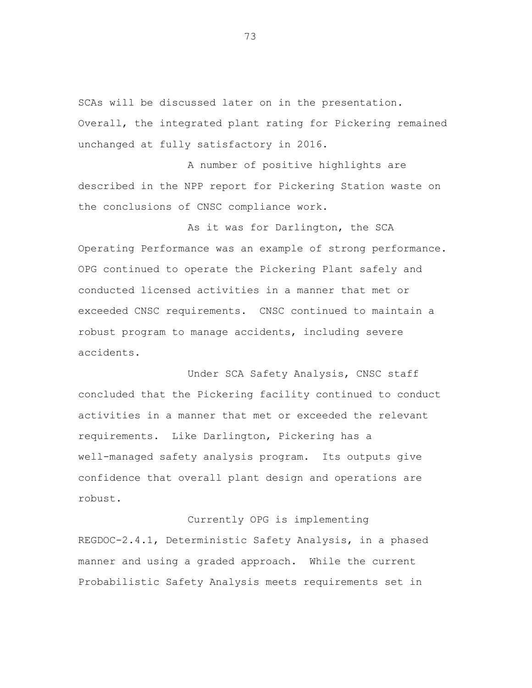SCAs will be discussed later on in the presentation. Overall, the integrated plant rating for Pickering remained unchanged at fully satisfactory in 2016.

A number of positive highlights are described in the NPP report for Pickering Station waste on the conclusions of CNSC compliance work.

As it was for Darlington, the SCA Operating Performance was an example of strong performance. OPG continued to operate the Pickering Plant safely and conducted licensed activities in a manner that met or exceeded CNSC requirements. CNSC continued to maintain a robust program to manage accidents, including severe accidents.

Under SCA Safety Analysis, CNSC staff concluded that the Pickering facility continued to conduct activities in a manner that met or exceeded the relevant requirements. Like Darlington, Pickering has a well-managed safety analysis program. Its outputs give confidence that overall plant design and operations are robust.

Currently OPG is implementing REGDOC-2.4.1, Deterministic Safety Analysis, in a phased manner and using a graded approach. While the current Probabilistic Safety Analysis meets requirements set in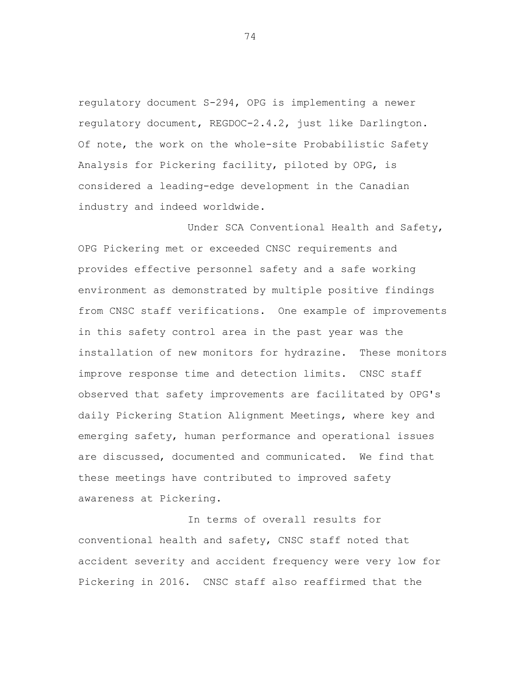regulatory document S-294, OPG is implementing a newer regulatory document, REGDOC-2.4.2, just like Darlington. Of note, the work on the whole-site Probabilistic Safety Analysis for Pickering facility, piloted by OPG, is considered a leading-edge development in the Canadian industry and indeed worldwide.

Under SCA Conventional Health and Safety, OPG Pickering met or exceeded CNSC requirements and provides effective personnel safety and a safe working environment as demonstrated by multiple positive findings from CNSC staff verifications. One example of improvements in this safety control area in the past year was the installation of new monitors for hydrazine. These monitors improve response time and detection limits. CNSC staff observed that safety improvements are facilitated by OPG's daily Pickering Station Alignment Meetings, where key and emerging safety, human performance and operational issues are discussed, documented and communicated. We find that these meetings have contributed to improved safety awareness at Pickering.

In terms of overall results for conventional health and safety, CNSC staff noted that accident severity and accident frequency were very low for Pickering in 2016. CNSC staff also reaffirmed that the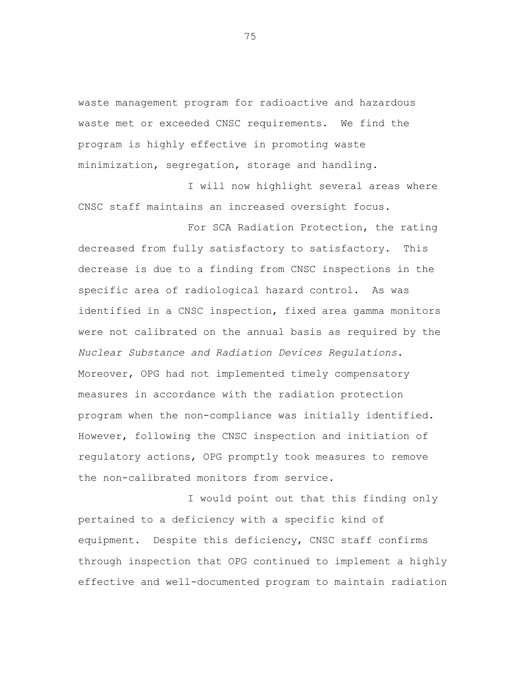waste management program for radioactive and hazardous waste met or exceeded CNSC requirements. We find the program is highly effective in promoting waste minimization, segregation, storage and handling.

I will now highlight several areas where CNSC staff maintains an increased oversight focus.

For SCA Radiation Protection, the rating decreased from fully satisfactory to satisfactory. This decrease is due to a finding from CNSC inspections in the specific area of radiological hazard control. As was identified in a CNSC inspection, fixed area gamma monitors were not calibrated on the annual basis as required by the *Nuclear Substance and Radiation Devices Regulations*. Moreover, OPG had not implemented timely compensatory measures in accordance with the radiation protection program when the non-compliance was initially identified. However, following the CNSC inspection and initiation of regulatory actions, OPG promptly took measures to remove the non-calibrated monitors from service.

I would point out that this finding only pertained to a deficiency with a specific kind of equipment. Despite this deficiency, CNSC staff confirms through inspection that OPG continued to implement a highly effective and well-documented program to maintain radiation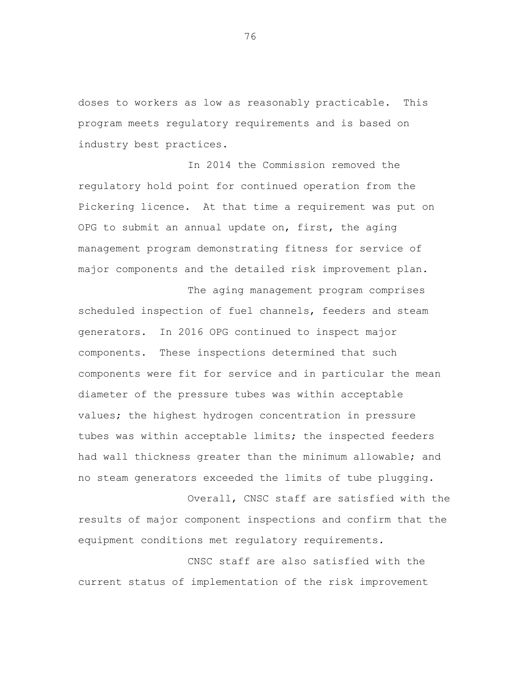doses to workers as low as reasonably practicable. This program meets regulatory requirements and is based on industry best practices.

In 2014 the Commission removed the regulatory hold point for continued operation from the Pickering licence. At that time a requirement was put on OPG to submit an annual update on, first, the aging management program demonstrating fitness for service of major components and the detailed risk improvement plan.

The aging management program comprises scheduled inspection of fuel channels, feeders and steam generators. In 2016 OPG continued to inspect major components. These inspections determined that such components were fit for service and in particular the mean diameter of the pressure tubes was within acceptable values; the highest hydrogen concentration in pressure tubes was within acceptable limits; the inspected feeders had wall thickness greater than the minimum allowable; and no steam generators exceeded the limits of tube plugging.

Overall, CNSC staff are satisfied with the results of major component inspections and confirm that the equipment conditions met regulatory requirements.

CNSC staff are also satisfied with the current status of implementation of the risk improvement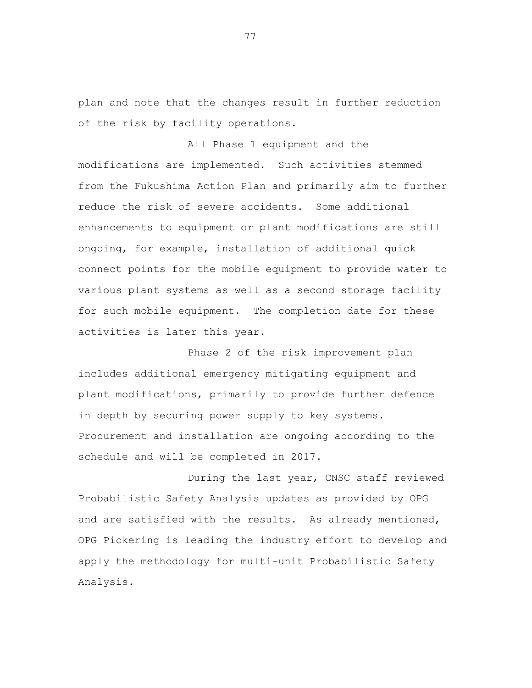plan and note that the changes result in further reduction of the risk by facility operations.

All Phase 1 equipment and the modifications are implemented. Such activities stemmed from the Fukushima Action Plan and primarily aim to further reduce the risk of severe accidents. Some additional enhancements to equipment or plant modifications are still ongoing, for example, installation of additional quick connect points for the mobile equipment to provide water to various plant systems as well as a second storage facility for such mobile equipment. The completion date for these activities is later this year.

Phase 2 of the risk improvement plan includes additional emergency mitigating equipment and plant modifications, primarily to provide further defence in depth by securing power supply to key systems. Procurement and installation are ongoing according to the schedule and will be completed in 2017.

During the last year, CNSC staff reviewed Probabilistic Safety Analysis updates as provided by OPG and are satisfied with the results. As already mentioned, OPG Pickering is leading the industry effort to develop and apply the methodology for multi-unit Probabilistic Safety Analysis.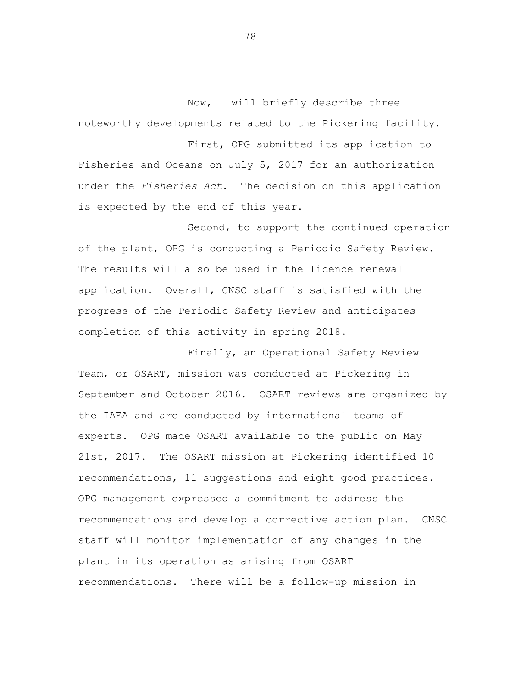Now, I will briefly describe three noteworthy developments related to the Pickering facility.

First, OPG submitted its application to Fisheries and Oceans on July 5, 2017 for an authorization under the *Fisheries Act*. The decision on this application is expected by the end of this year.

Second, to support the continued operation of the plant, OPG is conducting a Periodic Safety Review. The results will also be used in the licence renewal application. Overall, CNSC staff is satisfied with the progress of the Periodic Safety Review and anticipates completion of this activity in spring 2018.

Finally, an Operational Safety Review Team, or OSART, mission was conducted at Pickering in September and October 2016. OSART reviews are organized by the IAEA and are conducted by international teams of experts. OPG made OSART available to the public on May 21st, 2017. The OSART mission at Pickering identified 10 recommendations, 11 suggestions and eight good practices. OPG management expressed a commitment to address the recommendations and develop a corrective action plan. CNSC staff will monitor implementation of any changes in the plant in its operation as arising from OSART recommendations. There will be a follow-up mission in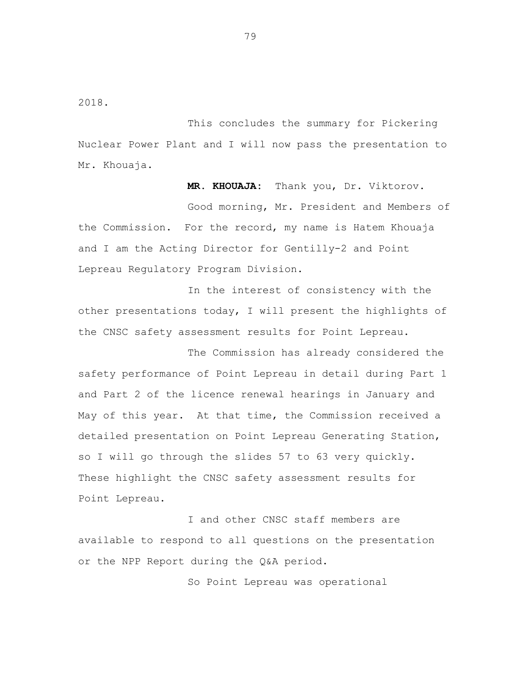2018.

This concludes the summary for Pickering Nuclear Power Plant and I will now pass the presentation to Mr. Khouaja.

**MR. KHOUAJA:** Thank you, Dr. Viktorov. Good morning, Mr. President and Members of the Commission. For the record, my name is Hatem Khouaja and I am the Acting Director for Gentilly-2 and Point Lepreau Regulatory Program Division.

In the interest of consistency with the other presentations today, I will present the highlights of the CNSC safety assessment results for Point Lepreau.

The Commission has already considered the safety performance of Point Lepreau in detail during Part 1 and Part 2 of the licence renewal hearings in January and May of this year. At that time, the Commission received a detailed presentation on Point Lepreau Generating Station, so I will go through the slides 57 to 63 very quickly. These highlight the CNSC safety assessment results for Point Lepreau.

I and other CNSC staff members are available to respond to all questions on the presentation or the NPP Report during the Q&A period.

So Point Lepreau was operational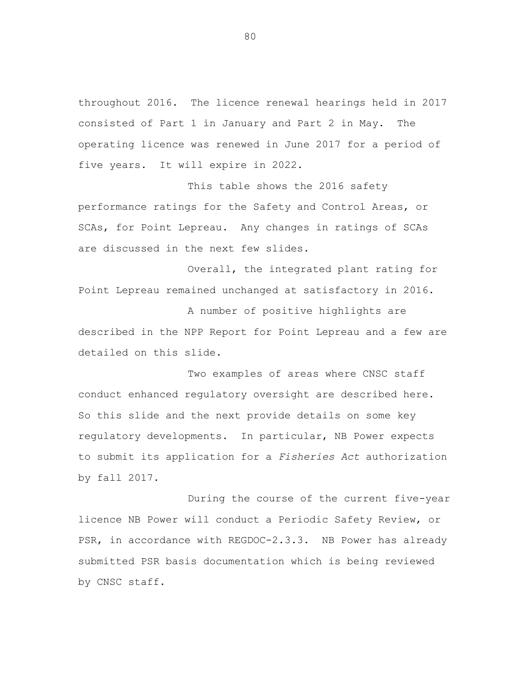throughout 2016. The licence renewal hearings held in 2017 consisted of Part 1 in January and Part 2 in May. The operating licence was renewed in June 2017 for a period of five years. It will expire in 2022.

This table shows the 2016 safety performance ratings for the Safety and Control Areas, or SCAs, for Point Lepreau. Any changes in ratings of SCAs are discussed in the next few slides.

Overall, the integrated plant rating for Point Lepreau remained unchanged at satisfactory in 2016.

A number of positive highlights are described in the NPP Report for Point Lepreau and a few are detailed on this slide.

Two examples of areas where CNSC staff conduct enhanced regulatory oversight are described here. So this slide and the next provide details on some key regulatory developments. In particular, NB Power expects to submit its application for a *Fisheries Act* authorization by fall 2017.

During the course of the current five-year licence NB Power will conduct a Periodic Safety Review, or PSR, in accordance with REGDOC-2.3.3. NB Power has already submitted PSR basis documentation which is being reviewed by CNSC staff.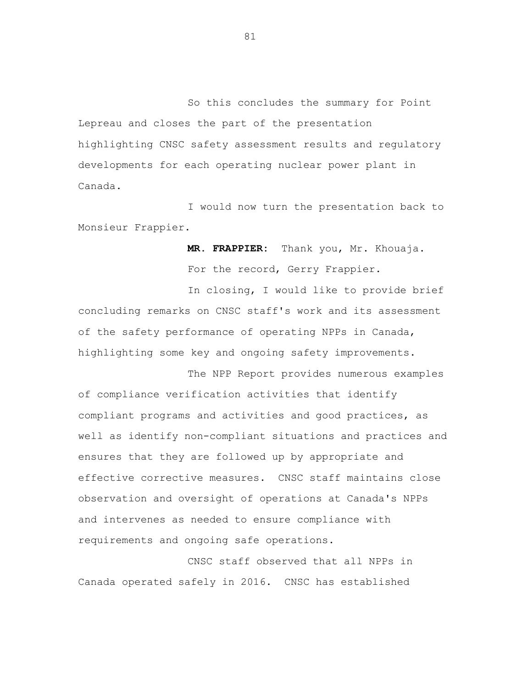So this concludes the summary for Point Lepreau and closes the part of the presentation highlighting CNSC safety assessment results and regulatory developments for each operating nuclear power plant in Canada.

I would now turn the presentation back to Monsieur Frappier.

> **MR. FRAPPIER:** Thank you, Mr. Khouaja. For the record, Gerry Frappier.

In closing, I would like to provide brief concluding remarks on CNSC staff's work and its assessment of the safety performance of operating NPPs in Canada, highlighting some key and ongoing safety improvements.

The NPP Report provides numerous examples of compliance verification activities that identify compliant programs and activities and good practices, as well as identify non-compliant situations and practices and ensures that they are followed up by appropriate and effective corrective measures. CNSC staff maintains close observation and oversight of operations at Canada's NPPs and intervenes as needed to ensure compliance with requirements and ongoing safe operations.

CNSC staff observed that all NPPs in Canada operated safely in 2016. CNSC has established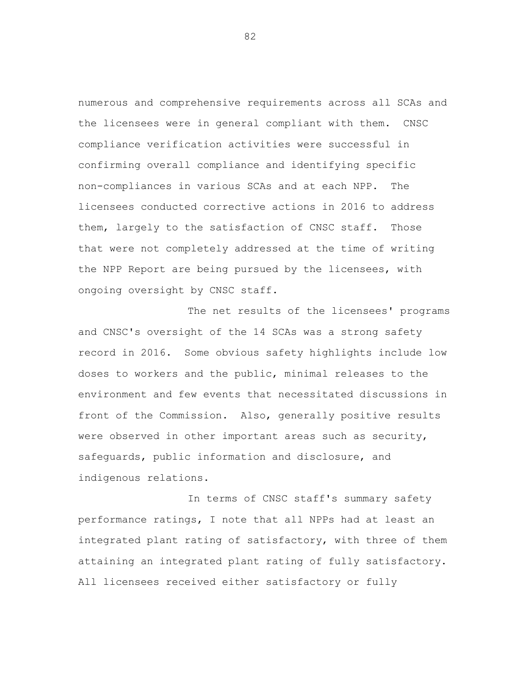numerous and comprehensive requirements across all SCAs and the licensees were in general compliant with them. CNSC compliance verification activities were successful in confirming overall compliance and identifying specific non-compliances in various SCAs and at each NPP. The licensees conducted corrective actions in 2016 to address them, largely to the satisfaction of CNSC staff. Those that were not completely addressed at the time of writing the NPP Report are being pursued by the licensees, with ongoing oversight by CNSC staff.

The net results of the licensees' programs and CNSC's oversight of the 14 SCAs was a strong safety record in 2016. Some obvious safety highlights include low doses to workers and the public, minimal releases to the environment and few events that necessitated discussions in front of the Commission. Also, generally positive results were observed in other important areas such as security, safeguards, public information and disclosure, and indigenous relations.

In terms of CNSC staff's summary safety performance ratings, I note that all NPPs had at least an integrated plant rating of satisfactory, with three of them attaining an integrated plant rating of fully satisfactory. All licensees received either satisfactory or fully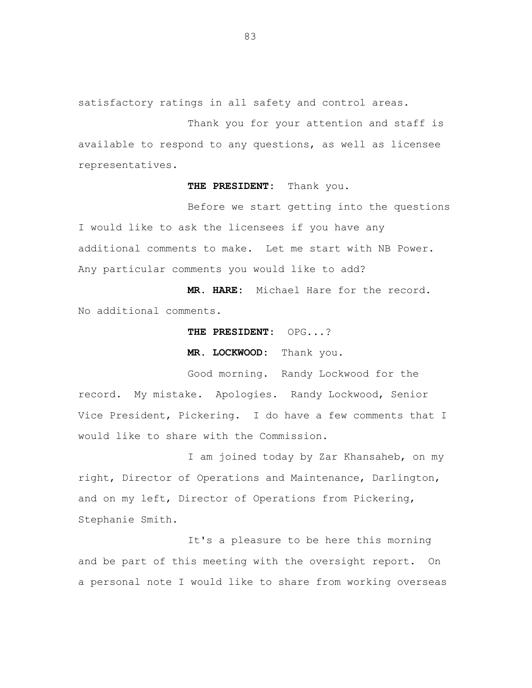satisfactory ratings in all safety and control areas.

Thank you for your attention and staff is available to respond to any questions, as well as licensee representatives.

**THE PRESIDENT:** Thank you.

Before we start getting into the questions I would like to ask the licensees if you have any additional comments to make. Let me start with NB Power. Any particular comments you would like to add?

**MR. HARE:** Michael Hare for the record. No additional comments.

**THE PRESIDENT:** OPG...?

**MR. LOCKWOOD:** Thank you.

Good morning. Randy Lockwood for the record. My mistake. Apologies. Randy Lockwood, Senior Vice President, Pickering. I do have a few comments that I would like to share with the Commission.

I am joined today by Zar Khansaheb, on my right, Director of Operations and Maintenance, Darlington, and on my left, Director of Operations from Pickering, Stephanie Smith.

It's a pleasure to be here this morning and be part of this meeting with the oversight report. On a personal note I would like to share from working overseas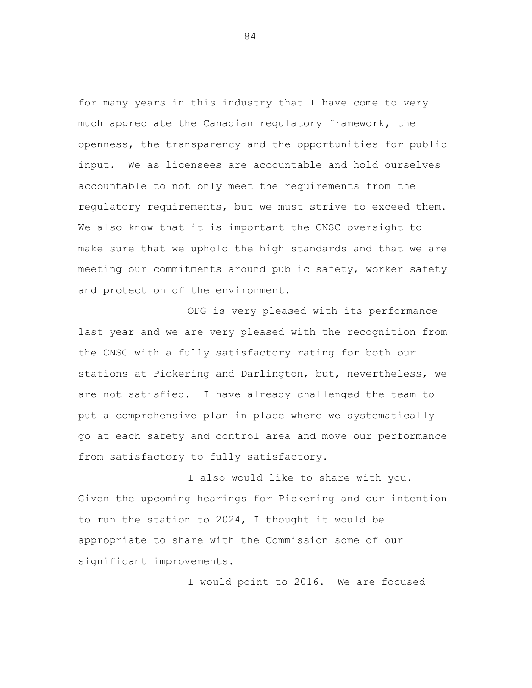for many years in this industry that I have come to very much appreciate the Canadian regulatory framework, the openness, the transparency and the opportunities for public input. We as licensees are accountable and hold ourselves accountable to not only meet the requirements from the regulatory requirements, but we must strive to exceed them. We also know that it is important the CNSC oversight to make sure that we uphold the high standards and that we are meeting our commitments around public safety, worker safety and protection of the environment.

OPG is very pleased with its performance last year and we are very pleased with the recognition from the CNSC with a fully satisfactory rating for both our stations at Pickering and Darlington, but, nevertheless, we are not satisfied. I have already challenged the team to put a comprehensive plan in place where we systematically go at each safety and control area and move our performance from satisfactory to fully satisfactory.

I also would like to share with you. Given the upcoming hearings for Pickering and our intention to run the station to 2024, I thought it would be appropriate to share with the Commission some of our significant improvements.

I would point to 2016. We are focused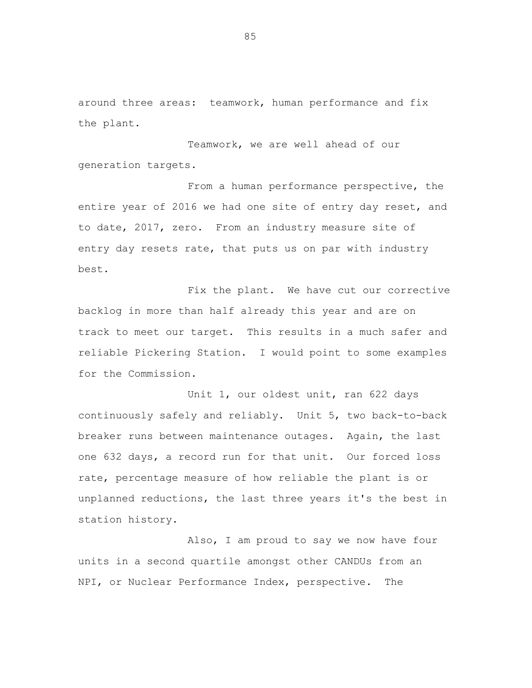around three areas: teamwork, human performance and fix the plant.

Teamwork, we are well ahead of our generation targets.

From a human performance perspective, the entire year of 2016 we had one site of entry day reset, and to date, 2017, zero. From an industry measure site of entry day resets rate, that puts us on par with industry best.

Fix the plant. We have cut our corrective backlog in more than half already this year and are on track to meet our target. This results in a much safer and reliable Pickering Station. I would point to some examples for the Commission.

Unit 1, our oldest unit, ran 622 days continuously safely and reliably. Unit 5, two back-to-back breaker runs between maintenance outages. Again, the last one 632 days, a record run for that unit. Our forced loss rate, percentage measure of how reliable the plant is or unplanned reductions, the last three years it's the best in station history.

Also, I am proud to say we now have four units in a second quartile amongst other CANDUs from an NPI, or Nuclear Performance Index, perspective. The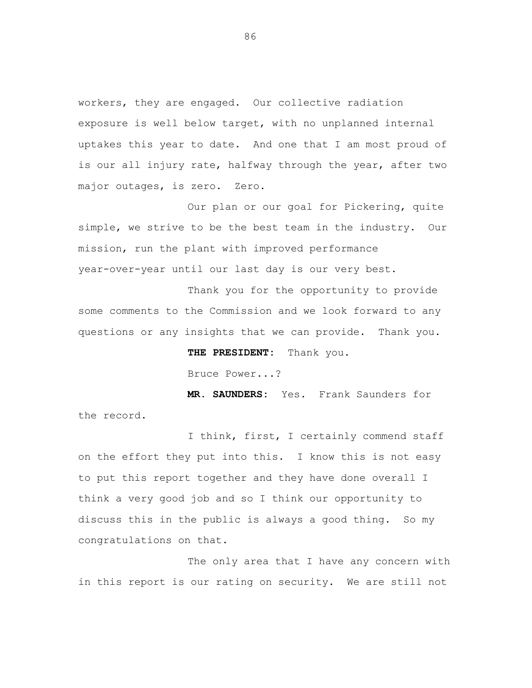workers, they are engaged. Our collective radiation exposure is well below target, with no unplanned internal uptakes this year to date. And one that I am most proud of is our all injury rate, halfway through the year, after two major outages, is zero. Zero.

Our plan or our goal for Pickering, quite simple, we strive to be the best team in the industry. Our mission, run the plant with improved performance year-over-year until our last day is our very best.

Thank you for the opportunity to provide some comments to the Commission and we look forward to any questions or any insights that we can provide. Thank you.

**THE PRESIDENT:** Thank you.

Bruce Power...?

**MR. SAUNDERS:** Yes. Frank Saunders for the record.

I think, first, I certainly commend staff on the effort they put into this. I know this is not easy to put this report together and they have done overall I think a very good job and so I think our opportunity to discuss this in the public is always a good thing. So my congratulations on that.

The only area that I have any concern with in this report is our rating on security. We are still not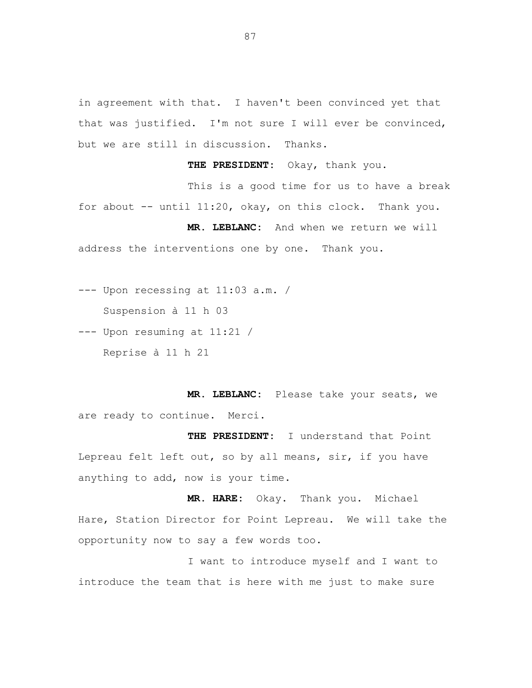in agreement with that. I haven't been convinced yet that that was justified. I'm not sure I will ever be convinced, but we are still in discussion. Thanks.

**THE PRESIDENT:** Okay, thank you.

This is a good time for us to have a break for about  $--$  until 11:20, okay, on this clock. Thank you.

**MR. LEBLANC:** And when we return we will address the interventions one by one. Thank you.

--- Upon recessing at 11:03 a.m. / Suspension à 11 h 03

--- Upon resuming at 11:21 / Reprise à 11 h 21

**MR. LEBLANC:** Please take your seats, we are ready to continue. Merci.

**THE PRESIDENT:** I understand that Point Lepreau felt left out, so by all means, sir, if you have anything to add, now is your time.

**MR. HARE:** Okay. Thank you. Michael Hare, Station Director for Point Lepreau. We will take the opportunity now to say a few words too.

I want to introduce myself and I want to introduce the team that is here with me just to make sure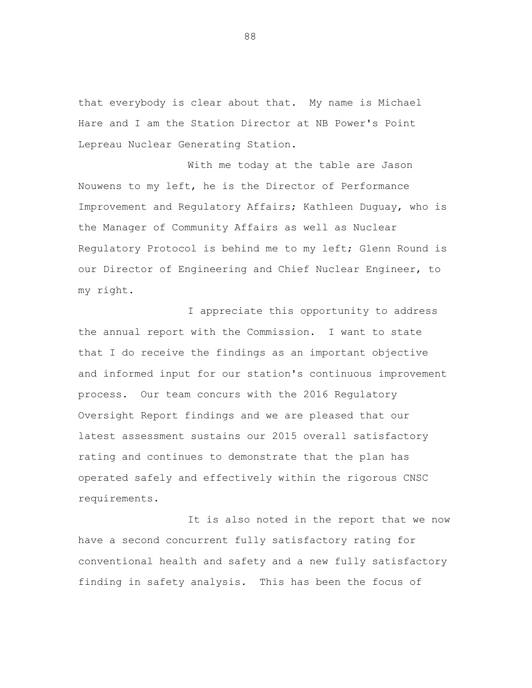that everybody is clear about that. My name is Michael Hare and I am the Station Director at NB Power's Point Lepreau Nuclear Generating Station.

With me today at the table are Jason Nouwens to my left, he is the Director of Performance Improvement and Regulatory Affairs; Kathleen Duguay, who is the Manager of Community Affairs as well as Nuclear Regulatory Protocol is behind me to my left; Glenn Round is our Director of Engineering and Chief Nuclear Engineer, to my right.

I appreciate this opportunity to address the annual report with the Commission. I want to state that I do receive the findings as an important objective and informed input for our station's continuous improvement process. Our team concurs with the 2016 Regulatory Oversight Report findings and we are pleased that our latest assessment sustains our 2015 overall satisfactory rating and continues to demonstrate that the plan has operated safely and effectively within the rigorous CNSC requirements.

It is also noted in the report that we now have a second concurrent fully satisfactory rating for conventional health and safety and a new fully satisfactory finding in safety analysis. This has been the focus of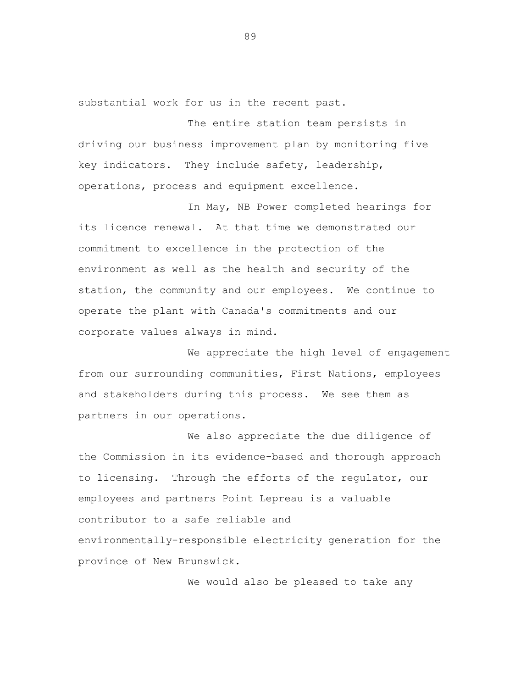substantial work for us in the recent past.

The entire station team persists in driving our business improvement plan by monitoring five key indicators. They include safety, leadership, operations, process and equipment excellence.

In May, NB Power completed hearings for its licence renewal. At that time we demonstrated our commitment to excellence in the protection of the environment as well as the health and security of the station, the community and our employees. We continue to operate the plant with Canada's commitments and our corporate values always in mind.

We appreciate the high level of engagement from our surrounding communities, First Nations, employees and stakeholders during this process. We see them as partners in our operations.

We also appreciate the due diligence of the Commission in its evidence-based and thorough approach to licensing. Through the efforts of the regulator, our employees and partners Point Lepreau is a valuable contributor to a safe reliable and environmentally-responsible electricity generation for the province of New Brunswick.

We would also be pleased to take any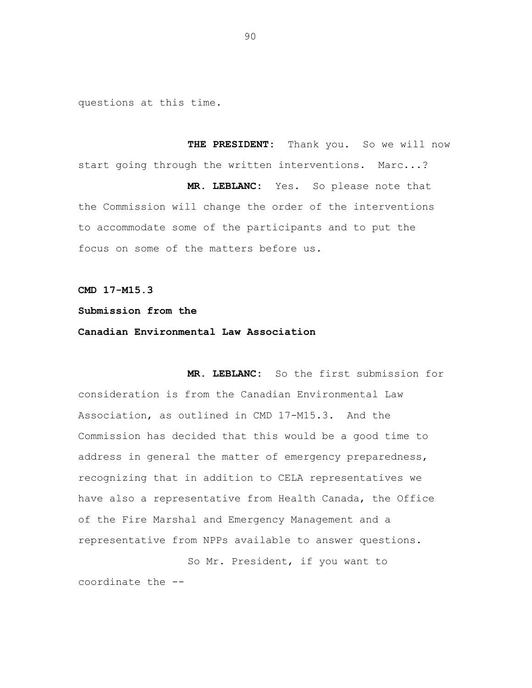questions at this time.

**THE PRESIDENT:** Thank you. So we will now start going through the written interventions. Marc...? **MR. LEBLANC:** Yes. So please note that the Commission will change the order of the interventions to accommodate some of the participants and to put the focus on some of the matters before us.

**CMD 17-M15.3** 

## **Submission from the**

## **Canadian Environmental Law Association**

**MR. LEBLANC:** So the first submission for consideration is from the Canadian Environmental Law Association, as outlined in CMD 17-M15.3. And the Commission has decided that this would be a good time to address in general the matter of emergency preparedness, recognizing that in addition to CELA representatives we have also a representative from Health Canada, the Office of the Fire Marshal and Emergency Management and a representative from NPPs available to answer questions.

So Mr. President, if you want to coordinate the -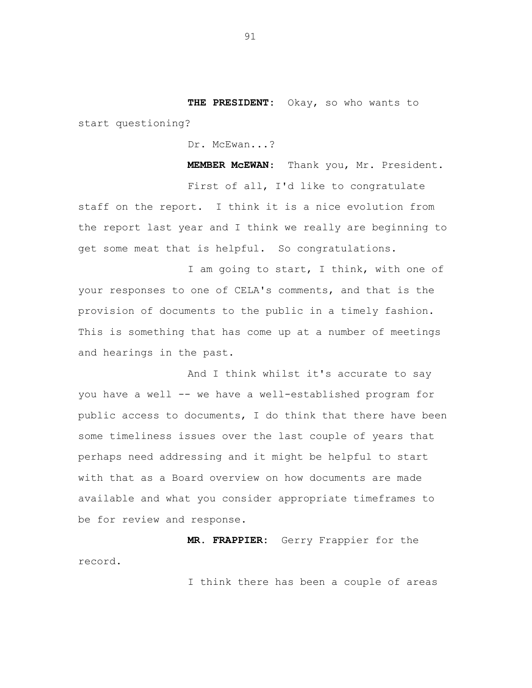**THE PRESIDENT:** Okay, so who wants to start questioning?

Dr. McEwan...?

 **MEMBER McEWAN**: Thank you, Mr. President. First of all, I'd like to congratulate staff on the report. I think it is a nice evolution from the report last year and I think we really are beginning to get some meat that is helpful. So congratulations.

I am going to start, I think, with one of your responses to one of CELA's comments, and that is the provision of documents to the public in a timely fashion. This is something that has come up at a number of meetings and hearings in the past.

And I think whilst it's accurate to say you have a well -- we have a well-established program for public access to documents, I do think that there have been some timeliness issues over the last couple of years that perhaps need addressing and it might be helpful to start with that as a Board overview on how documents are made available and what you consider appropriate timeframes to be for review and response.

**MR. FRAPPIER:** Gerry Frappier for the record.

I think there has been a couple of areas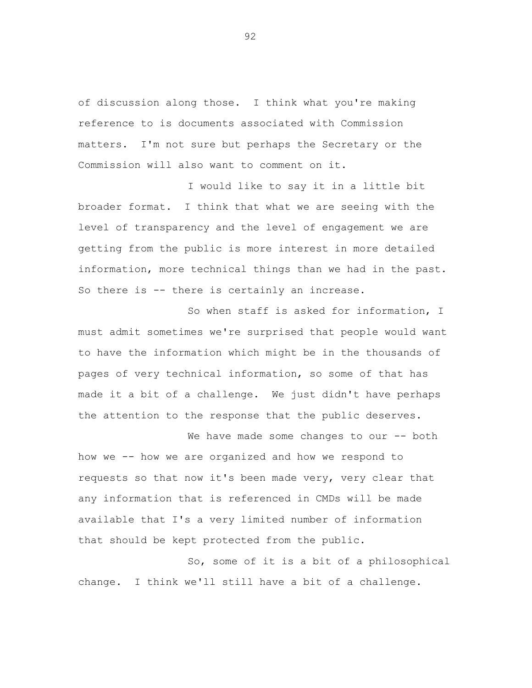of discussion along those. I think what you're making reference to is documents associated with Commission matters. I'm not sure but perhaps the Secretary or the Commission will also want to comment on it.

I would like to say it in a little bit broader format. I think that what we are seeing with the level of transparency and the level of engagement we are getting from the public is more interest in more detailed information, more technical things than we had in the past. So there is -- there is certainly an increase.

So when staff is asked for information, I must admit sometimes we're surprised that people would want to have the information which might be in the thousands of pages of very technical information, so some of that has made it a bit of a challenge. We just didn't have perhaps the attention to the response that the public deserves.

We have made some changes to our -- both how we -- how we are organized and how we respond to requests so that now it's been made very, very clear that any information that is referenced in CMDs will be made available that I's a very limited number of information that should be kept protected from the public.

So, some of it is a bit of a philosophical change. I think we'll still have a bit of a challenge.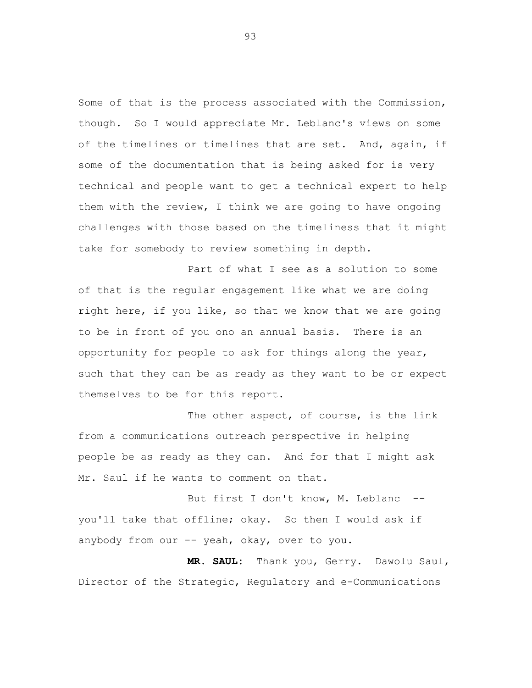Some of that is the process associated with the Commission, though. So I would appreciate Mr. Leblanc's views on some of the timelines or timelines that are set. And, again, if some of the documentation that is being asked for is very technical and people want to get a technical expert to help them with the review, I think we are going to have ongoing challenges with those based on the timeliness that it might take for somebody to review something in depth.

Part of what I see as a solution to some of that is the regular engagement like what we are doing right here, if you like, so that we know that we are going to be in front of you ono an annual basis. There is an opportunity for people to ask for things along the year, such that they can be as ready as they want to be or expect themselves to be for this report.

The other aspect, of course, is the link from a communications outreach perspective in helping people be as ready as they can. And for that I might ask Mr. Saul if he wants to comment on that.

But first I don't know, M. Leblanc -you'll take that offline; okay. So then I would ask if anybody from our -- yeah, okay, over to you.

**MR. SAUL:** Thank you, Gerry. Dawolu Saul, Director of the Strategic, Regulatory and e-Communications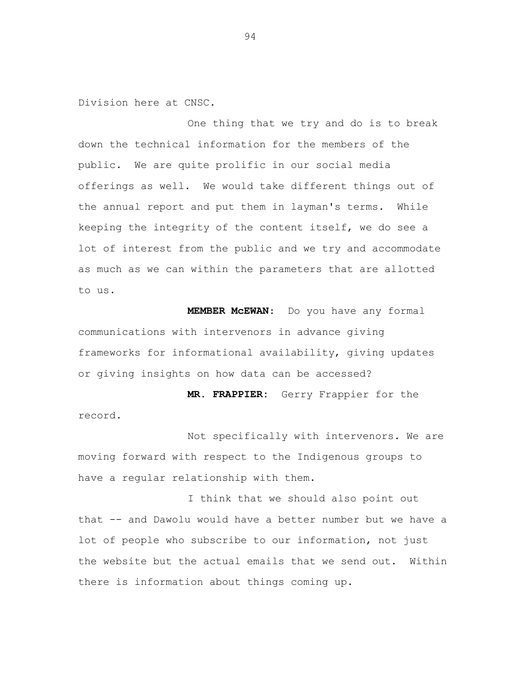Division here at CNSC.

One thing that we try and do is to break down the technical information for the members of the public. We are quite prolific in our social media offerings as well. We would take different things out of the annual report and put them in layman's terms. While keeping the integrity of the content itself, we do see a lot of interest from the public and we try and accommodate as much as we can within the parameters that are allotted to us.

 **MEMBER McEWAN**: Do you have any formal communications with intervenors in advance giving frameworks for informational availability, giving updates or giving insights on how data can be accessed?

**MR. FRAPPIER:** Gerry Frappier for the record.

Not specifically with intervenors. We are moving forward with respect to the Indigenous groups to have a regular relationship with them.

I think that we should also point out that -- and Dawolu would have a better number but we have a lot of people who subscribe to our information, not just the website but the actual emails that we send out. Within there is information about things coming up.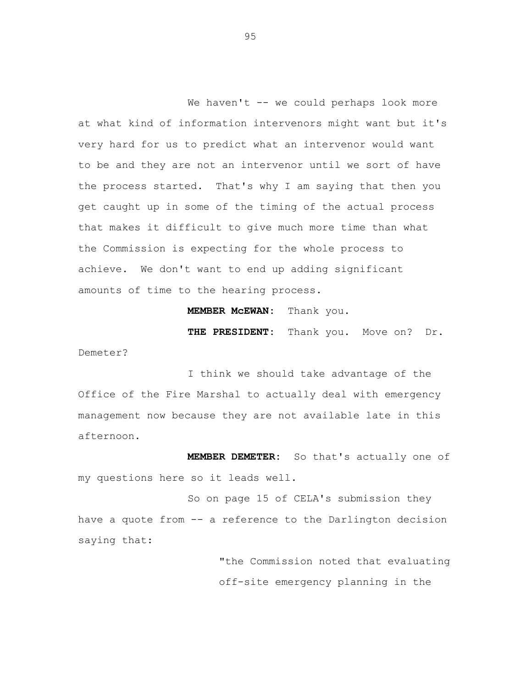We haven't -- we could perhaps look more at what kind of information intervenors might want but it's very hard for us to predict what an intervenor would want to be and they are not an intervenor until we sort of have the process started. That's why I am saying that then you get caught up in some of the timing of the actual process that makes it difficult to give much more time than what the Commission is expecting for the whole process to achieve. We don't want to end up adding significant amounts of time to the hearing process.

**MEMBER McEWAN:** Thank you.

**THE PRESIDENT:** Thank you. Move on? Dr. Demeter?

I think we should take advantage of the Office of the Fire Marshal to actually deal with emergency management now because they are not available late in this afternoon.

**MEMBER DEMETER:** So that's actually one of my questions here so it leads well.

So on page 15 of CELA's submission they have a quote from -- a reference to the Darlington decision saying that:

> "the Commission noted that evaluating off-site emergency planning in the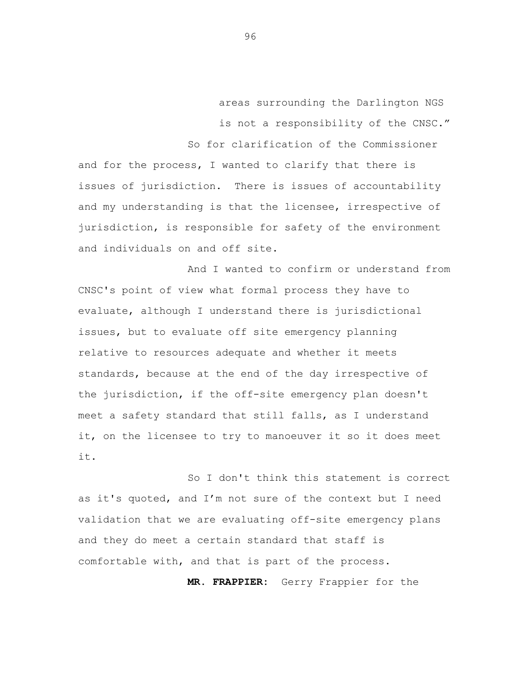areas surrounding the Darlington NGS is not a responsibility of the CNSC." So for clarification of the Commissioner

and for the process, I wanted to clarify that there is issues of jurisdiction. There is issues of accountability and my understanding is that the licensee, irrespective of jurisdiction, is responsible for safety of the environment and individuals on and off site.

And I wanted to confirm or understand from CNSC's point of view what formal process they have to evaluate, although I understand there is jurisdictional issues, but to evaluate off site emergency planning relative to resources adequate and whether it meets standards, because at the end of the day irrespective of the jurisdiction, if the off-site emergency plan doesn't meet a safety standard that still falls, as I understand it, on the licensee to try to manoeuver it so it does meet it.

So I don't think this statement is correct as it's quoted, and I'm not sure of the context but I need validation that we are evaluating off-site emergency plans and they do meet a certain standard that staff is comfortable with, and that is part of the process.

**MR. FRAPPIER:** Gerry Frappier for the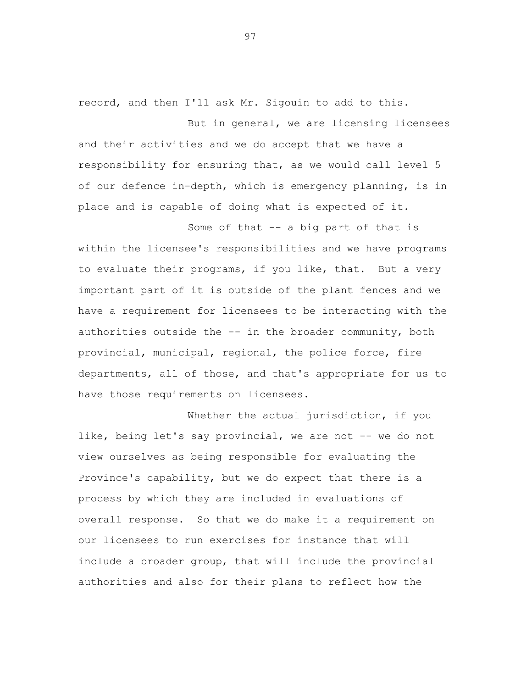record, and then I'll ask Mr. Sigouin to add to this.

But in general, we are licensing licensees and their activities and we do accept that we have a responsibility for ensuring that, as we would call level 5 of our defence in-depth, which is emergency planning, is in place and is capable of doing what is expected of it.

Some of that -- a big part of that is within the licensee's responsibilities and we have programs to evaluate their programs, if you like, that. But a very important part of it is outside of the plant fences and we have a requirement for licensees to be interacting with the authorities outside the -- in the broader community, both provincial, municipal, regional, the police force, fire departments, all of those, and that's appropriate for us to have those requirements on licensees.

Whether the actual jurisdiction, if you like, being let's say provincial, we are not -- we do not view ourselves as being responsible for evaluating the Province's capability, but we do expect that there is a process by which they are included in evaluations of overall response. So that we do make it a requirement on our licensees to run exercises for instance that will include a broader group, that will include the provincial authorities and also for their plans to reflect how the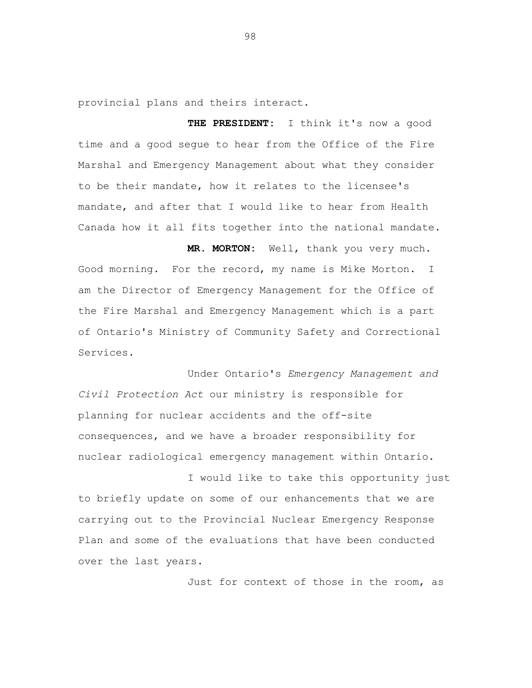provincial plans and theirs interact.

**THE PRESIDENT:** I think it's now a good time and a good segue to hear from the Office of the Fire Marshal and Emergency Management about what they consider to be their mandate, how it relates to the licensee's mandate, and after that I would like to hear from Health Canada how it all fits together into the national mandate.

**MR. MORTON:** Well, thank you very much. Good morning. For the record, my name is Mike Morton. I am the Director of Emergency Management for the Office of the Fire Marshal and Emergency Management which is a part of Ontario's Ministry of Community Safety and Correctional Services.

 Under Ontario's *Emergency Management and Civil Protection Act* our ministry is responsible for planning for nuclear accidents and the off-site consequences, and we have a broader responsibility for nuclear radiological emergency management within Ontario.

I would like to take this opportunity just to briefly update on some of our enhancements that we are carrying out to the Provincial Nuclear Emergency Response Plan and some of the evaluations that have been conducted over the last years.

Just for context of those in the room, as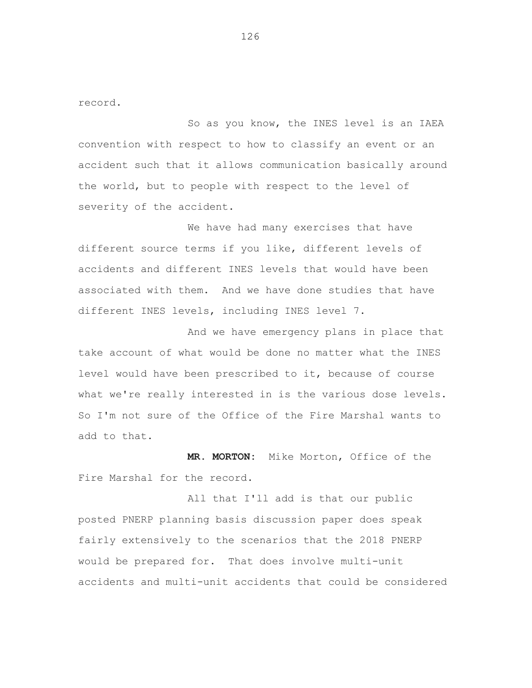record.

So as you know, the INES level is an IAEA convention with respect to how to classify an event or an accident such that it allows communication basically around the world, but to people with respect to the level of severity of the accident.

We have had many exercises that have different source terms if you like, different levels of accidents and different INES levels that would have been associated with them. And we have done studies that have different INES levels, including INES level 7.

And we have emergency plans in place that take account of what would be done no matter what the INES level would have been prescribed to it, because of course what we're really interested in is the various dose levels. So I'm not sure of the Office of the Fire Marshal wants to add to that.

**MR. MORTON:** Mike Morton, Office of the Fire Marshal for the record.

All that I'll add is that our public posted PNERP planning basis discussion paper does speak fairly extensively to the scenarios that the 2018 PNERP would be prepared for. That does involve multi-unit accidents and multi-unit accidents that could be considered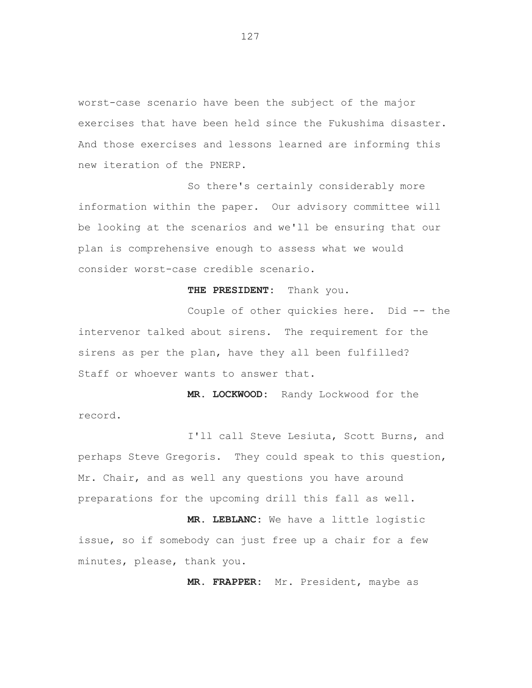worst-case scenario have been the subject of the major exercises that have been held since the Fukushima disaster. And those exercises and lessons learned are informing this new iteration of the PNERP.

So there's certainly considerably more information within the paper. Our advisory committee will be looking at the scenarios and we'll be ensuring that our plan is comprehensive enough to assess what we would consider worst-case credible scenario.

**THE PRESIDENT:** Thank you.

Couple of other quickies here. Did -- the intervenor talked about sirens. The requirement for the sirens as per the plan, have they all been fulfilled? Staff or whoever wants to answer that.

**MR. LOCKWOOD:** Randy Lockwood for the record.

I'll call Steve Lesiuta, Scott Burns, and perhaps Steve Gregoris. They could speak to this question, Mr. Chair, and as well any questions you have around preparations for the upcoming drill this fall as well.

**MR. LEBLANC:** We have a little logistic issue, so if somebody can just free up a chair for a few minutes, please, thank you.

**MR. FRAPPER:** Mr. President, maybe as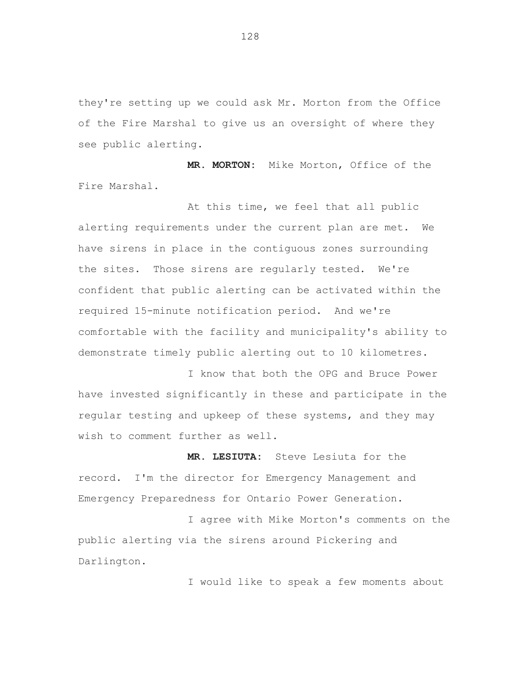they're setting up we could ask Mr. Morton from the Office of the Fire Marshal to give us an oversight of where they see public alerting.

**MR. MORTON:** Mike Morton, Office of the Fire Marshal.

At this time, we feel that all public alerting requirements under the current plan are met. We have sirens in place in the contiguous zones surrounding the sites. Those sirens are regularly tested. We're confident that public alerting can be activated within the required 15-minute notification period. And we're comfortable with the facility and municipality's ability to demonstrate timely public alerting out to 10 kilometres.

I know that both the OPG and Bruce Power have invested significantly in these and participate in the regular testing and upkeep of these systems, and they may wish to comment further as well.

**MR. LESIUTA:** Steve Lesiuta for the record. I'm the director for Emergency Management and Emergency Preparedness for Ontario Power Generation.

I agree with Mike Morton's comments on the public alerting via the sirens around Pickering and Darlington.

I would like to speak a few moments about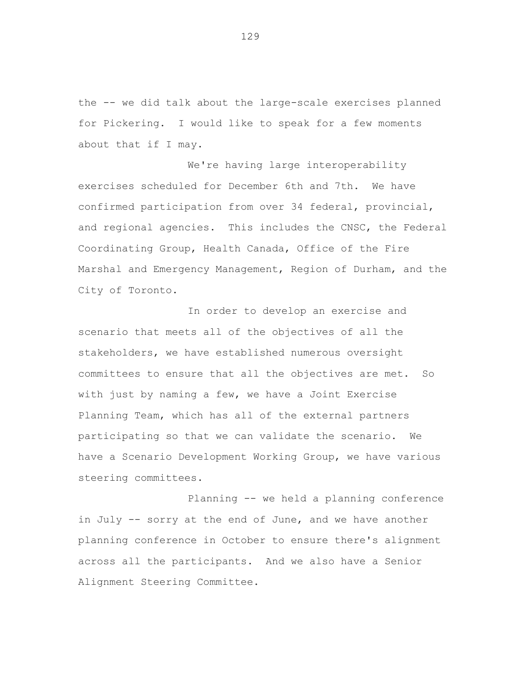the -- we did talk about the large-scale exercises planned for Pickering. I would like to speak for a few moments about that if I may.

We're having large interoperability exercises scheduled for December 6th and 7th. We have confirmed participation from over 34 federal, provincial, and regional agencies. This includes the CNSC, the Federal Coordinating Group, Health Canada, Office of the Fire Marshal and Emergency Management, Region of Durham, and the City of Toronto.

In order to develop an exercise and scenario that meets all of the objectives of all the stakeholders, we have established numerous oversight committees to ensure that all the objectives are met. So with just by naming a few, we have a Joint Exercise Planning Team, which has all of the external partners participating so that we can validate the scenario. We have a Scenario Development Working Group, we have various steering committees.

Planning -- we held a planning conference in July -- sorry at the end of June, and we have another planning conference in October to ensure there's alignment across all the participants. And we also have a Senior Alignment Steering Committee.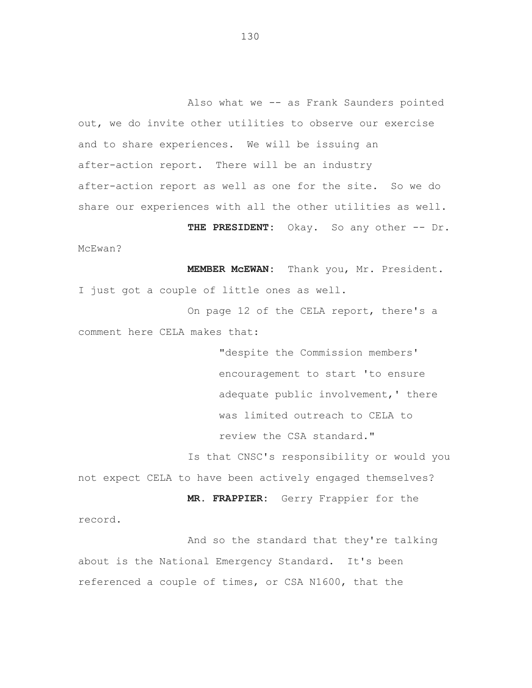Also what we -- as Frank Saunders pointed out, we do invite other utilities to observe our exercise and to share experiences. We will be issuing an after-action report. There will be an industry after-action report as well as one for the site. So we do share our experiences with all the other utilities as well. THE PRESIDENT: Okay. So any other -- Dr.

McEwan?

**MEMBER McEWAN:** Thank you, Mr. President. I just got a couple of little ones as well.

On page 12 of the CELA report, there's a comment here CELA makes that:

> "despite the Commission members' encouragement to start 'to ensure adequate public involvement,' there was limited outreach to CELA to review the CSA standard."

Is that CNSC's responsibility or would you not expect CELA to have been actively engaged themselves?

**MR. FRAPPIER:** Gerry Frappier for the

record.

And so the standard that they're talking about is the National Emergency Standard. It's been referenced a couple of times, or CSA N1600, that the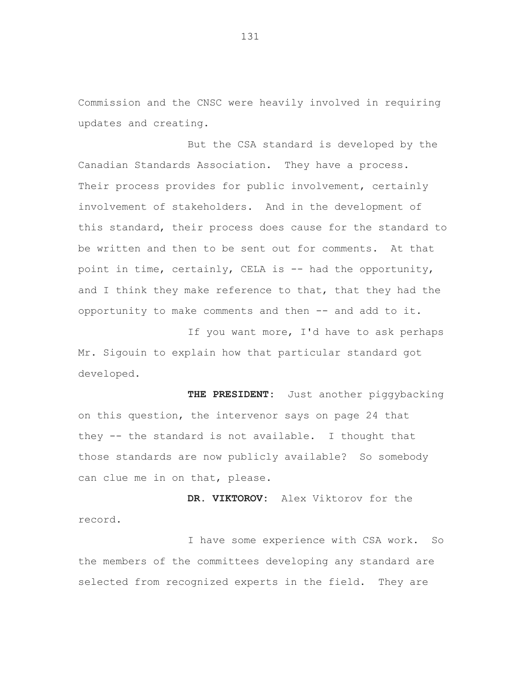Commission and the CNSC were heavily involved in requiring updates and creating.

But the CSA standard is developed by the Canadian Standards Association. They have a process. Their process provides for public involvement, certainly involvement of stakeholders. And in the development of this standard, their process does cause for the standard to be written and then to be sent out for comments. At that point in time, certainly, CELA is -- had the opportunity, and I think they make reference to that, that they had the opportunity to make comments and then -- and add to it.

If you want more, I'd have to ask perhaps Mr. Sigouin to explain how that particular standard got developed.

**THE PRESIDENT:** Just another piggybacking on this question, the intervenor says on page 24 that they -- the standard is not available. I thought that those standards are now publicly available? So somebody can clue me in on that, please.

**DR. VIKTOROV:** Alex Viktorov for the record.

I have some experience with CSA work. So the members of the committees developing any standard are selected from recognized experts in the field. They are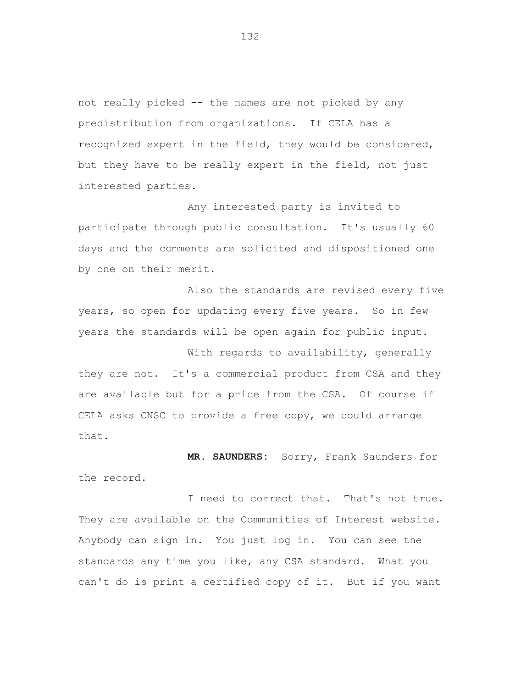not really picked -- the names are not picked by any predistribution from organizations. If CELA has a recognized expert in the field, they would be considered, but they have to be really expert in the field, not just interested parties.

Any interested party is invited to participate through public consultation. It's usually 60 days and the comments are solicited and dispositioned one by one on their merit.

Also the standards are revised every five years, so open for updating every five years. So in few years the standards will be open again for public input.

With regards to availability, generally they are not. It's a commercial product from CSA and they are available but for a price from the CSA. Of course if CELA asks CNSC to provide a free copy, we could arrange that.

**MR. SAUNDERS:** Sorry, Frank Saunders for the record.

I need to correct that. That's not true. They are available on the Communities of Interest website. Anybody can sign in. You just log in. You can see the standards any time you like, any CSA standard. What you can't do is print a certified copy of it. But if you want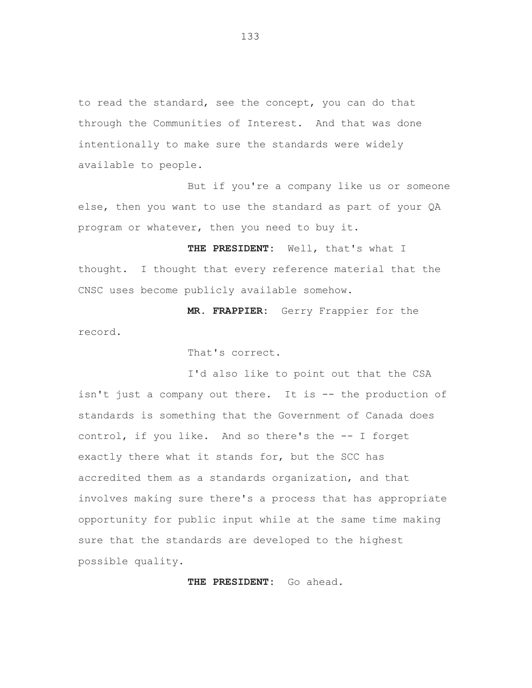to read the standard, see the concept, you can do that through the Communities of Interest. And that was done intentionally to make sure the standards were widely available to people.

But if you're a company like us or someone else, then you want to use the standard as part of your QA program or whatever, then you need to buy it.

**THE PRESIDENT:** Well, that's what I thought. I thought that every reference material that the CNSC uses become publicly available somehow.

**MR. FRAPPIER:** Gerry Frappier for the record.

That's correct.

I'd also like to point out that the CSA isn't just a company out there. It is -- the production of standards is something that the Government of Canada does control, if you like. And so there's the -- I forget exactly there what it stands for, but the SCC has accredited them as a standards organization, and that involves making sure there's a process that has appropriate opportunity for public input while at the same time making sure that the standards are developed to the highest possible quality.

**THE PRESIDENT:** Go ahead.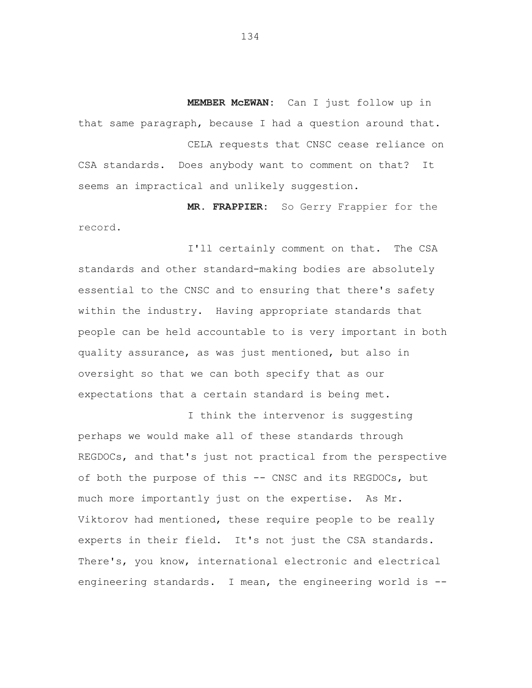**MEMBER McEWAN:** Can I just follow up in that same paragraph, because I had a question around that.

CELA requests that CNSC cease reliance on CSA standards. Does anybody want to comment on that? It seems an impractical and unlikely suggestion.

**MR. FRAPPIER:** So Gerry Frappier for the record.

I'll certainly comment on that. The CSA standards and other standard-making bodies are absolutely essential to the CNSC and to ensuring that there's safety within the industry. Having appropriate standards that people can be held accountable to is very important in both quality assurance, as was just mentioned, but also in oversight so that we can both specify that as our expectations that a certain standard is being met.

I think the intervenor is suggesting perhaps we would make all of these standards through REGDOCs, and that's just not practical from the perspective of both the purpose of this -- CNSC and its REGDOCs, but much more importantly just on the expertise. As Mr. Viktorov had mentioned, these require people to be really experts in their field. It's not just the CSA standards. There's, you know, international electronic and electrical engineering standards. I mean, the engineering world is -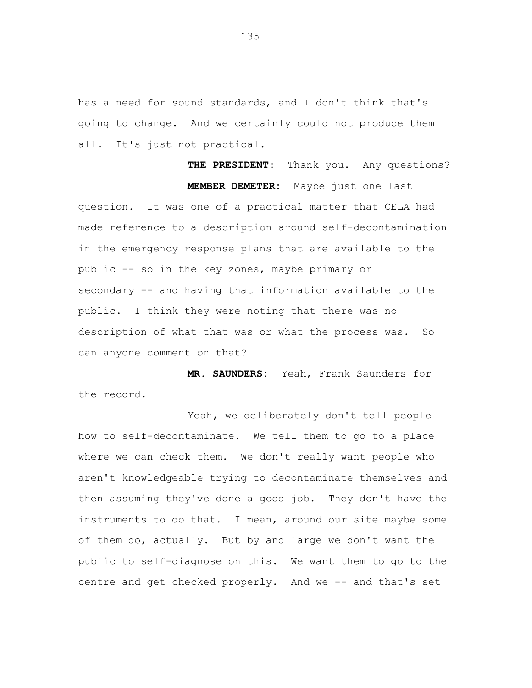has a need for sound standards, and I don't think that's going to change. And we certainly could not produce them all. It's just not practical.

**THE PRESIDENT:** Thank you. Any questions? **MEMBER DEMETER:** Maybe just one last question. It was one of a practical matter that CELA had made reference to a description around self-decontamination in the emergency response plans that are available to the public -- so in the key zones, maybe primary or secondary -- and having that information available to the public. I think they were noting that there was no description of what that was or what the process was. So can anyone comment on that?

**MR. SAUNDERS:** Yeah, Frank Saunders for the record.

Yeah, we deliberately don't tell people how to self-decontaminate. We tell them to go to a place where we can check them. We don't really want people who aren't knowledgeable trying to decontaminate themselves and then assuming they've done a good job. They don't have the instruments to do that. I mean, around our site maybe some of them do, actually. But by and large we don't want the public to self-diagnose on this. We want them to go to the centre and get checked properly. And we -- and that's set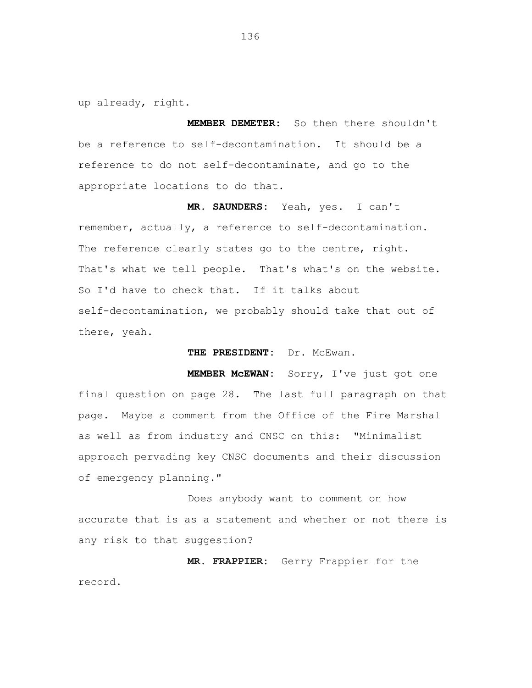up already, right.

**MEMBER DEMETER:** So then there shouldn't be a reference to self-decontamination. It should be a reference to do not self-decontaminate, and go to the appropriate locations to do that.

**MR. SAUNDERS:** Yeah, yes. I can't remember, actually, a reference to self-decontamination. The reference clearly states go to the centre, right. That's what we tell people. That's what's on the website. So I'd have to check that. If it talks about self-decontamination, we probably should take that out of there, yeah.

THE PRESIDENT: Dr. McEwan.

**MEMBER McEWAN:** Sorry, I've just got one final question on page 28. The last full paragraph on that page. Maybe a comment from the Office of the Fire Marshal as well as from industry and CNSC on this: "Minimalist approach pervading key CNSC documents and their discussion of emergency planning."

Does anybody want to comment on how accurate that is as a statement and whether or not there is any risk to that suggestion?

**MR. FRAPPIER:** Gerry Frappier for the record.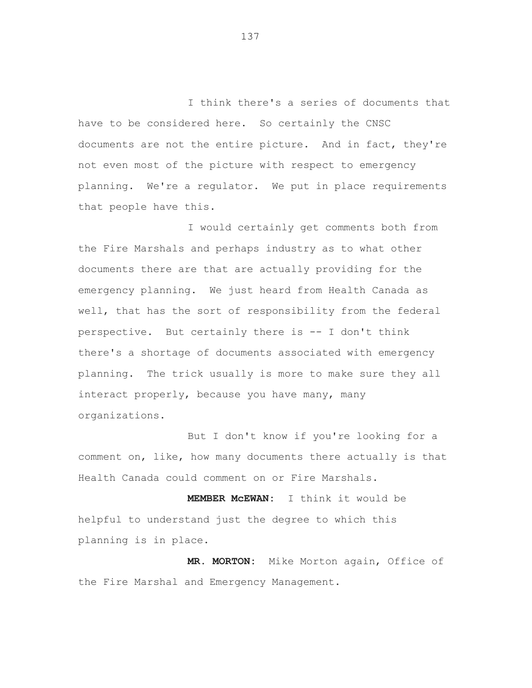I think there's a series of documents that have to be considered here. So certainly the CNSC documents are not the entire picture. And in fact, they're not even most of the picture with respect to emergency planning. We're a regulator. We put in place requirements that people have this.

I would certainly get comments both from the Fire Marshals and perhaps industry as to what other documents there are that are actually providing for the emergency planning. We just heard from Health Canada as well, that has the sort of responsibility from the federal perspective. But certainly there is -- I don't think there's a shortage of documents associated with emergency planning. The trick usually is more to make sure they all interact properly, because you have many, many organizations.

But I don't know if you're looking for a comment on, like, how many documents there actually is that Health Canada could comment on or Fire Marshals.

**MEMBER McEWAN:** I think it would be helpful to understand just the degree to which this planning is in place.

**MR. MORTON:** Mike Morton again, Office of the Fire Marshal and Emergency Management.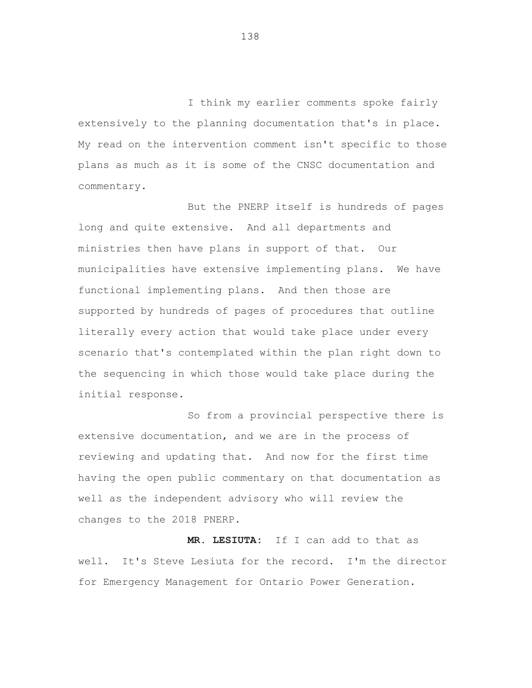I think my earlier comments spoke fairly extensively to the planning documentation that's in place. My read on the intervention comment isn't specific to those plans as much as it is some of the CNSC documentation and commentary.

But the PNERP itself is hundreds of pages long and quite extensive. And all departments and ministries then have plans in support of that. Our municipalities have extensive implementing plans. We have functional implementing plans. And then those are supported by hundreds of pages of procedures that outline literally every action that would take place under every scenario that's contemplated within the plan right down to the sequencing in which those would take place during the initial response.

So from a provincial perspective there is extensive documentation, and we are in the process of reviewing and updating that. And now for the first time having the open public commentary on that documentation as well as the independent advisory who will review the changes to the 2018 PNERP.

**MR. LESIUTA:** If I can add to that as well. It's Steve Lesiuta for the record. I'm the director for Emergency Management for Ontario Power Generation.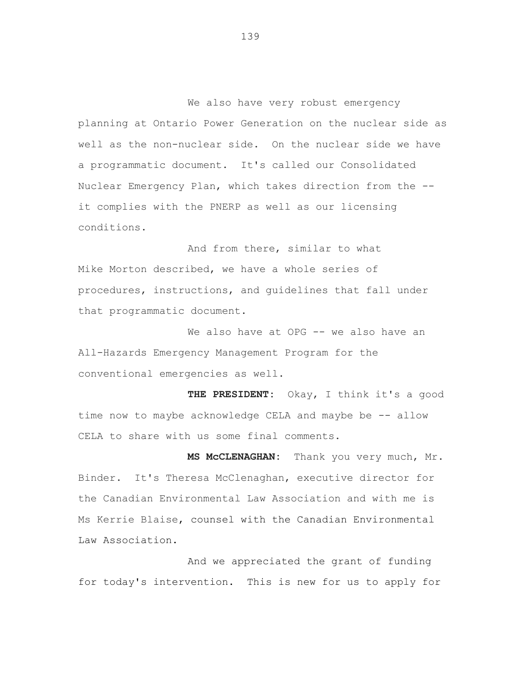We also have very robust emergency planning at Ontario Power Generation on the nuclear side as well as the non-nuclear side. On the nuclear side we have a programmatic document. It's called our Consolidated Nuclear Emergency Plan, which takes direction from the it complies with the PNERP as well as our licensing conditions.

And from there, similar to what Mike Morton described, we have a whole series of procedures, instructions, and guidelines that fall under that programmatic document.

We also have at OPG -- we also have an All-Hazards Emergency Management Program for the conventional emergencies as well.

**THE PRESIDENT:** Okay, I think it's a good time now to maybe acknowledge CELA and maybe be -- allow CELA to share with us some final comments.

**MS McCLENAGHAN:** Thank you very much, Mr. Binder. It's Theresa McClenaghan, executive director for the Canadian Environmental Law Association and with me is Ms Kerrie Blaise, counsel with the Canadian Environmental Law Association.

And we appreciated the grant of funding for today's intervention. This is new for us to apply for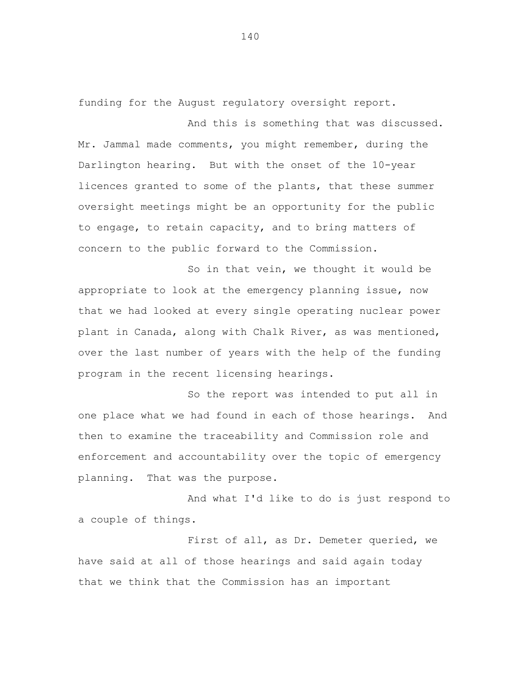funding for the August regulatory oversight report.

And this is something that was discussed. Mr. Jammal made comments, you might remember, during the Darlington hearing. But with the onset of the 10-year licences granted to some of the plants, that these summer oversight meetings might be an opportunity for the public to engage, to retain capacity, and to bring matters of concern to the public forward to the Commission.

So in that vein, we thought it would be appropriate to look at the emergency planning issue, now that we had looked at every single operating nuclear power plant in Canada, along with Chalk River, as was mentioned, over the last number of years with the help of the funding program in the recent licensing hearings.

So the report was intended to put all in one place what we had found in each of those hearings. And then to examine the traceability and Commission role and enforcement and accountability over the topic of emergency planning. That was the purpose.

And what I'd like to do is just respond to a couple of things.

First of all, as Dr. Demeter queried, we have said at all of those hearings and said again today that we think that the Commission has an important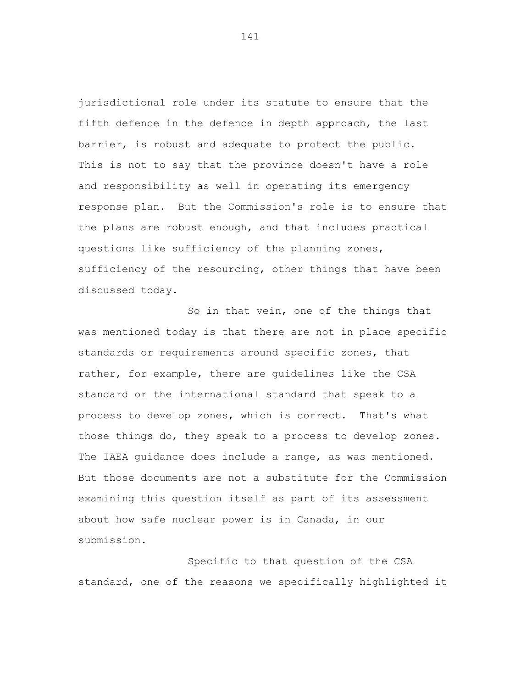jurisdictional role under its statute to ensure that the fifth defence in the defence in depth approach, the last barrier, is robust and adequate to protect the public. This is not to say that the province doesn't have a role and responsibility as well in operating its emergency response plan. But the Commission's role is to ensure that the plans are robust enough, and that includes practical questions like sufficiency of the planning zones, sufficiency of the resourcing, other things that have been discussed today.

So in that vein, one of the things that was mentioned today is that there are not in place specific standards or requirements around specific zones, that rather, for example, there are guidelines like the CSA standard or the international standard that speak to a process to develop zones, which is correct. That's what those things do, they speak to a process to develop zones. The IAEA guidance does include a range, as was mentioned. But those documents are not a substitute for the Commission examining this question itself as part of its assessment about how safe nuclear power is in Canada, in our submission.

Specific to that question of the CSA standard, one of the reasons we specifically highlighted it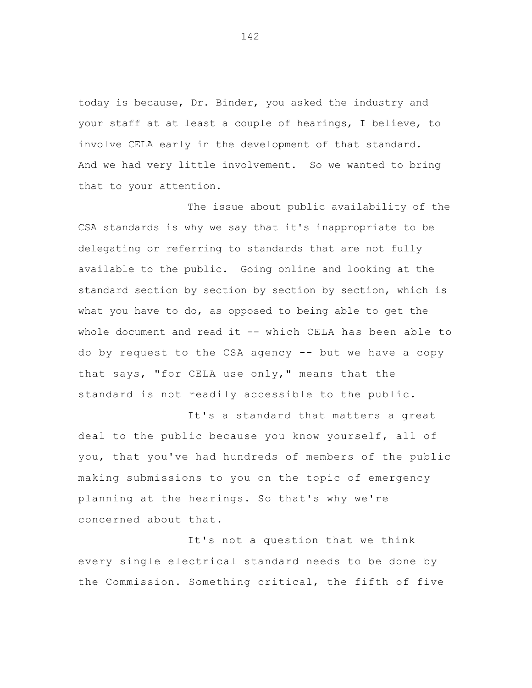today is because, Dr. Binder, you asked the industry and your staff at at least a couple of hearings, I believe, to involve CELA early in the development of that standard. And we had very little involvement. So we wanted to bring that to your attention.

 whole document and read it -- which CELA has been able to The issue about public availability of the CSA standards is why we say that it's inappropriate to be delegating or referring to standards that are not fully available to the public. Going online and looking at the standard section by section by section by section, which is what you have to do, as opposed to being able to get the do by request to the CSA agency -- but we have a copy that says, "for CELA use only," means that the standard is not readily accessible to the public.

It's a standard that matters a great deal to the public because you know yourself, all of you, that you've had hundreds of members of the public making submissions to you on the topic of emergency planning at the hearings. So that's why we're concerned about that.

It's not a question that we think every single electrical standard needs to be done by the Commission. Something critical, the fifth of five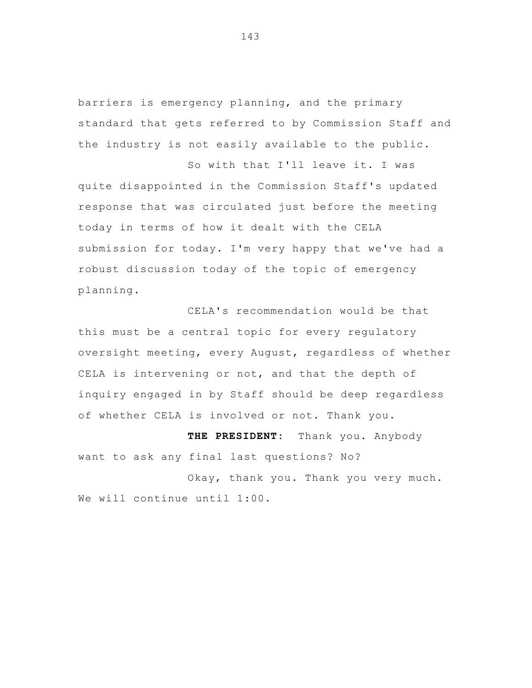barriers is emergency planning, and the primary standard that gets referred to by Commission Staff and the industry is not easily available to the public.

 So with that I'll leave it. I was quite disappointed in the Commission Staff's updated response that was circulated just before the meeting today in terms of how it dealt with the CELA submission for today. I'm very happy that we've had a robust discussion today of the topic of emergency planning.

 CELA's recommendation would be that this must be a central topic for every regulatory oversight meeting, every August, regardless of whether CELA is intervening or not, and that the depth of inquiry engaged in by Staff should be deep regardless of whether CELA is involved or not. Thank you.

 **THE PRESIDENT:** Thank you. Anybody want to ask any final last questions? No?

 Okay, thank you. Thank you very much. We will continue until 1:00.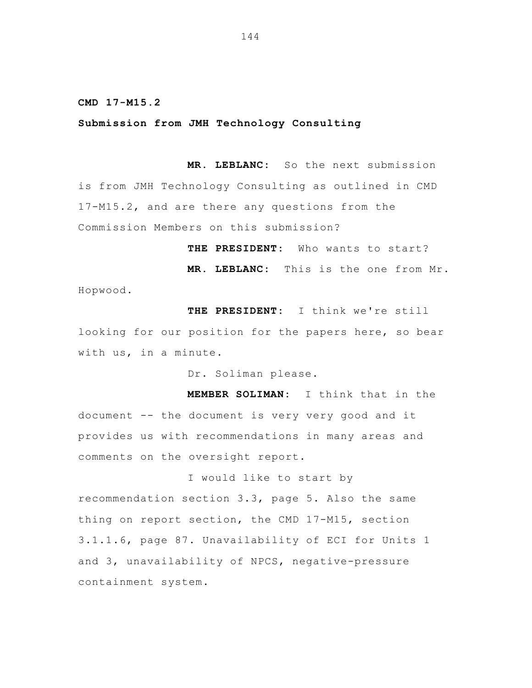## **CMD 17-M15.2**

## **Submission from JMH Technology Consulting**

 **MR. LEBLANC:** So the next submission is from JMH Technology Consulting as outlined in CMD 17-M15.2, and are there any questions from the Commission Members on this submission?

 **THE PRESIDENT:** Who wants to start?

**MR. LEBLANC:** This is the one from Mr. Hopwood.

**THE PRESIDENT:** I think we're still looking for our position for the papers here, so bear with us, in a minute.

Dr. Soliman please.

 **MEMBER SOLIMAN:** I think that in the document -- the document is very very good and it provides us with recommendations in many areas and comments on the oversight report.

I would like to start by recommendation section 3.3, page 5. Also the same thing on report section, the CMD 17-M15, section 3.1.1.6, page 87. Unavailability of ECI for Units 1 and 3, unavailability of NPCS, negative-pressure containment system.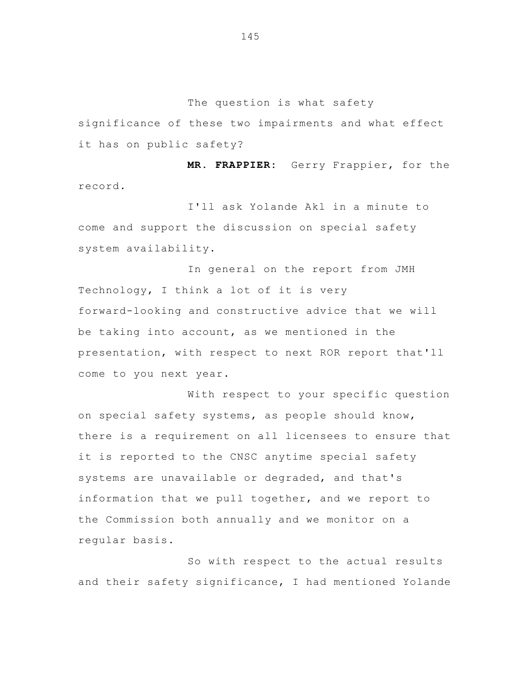The question is what safety

significance of these two impairments and what effect it has on public safety?

 **MR. FRAPPIER:** Gerry Frappier, for the record.

 I'll ask Yolande Akl in a minute to come and support the discussion on special safety system availability.

In general on the report from JMH Technology, I think a lot of it is very forward-looking and constructive advice that we will be taking into account, as we mentioned in the presentation, with respect to next ROR report that'll come to you next year.

With respect to your specific question on special safety systems, as people should know, there is a requirement on all licensees to ensure that it is reported to the CNSC anytime special safety systems are unavailable or degraded, and that's information that we pull together, and we report to the Commission both annually and we monitor on a regular basis.

So with respect to the actual results and their safety significance, I had mentioned Yolande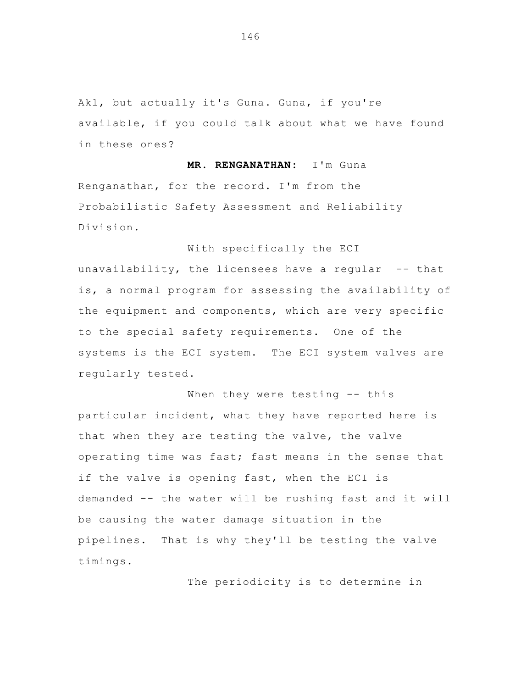Akl, but actually it's Guna. Guna, if you're available, if you could talk about what we have found in these ones?

 **MR. RENGANATHAN:** I'm Guna Renganathan, for the record. I'm from the Probabilistic Safety Assessment and Reliability Division.

unavailability, the licensees have a regular  $-$  that is, a normal program for assessing the availability of the equipment and components, which are very specific to the special safety requirements. One of the systems is the ECI system. The ECI system valves are regularly tested.

With specifically the ECI

When they were testing -- this particular incident, what they have reported here is that when they are testing the valve, the valve operating time was fast; fast means in the sense that if the valve is opening fast, when the ECI is demanded -- the water will be rushing fast and it will be causing the water damage situation in the pipelines. That is why they'll be testing the valve timings.

The periodicity is to determine in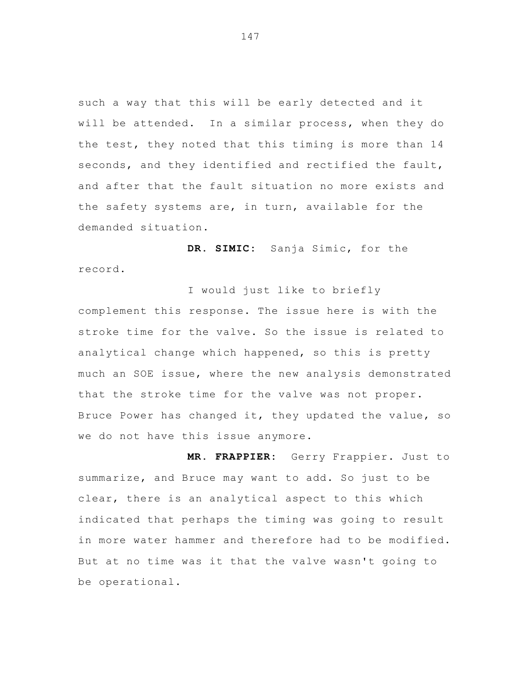such a way that this will be early detected and it will be attended. In a similar process, when they do the test, they noted that this timing is more than 14 seconds, and they identified and rectified the fault, and after that the fault situation no more exists and the safety systems are, in turn, available for the demanded situation.

 **DR. SIMIC:** Sanja Simic, for the record.

I would just like to briefly complement this response. The issue here is with the stroke time for the valve. So the issue is related to analytical change which happened, so this is pretty much an SOE issue, where the new analysis demonstrated that the stroke time for the valve was not proper. Bruce Power has changed it, they updated the value, so we do not have this issue anymore.

 **MR. FRAPPIER:** Gerry Frappier. Just to summarize, and Bruce may want to add. So just to be clear, there is an analytical aspect to this which indicated that perhaps the timing was going to result in more water hammer and therefore had to be modified. But at no time was it that the valve wasn't going to be operational.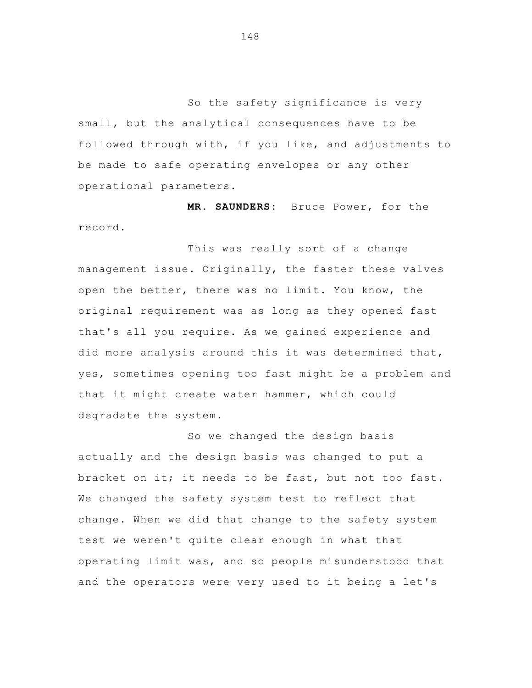So the safety significance is very small, but the analytical consequences have to be followed through with, if you like, and adjustments to be made to safe operating envelopes or any other operational parameters.

**MR. SAUNDERS:** Bruce Power, for the record.

 This was really sort of a change management issue. Originally, the faster these valves open the better, there was no limit. You know, the original requirement was as long as they opened fast that's all you require. As we gained experience and did more analysis around this it was determined that, yes, sometimes opening too fast might be a problem and that it might create water hammer, which could degradate the system.

So we changed the design basis actually and the design basis was changed to put a bracket on it; it needs to be fast, but not too fast. We changed the safety system test to reflect that change. When we did that change to the safety system test we weren't quite clear enough in what that operating limit was, and so people misunderstood that and the operators were very used to it being a let's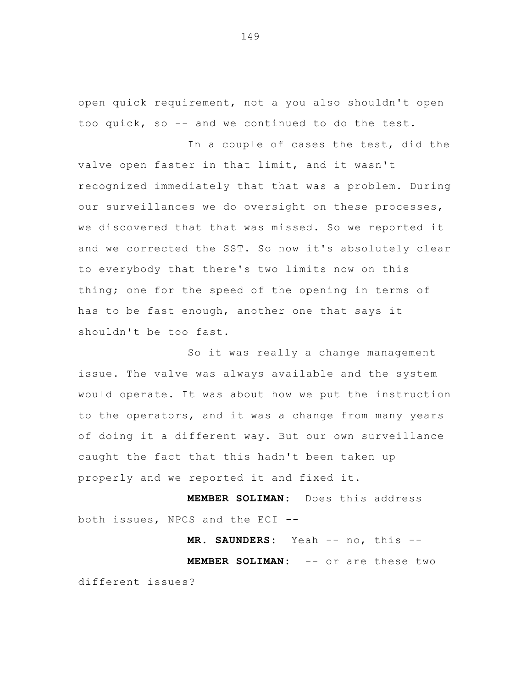open quick requirement, not a you also shouldn't open too quick, so -- and we continued to do the test.

In a couple of cases the test, did the valve open faster in that limit, and it wasn't recognized immediately that that was a problem. During our surveillances we do oversight on these processes, we discovered that that was missed. So we reported it and we corrected the SST. So now it's absolutely clear to everybody that there's two limits now on this thing; one for the speed of the opening in terms of has to be fast enough, another one that says it shouldn't be too fast.

So it was really a change management issue. The valve was always available and the system would operate. It was about how we put the instruction to the operators, and it was a change from many years of doing it a different way. But our own surveillance caught the fact that this hadn't been taken up properly and we reported it and fixed it.

 **MEMBER SOLIMAN:** Does this address both issues, NPCS and the ECI --

MR. SAUNDERS: Yeah -- no, this --

 **MEMBER SOLIMAN:** -- or are these two different issues?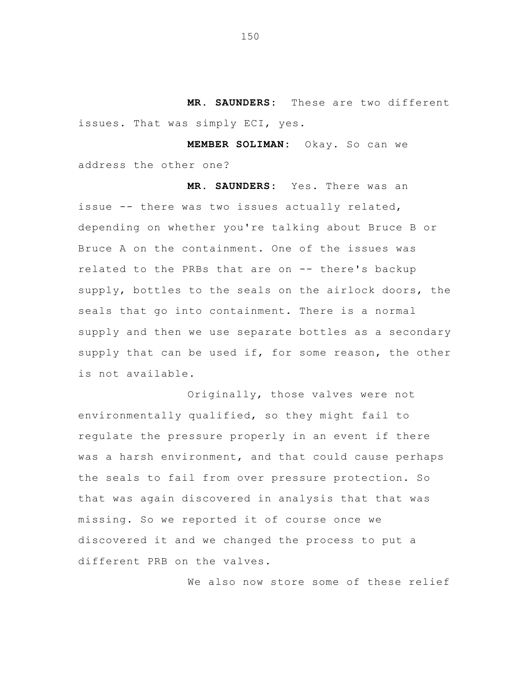**MR. SAUNDERS:** These are two different issues. That was simply ECI, yes.

 **MEMBER SOLIMAN:** Okay. So can we address the other one?

 **MR. SAUNDERS:** Yes. There was an issue -- there was two issues actually related, depending on whether you're talking about Bruce B or Bruce A on the containment. One of the issues was related to the PRBs that are on -- there's backup supply, bottles to the seals on the airlock doors, the seals that go into containment. There is a normal supply and then we use separate bottles as a secondary supply that can be used if, for some reason, the other is not available.

 Originally, those valves were not environmentally qualified, so they might fail to regulate the pressure properly in an event if there was a harsh environment, and that could cause perhaps the seals to fail from over pressure protection. So that was again discovered in analysis that that was missing. So we reported it of course once we discovered it and we changed the process to put a different PRB on the valves.

We also now store some of these relief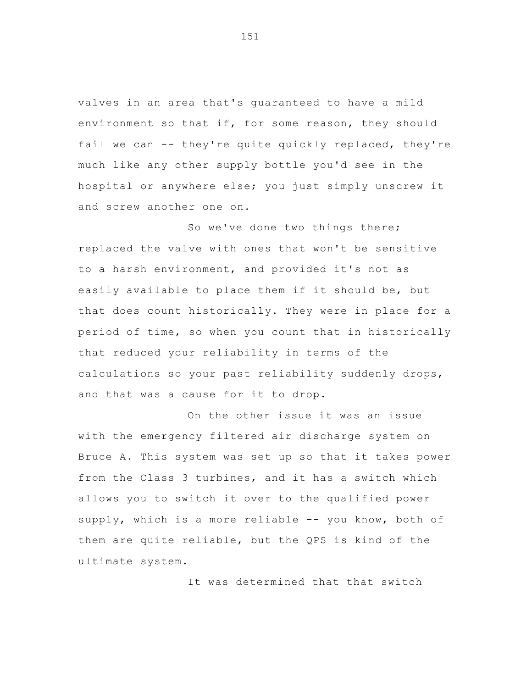valves in an area that's guaranteed to have a mild environment so that if, for some reason, they should fail we can -- they're quite quickly replaced, they're much like any other supply bottle you'd see in the hospital or anywhere else; you just simply unscrew it and screw another one on.

So we've done two things there; replaced the valve with ones that won't be sensitive to a harsh environment, and provided it's not as easily available to place them if it should be, but that does count historically. They were in place for a period of time, so when you count that in historically that reduced your reliability in terms of the calculations so your past reliability suddenly drops, and that was a cause for it to drop.

On the other issue it was an issue with the emergency filtered air discharge system on Bruce A. This system was set up so that it takes power from the Class 3 turbines, and it has a switch which allows you to switch it over to the qualified power supply, which is a more reliable -- you know, both of them are quite reliable, but the QPS is kind of the ultimate system.

It was determined that that switch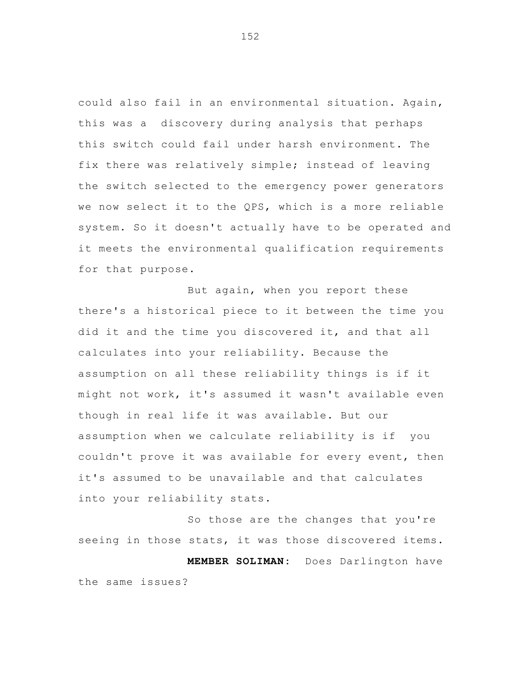could also fail in an environmental situation. Again, this was a discovery during analysis that perhaps this switch could fail under harsh environment. The fix there was relatively simple; instead of leaving the switch selected to the emergency power generators we now select it to the QPS, which is a more reliable system. So it doesn't actually have to be operated and it meets the environmental qualification requirements for that purpose.

But again, when you report these there's a historical piece to it between the time you did it and the time you discovered it, and that all calculates into your reliability. Because the assumption on all these reliability things is if it might not work, it's assumed it wasn't available even though in real life it was available. But our assumption when we calculate reliability is if you couldn't prove it was available for every event, then it's assumed to be unavailable and that calculates into your reliability stats.

So those are the changes that you're seeing in those stats, it was those discovered items.  **MEMBER SOLIMAN:** Does Darlington have the same issues?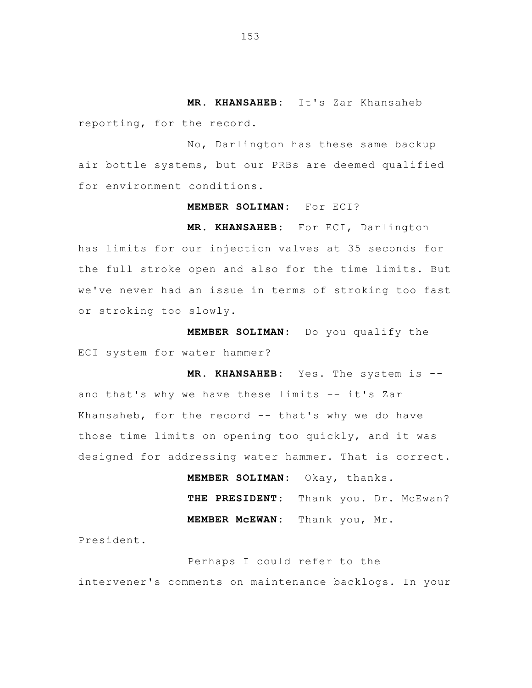**MR. KHANSAHEB:** It's Zar Khansaheb reporting, for the record.

No, Darlington has these same backup air bottle systems, but our PRBs are deemed qualified for environment conditions.

## **MEMBER SOLIMAN:** For ECI?

**MR. KHANSAHEB:** For ECI, Darlington has limits for our injection valves at 35 seconds for the full stroke open and also for the time limits. But we've never had an issue in terms of stroking too fast or stroking too slowly.

 **MEMBER SOLIMAN:** Do you qualify the ECI system for water hammer?

 **MR. KHANSAHEB:** Yes. The system is and that's why we have these limits -- it's Zar Khansaheb, for the record -- that's why we do have those time limits on opening too quickly, and it was designed for addressing water hammer. That is correct.

> **MEMBER SOLIMAN:** Okay, thanks. THE PRESIDENT: Thank you. Dr. McEwan?  **MEMBER McEWAN:** Thank you, Mr.

President.

 Perhaps I could refer to the intervener's comments on maintenance backlogs. In your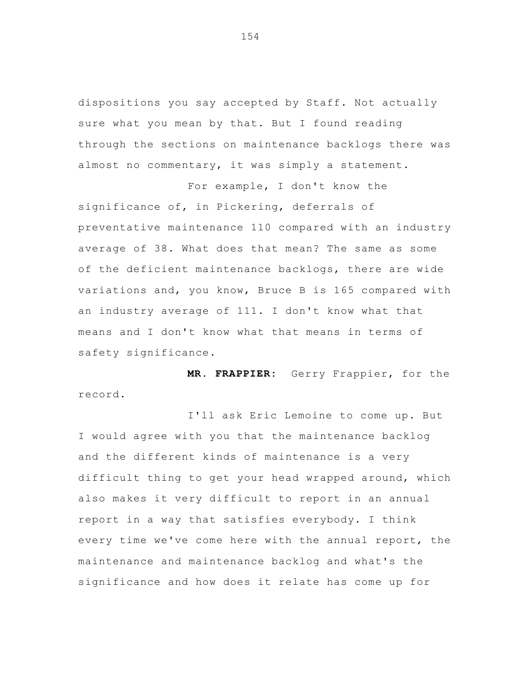dispositions you say accepted by Staff. Not actually sure what you mean by that. But I found reading through the sections on maintenance backlogs there was almost no commentary, it was simply a statement.

 For example, I don't know the significance of, in Pickering, deferrals of preventative maintenance 110 compared with an industry average of 38. What does that mean? The same as some of the deficient maintenance backlogs, there are wide variations and, you know, Bruce B is 165 compared with an industry average of 111. I don't know what that means and I don't know what that means in terms of safety significance.

 **MR. FRAPPIER:** Gerry Frappier, for the record.

I'll ask Eric Lemoine to come up. But I would agree with you that the maintenance backlog and the different kinds of maintenance is a very difficult thing to get your head wrapped around, which also makes it very difficult to report in an annual report in a way that satisfies everybody. I think every time we've come here with the annual report, the maintenance and maintenance backlog and what's the significance and how does it relate has come up for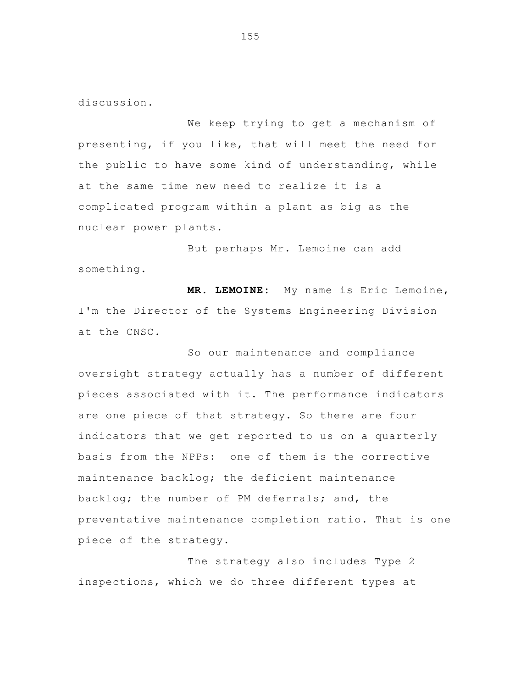discussion.

 We keep trying to get a mechanism of presenting, if you like, that will meet the need for the public to have some kind of understanding, while at the same time new need to realize it is a complicated program within a plant as big as the nuclear power plants.

 But perhaps Mr. Lemoine can add something.

**MR. LEMOINE:** My name is Eric Lemoine, I'm the Director of the Systems Engineering Division at the CNSC.

So our maintenance and compliance oversight strategy actually has a number of different pieces associated with it. The performance indicators are one piece of that strategy. So there are four indicators that we get reported to us on a quarterly basis from the NPPs: one of them is the corrective maintenance backlog; the deficient maintenance backlog; the number of PM deferrals; and, the preventative maintenance completion ratio. That is one piece of the strategy.

The strategy also includes Type 2 inspections, which we do three different types at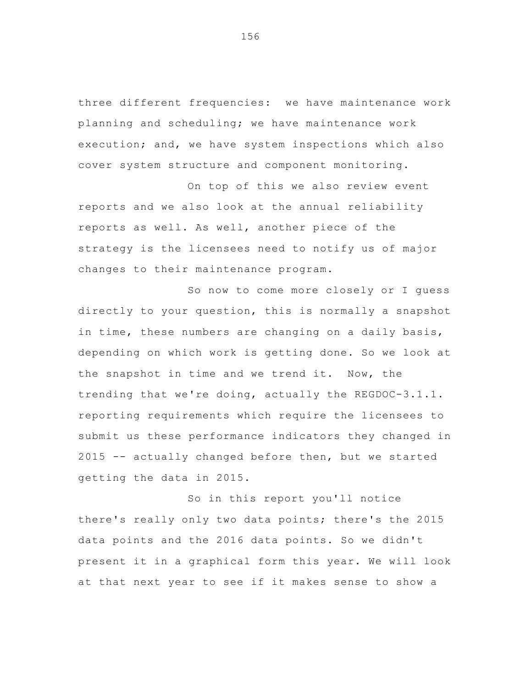three different frequencies: we have maintenance work planning and scheduling; we have maintenance work execution; and, we have system inspections which also cover system structure and component monitoring.

On top of this we also review event reports and we also look at the annual reliability reports as well. As well, another piece of the strategy is the licensees need to notify us of major changes to their maintenance program.

So now to come more closely or I guess directly to your question, this is normally a snapshot in time, these numbers are changing on a daily basis, depending on which work is getting done. So we look at the snapshot in time and we trend it. Now, the trending that we're doing, actually the REGDOC-3.1.1. reporting requirements which require the licensees to submit us these performance indicators they changed in 2015 -- actually changed before then, but we started getting the data in 2015.

So in this report you'll notice there's really only two data points; there's the 2015 data points and the 2016 data points. So we didn't present it in a graphical form this year. We will look at that next year to see if it makes sense to show a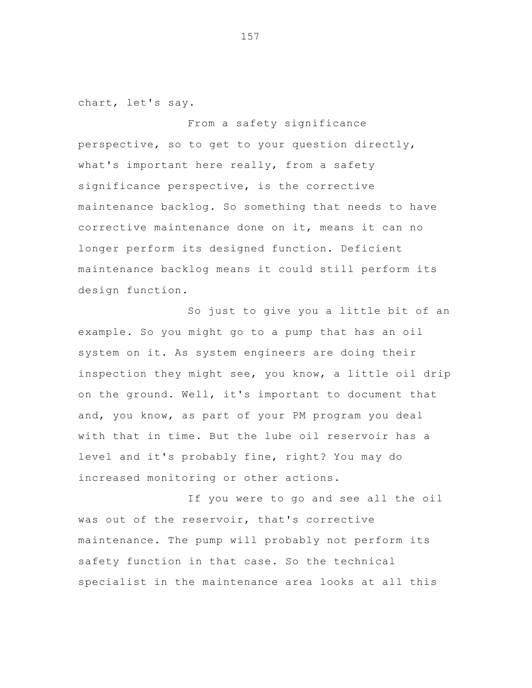chart, let's say.

From a safety significance perspective, so to get to your question directly, what's important here really, from a safety significance perspective, is the corrective maintenance backlog. So something that needs to have corrective maintenance done on it, means it can no longer perform its designed function. Deficient maintenance backlog means it could still perform its design function.

So just to give you a little bit of an example. So you might go to a pump that has an oil system on it. As system engineers are doing their inspection they might see, you know, a little oil drip on the ground. Well, it's important to document that and, you know, as part of your PM program you deal with that in time. But the lube oil reservoir has a level and it's probably fine, right? You may do increased monitoring or other actions.

If you were to go and see all the oil was out of the reservoir, that's corrective maintenance. The pump will probably not perform its safety function in that case. So the technical specialist in the maintenance area looks at all this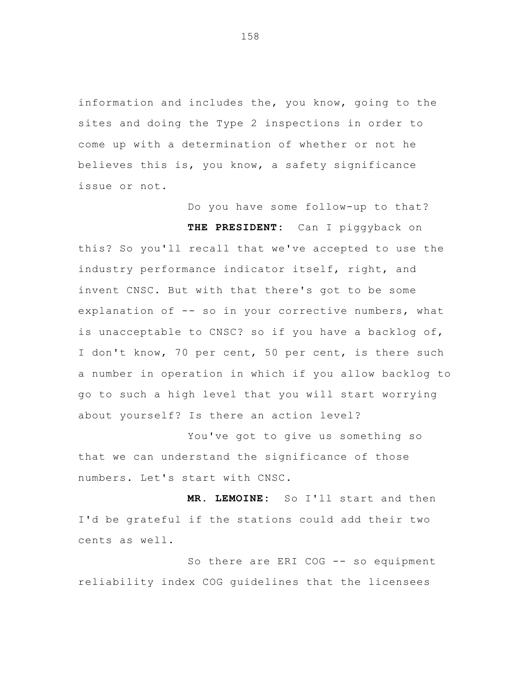information and includes the, you know, going to the sites and doing the Type 2 inspections in order to come up with a determination of whether or not he believes this is, you know, a safety significance issue or not.

Do you have some follow-up to that?

 **THE PRESIDENT:** Can I piggyback on this? So you'll recall that we've accepted to use the industry performance indicator itself, right, and invent CNSC. But with that there's got to be some explanation of -- so in your corrective numbers, what is unacceptable to CNSC? so if you have a backlog of, I don't know, 70 per cent, 50 per cent, is there such a number in operation in which if you allow backlog to go to such a high level that you will start worrying about yourself? Is there an action level?

You've got to give us something so that we can understand the significance of those numbers. Let's start with CNSC.

 **MR. LEMOINE:** So I'll start and then I'd be grateful if the stations could add their two cents as well.

So there are ERI COG -- so equipment reliability index COG guidelines that the licensees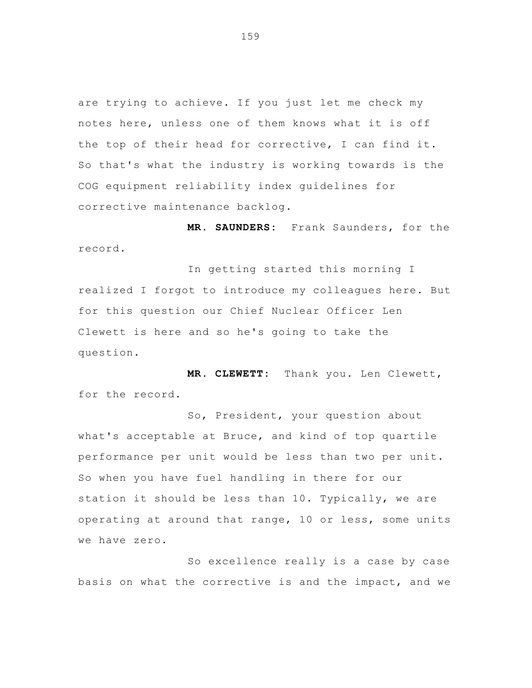are trying to achieve. If you just let me check my notes here, unless one of them knows what it is off the top of their head for corrective, I can find it. So that's what the industry is working towards is the COG equipment reliability index guidelines for corrective maintenance backlog.

 **MR. SAUNDERS:** Frank Saunders, for the record.

 In getting started this morning I realized I forgot to introduce my colleagues here. But for this question our Chief Nuclear Officer Len Clewett is here and so he's going to take the question.

 **MR. CLEWETT:** Thank you. Len Clewett, for the record.

So, President, your question about what's acceptable at Bruce, and kind of top quartile performance per unit would be less than two per unit. So when you have fuel handling in there for our station it should be less than 10. Typically, we are operating at around that range, 10 or less, some units we have zero.

 So excellence really is a case by case basis on what the corrective is and the impact, and we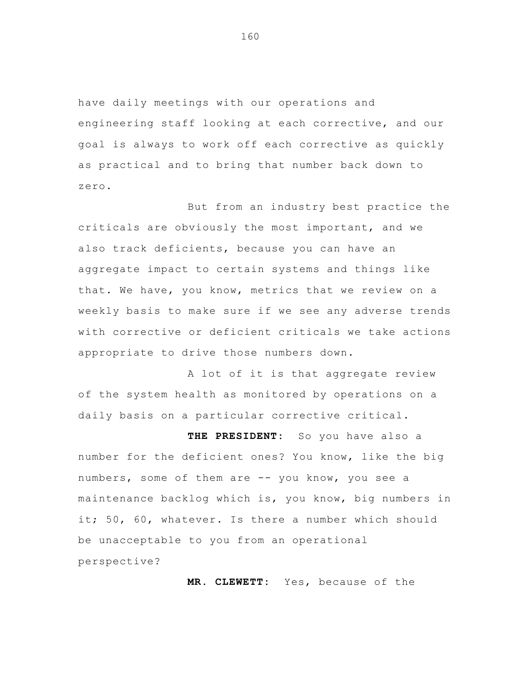have daily meetings with our operations and engineering staff looking at each corrective, and our goal is always to work off each corrective as quickly as practical and to bring that number back down to zero.

But from an industry best practice the criticals are obviously the most important, and we also track deficients, because you can have an aggregate impact to certain systems and things like that. We have, you know, metrics that we review on a weekly basis to make sure if we see any adverse trends with corrective or deficient criticals we take actions appropriate to drive those numbers down.

A lot of it is that aggregate review of the system health as monitored by operations on a daily basis on a particular corrective critical.

 **THE PRESIDENT:** So you have also a number for the deficient ones? You know, like the big numbers, some of them are -- you know, you see a maintenance backlog which is, you know, big numbers in it; 50, 60, whatever. Is there a number which should be unacceptable to you from an operational perspective?

 **MR. CLEWETT:** Yes, because of the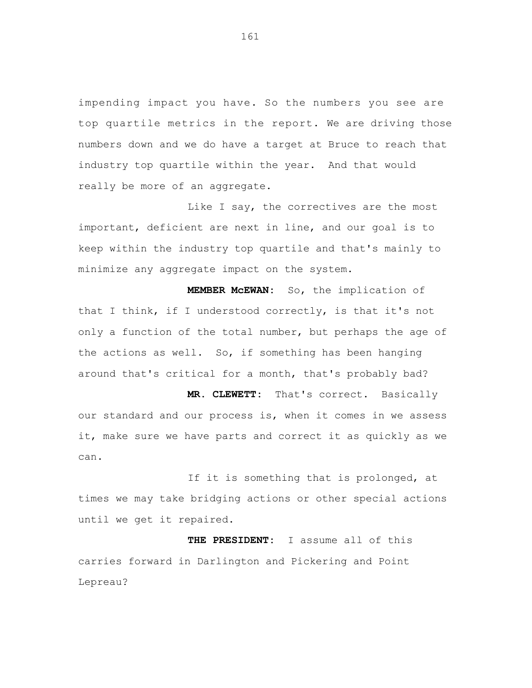impending impact you have. So the numbers you see are top quartile metrics in the report. We are driving those numbers down and we do have a target at Bruce to reach that industry top quartile within the year. And that would really be more of an aggregate.

Like I say, the correctives are the most important, deficient are next in line, and our goal is to keep within the industry top quartile and that's mainly to minimize any aggregate impact on the system.

**MEMBER McEWAN:** So, the implication of that I think, if I understood correctly, is that it's not only a function of the total number, but perhaps the age of the actions as well. So, if something has been hanging around that's critical for a month, that's probably bad?

**MR. CLEWETT:** That's correct. Basically our standard and our process is, when it comes in we assess it, make sure we have parts and correct it as quickly as we can.

If it is something that is prolonged, at times we may take bridging actions or other special actions until we get it repaired.

**THE PRESIDENT:** I assume all of this carries forward in Darlington and Pickering and Point Lepreau?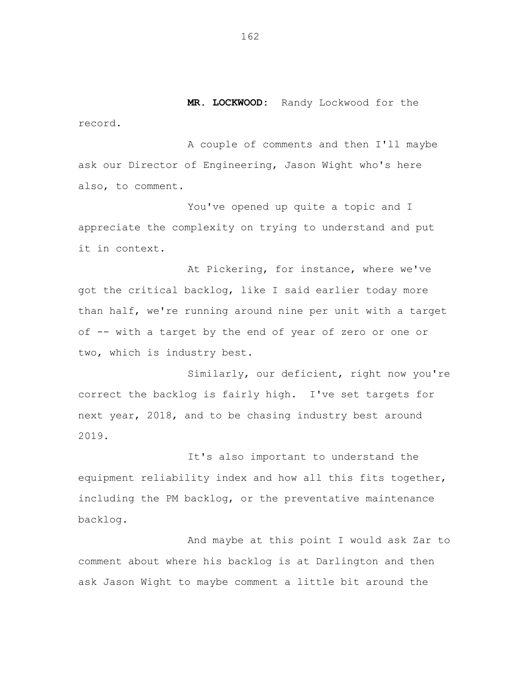**MR. LOCKWOOD:** Randy Lockwood for the

record.

A couple of comments and then I'll maybe ask our Director of Engineering, Jason Wight who's here also, to comment.

You've opened up quite a topic and I appreciate the complexity on trying to understand and put it in context.

At Pickering, for instance, where we've got the critical backlog, like I said earlier today more than half, we're running around nine per unit with a target of -- with a target by the end of year of zero or one or two, which is industry best.

Similarly, our deficient, right now you're correct the backlog is fairly high. I've set targets for next year, 2018, and to be chasing industry best around 2019.

It's also important to understand the equipment reliability index and how all this fits together, including the PM backlog, or the preventative maintenance backlog.

And maybe at this point I would ask Zar to comment about where his backlog is at Darlington and then ask Jason Wight to maybe comment a little bit around the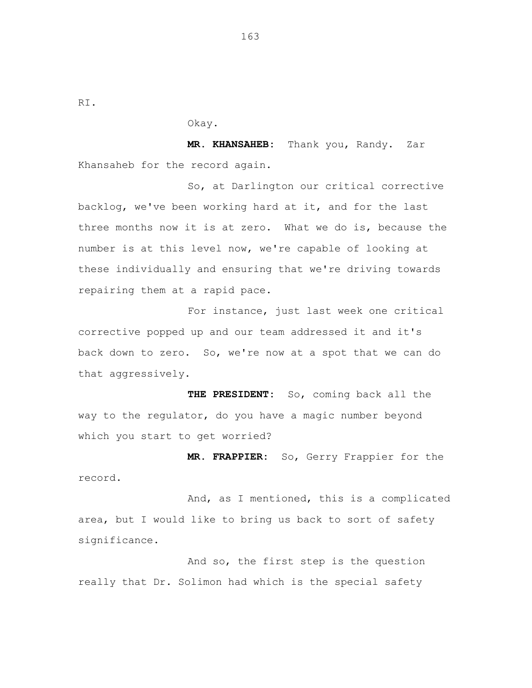RI.

Okay.

**MR. KHANSAHEB:** Thank you, Randy. Zar Khansaheb for the record again.

So, at Darlington our critical corrective backlog, we've been working hard at it, and for the last three months now it is at zero. What we do is, because the number is at this level now, we're capable of looking at these individually and ensuring that we're driving towards repairing them at a rapid pace.

For instance, just last week one critical corrective popped up and our team addressed it and it's back down to zero. So, we're now at a spot that we can do that aggressively.

**THE PRESIDENT:** So, coming back all the way to the regulator, do you have a magic number beyond which you start to get worried?

**MR. FRAPPIER:** So, Gerry Frappier for the record.

And, as I mentioned, this is a complicated area, but I would like to bring us back to sort of safety significance.

And so, the first step is the question really that Dr. Solimon had which is the special safety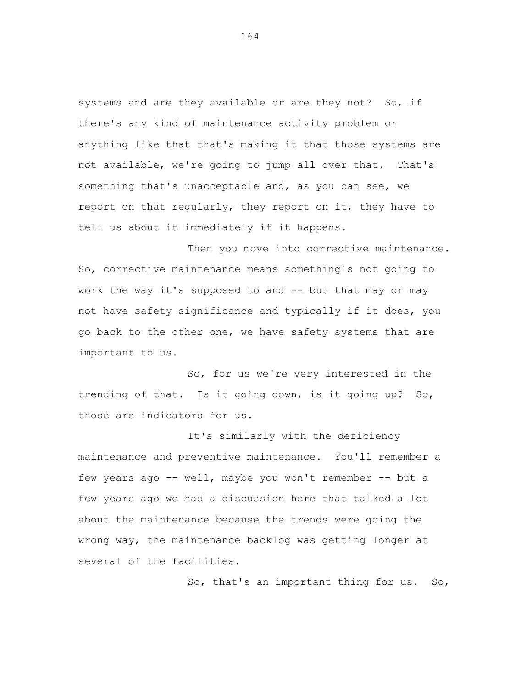systems and are they available or are they not? So, if there's any kind of maintenance activity problem or anything like that that's making it that those systems are not available, we're going to jump all over that. That's something that's unacceptable and, as you can see, we report on that regularly, they report on it, they have to tell us about it immediately if it happens.

Then you move into corrective maintenance. So, corrective maintenance means something's not going to work the way it's supposed to and -- but that may or may not have safety significance and typically if it does, you go back to the other one, we have safety systems that are important to us.

So, for us we're very interested in the trending of that. Is it going down, is it going up? So, those are indicators for us.

It's similarly with the deficiency maintenance and preventive maintenance. You'll remember a few years ago -- well, maybe you won't remember -- but a few years ago we had a discussion here that talked a lot about the maintenance because the trends were going the wrong way, the maintenance backlog was getting longer at several of the facilities.

So, that's an important thing for us. So,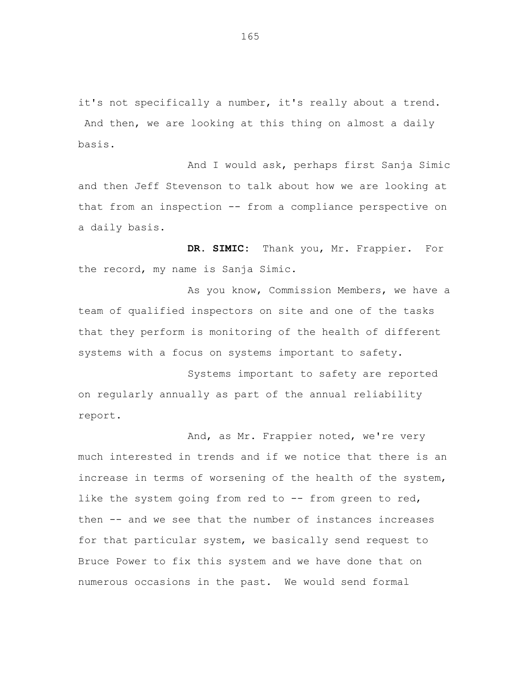it's not specifically a number, it's really about a trend. And then, we are looking at this thing on almost a daily basis.

And I would ask, perhaps first Sanja Simic and then Jeff Stevenson to talk about how we are looking at that from an inspection -- from a compliance perspective on a daily basis.

**DR. SIMIC:** Thank you, Mr. Frappier. For the record, my name is Sanja Simic.

As you know, Commission Members, we have a team of qualified inspectors on site and one of the tasks that they perform is monitoring of the health of different systems with a focus on systems important to safety.

Systems important to safety are reported on regularly annually as part of the annual reliability report.

And, as Mr. Frappier noted, we're very much interested in trends and if we notice that there is an increase in terms of worsening of the health of the system, like the system going from red to  $-$  from green to red, then -- and we see that the number of instances increases for that particular system, we basically send request to Bruce Power to fix this system and we have done that on numerous occasions in the past. We would send formal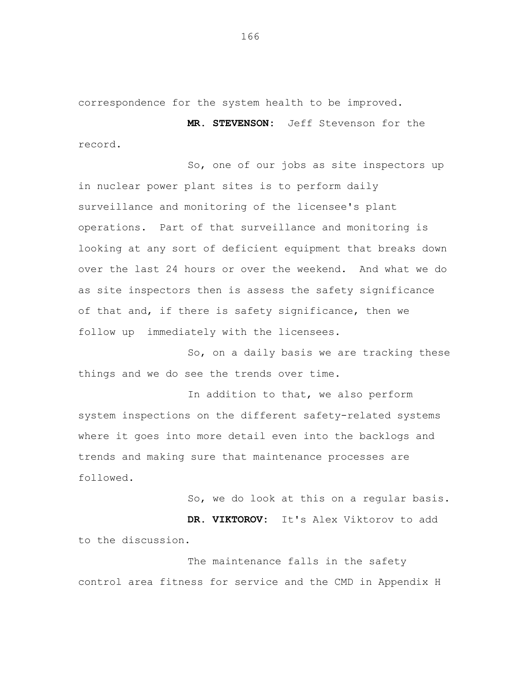correspondence for the system health to be improved.

**MR. STEVENSON:** Jeff Stevenson for the record.

So, one of our jobs as site inspectors up in nuclear power plant sites is to perform daily surveillance and monitoring of the licensee's plant operations. Part of that surveillance and monitoring is looking at any sort of deficient equipment that breaks down over the last 24 hours or over the weekend. And what we do as site inspectors then is assess the safety significance of that and, if there is safety significance, then we follow up immediately with the licensees.

So, on a daily basis we are tracking these things and we do see the trends over time.

In addition to that, we also perform system inspections on the different safety-related systems where it goes into more detail even into the backlogs and trends and making sure that maintenance processes are followed.

So, we do look at this on a regular basis. **DR. VIKTOROV:** It's Alex Viktorov to add to the discussion.

The maintenance falls in the safety control area fitness for service and the CMD in Appendix H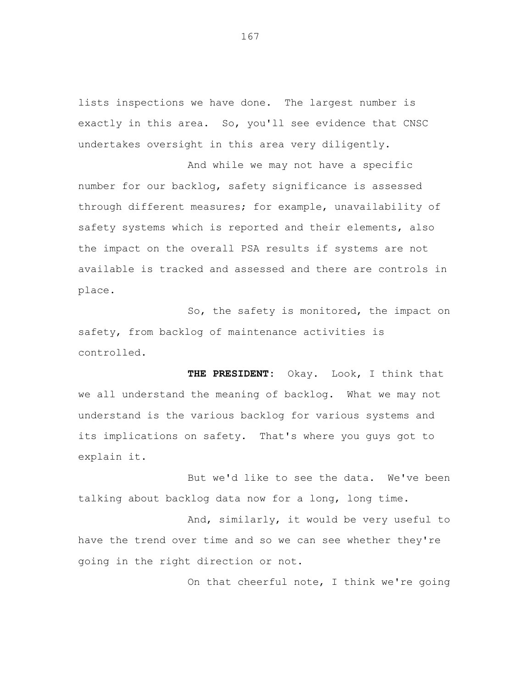lists inspections we have done. The largest number is exactly in this area. So, you'll see evidence that CNSC undertakes oversight in this area very diligently.

And while we may not have a specific number for our backlog, safety significance is assessed through different measures; for example, unavailability of safety systems which is reported and their elements, also the impact on the overall PSA results if systems are not available is tracked and assessed and there are controls in place.

So, the safety is monitored, the impact on safety, from backlog of maintenance activities is controlled.

**THE PRESIDENT:** Okay. Look, I think that we all understand the meaning of backlog. What we may not understand is the various backlog for various systems and its implications on safety. That's where you guys got to explain it.

But we'd like to see the data. We've been talking about backlog data now for a long, long time.

And, similarly, it would be very useful to have the trend over time and so we can see whether they're going in the right direction or not.

On that cheerful note, I think we're going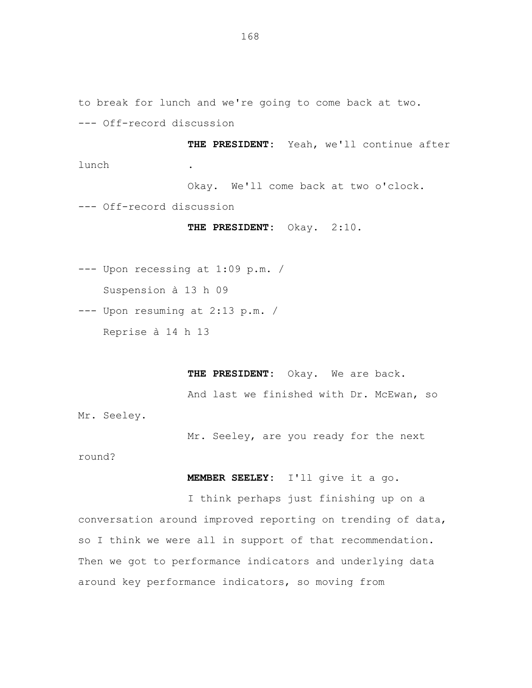to break for lunch and we're going to come back at two. --- Off-record discussion

**THE PRESIDENT:** Yeah, we'll continue after lunch .

Okay. We'll come back at two o'clock.

--- Off-record discussion

THE PRESIDENT: Okay. 2:10.

--- Upon recessing at 1:09 p.m. / Suspension à 13 h 09

--- Upon resuming at 2:13 p.m. /

Reprise à 14 h 13

**THE PRESIDENT:** Okay. We are back.

And last we finished with Dr. McEwan, so

Mr. Seeley.

Mr. Seeley, are you ready for the next

round?

**MEMBER SEELEY:** I'll give it a go.

I think perhaps just finishing up on a conversation around improved reporting on trending of data, so I think we were all in support of that recommendation. Then we got to performance indicators and underlying data around key performance indicators, so moving from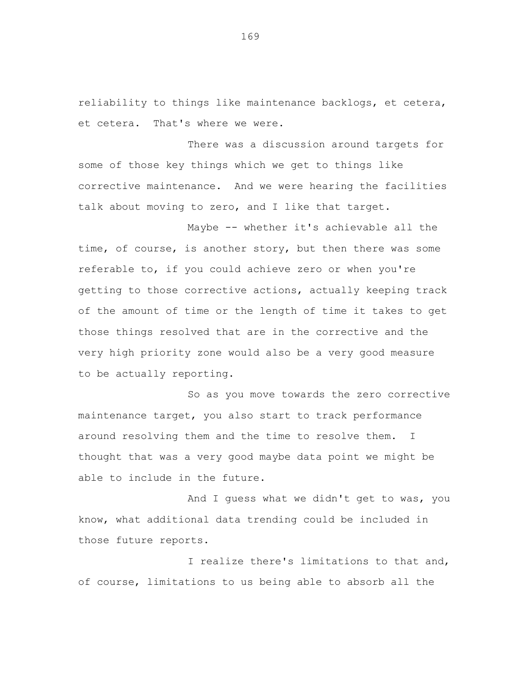reliability to things like maintenance backlogs, et cetera, et cetera. That's where we were.

There was a discussion around targets for some of those key things which we get to things like corrective maintenance. And we were hearing the facilities talk about moving to zero, and I like that target.

Maybe -- whether it's achievable all the time, of course, is another story, but then there was some referable to, if you could achieve zero or when you're getting to those corrective actions, actually keeping track of the amount of time or the length of time it takes to get those things resolved that are in the corrective and the very high priority zone would also be a very good measure to be actually reporting.

So as you move towards the zero corrective maintenance target, you also start to track performance around resolving them and the time to resolve them. I thought that was a very good maybe data point we might be able to include in the future.

And I guess what we didn't get to was, you know, what additional data trending could be included in those future reports.

I realize there's limitations to that and, of course, limitations to us being able to absorb all the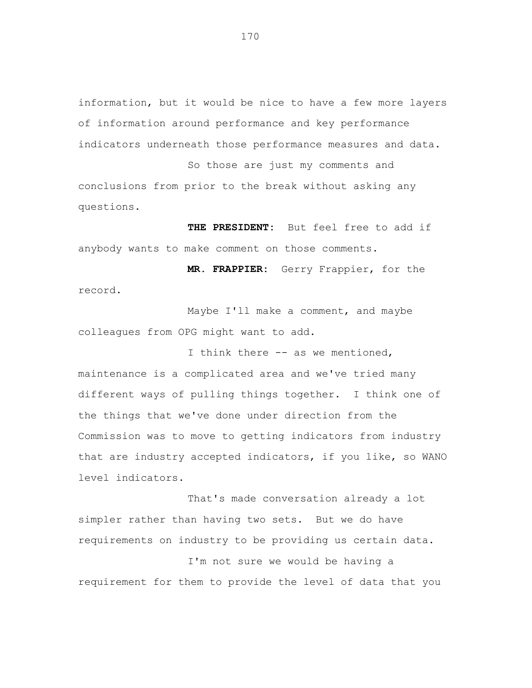information, but it would be nice to have a few more layers of information around performance and key performance indicators underneath those performance measures and data.

So those are just my comments and conclusions from prior to the break without asking any questions.

**THE PRESIDENT:** But feel free to add if anybody wants to make comment on those comments.

**MR. FRAPPIER:** Gerry Frappier, for the record.

Maybe I'll make a comment, and maybe colleagues from OPG might want to add.

I think there -- as we mentioned, maintenance is a complicated area and we've tried many different ways of pulling things together. I think one of the things that we've done under direction from the Commission was to move to getting indicators from industry that are industry accepted indicators, if you like, so WANO level indicators.

That's made conversation already a lot simpler rather than having two sets. But we do have requirements on industry to be providing us certain data.

I'm not sure we would be having a requirement for them to provide the level of data that you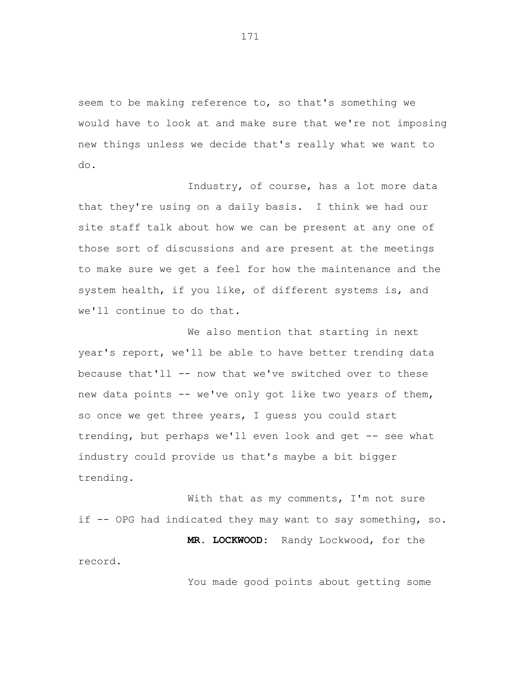seem to be making reference to, so that's something we would have to look at and make sure that we're not imposing new things unless we decide that's really what we want to do.

Industry, of course, has a lot more data that they're using on a daily basis. I think we had our site staff talk about how we can be present at any one of those sort of discussions and are present at the meetings to make sure we get a feel for how the maintenance and the system health, if you like, of different systems is, and we'll continue to do that.

We also mention that starting in next year's report, we'll be able to have better trending data because that'll -- now that we've switched over to these new data points -- we've only got like two years of them, so once we get three years, I guess you could start trending, but perhaps we'll even look and get -- see what industry could provide us that's maybe a bit bigger trending.

With that as my comments, I'm not sure if -- OPG had indicated they may want to say something, so. **MR. LOCKWOOD:** Randy Lockwood, for the record.

You made good points about getting some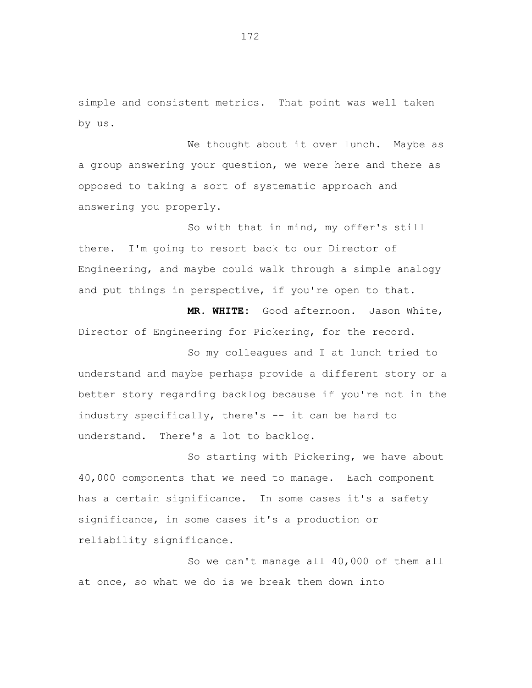simple and consistent metrics. That point was well taken by us.

We thought about it over lunch. Maybe as a group answering your question, we were here and there as opposed to taking a sort of systematic approach and answering you properly.

So with that in mind, my offer's still there. I'm going to resort back to our Director of Engineering, and maybe could walk through a simple analogy and put things in perspective, if you're open to that.

**MR. WHITE:** Good afternoon. Jason White, Director of Engineering for Pickering, for the record.

So my colleagues and I at lunch tried to understand and maybe perhaps provide a different story or a better story regarding backlog because if you're not in the industry specifically, there's -- it can be hard to understand. There's a lot to backlog.

So starting with Pickering, we have about 40,000 components that we need to manage. Each component has a certain significance. In some cases it's a safety significance, in some cases it's a production or reliability significance.

So we can't manage all 40,000 of them all at once, so what we do is we break them down into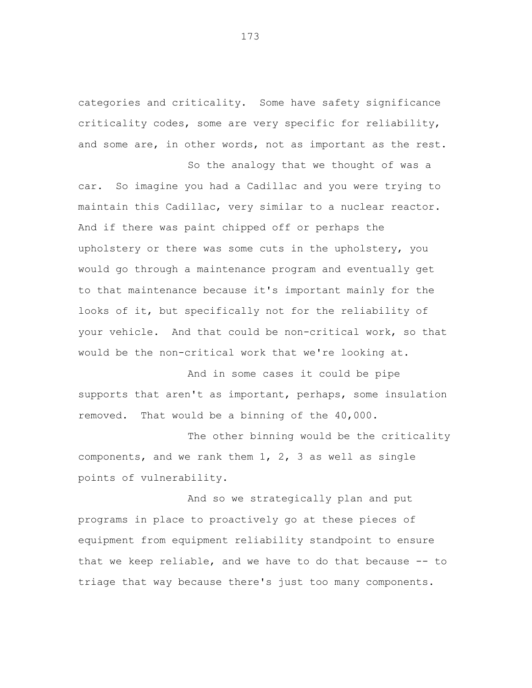categories and criticality. Some have safety significance criticality codes, some are very specific for reliability, and some are, in other words, not as important as the rest.

So the analogy that we thought of was a car. So imagine you had a Cadillac and you were trying to maintain this Cadillac, very similar to a nuclear reactor. And if there was paint chipped off or perhaps the upholstery or there was some cuts in the upholstery, you would go through a maintenance program and eventually get to that maintenance because it's important mainly for the looks of it, but specifically not for the reliability of your vehicle. And that could be non-critical work, so that would be the non-critical work that we're looking at.

And in some cases it could be pipe supports that aren't as important, perhaps, some insulation removed. That would be a binning of the 40,000.

The other binning would be the criticality components, and we rank them 1, 2, 3 as well as single points of vulnerability.

And so we strategically plan and put programs in place to proactively go at these pieces of equipment from equipment reliability standpoint to ensure that we keep reliable, and we have to do that because -- to triage that way because there's just too many components.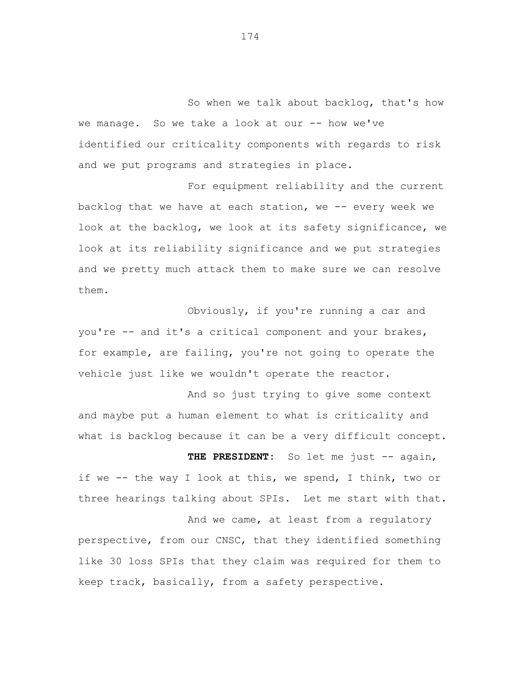So when we talk about backlog, that's how we manage. So we take a look at our -- how we've identified our criticality components with regards to risk and we put programs and strategies in place.

For equipment reliability and the current backlog that we have at each station, we -- every week we look at the backlog, we look at its safety significance, we look at its reliability significance and we put strategies and we pretty much attack them to make sure we can resolve them.

Obviously, if you're running a car and you're -- and it's a critical component and your brakes, for example, are failing, you're not going to operate the vehicle just like we wouldn't operate the reactor.

And so just trying to give some context and maybe put a human element to what is criticality and what is backlog because it can be a very difficult concept.

THE PRESIDENT: So let me just -- again, if we -- the way I look at this, we spend, I think, two or three hearings talking about SPIs. Let me start with that.

And we came, at least from a regulatory perspective, from our CNSC, that they identified something like 30 loss SPIs that they claim was required for them to keep track, basically, from a safety perspective.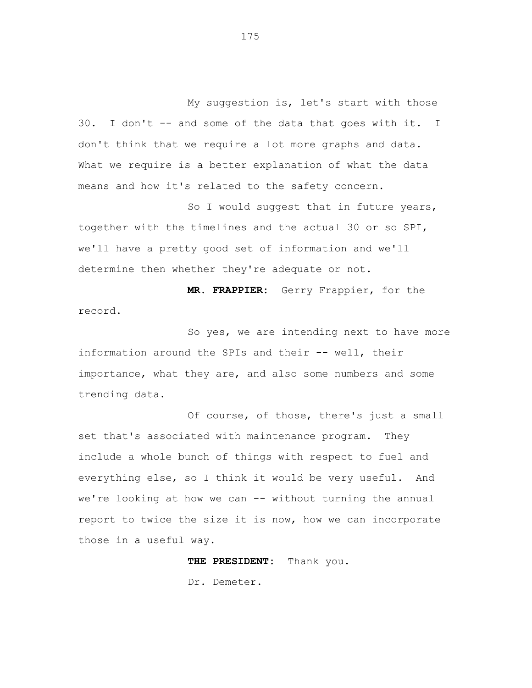My suggestion is, let's start with those 30. I don't -- and some of the data that goes with it. I don't think that we require a lot more graphs and data. What we require is a better explanation of what the data means and how it's related to the safety concern.

So I would suggest that in future years, together with the timelines and the actual 30 or so SPI, we'll have a pretty good set of information and we'll determine then whether they're adequate or not.

**MR. FRAPPIER:** Gerry Frappier, for the record.

So yes, we are intending next to have more information around the SPIs and their -- well, their importance, what they are, and also some numbers and some trending data.

Of course, of those, there's just a small set that's associated with maintenance program. They include a whole bunch of things with respect to fuel and everything else, so I think it would be very useful. And we're looking at how we can -- without turning the annual report to twice the size it is now, how we can incorporate those in a useful way.

**THE PRESIDENT:** Thank you.

Dr. Demeter.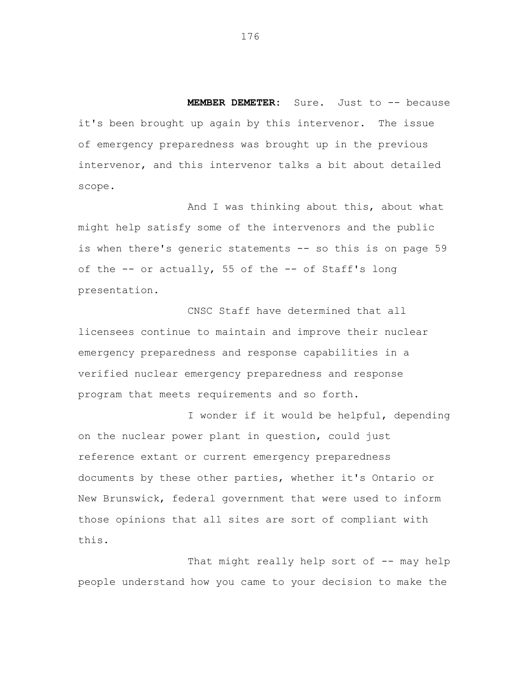**MEMBER DEMETER:** Sure. Just to -- because it's been brought up again by this intervenor. The issue of emergency preparedness was brought up in the previous intervenor, and this intervenor talks a bit about detailed scope.

And I was thinking about this, about what might help satisfy some of the intervenors and the public is when there's generic statements -- so this is on page 59 of the -- or actually, 55 of the -- of Staff's long presentation.

CNSC Staff have determined that all licensees continue to maintain and improve their nuclear emergency preparedness and response capabilities in a verified nuclear emergency preparedness and response program that meets requirements and so forth.

I wonder if it would be helpful, depending on the nuclear power plant in question, could just reference extant or current emergency preparedness documents by these other parties, whether it's Ontario or New Brunswick, federal government that were used to inform those opinions that all sites are sort of compliant with this.

That might really help sort of -- may help people understand how you came to your decision to make the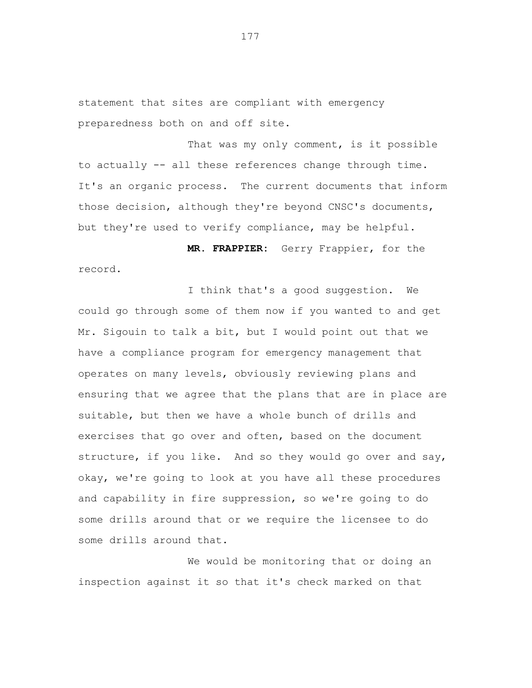statement that sites are compliant with emergency preparedness both on and off site.

That was my only comment, is it possible to actually -- all these references change through time. It's an organic process. The current documents that inform those decision, although they're beyond CNSC's documents, but they're used to verify compliance, may be helpful.

**MR. FRAPPIER:** Gerry Frappier, for the record.

I think that's a good suggestion. We could go through some of them now if you wanted to and get Mr. Sigouin to talk a bit, but I would point out that we have a compliance program for emergency management that operates on many levels, obviously reviewing plans and ensuring that we agree that the plans that are in place are suitable, but then we have a whole bunch of drills and exercises that go over and often, based on the document structure, if you like. And so they would go over and say, okay, we're going to look at you have all these procedures and capability in fire suppression, so we're going to do some drills around that or we require the licensee to do some drills around that.

We would be monitoring that or doing an inspection against it so that it's check marked on that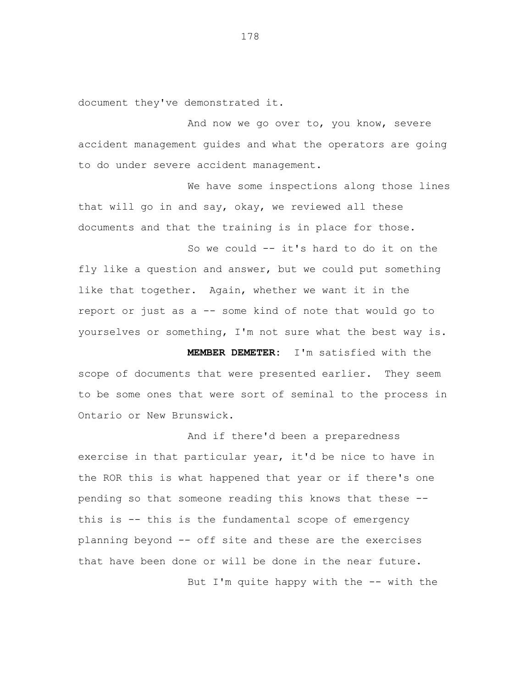document they've demonstrated it.

And now we go over to, you know, severe accident management guides and what the operators are going to do under severe accident management.

We have some inspections along those lines that will go in and say, okay, we reviewed all these documents and that the training is in place for those.

So we could -- it's hard to do it on the fly like a question and answer, but we could put something like that together. Again, whether we want it in the report or just as a -- some kind of note that would go to yourselves or something, I'm not sure what the best way is.

**MEMBER DEMETER:** I'm satisfied with the scope of documents that were presented earlier. They seem to be some ones that were sort of seminal to the process in Ontario or New Brunswick.

And if there'd been a preparedness exercise in that particular year, it'd be nice to have in the ROR this is what happened that year or if there's one pending so that someone reading this knows that these this is -- this is the fundamental scope of emergency planning beyond -- off site and these are the exercises that have been done or will be done in the near future.

But I'm quite happy with the -- with the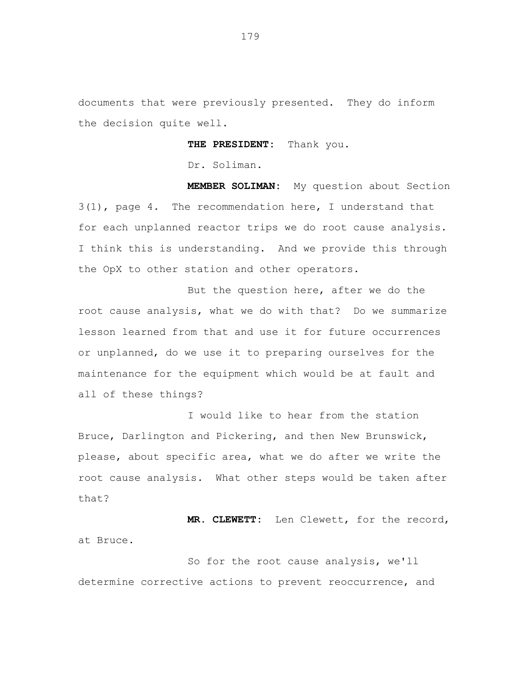documents that were previously presented. They do inform the decision quite well.

**THE PRESIDENT:** Thank you.

Dr. Soliman.

**MEMBER SOLIMAN:** My question about Section 3(1), page 4. The recommendation here, I understand that for each unplanned reactor trips we do root cause analysis. I think this is understanding. And we provide this through the OpX to other station and other operators.

But the question here, after we do the root cause analysis, what we do with that? Do we summarize lesson learned from that and use it for future occurrences or unplanned, do we use it to preparing ourselves for the maintenance for the equipment which would be at fault and all of these things?

I would like to hear from the station Bruce, Darlington and Pickering, and then New Brunswick, please, about specific area, what we do after we write the root cause analysis. What other steps would be taken after that?

**MR. CLEWETT:** Len Clewett, for the record, at Bruce.

So for the root cause analysis, we'll determine corrective actions to prevent reoccurrence, and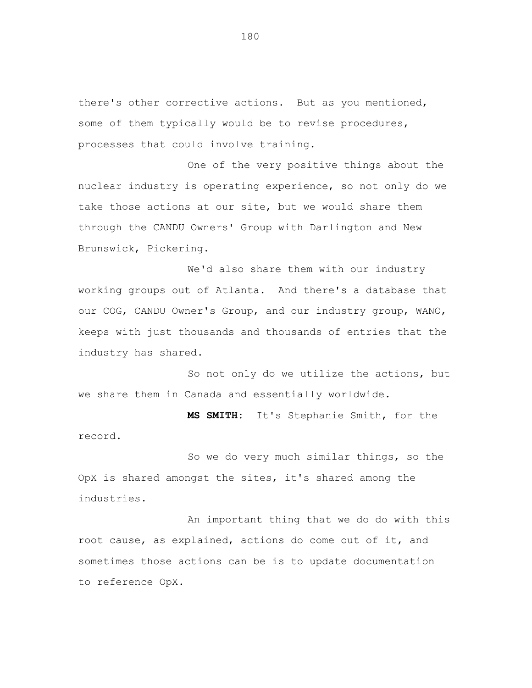there's other corrective actions. But as you mentioned, some of them typically would be to revise procedures, processes that could involve training.

One of the very positive things about the nuclear industry is operating experience, so not only do we take those actions at our site, but we would share them through the CANDU Owners' Group with Darlington and New Brunswick, Pickering.

We'd also share them with our industry working groups out of Atlanta. And there's a database that our COG, CANDU Owner's Group, and our industry group, WANO, keeps with just thousands and thousands of entries that the industry has shared.

So not only do we utilize the actions, but we share them in Canada and essentially worldwide.

**MS SMITH:** It's Stephanie Smith, for the record.

So we do very much similar things, so the OpX is shared amongst the sites, it's shared among the industries.

An important thing that we do do with this root cause, as explained, actions do come out of it, and sometimes those actions can be is to update documentation to reference OpX.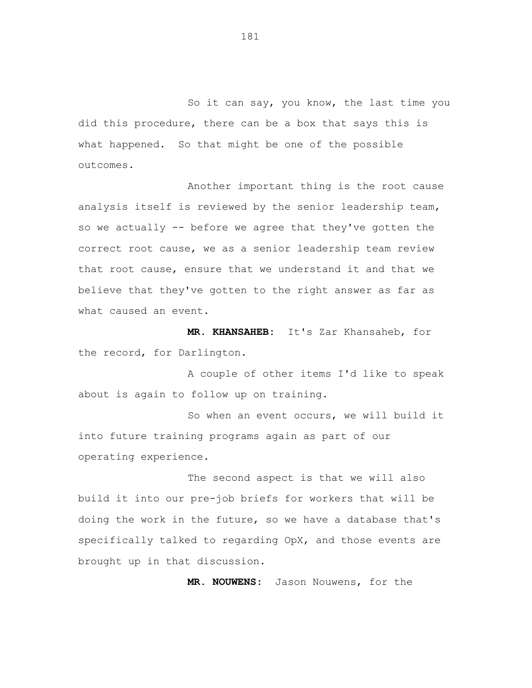So it can say, you know, the last time you did this procedure, there can be a box that says this is what happened. So that might be one of the possible outcomes.

Another important thing is the root cause analysis itself is reviewed by the senior leadership team, so we actually -- before we agree that they've gotten the correct root cause, we as a senior leadership team review that root cause, ensure that we understand it and that we believe that they've gotten to the right answer as far as what caused an event.

**MR. KHANSAHEB:** It's Zar Khansaheb, for the record, for Darlington.

A couple of other items I'd like to speak about is again to follow up on training.

So when an event occurs, we will build it into future training programs again as part of our operating experience.

The second aspect is that we will also build it into our pre-job briefs for workers that will be doing the work in the future, so we have a database that's specifically talked to regarding OpX, and those events are brought up in that discussion.

**MR. NOUWENS:** Jason Nouwens, for the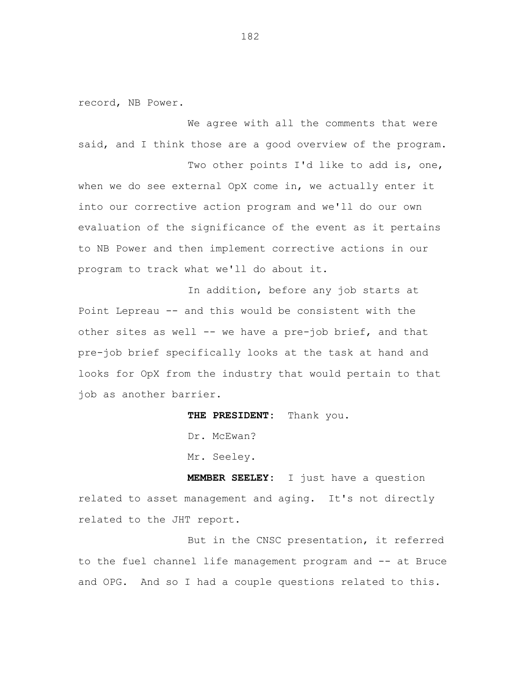record, NB Power.

We agree with all the comments that were said, and I think those are a good overview of the program.

Two other points I'd like to add is, one, when we do see external OpX come in, we actually enter it into our corrective action program and we'll do our own evaluation of the significance of the event as it pertains to NB Power and then implement corrective actions in our program to track what we'll do about it.

In addition, before any job starts at Point Lepreau -- and this would be consistent with the other sites as well -- we have a pre-job brief, and that pre-job brief specifically looks at the task at hand and looks for OpX from the industry that would pertain to that job as another barrier.

**THE PRESIDENT:** Thank you.

Dr. McEwan?

Mr. Seeley.

**MEMBER SEELEY:** I just have a question related to asset management and aging. It's not directly related to the JHT report.

But in the CNSC presentation, it referred to the fuel channel life management program and -- at Bruce and OPG. And so I had a couple questions related to this.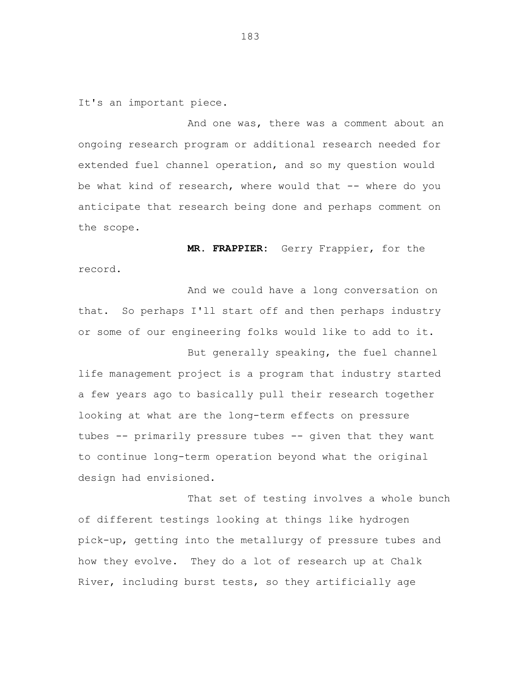It's an important piece.

And one was, there was a comment about an ongoing research program or additional research needed for extended fuel channel operation, and so my question would be what kind of research, where would that -- where do you anticipate that research being done and perhaps comment on the scope.

**MR. FRAPPIER:** Gerry Frappier, for the record.

And we could have a long conversation on that. So perhaps I'll start off and then perhaps industry or some of our engineering folks would like to add to it. But generally speaking, the fuel channel

life management project is a program that industry started a few years ago to basically pull their research together looking at what are the long-term effects on pressure tubes -- primarily pressure tubes -- given that they want to continue long-term operation beyond what the original design had envisioned.

That set of testing involves a whole bunch of different testings looking at things like hydrogen pick-up, getting into the metallurgy of pressure tubes and how they evolve. They do a lot of research up at Chalk River, including burst tests, so they artificially age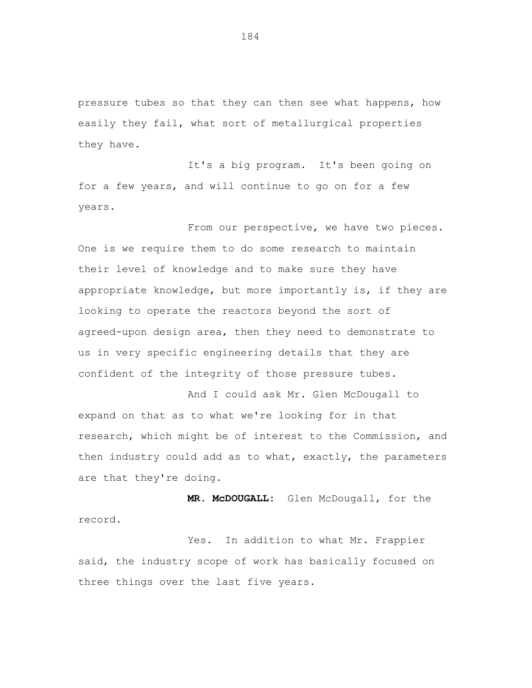pressure tubes so that they can then see what happens, how easily they fail, what sort of metallurgical properties they have.

It's a big program. It's been going on for a few years, and will continue to go on for a few years.

From our perspective, we have two pieces. One is we require them to do some research to maintain their level of knowledge and to make sure they have appropriate knowledge, but more importantly is, if they are looking to operate the reactors beyond the sort of agreed-upon design area, then they need to demonstrate to us in very specific engineering details that they are confident of the integrity of those pressure tubes.

And I could ask Mr. Glen McDougall to expand on that as to what we're looking for in that research, which might be of interest to the Commission, and then industry could add as to what, exactly, the parameters are that they're doing.

 **MR. McDOUGALL:** Glen McDougall, for the record.

Yes. In addition to what Mr. Frappier said, the industry scope of work has basically focused on three things over the last five years.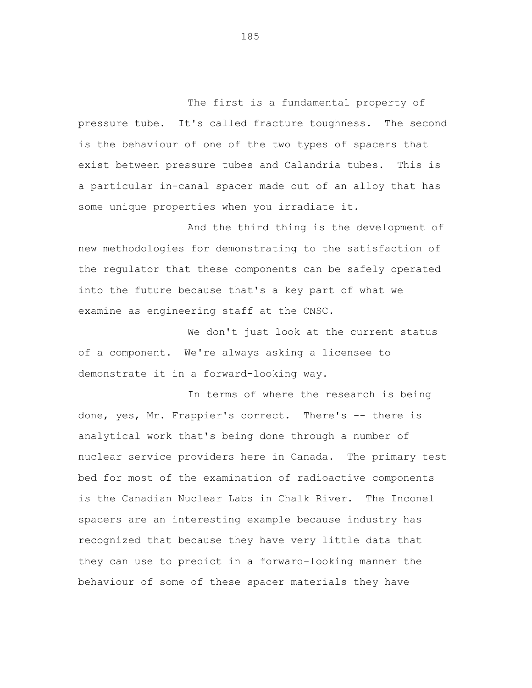The first is a fundamental property of pressure tube. It's called fracture toughness. The second is the behaviour of one of the two types of spacers that exist between pressure tubes and Calandria tubes. This is a particular in-canal spacer made out of an alloy that has some unique properties when you irradiate it.

And the third thing is the development of new methodologies for demonstrating to the satisfaction of the regulator that these components can be safely operated into the future because that's a key part of what we examine as engineering staff at the CNSC.

We don't just look at the current status of a component. We're always asking a licensee to demonstrate it in a forward-looking way.

In terms of where the research is being done, yes, Mr. Frappier's correct. There's -- there is analytical work that's being done through a number of nuclear service providers here in Canada. The primary test bed for most of the examination of radioactive components is the Canadian Nuclear Labs in Chalk River. The Inconel spacers are an interesting example because industry has recognized that because they have very little data that they can use to predict in a forward-looking manner the behaviour of some of these spacer materials they have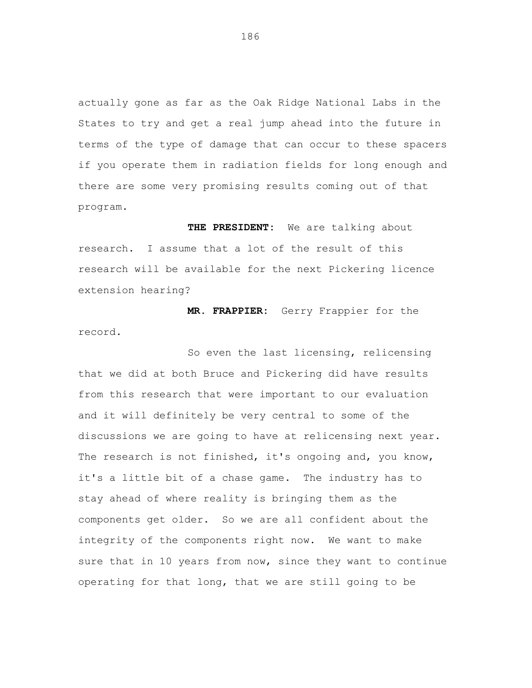actually gone as far as the Oak Ridge National Labs in the States to try and get a real jump ahead into the future in terms of the type of damage that can occur to these spacers if you operate them in radiation fields for long enough and there are some very promising results coming out of that program.

**THE PRESIDENT:** We are talking about research. I assume that a lot of the result of this research will be available for the next Pickering licence extension hearing?

**MR. FRAPPIER:** Gerry Frappier for the record.

So even the last licensing, relicensing that we did at both Bruce and Pickering did have results from this research that were important to our evaluation and it will definitely be very central to some of the discussions we are going to have at relicensing next year. The research is not finished, it's ongoing and, you know, it's a little bit of a chase game. The industry has to stay ahead of where reality is bringing them as the components get older. So we are all confident about the integrity of the components right now. We want to make sure that in 10 years from now, since they want to continue operating for that long, that we are still going to be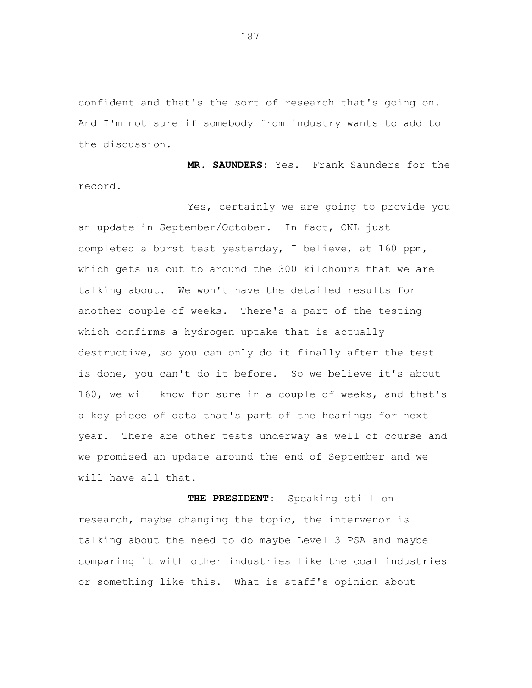confident and that's the sort of research that's going on. And I'm not sure if somebody from industry wants to add to the discussion.

**MR. SAUNDERS:** Yes. Frank Saunders for the record.

Yes, certainly we are going to provide you an update in September/October. In fact, CNL just completed a burst test yesterday, I believe, at 160 ppm, which gets us out to around the 300 kilohours that we are talking about. We won't have the detailed results for another couple of weeks. There's a part of the testing which confirms a hydrogen uptake that is actually destructive, so you can only do it finally after the test is done, you can't do it before. So we believe it's about 160, we will know for sure in a couple of weeks, and that's a key piece of data that's part of the hearings for next year. There are other tests underway as well of course and we promised an update around the end of September and we will have all that.

**THE PRESIDENT:** Speaking still on research, maybe changing the topic, the intervenor is talking about the need to do maybe Level 3 PSA and maybe comparing it with other industries like the coal industries or something like this. What is staff's opinion about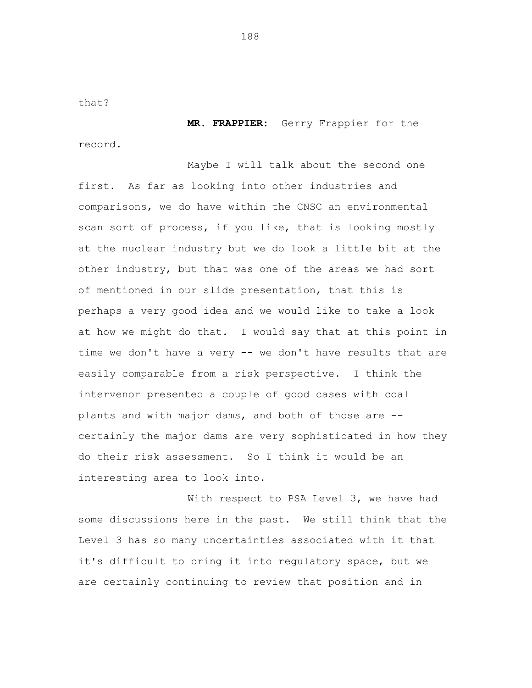that?

**MR. FRAPPIER:** Gerry Frappier for the record.

Maybe I will talk about the second one first. As far as looking into other industries and comparisons, we do have within the CNSC an environmental scan sort of process, if you like, that is looking mostly at the nuclear industry but we do look a little bit at the other industry, but that was one of the areas we had sort of mentioned in our slide presentation, that this is perhaps a very good idea and we would like to take a look at how we might do that. I would say that at this point in time we don't have a very -- we don't have results that are easily comparable from a risk perspective. I think the intervenor presented a couple of good cases with coal plants and with major dams, and both of those are certainly the major dams are very sophisticated in how they do their risk assessment. So I think it would be an interesting area to look into.

With respect to PSA Level 3, we have had some discussions here in the past. We still think that the Level 3 has so many uncertainties associated with it that it's difficult to bring it into regulatory space, but we are certainly continuing to review that position and in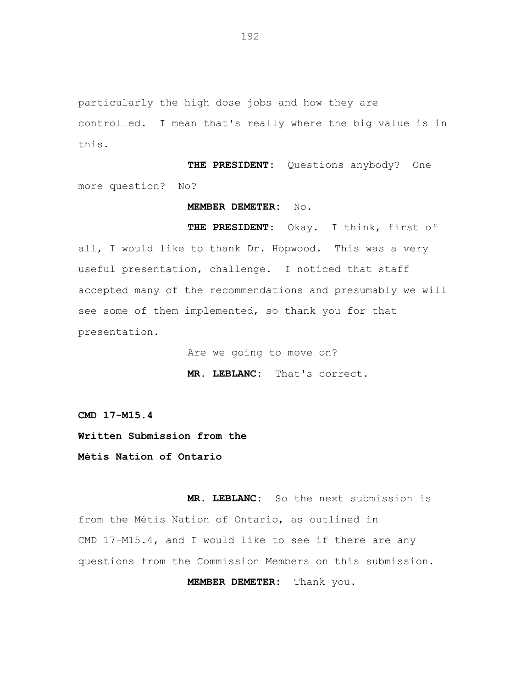particularly the high dose jobs and how they are controlled. I mean that's really where the big value is in this.

**THE PRESIDENT:** Questions anybody? One more question? No?

## **MEMBER DEMETER:** No.

**THE PRESIDENT:** Okay. I think, first of all, I would like to thank Dr. Hopwood. This was a very useful presentation, challenge. I noticed that staff accepted many of the recommendations and presumably we will see some of them implemented, so thank you for that presentation.

> Are we going to move on? **MR. LEBLANC:** That's correct.

**CMD 17-M15.4** 

**Written Submission from the** 

**Métis Nation of Ontario** 

**MR. LEBLANC:** So the next submission is from the Métis Nation of Ontario, as outlined in CMD 17-M15.4, and I would like to see if there are any questions from the Commission Members on this submission.

**MEMBER DEMETER:** Thank you.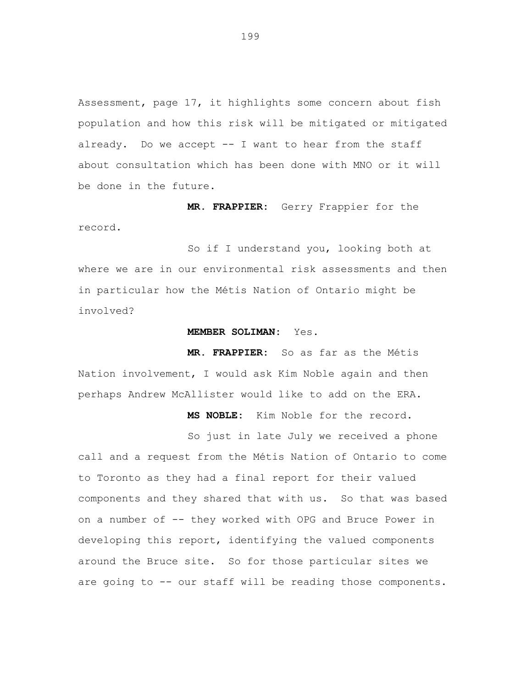Assessment, page 17, it highlights some concern about fish population and how this risk will be mitigated or mitigated already. Do we accept -- I want to hear from the staff about consultation which has been done with MNO or it will be done in the future.

**MR. FRAPPIER:** Gerry Frappier for the record.

So if I understand you, looking both at where we are in our environmental risk assessments and then in particular how the Métis Nation of Ontario might be involved?

## **MEMBER SOLIMAN:** Yes.

**MR. FRAPPIER:** So as far as the Métis Nation involvement, I would ask Kim Noble again and then perhaps Andrew McAllister would like to add on the ERA.

**MS NOBLE:** Kim Noble for the record.

So just in late July we received a phone call and a request from the Métis Nation of Ontario to come to Toronto as they had a final report for their valued components and they shared that with us. So that was based on a number of -- they worked with OPG and Bruce Power in developing this report, identifying the valued components around the Bruce site. So for those particular sites we are going to -- our staff will be reading those components.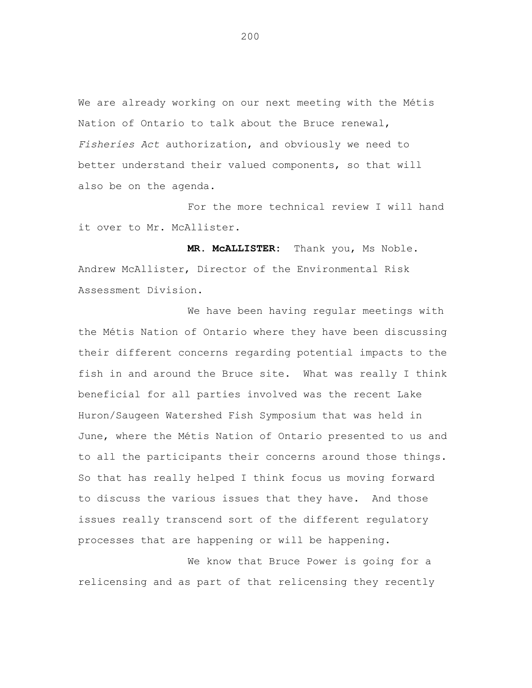We are already working on our next meeting with the Métis Nation of Ontario to talk about the Bruce renewal, *Fisheries Act* authorization, and obviously we need to better understand their valued components, so that will also be on the agenda.

For the more technical review I will hand it over to Mr. McAllister.

**MR. McALLISTER:** Thank you, Ms Noble. Andrew McAllister, Director of the Environmental Risk Assessment Division.

We have been having regular meetings with the Métis Nation of Ontario where they have been discussing their different concerns regarding potential impacts to the fish in and around the Bruce site. What was really I think beneficial for all parties involved was the recent Lake Huron/Saugeen Watershed Fish Symposium that was held in June, where the Métis Nation of Ontario presented to us and to all the participants their concerns around those things. So that has really helped I think focus us moving forward to discuss the various issues that they have. And those issues really transcend sort of the different regulatory processes that are happening or will be happening.

We know that Bruce Power is going for a relicensing and as part of that relicensing they recently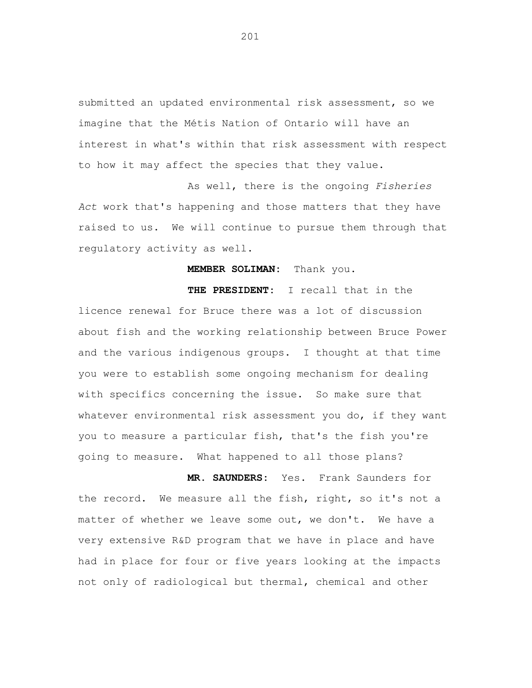submitted an updated environmental risk assessment, so we imagine that the Métis Nation of Ontario will have an interest in what's within that risk assessment with respect to how it may affect the species that they value.

As well, there is the ongoing *Fisheries Act* work that's happening and those matters that they have raised to us. We will continue to pursue them through that regulatory activity as well.

## **MEMBER SOLIMAN:** Thank you.

**THE PRESIDENT:** I recall that in the licence renewal for Bruce there was a lot of discussion about fish and the working relationship between Bruce Power and the various indigenous groups. I thought at that time you were to establish some ongoing mechanism for dealing with specifics concerning the issue. So make sure that whatever environmental risk assessment you do, if they want you to measure a particular fish, that's the fish you're going to measure. What happened to all those plans?

**MR. SAUNDERS:** Yes. Frank Saunders for the record. We measure all the fish, right, so it's not a matter of whether we leave some out, we don't. We have a very extensive R&D program that we have in place and have had in place for four or five years looking at the impacts not only of radiological but thermal, chemical and other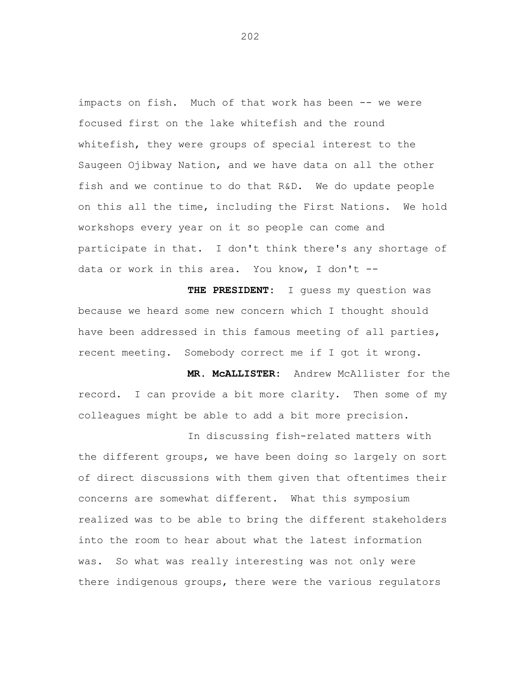impacts on fish. Much of that work has been -- we were focused first on the lake whitefish and the round whitefish, they were groups of special interest to the Saugeen Ojibway Nation, and we have data on all the other fish and we continue to do that R&D. We do update people on this all the time, including the First Nations. We hold workshops every year on it so people can come and participate in that. I don't think there's any shortage of data or work in this area. You know, I don't -

**THE PRESIDENT:** I guess my question was because we heard some new concern which I thought should have been addressed in this famous meeting of all parties, recent meeting. Somebody correct me if I got it wrong.

**MR. McALLISTER:** Andrew McAllister for the record. I can provide a bit more clarity. Then some of my colleagues might be able to add a bit more precision.

In discussing fish-related matters with the different groups, we have been doing so largely on sort of direct discussions with them given that oftentimes their concerns are somewhat different. What this symposium realized was to be able to bring the different stakeholders into the room to hear about what the latest information was. So what was really interesting was not only were there indigenous groups, there were the various regulators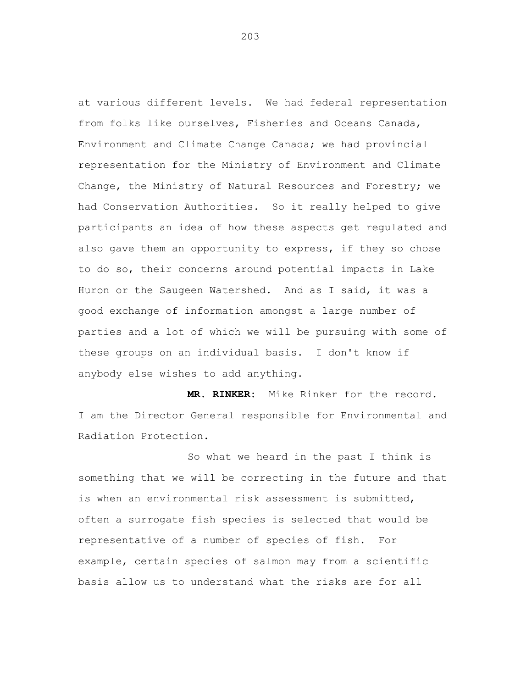at various different levels. We had federal representation from folks like ourselves, Fisheries and Oceans Canada, Environment and Climate Change Canada; we had provincial representation for the Ministry of Environment and Climate Change, the Ministry of Natural Resources and Forestry; we had Conservation Authorities. So it really helped to give participants an idea of how these aspects get regulated and also gave them an opportunity to express, if they so chose to do so, their concerns around potential impacts in Lake Huron or the Saugeen Watershed. And as I said, it was a good exchange of information amongst a large number of parties and a lot of which we will be pursuing with some of these groups on an individual basis. I don't know if anybody else wishes to add anything.

**MR. RINKER:** Mike Rinker for the record. I am the Director General responsible for Environmental and Radiation Protection.

So what we heard in the past I think is something that we will be correcting in the future and that is when an environmental risk assessment is submitted, often a surrogate fish species is selected that would be representative of a number of species of fish. For example, certain species of salmon may from a scientific basis allow us to understand what the risks are for all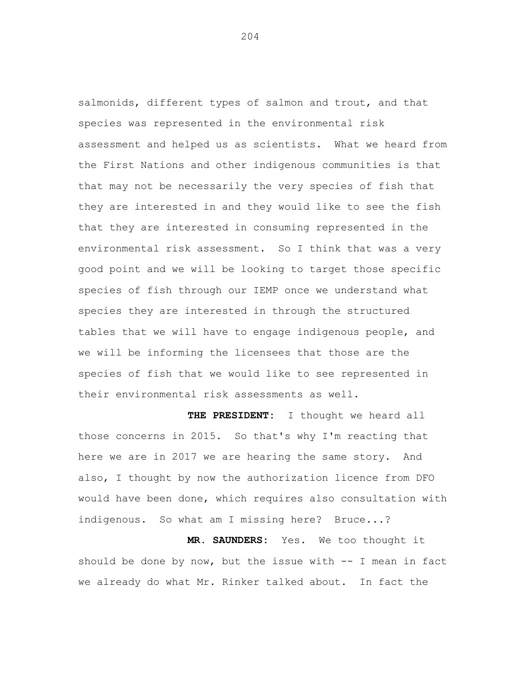salmonids, different types of salmon and trout, and that species was represented in the environmental risk assessment and helped us as scientists. What we heard from the First Nations and other indigenous communities is that that may not be necessarily the very species of fish that they are interested in and they would like to see the fish that they are interested in consuming represented in the environmental risk assessment. So I think that was a very good point and we will be looking to target those specific species of fish through our IEMP once we understand what species they are interested in through the structured tables that we will have to engage indigenous people, and we will be informing the licensees that those are the species of fish that we would like to see represented in their environmental risk assessments as well.

**THE PRESIDENT:** I thought we heard all those concerns in 2015. So that's why I'm reacting that here we are in 2017 we are hearing the same story. And also, I thought by now the authorization licence from DFO would have been done, which requires also consultation with indigenous. So what am I missing here? Bruce...?

**MR. SAUNDERS:** Yes. We too thought it should be done by now, but the issue with  $-$  I mean in fact we already do what Mr. Rinker talked about. In fact the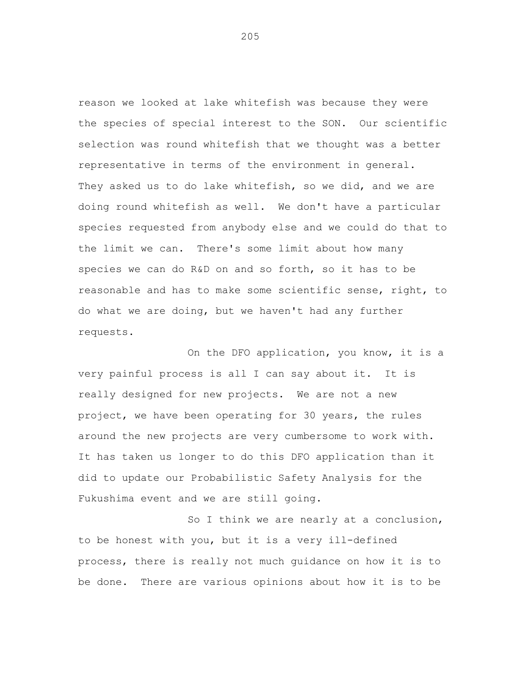reason we looked at lake whitefish was because they were the species of special interest to the SON. Our scientific selection was round whitefish that we thought was a better representative in terms of the environment in general. They asked us to do lake whitefish, so we did, and we are doing round whitefish as well. We don't have a particular species requested from anybody else and we could do that to the limit we can. There's some limit about how many species we can do R&D on and so forth, so it has to be reasonable and has to make some scientific sense, right, to do what we are doing, but we haven't had any further requests.

On the DFO application, you know, it is a very painful process is all I can say about it. It is really designed for new projects. We are not a new project, we have been operating for 30 years, the rules around the new projects are very cumbersome to work with. It has taken us longer to do this DFO application than it did to update our Probabilistic Safety Analysis for the Fukushima event and we are still going.

So I think we are nearly at a conclusion, to be honest with you, but it is a very ill-defined process, there is really not much guidance on how it is to be done. There are various opinions about how it is to be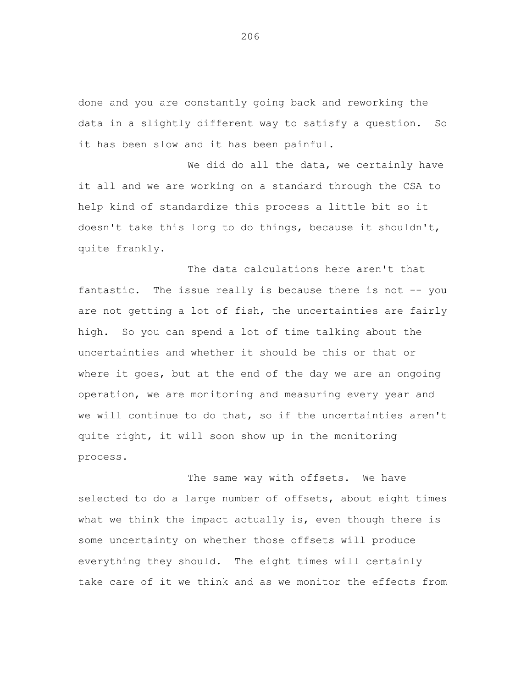done and you are constantly going back and reworking the data in a slightly different way to satisfy a question. So it has been slow and it has been painful.

We did do all the data, we certainly have it all and we are working on a standard through the CSA to help kind of standardize this process a little bit so it doesn't take this long to do things, because it shouldn't, quite frankly.

The data calculations here aren't that fantastic. The issue really is because there is not -- you are not getting a lot of fish, the uncertainties are fairly high. So you can spend a lot of time talking about the uncertainties and whether it should be this or that or where it goes, but at the end of the day we are an ongoing operation, we are monitoring and measuring every year and we will continue to do that, so if the uncertainties aren't quite right, it will soon show up in the monitoring process.

The same way with offsets. We have selected to do a large number of offsets, about eight times what we think the impact actually is, even though there is some uncertainty on whether those offsets will produce everything they should. The eight times will certainly take care of it we think and as we monitor the effects from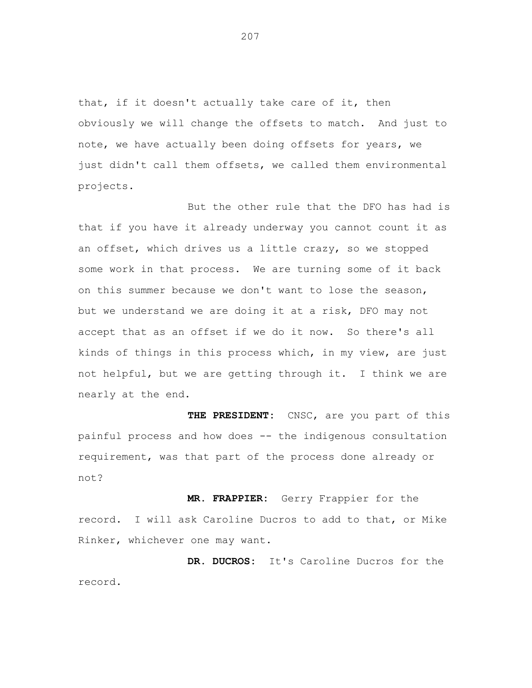that, if it doesn't actually take care of it, then obviously we will change the offsets to match. And just to note, we have actually been doing offsets for years, we just didn't call them offsets, we called them environmental projects.

But the other rule that the DFO has had is that if you have it already underway you cannot count it as an offset, which drives us a little crazy, so we stopped some work in that process. We are turning some of it back on this summer because we don't want to lose the season, but we understand we are doing it at a risk, DFO may not accept that as an offset if we do it now. So there's all kinds of things in this process which, in my view, are just not helpful, but we are getting through it. I think we are nearly at the end.

**THE PRESIDENT:** CNSC, are you part of this painful process and how does -- the indigenous consultation requirement, was that part of the process done already or not?

**MR. FRAPPIER:** Gerry Frappier for the record. I will ask Caroline Ducros to add to that, or Mike Rinker, whichever one may want.

**DR. DUCROS:** It's Caroline Ducros for the record.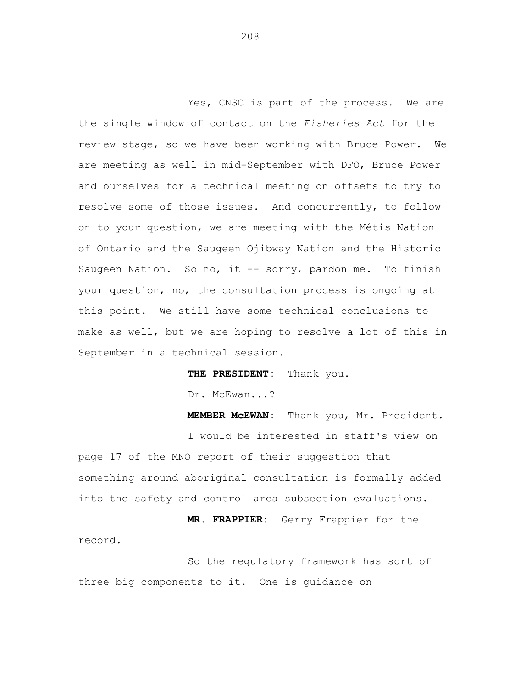Yes, CNSC is part of the process. We are the single window of contact on the *Fisheries Act* for the review stage, so we have been working with Bruce Power. We are meeting as well in mid-September with DFO, Bruce Power and ourselves for a technical meeting on offsets to try to resolve some of those issues. And concurrently, to follow on to your question, we are meeting with the Métis Nation of Ontario and the Saugeen Ojibway Nation and the Historic Saugeen Nation. So no, it -- sorry, pardon me. To finish your question, no, the consultation process is ongoing at this point. We still have some technical conclusions to make as well, but we are hoping to resolve a lot of this in September in a technical session.

**THE PRESIDENT:** Thank you.

Dr. McEwan...?

**MEMBER McEWAN:** Thank you, Mr. President. I would be interested in staff's view on page 17 of the MNO report of their suggestion that something around aboriginal consultation is formally added into the safety and control area subsection evaluations.

**MR. FRAPPIER:** Gerry Frappier for the record.

So the regulatory framework has sort of three big components to it. One is guidance on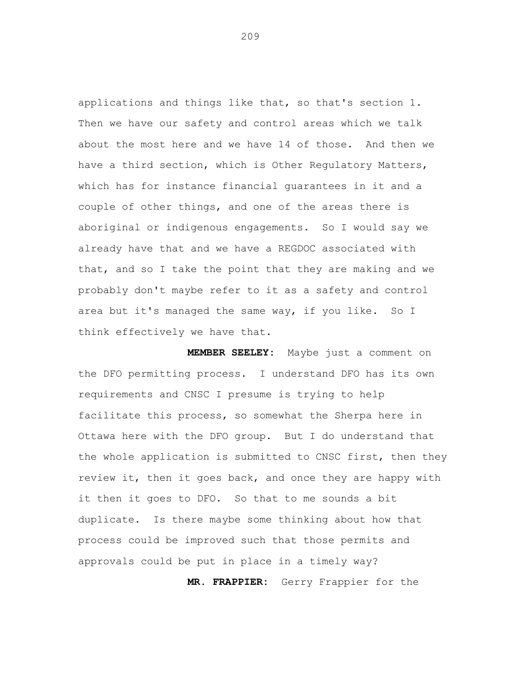applications and things like that, so that's section 1. Then we have our safety and control areas which we talk about the most here and we have 14 of those. And then we have a third section, which is Other Regulatory Matters, which has for instance financial guarantees in it and a couple of other things, and one of the areas there is aboriginal or indigenous engagements. So I would say we already have that and we have a REGDOC associated with that, and so I take the point that they are making and we probably don't maybe refer to it as a safety and control area but it's managed the same way, if you like. So I think effectively we have that.

**MEMBER SEELEY:** Maybe just a comment on the DFO permitting process. I understand DFO has its own requirements and CNSC I presume is trying to help facilitate this process, so somewhat the Sherpa here in Ottawa here with the DFO group. But I do understand that the whole application is submitted to CNSC first, then they review it, then it goes back, and once they are happy with it then it goes to DFO. So that to me sounds a bit duplicate. Is there maybe some thinking about how that process could be improved such that those permits and approvals could be put in place in a timely way?

**MR. FRAPPIER:** Gerry Frappier for the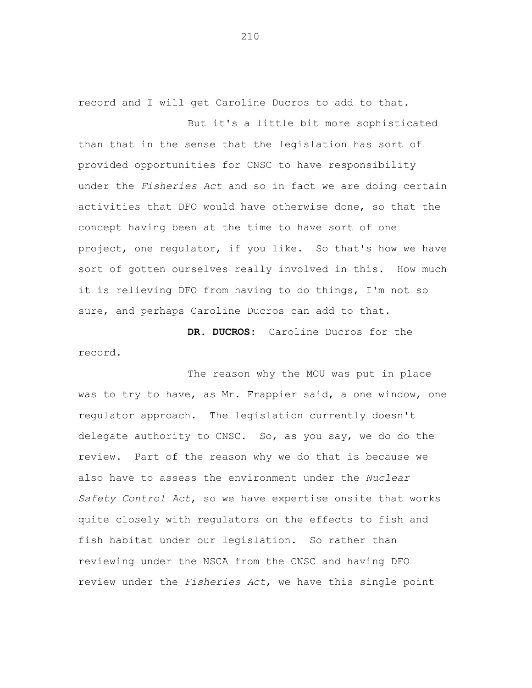record and I will get Caroline Ducros to add to that.

But it's a little bit more sophisticated than that in the sense that the legislation has sort of provided opportunities for CNSC to have responsibility under the *Fisheries Act* and so in fact we are doing certain activities that DFO would have otherwise done, so that the concept having been at the time to have sort of one project, one regulator, if you like. So that's how we have sort of gotten ourselves really involved in this. How much it is relieving DFO from having to do things, I'm not so sure, and perhaps Caroline Ducros can add to that.

**DR. DUCROS:** Caroline Ducros for the record.

The reason why the MOU was put in place was to try to have, as Mr. Frappier said, a one window, one regulator approach. The legislation currently doesn't delegate authority to CNSC. So, as you say, we do do the review. Part of the reason why we do that is because we also have to assess the environment under the *Nuclear Safety Control Act*, so we have expertise onsite that works quite closely with regulators on the effects to fish and fish habitat under our legislation. So rather than reviewing under the NSCA from the CNSC and having DFO review under the *Fisheries Act*, we have this single point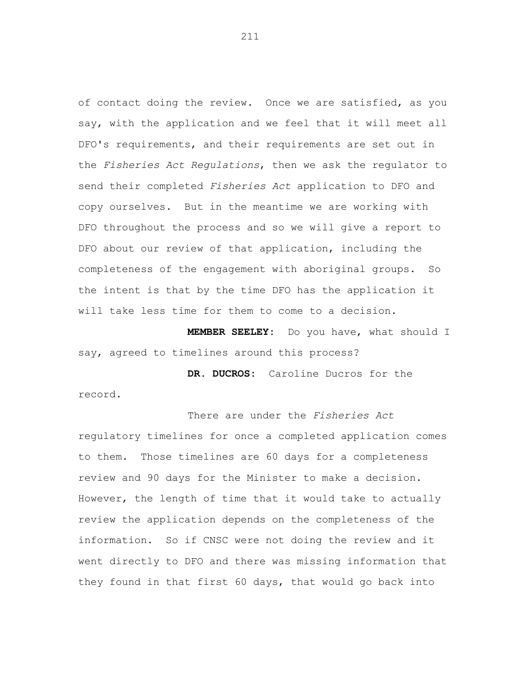of contact doing the review. Once we are satisfied, as you say, with the application and we feel that it will meet all DFO's requirements, and their requirements are set out in the *Fisheries Act Regulations*, then we ask the regulator to send their completed *Fisheries Act* application to DFO and copy ourselves. But in the meantime we are working with DFO throughout the process and so we will give a report to DFO about our review of that application, including the completeness of the engagement with aboriginal groups. So the intent is that by the time DFO has the application it will take less time for them to come to a decision.

**MEMBER SEELEY:** Do you have, what should I say, agreed to timelines around this process?

**DR. DUCROS:** Caroline Ducros for the record.

There are under the *Fisheries Act*  regulatory timelines for once a completed application comes to them. Those timelines are 60 days for a completeness review and 90 days for the Minister to make a decision. However, the length of time that it would take to actually review the application depends on the completeness of the information. So if CNSC were not doing the review and it went directly to DFO and there was missing information that they found in that first 60 days, that would go back into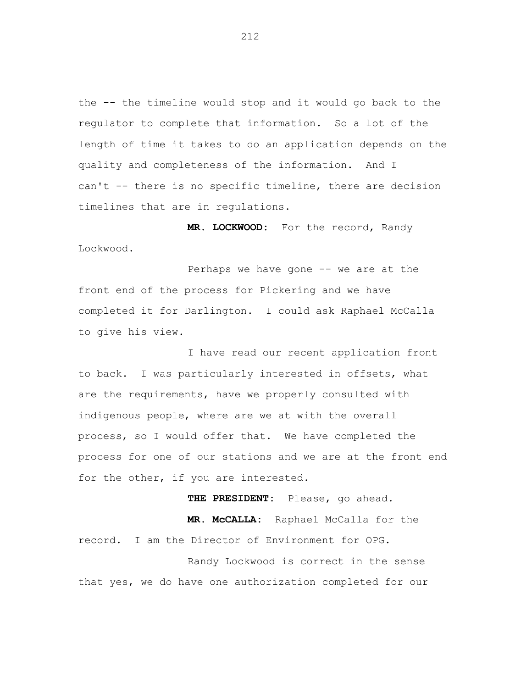the -- the timeline would stop and it would go back to the regulator to complete that information. So a lot of the length of time it takes to do an application depends on the quality and completeness of the information. And I can't -- there is no specific timeline, there are decision timelines that are in regulations.

**MR. LOCKWOOD:** For the record, Randy Lockwood.

Perhaps we have gone -- we are at the front end of the process for Pickering and we have completed it for Darlington. I could ask Raphael McCalla to give his view.

I have read our recent application front to back. I was particularly interested in offsets, what are the requirements, have we properly consulted with indigenous people, where are we at with the overall process, so I would offer that. We have completed the process for one of our stations and we are at the front end for the other, if you are interested.

**THE PRESIDENT:** Please, go ahead.

**MR. McCALLA:** Raphael McCalla for the record. I am the Director of Environment for OPG. Randy Lockwood is correct in the sense that yes, we do have one authorization completed for our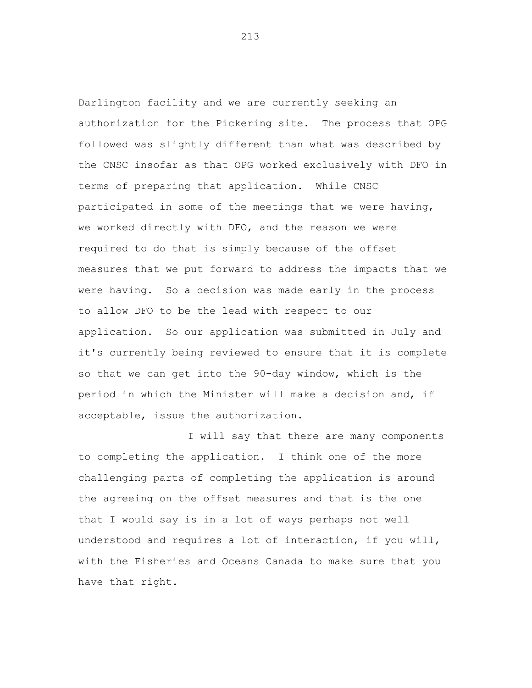Darlington facility and we are currently seeking an authorization for the Pickering site. The process that OPG followed was slightly different than what was described by the CNSC insofar as that OPG worked exclusively with DFO in terms of preparing that application. While CNSC participated in some of the meetings that we were having, we worked directly with DFO, and the reason we were required to do that is simply because of the offset measures that we put forward to address the impacts that we were having. So a decision was made early in the process to allow DFO to be the lead with respect to our application. So our application was submitted in July and it's currently being reviewed to ensure that it is complete so that we can get into the 90-day window, which is the period in which the Minister will make a decision and, if acceptable, issue the authorization.

I will say that there are many components to completing the application. I think one of the more challenging parts of completing the application is around the agreeing on the offset measures and that is the one that I would say is in a lot of ways perhaps not well understood and requires a lot of interaction, if you will, with the Fisheries and Oceans Canada to make sure that you have that right.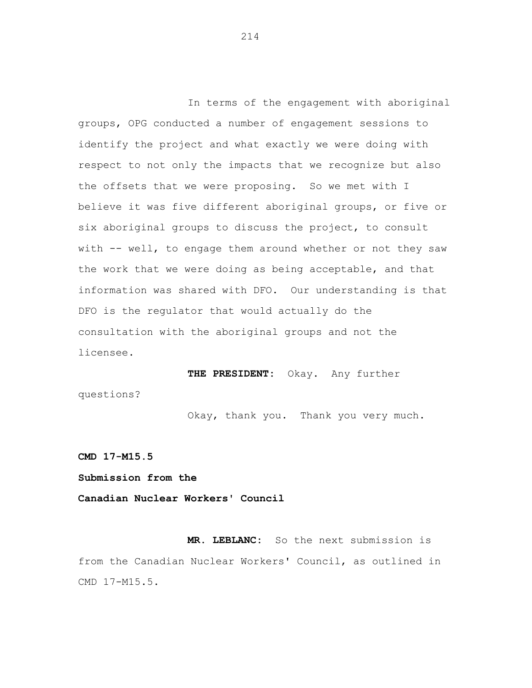In terms of the engagement with aboriginal groups, OPG conducted a number of engagement sessions to identify the project and what exactly we were doing with respect to not only the impacts that we recognize but also the offsets that we were proposing. So we met with I believe it was five different aboriginal groups, or five or six aboriginal groups to discuss the project, to consult with -- well, to engage them around whether or not they saw the work that we were doing as being acceptable, and that information was shared with DFO. Our understanding is that DFO is the regulator that would actually do the consultation with the aboriginal groups and not the licensee.

**THE PRESIDENT:** Okay. Any further questions?

Okay, thank you. Thank you very much.

**CMD 17-M15.5** 

**Submission from the** 

**Canadian Nuclear Workers' Council** 

**MR. LEBLANC:** So the next submission is from the Canadian Nuclear Workers' Council, as outlined in CMD 17-M15.5.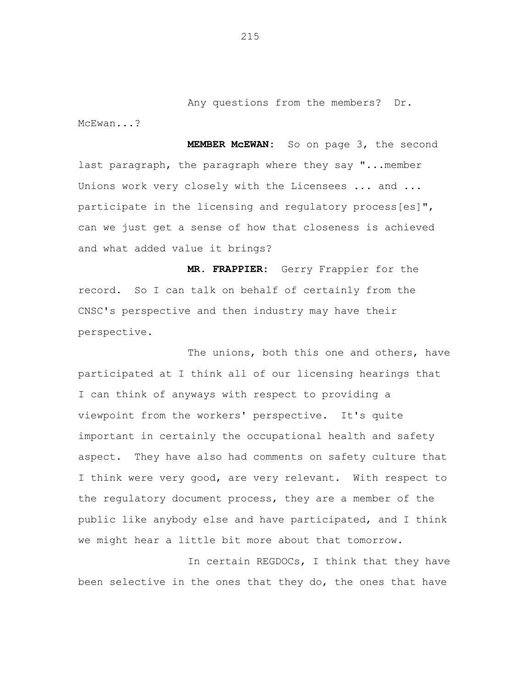Any questions from the members? Dr. McEwan...?

**MEMBER McEWAN:** So on page 3, the second last paragraph, the paragraph where they say "...member Unions work very closely with the Licensees ... and ... participate in the licensing and regulatory process[es]", can we just get a sense of how that closeness is achieved and what added value it brings?

**MR. FRAPPIER:** Gerry Frappier for the record. So I can talk on behalf of certainly from the CNSC's perspective and then industry may have their perspective.

The unions, both this one and others, have participated at I think all of our licensing hearings that I can think of anyways with respect to providing a viewpoint from the workers' perspective. It's quite important in certainly the occupational health and safety aspect. They have also had comments on safety culture that I think were very good, are very relevant. With respect to the regulatory document process, they are a member of the public like anybody else and have participated, and I think we might hear a little bit more about that tomorrow.

In certain REGDOCs, I think that they have been selective in the ones that they do, the ones that have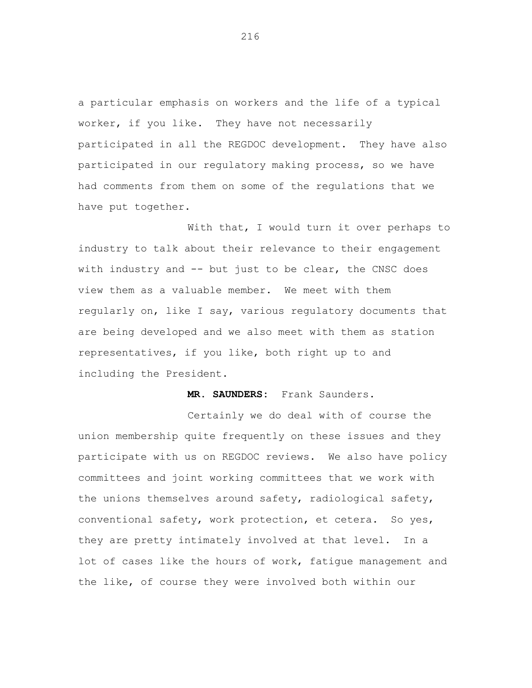a particular emphasis on workers and the life of a typical worker, if you like. They have not necessarily participated in all the REGDOC development. They have also participated in our regulatory making process, so we have had comments from them on some of the regulations that we have put together.

With that, I would turn it over perhaps to industry to talk about their relevance to their engagement with industry and -- but just to be clear, the CNSC does view them as a valuable member. We meet with them regularly on, like I say, various regulatory documents that are being developed and we also meet with them as station representatives, if you like, both right up to and including the President.

**MR. SAUNDERS:** Frank Saunders.

Certainly we do deal with of course the union membership quite frequently on these issues and they participate with us on REGDOC reviews. We also have policy committees and joint working committees that we work with the unions themselves around safety, radiological safety, conventional safety, work protection, et cetera. So yes, they are pretty intimately involved at that level. In a lot of cases like the hours of work, fatigue management and the like, of course they were involved both within our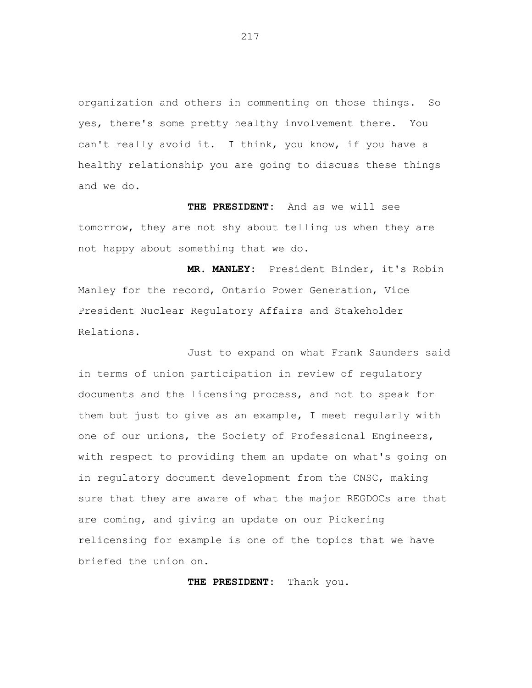organization and others in commenting on those things. So yes, there's some pretty healthy involvement there. You can't really avoid it. I think, you know, if you have a healthy relationship you are going to discuss these things and we do.

**THE PRESIDENT:** And as we will see tomorrow, they are not shy about telling us when they are not happy about something that we do.

**MR. MANLEY:** President Binder, it's Robin Manley for the record, Ontario Power Generation, Vice President Nuclear Regulatory Affairs and Stakeholder Relations.

Just to expand on what Frank Saunders said in terms of union participation in review of regulatory documents and the licensing process, and not to speak for them but just to give as an example, I meet regularly with one of our unions, the Society of Professional Engineers, with respect to providing them an update on what's going on in regulatory document development from the CNSC, making sure that they are aware of what the major REGDOCs are that are coming, and giving an update on our Pickering relicensing for example is one of the topics that we have briefed the union on.

**THE PRESIDENT:** Thank you.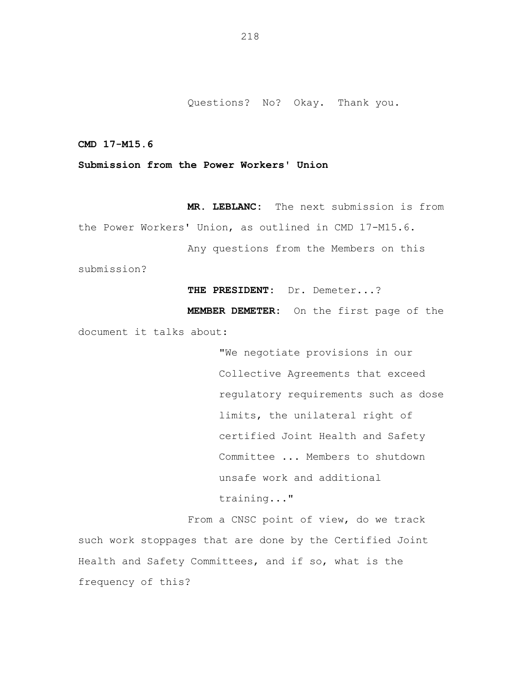Questions? No? Okay. Thank you.

**CMD 17-M15.6** 

## **Submission from the Power Workers' Union**

**MR. LEBLANC:** The next submission is from the Power Workers' Union, as outlined in CMD 17-M15.6. Any questions from the Members on this submission?

**THE PRESIDENT:** Dr. Demeter...?

**MEMBER DEMETER:** On the first page of the document it talks about:

> "We negotiate provisions in our Collective Agreements that exceed regulatory requirements such as dose limits, the unilateral right of certified Joint Health and Safety Committee ... Members to shutdown unsafe work and additional training..."

From a CNSC point of view, do we track such work stoppages that are done by the Certified Joint Health and Safety Committees, and if so, what is the frequency of this?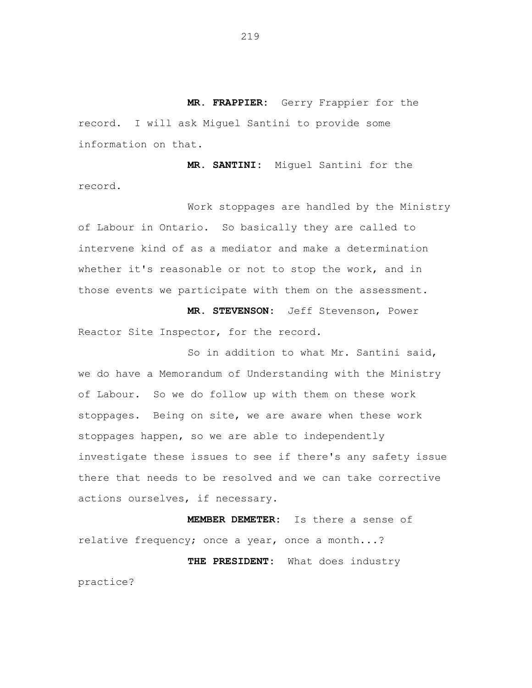**MR. FRAPPIER:** Gerry Frappier for the record. I will ask Miguel Santini to provide some information on that.

**MR. SANTINI:** Miguel Santini for the record.

Work stoppages are handled by the Ministry of Labour in Ontario. So basically they are called to intervene kind of as a mediator and make a determination whether it's reasonable or not to stop the work, and in those events we participate with them on the assessment.

**MR. STEVENSON:** Jeff Stevenson, Power Reactor Site Inspector, for the record.

So in addition to what Mr. Santini said, we do have a Memorandum of Understanding with the Ministry of Labour. So we do follow up with them on these work stoppages. Being on site, we are aware when these work stoppages happen, so we are able to independently investigate these issues to see if there's any safety issue there that needs to be resolved and we can take corrective actions ourselves, if necessary.

**MEMBER DEMETER:** Is there a sense of relative frequency; once a year, once a month...? **THE PRESIDENT:** What does industry

practice?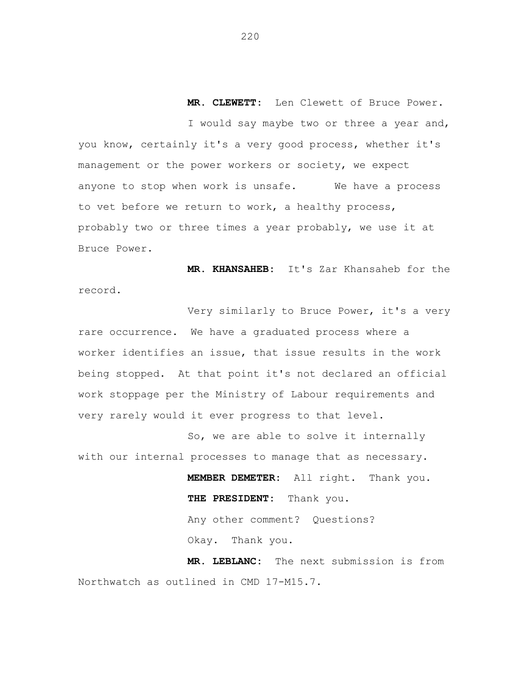**MR. CLEWETT:** Len Clewett of Bruce Power.

I would say maybe two or three a year and, you know, certainly it's a very good process, whether it's management or the power workers or society, we expect anyone to stop when work is unsafe. We have a process to vet before we return to work, a healthy process, probably two or three times a year probably, we use it at Bruce Power.

**MR. KHANSAHEB:** It's Zar Khansaheb for the record.

Very similarly to Bruce Power, it's a very rare occurrence. We have a graduated process where a worker identifies an issue, that issue results in the work being stopped. At that point it's not declared an official work stoppage per the Ministry of Labour requirements and very rarely would it ever progress to that level.

So, we are able to solve it internally with our internal processes to manage that as necessary.

> **MEMBER DEMETER:** All right. Thank you. **THE PRESIDENT:** Thank you. Any other comment? Questions? Okay. Thank you.

**MR. LEBLANC:** The next submission is from Northwatch as outlined in CMD 17-M15.7.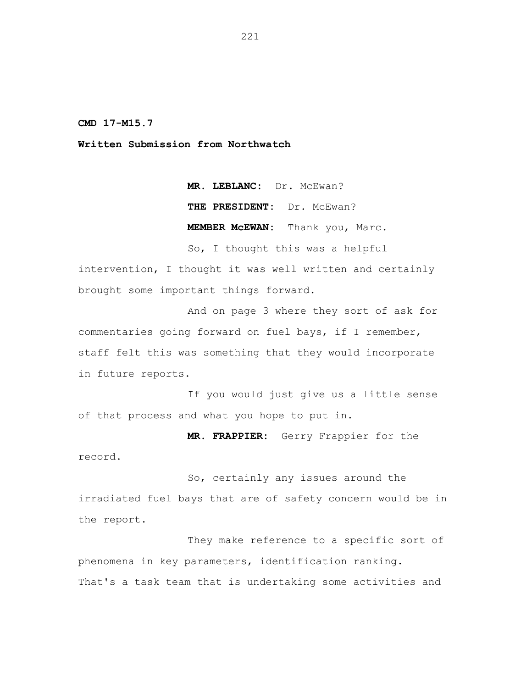**CMD 17-M15.7** 

**Written Submission from Northwatch** 

**MR. LEBLANC:** Dr. McEwan? **THE PRESIDENT:** Dr. McEwan? **MEMBER McEWAN:** Thank you, Marc.

So, I thought this was a helpful intervention, I thought it was well written and certainly brought some important things forward.

And on page 3 where they sort of ask for commentaries going forward on fuel bays, if I remember, staff felt this was something that they would incorporate in future reports.

If you would just give us a little sense of that process and what you hope to put in.

**MR. FRAPPIER:** Gerry Frappier for the record.

So, certainly any issues around the irradiated fuel bays that are of safety concern would be in the report.

They make reference to a specific sort of phenomena in key parameters, identification ranking. That's a task team that is undertaking some activities and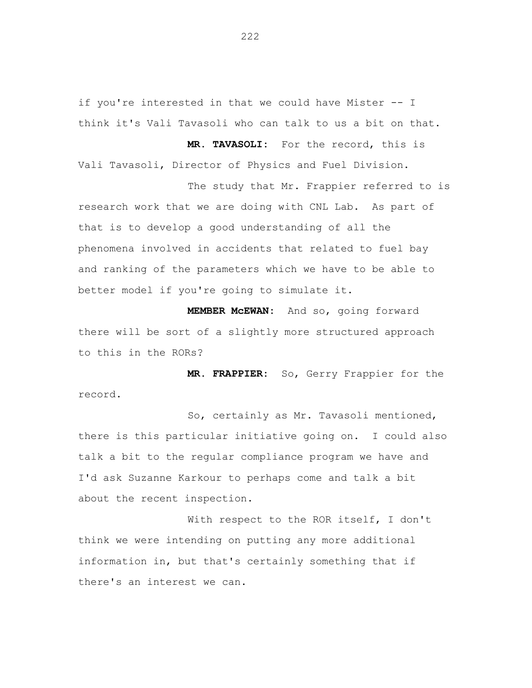if you're interested in that we could have Mister -- I think it's Vali Tavasoli who can talk to us a bit on that.

Vali Tavasoli, Director of Physics and Fuel Division. The study that Mr. Frappier referred to is

**MR. TAVASOLI:** For the record, this is

research work that we are doing with CNL Lab. As part of that is to develop a good understanding of all the phenomena involved in accidents that related to fuel bay and ranking of the parameters which we have to be able to better model if you're going to simulate it.

**MEMBER McEWAN:** And so, going forward there will be sort of a slightly more structured approach to this in the RORs?

**MR. FRAPPIER:** So, Gerry Frappier for the record.

So, certainly as Mr. Tavasoli mentioned, there is this particular initiative going on. I could also talk a bit to the regular compliance program we have and I'd ask Suzanne Karkour to perhaps come and talk a bit about the recent inspection.

With respect to the ROR itself, I don't think we were intending on putting any more additional information in, but that's certainly something that if there's an interest we can.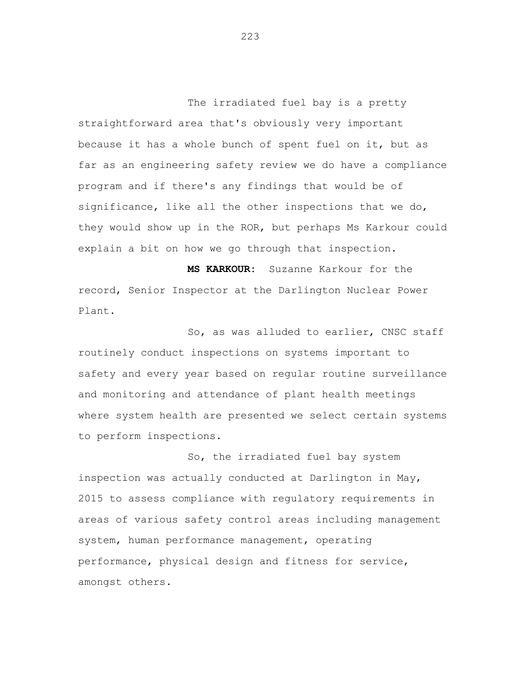The irradiated fuel bay is a pretty straightforward area that's obviously very important because it has a whole bunch of spent fuel on it, but as far as an engineering safety review we do have a compliance program and if there's any findings that would be of significance, like all the other inspections that we do, they would show up in the ROR, but perhaps Ms Karkour could explain a bit on how we go through that inspection.

**MS KARKOUR:** Suzanne Karkour for the record, Senior Inspector at the Darlington Nuclear Power Plant.

So, as was alluded to earlier, CNSC staff routinely conduct inspections on systems important to safety and every year based on regular routine surveillance and monitoring and attendance of plant health meetings where system health are presented we select certain systems to perform inspections.

So, the irradiated fuel bay system inspection was actually conducted at Darlington in May, 2015 to assess compliance with regulatory requirements in areas of various safety control areas including management system, human performance management, operating performance, physical design and fitness for service, amongst others.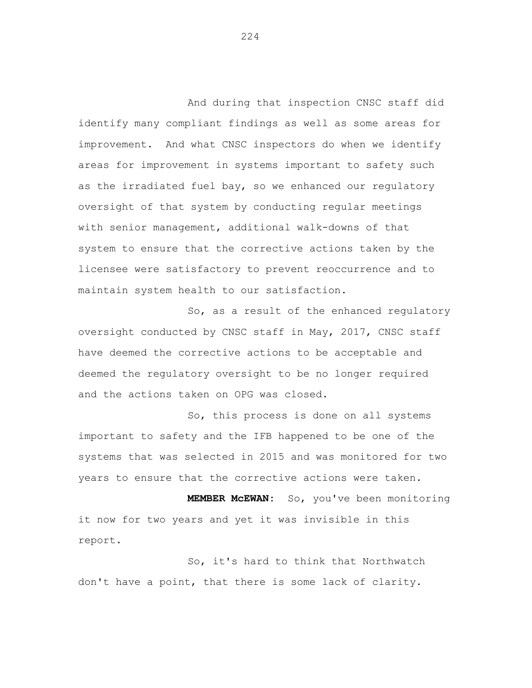And during that inspection CNSC staff did identify many compliant findings as well as some areas for improvement. And what CNSC inspectors do when we identify areas for improvement in systems important to safety such as the irradiated fuel bay, so we enhanced our regulatory oversight of that system by conducting regular meetings with senior management, additional walk-downs of that system to ensure that the corrective actions taken by the licensee were satisfactory to prevent reoccurrence and to maintain system health to our satisfaction.

So, as a result of the enhanced regulatory oversight conducted by CNSC staff in May, 2017, CNSC staff have deemed the corrective actions to be acceptable and deemed the regulatory oversight to be no longer required and the actions taken on OPG was closed.

So, this process is done on all systems important to safety and the IFB happened to be one of the systems that was selected in 2015 and was monitored for two years to ensure that the corrective actions were taken.

**MEMBER McEWAN:** So, you've been monitoring it now for two years and yet it was invisible in this report.

So, it's hard to think that Northwatch don't have a point, that there is some lack of clarity.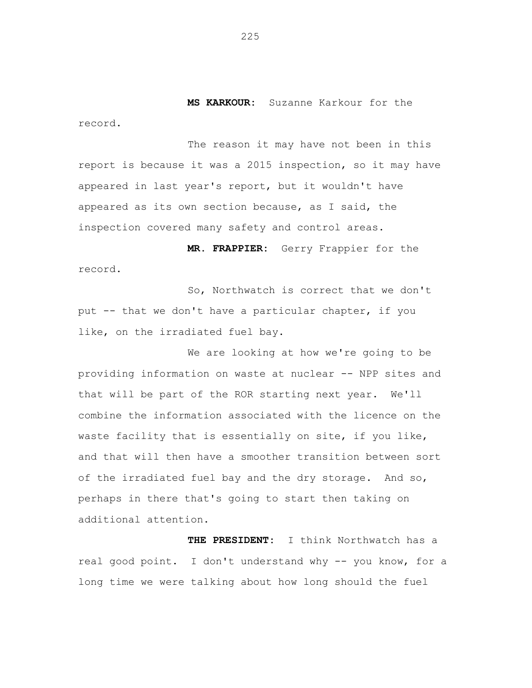**MS KARKOUR:** Suzanne Karkour for the record.

The reason it may have not been in this report is because it was a 2015 inspection, so it may have appeared in last year's report, but it wouldn't have appeared as its own section because, as I said, the inspection covered many safety and control areas.

**MR. FRAPPIER:** Gerry Frappier for the record.

So, Northwatch is correct that we don't put -- that we don't have a particular chapter, if you like, on the irradiated fuel bay.

We are looking at how we're going to be providing information on waste at nuclear -- NPP sites and that will be part of the ROR starting next year. We'll combine the information associated with the licence on the waste facility that is essentially on site, if you like, and that will then have a smoother transition between sort of the irradiated fuel bay and the dry storage. And so, perhaps in there that's going to start then taking on additional attention.

**THE PRESIDENT:** I think Northwatch has a real good point. I don't understand why -- you know, for a long time we were talking about how long should the fuel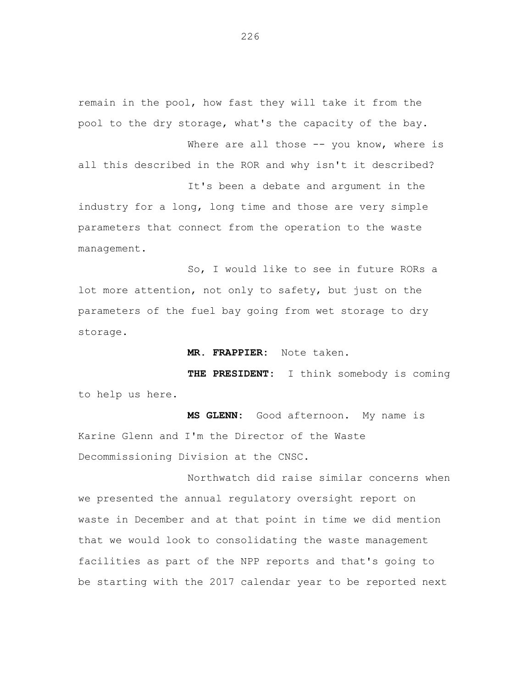remain in the pool, how fast they will take it from the pool to the dry storage, what's the capacity of the bay.

all this described in the ROR and why isn't it described? It's been a debate and argument in the

Where are all those -- you know, where is

industry for a long, long time and those are very simple parameters that connect from the operation to the waste management.

So, I would like to see in future RORs a lot more attention, not only to safety, but just on the parameters of the fuel bay going from wet storage to dry storage.

**MR. FRAPPIER:** Note taken.

**THE PRESIDENT:** I think somebody is coming to help us here.

**MS GLENN:** Good afternoon. My name is Karine Glenn and I'm the Director of the Waste Decommissioning Division at the CNSC.

Northwatch did raise similar concerns when we presented the annual regulatory oversight report on waste in December and at that point in time we did mention that we would look to consolidating the waste management facilities as part of the NPP reports and that's going to be starting with the 2017 calendar year to be reported next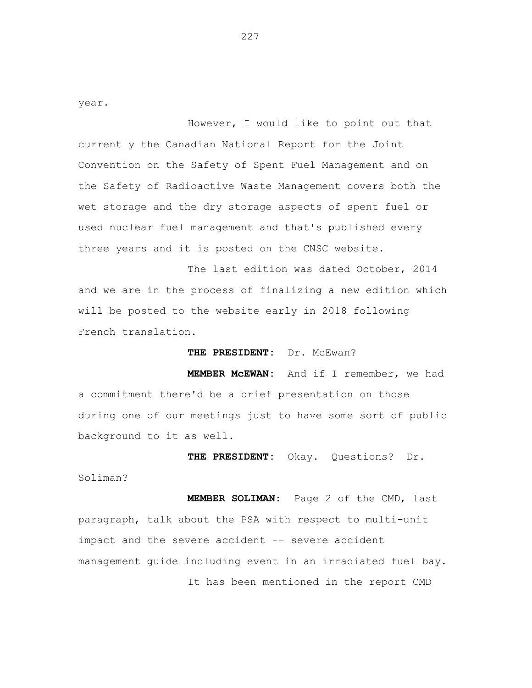year.

However, I would like to point out that currently the Canadian National Report for the Joint Convention on the Safety of Spent Fuel Management and on the Safety of Radioactive Waste Management covers both the wet storage and the dry storage aspects of spent fuel or used nuclear fuel management and that's published every three years and it is posted on the CNSC website.

The last edition was dated October, 2014 and we are in the process of finalizing a new edition which will be posted to the website early in 2018 following French translation.

THE PRESIDENT: Dr. McEwan?

**MEMBER McEWAN:** And if I remember, we had a commitment there'd be a brief presentation on those during one of our meetings just to have some sort of public background to it as well.

**THE PRESIDENT:** Okay. Questions? Dr. Soliman? **MEMBER SOLIMAN:** Page 2 of the CMD, last paragraph, talk about the PSA with respect to multi-unit impact and the severe accident -- severe accident management guide including event in an irradiated fuel bay.

It has been mentioned in the report CMD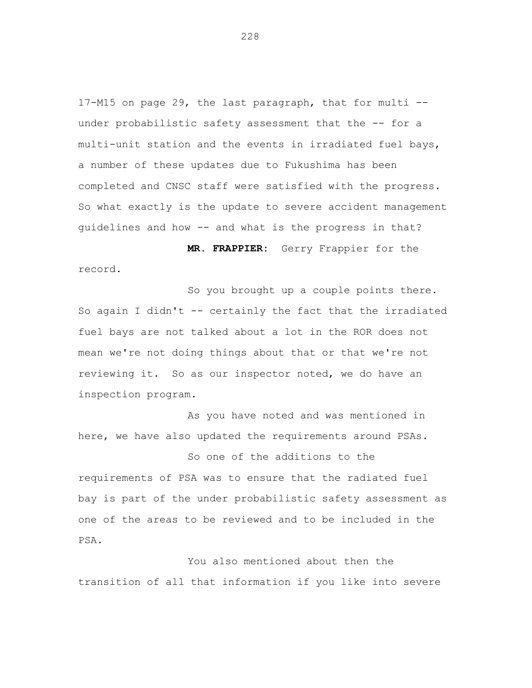17-M15 on page 29, the last paragraph, that for multi under probabilistic safety assessment that the -- for a multi-unit station and the events in irradiated fuel bays, a number of these updates due to Fukushima has been completed and CNSC staff were satisfied with the progress. So what exactly is the update to severe accident management guidelines and how -- and what is the progress in that?

**MR. FRAPPIER:** Gerry Frappier for the record.

So you brought up a couple points there. So again I didn't -- certainly the fact that the irradiated fuel bays are not talked about a lot in the ROR does not mean we're not doing things about that or that we're not reviewing it. So as our inspector noted, we do have an inspection program.

As you have noted and was mentioned in here, we have also updated the requirements around PSAs.

So one of the additions to the requirements of PSA was to ensure that the radiated fuel bay is part of the under probabilistic safety assessment as one of the areas to be reviewed and to be included in the PSA.

You also mentioned about then the transition of all that information if you like into severe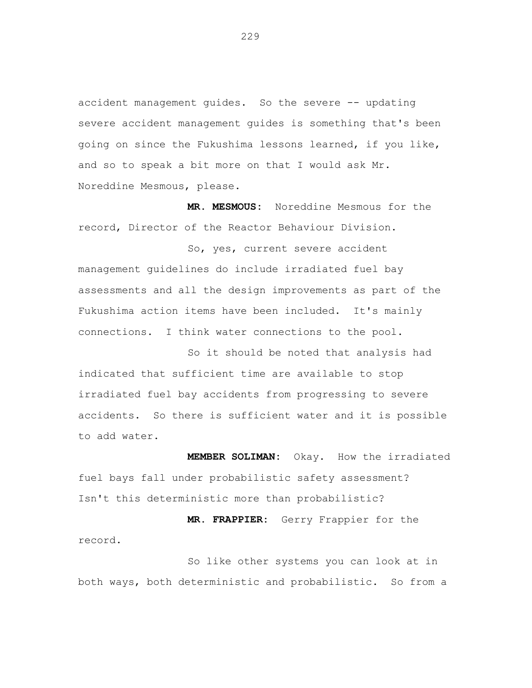accident management guides. So the severe -- updating severe accident management guides is something that's been going on since the Fukushima lessons learned, if you like, and so to speak a bit more on that I would ask Mr. Noreddine Mesmous, please.

**MR. MESMOUS:** Noreddine Mesmous for the record, Director of the Reactor Behaviour Division.

So, yes, current severe accident management guidelines do include irradiated fuel bay assessments and all the design improvements as part of the Fukushima action items have been included. It's mainly connections. I think water connections to the pool.

So it should be noted that analysis had indicated that sufficient time are available to stop irradiated fuel bay accidents from progressing to severe accidents. So there is sufficient water and it is possible to add water.

**MEMBER SOLIMAN:** Okay. How the irradiated fuel bays fall under probabilistic safety assessment? Isn't this deterministic more than probabilistic?

**MR. FRAPPIER:** Gerry Frappier for the record.

So like other systems you can look at in both ways, both deterministic and probabilistic. So from a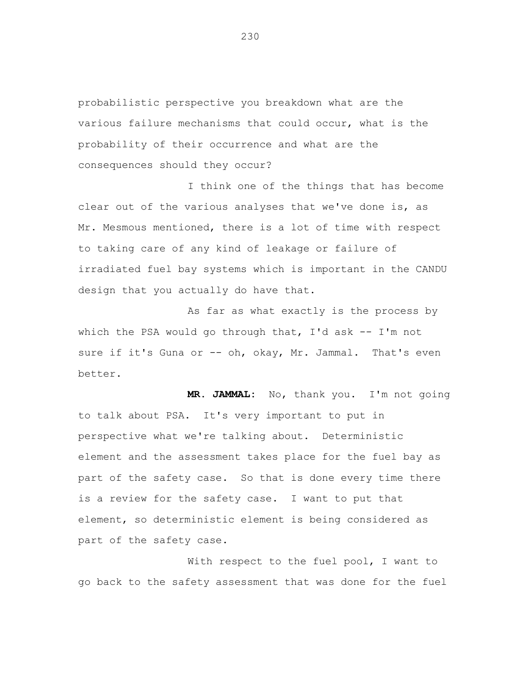probabilistic perspective you breakdown what are the various failure mechanisms that could occur, what is the probability of their occurrence and what are the consequences should they occur?

I think one of the things that has become clear out of the various analyses that we've done is, as Mr. Mesmous mentioned, there is a lot of time with respect to taking care of any kind of leakage or failure of irradiated fuel bay systems which is important in the CANDU design that you actually do have that.

As far as what exactly is the process by which the PSA would go through that, I'd ask -- I'm not sure if it's Guna or -- oh, okay, Mr. Jammal. That's even better.

**MR. JAMMAL:** No, thank you. I'm not going to talk about PSA. It's very important to put in perspective what we're talking about. Deterministic element and the assessment takes place for the fuel bay as part of the safety case. So that is done every time there is a review for the safety case. I want to put that element, so deterministic element is being considered as part of the safety case.

With respect to the fuel pool, I want to go back to the safety assessment that was done for the fuel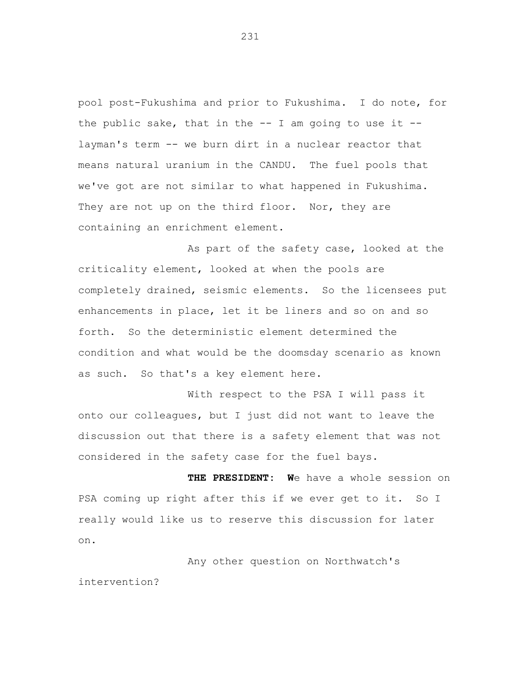pool post-Fukushima and prior to Fukushima. I do note, for the public sake, that in the  $-$ - I am going to use it  $-$ layman's term -- we burn dirt in a nuclear reactor that means natural uranium in the CANDU. The fuel pools that we've got are not similar to what happened in Fukushima. They are not up on the third floor. Nor, they are containing an enrichment element.

As part of the safety case, looked at the criticality element, looked at when the pools are completely drained, seismic elements. So the licensees put enhancements in place, let it be liners and so on and so forth. So the deterministic element determined the condition and what would be the doomsday scenario as known as such. So that's a key element here.

With respect to the PSA I will pass it onto our colleagues, but I just did not want to leave the discussion out that there is a safety element that was not considered in the safety case for the fuel bays.

**THE PRESIDENT: W**e have a whole session on PSA coming up right after this if we ever get to it. So I really would like us to reserve this discussion for later on.

Any other question on Northwatch's intervention?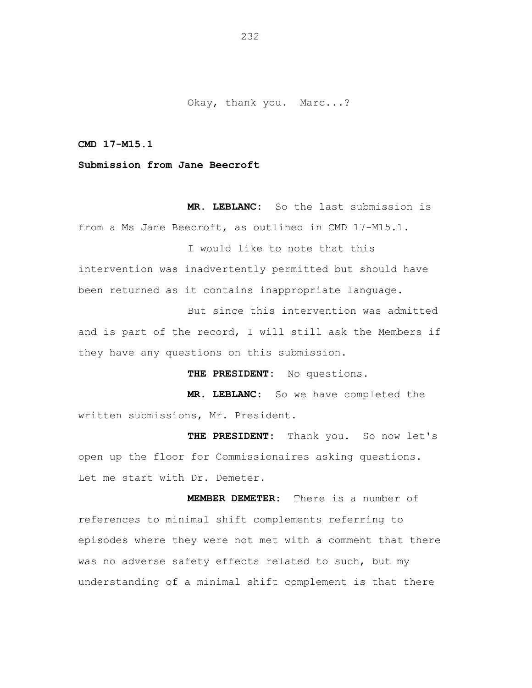Okay, thank you. Marc...?

**CMD 17-M15.1** 

**Submission from Jane Beecroft** 

**MR. LEBLANC:** So the last submission is from a Ms Jane Beecroft, as outlined in CMD 17-M15.1.

intervention was inadvertently permitted but should have been returned as it contains inappropriate language.

But since this intervention was admitted and is part of the record, I will still ask the Members if they have any questions on this submission.

**THE PRESIDENT:** No questions.

I would like to note that this

**MR. LEBLANC:** So we have completed the written submissions, Mr. President.

**THE PRESIDENT:** Thank you. So now let's open up the floor for Commissionaires asking questions. Let me start with Dr. Demeter.

**MEMBER DEMETER:** There is a number of references to minimal shift complements referring to episodes where they were not met with a comment that there was no adverse safety effects related to such, but my understanding of a minimal shift complement is that there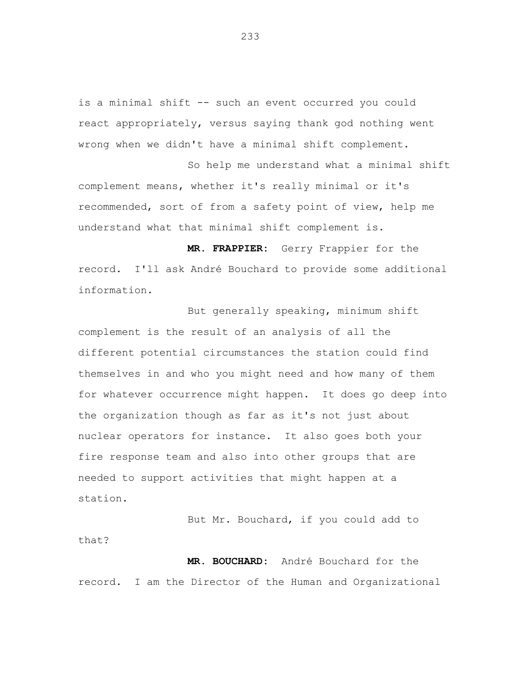is a minimal shift -- such an event occurred you could react appropriately, versus saying thank god nothing went wrong when we didn't have a minimal shift complement.

So help me understand what a minimal shift complement means, whether it's really minimal or it's recommended, sort of from a safety point of view, help me understand what that minimal shift complement is.

**MR. FRAPPIER:** Gerry Frappier for the record. I'll ask André Bouchard to provide some additional information.

But generally speaking, minimum shift complement is the result of an analysis of all the different potential circumstances the station could find themselves in and who you might need and how many of them for whatever occurrence might happen. It does go deep into the organization though as far as it's not just about nuclear operators for instance. It also goes both your fire response team and also into other groups that are needed to support activities that might happen at a station.

But Mr. Bouchard, if you could add to that?

**MR. BOUCHARD:** André Bouchard for the record. I am the Director of the Human and Organizational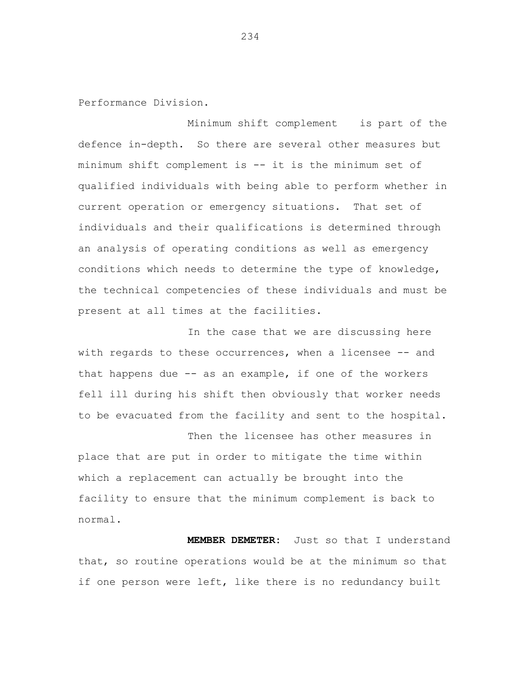Performance Division.

Minimum shift complement is part of the defence in-depth. So there are several other measures but minimum shift complement is -- it is the minimum set of qualified individuals with being able to perform whether in current operation or emergency situations. That set of individuals and their qualifications is determined through an analysis of operating conditions as well as emergency conditions which needs to determine the type of knowledge, the technical competencies of these individuals and must be present at all times at the facilities.

In the case that we are discussing here with regards to these occurrences, when a licensee -- and that happens due -- as an example, if one of the workers fell ill during his shift then obviously that worker needs to be evacuated from the facility and sent to the hospital.

Then the licensee has other measures in place that are put in order to mitigate the time within which a replacement can actually be brought into the facility to ensure that the minimum complement is back to normal.

**MEMBER DEMETER:** Just so that I understand that, so routine operations would be at the minimum so that if one person were left, like there is no redundancy built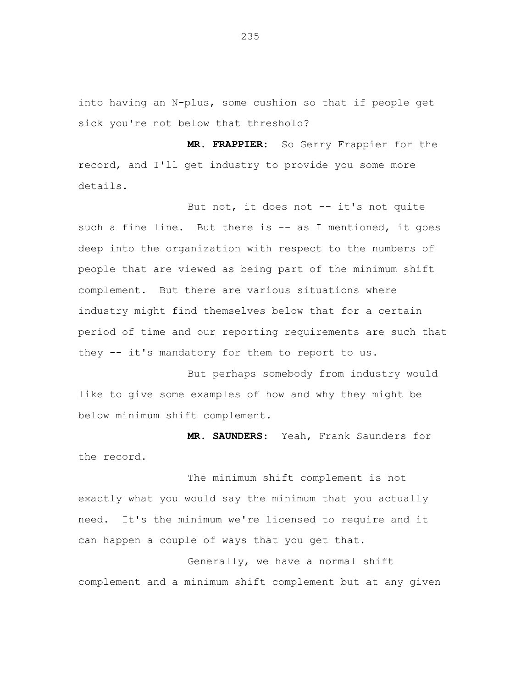into having an N-plus, some cushion so that if people get sick you're not below that threshold?

**MR. FRAPPIER:** So Gerry Frappier for the record, and I'll get industry to provide you some more details.

But not, it does not -- it's not quite such a fine line. But there is -- as I mentioned, it goes deep into the organization with respect to the numbers of people that are viewed as being part of the minimum shift complement. But there are various situations where industry might find themselves below that for a certain period of time and our reporting requirements are such that they -- it's mandatory for them to report to us.

But perhaps somebody from industry would like to give some examples of how and why they might be below minimum shift complement.

 **MR. SAUNDERS**: Yeah, Frank Saunders for the record.

The minimum shift complement is not exactly what you would say the minimum that you actually need. It's the minimum we're licensed to require and it can happen a couple of ways that you get that.

Generally, we have a normal shift complement and a minimum shift complement but at any given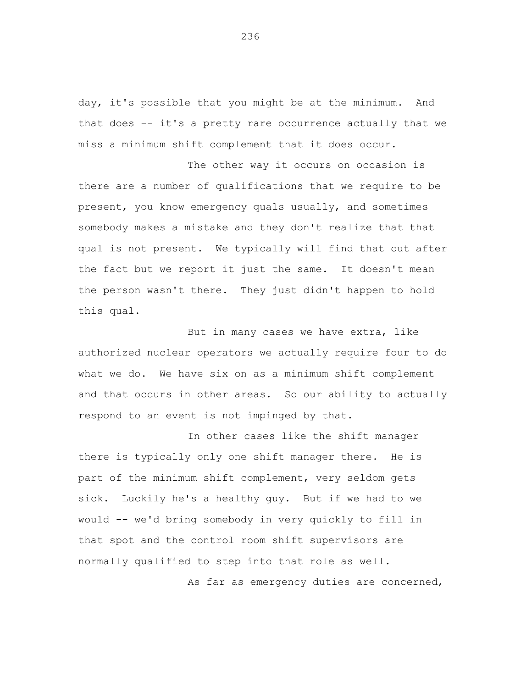day, it's possible that you might be at the minimum. And that does -- it's a pretty rare occurrence actually that we miss a minimum shift complement that it does occur.

The other way it occurs on occasion is there are a number of qualifications that we require to be present, you know emergency quals usually, and sometimes somebody makes a mistake and they don't realize that that qual is not present. We typically will find that out after the fact but we report it just the same. It doesn't mean the person wasn't there. They just didn't happen to hold this qual.

But in many cases we have extra, like authorized nuclear operators we actually require four to do what we do. We have six on as a minimum shift complement and that occurs in other areas. So our ability to actually respond to an event is not impinged by that.

In other cases like the shift manager there is typically only one shift manager there. He is part of the minimum shift complement, very seldom gets sick. Luckily he's a healthy guy. But if we had to we would -- we'd bring somebody in very quickly to fill in that spot and the control room shift supervisors are normally qualified to step into that role as well.

As far as emergency duties are concerned,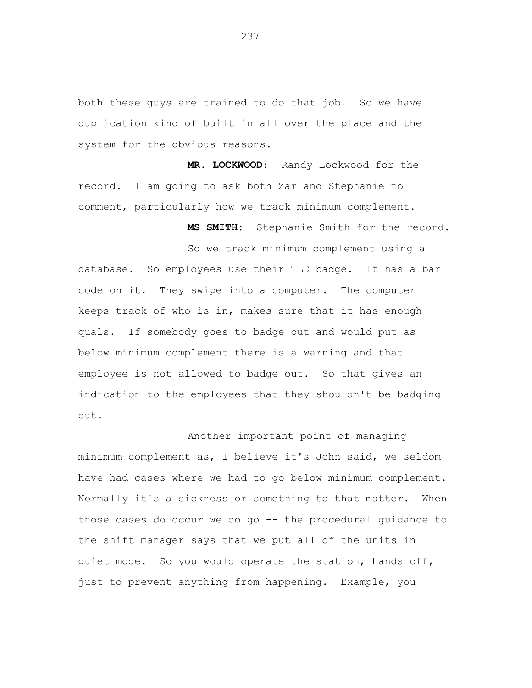both these guys are trained to do that job. So we have duplication kind of built in all over the place and the system for the obvious reasons.

**MR. LOCKWOOD**: Randy Lockwood for the record. I am going to ask both Zar and Stephanie to comment, particularly how we track minimum complement.

**MS SMITH:** Stephanie Smith for the record.

So we track minimum complement using a database. So employees use their TLD badge. It has a bar code on it. They swipe into a computer. The computer keeps track of who is in, makes sure that it has enough quals. If somebody goes to badge out and would put as below minimum complement there is a warning and that employee is not allowed to badge out. So that gives an indication to the employees that they shouldn't be badging out.

Another important point of managing minimum complement as, I believe it's John said, we seldom have had cases where we had to go below minimum complement. Normally it's a sickness or something to that matter. When those cases do occur we do go -- the procedural guidance to the shift manager says that we put all of the units in quiet mode. So you would operate the station, hands off, just to prevent anything from happening. Example, you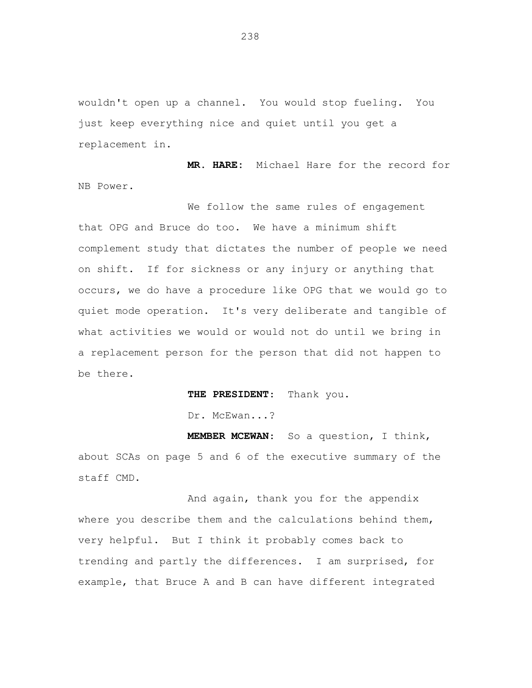wouldn't open up a channel. You would stop fueling. You just keep everything nice and quiet until you get a replacement in.

**MR. HARE:** Michael Hare for the record for NB Power.

We follow the same rules of engagement that OPG and Bruce do too. We have a minimum shift complement study that dictates the number of people we need on shift. If for sickness or any injury or anything that occurs, we do have a procedure like OPG that we would go to quiet mode operation. It's very deliberate and tangible of what activities we would or would not do until we bring in a replacement person for the person that did not happen to be there.

**THE PRESIDENT**: Thank you.

Dr. McEwan...?

**MEMBER MCEWAN**: So a question, I think, about SCAs on page 5 and 6 of the executive summary of the staff CMD.

And again, thank you for the appendix where you describe them and the calculations behind them, very helpful. But I think it probably comes back to trending and partly the differences. I am surprised, for example, that Bruce A and B can have different integrated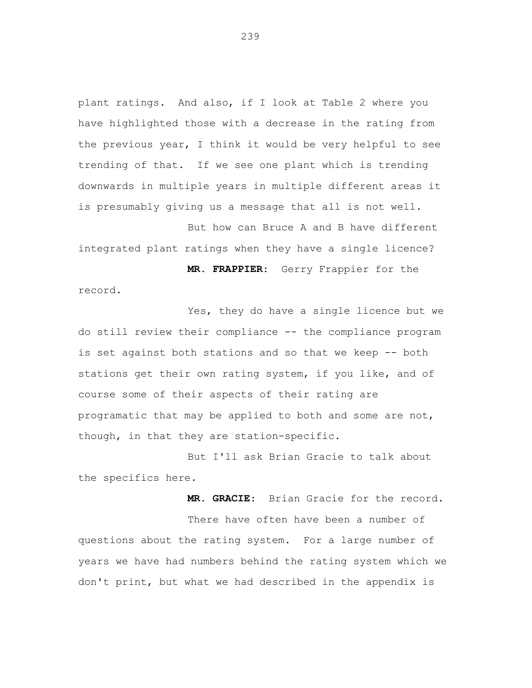plant ratings. And also, if I look at Table 2 where you have highlighted those with a decrease in the rating from the previous year, I think it would be very helpful to see trending of that. If we see one plant which is trending downwards in multiple years in multiple different areas it is presumably giving us a message that all is not well.

But how can Bruce A and B have different integrated plant ratings when they have a single licence?

**MR. FRAPPIER**: Gerry Frappier for the record.

Yes, they do have a single licence but we do still review their compliance -- the compliance program is set against both stations and so that we keep -- both stations get their own rating system, if you like, and of course some of their aspects of their rating are programatic that may be applied to both and some are not, though, in that they are station-specific.

But I'll ask Brian Gracie to talk about the specifics here.

**MR. GRACIE**: Brian Gracie for the record.

There have often have been a number of questions about the rating system. For a large number of years we have had numbers behind the rating system which we don't print, but what we had described in the appendix is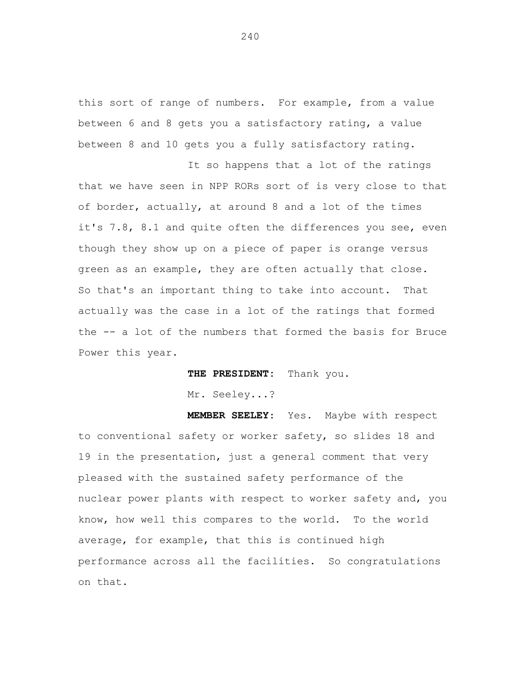this sort of range of numbers. For example, from a value between 6 and 8 gets you a satisfactory rating, a value between 8 and 10 gets you a fully satisfactory rating.

It so happens that a lot of the ratings that we have seen in NPP RORs sort of is very close to that of border, actually, at around 8 and a lot of the times it's 7.8, 8.1 and quite often the differences you see, even though they show up on a piece of paper is orange versus green as an example, they are often actually that close. So that's an important thing to take into account. That actually was the case in a lot of the ratings that formed the -- a lot of the numbers that formed the basis for Bruce Power this year.

**THE PRESIDENT:** Thank you.

Mr. Seeley...?

**MEMBER SEELEY**: Yes. Maybe with respect to conventional safety or worker safety, so slides 18 and 19 in the presentation, just a general comment that very pleased with the sustained safety performance of the nuclear power plants with respect to worker safety and, you know, how well this compares to the world. To the world average, for example, that this is continued high performance across all the facilities. So congratulations on that.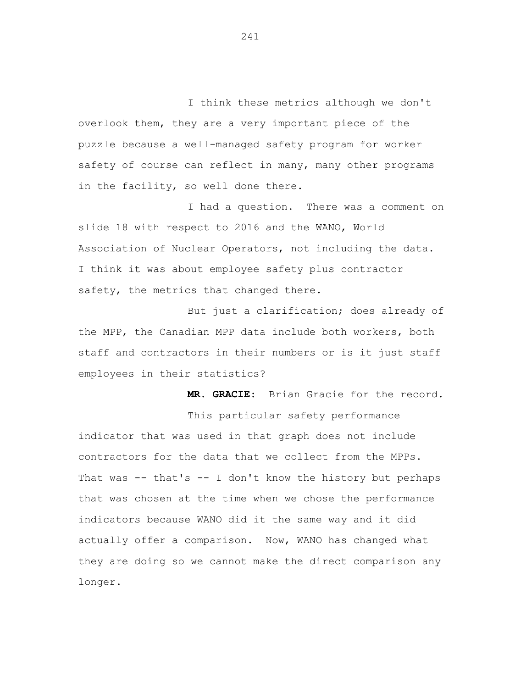I think these metrics although we don't overlook them, they are a very important piece of the puzzle because a well-managed safety program for worker safety of course can reflect in many, many other programs in the facility, so well done there.

I had a question. There was a comment on slide 18 with respect to 2016 and the WANO, World Association of Nuclear Operators, not including the data. I think it was about employee safety plus contractor safety, the metrics that changed there.

But just a clarification; does already of the MPP, the Canadian MPP data include both workers, both staff and contractors in their numbers or is it just staff employees in their statistics?

**MR. GRACIE**: Brian Gracie for the record. This particular safety performance indicator that was used in that graph does not include contractors for the data that we collect from the MPPs. That was -- that's -- I don't know the history but perhaps that was chosen at the time when we chose the performance indicators because WANO did it the same way and it did actually offer a comparison. Now, WANO has changed what they are doing so we cannot make the direct comparison any longer.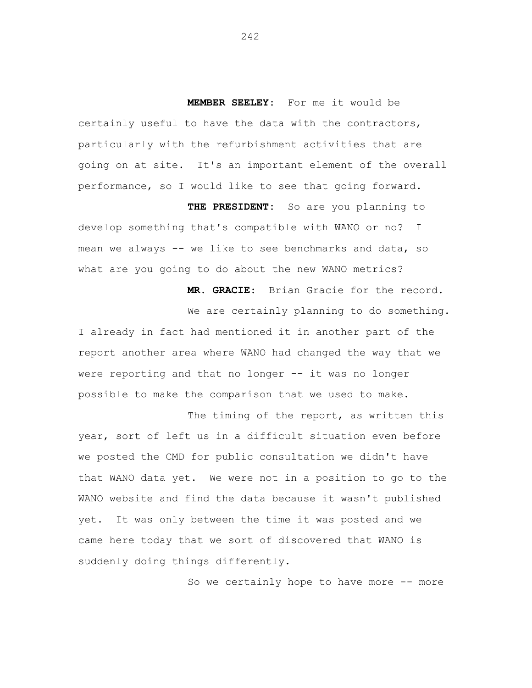**MEMBER SEELEY**: For me it would be certainly useful to have the data with the contractors, particularly with the refurbishment activities that are going on at site. It's an important element of the overall performance, so I would like to see that going forward.

**THE PRESIDENT:** So are you planning to develop something that's compatible with WANO or no? I mean we always -- we like to see benchmarks and data, so what are you going to do about the new WANO metrics?

> **MR. GRACIE**: Brian Gracie for the record. We are certainly planning to do something.

I already in fact had mentioned it in another part of the report another area where WANO had changed the way that we were reporting and that no longer -- it was no longer possible to make the comparison that we used to make.

The timing of the report, as written this year, sort of left us in a difficult situation even before we posted the CMD for public consultation we didn't have that WANO data yet. We were not in a position to go to the WANO website and find the data because it wasn't published yet. It was only between the time it was posted and we came here today that we sort of discovered that WANO is suddenly doing things differently.

So we certainly hope to have more -- more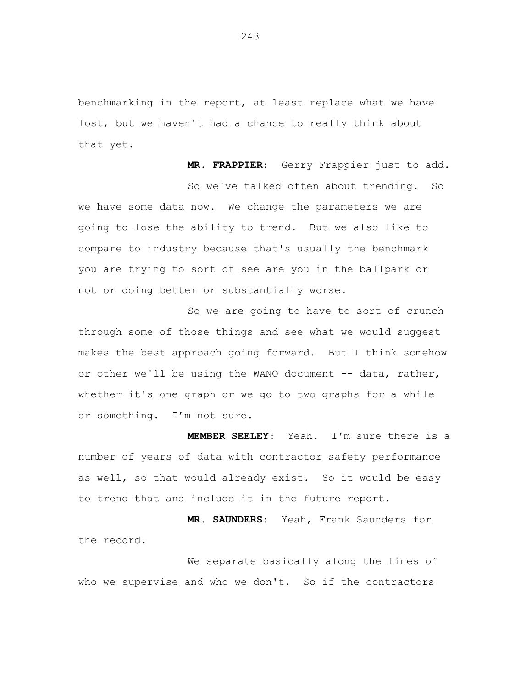benchmarking in the report, at least replace what we have lost, but we haven't had a chance to really think about that yet.

**MR. FRAPPIER**: Gerry Frappier just to add. So we've talked often about trending. So we have some data now. We change the parameters we are going to lose the ability to trend. But we also like to compare to industry because that's usually the benchmark you are trying to sort of see are you in the ballpark or not or doing better or substantially worse.

So we are going to have to sort of crunch through some of those things and see what we would suggest makes the best approach going forward. But I think somehow or other we'll be using the WANO document -- data, rather, whether it's one graph or we go to two graphs for a while or something. I'm not sure.

**MEMBER SEELEY**: Yeah. I'm sure there is a number of years of data with contractor safety performance as well, so that would already exist. So it would be easy to trend that and include it in the future report.

**MR. SAUNDERS**: Yeah, Frank Saunders for the record.

We separate basically along the lines of who we supervise and who we don't. So if the contractors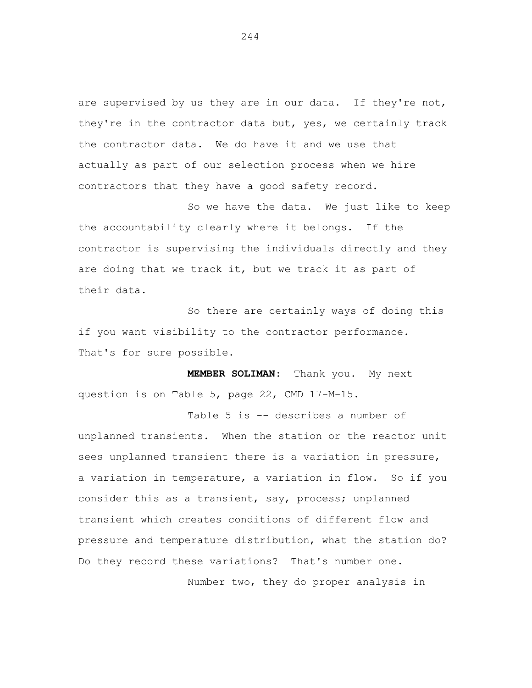are supervised by us they are in our data. If they're not, they're in the contractor data but, yes, we certainly track the contractor data. We do have it and we use that actually as part of our selection process when we hire contractors that they have a good safety record.

So we have the data. We just like to keep the accountability clearly where it belongs. If the contractor is supervising the individuals directly and they are doing that we track it, but we track it as part of their data.

So there are certainly ways of doing this if you want visibility to the contractor performance. That's for sure possible.

**MEMBER SOLIMAN**: Thank you. My next question is on Table 5, page 22, CMD 17-M-15.

Table 5 is -- describes a number of unplanned transients. When the station or the reactor unit sees unplanned transient there is a variation in pressure, a variation in temperature, a variation in flow. So if you consider this as a transient, say, process; unplanned transient which creates conditions of different flow and pressure and temperature distribution, what the station do? Do they record these variations? That's number one.

Number two, they do proper analysis in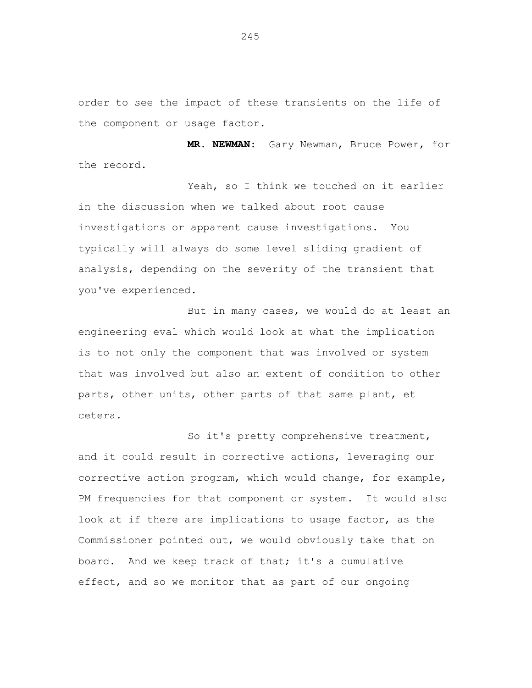order to see the impact of these transients on the life of the component or usage factor.

**MR. NEWMAN**: Gary Newman, Bruce Power, for the record.

Yeah, so I think we touched on it earlier in the discussion when we talked about root cause investigations or apparent cause investigations. You typically will always do some level sliding gradient of analysis, depending on the severity of the transient that you've experienced.

But in many cases, we would do at least an engineering eval which would look at what the implication is to not only the component that was involved or system that was involved but also an extent of condition to other parts, other units, other parts of that same plant, et cetera.

So it's pretty comprehensive treatment, and it could result in corrective actions, leveraging our corrective action program, which would change, for example, PM frequencies for that component or system. It would also look at if there are implications to usage factor, as the Commissioner pointed out, we would obviously take that on board. And we keep track of that; it's a cumulative effect, and so we monitor that as part of our ongoing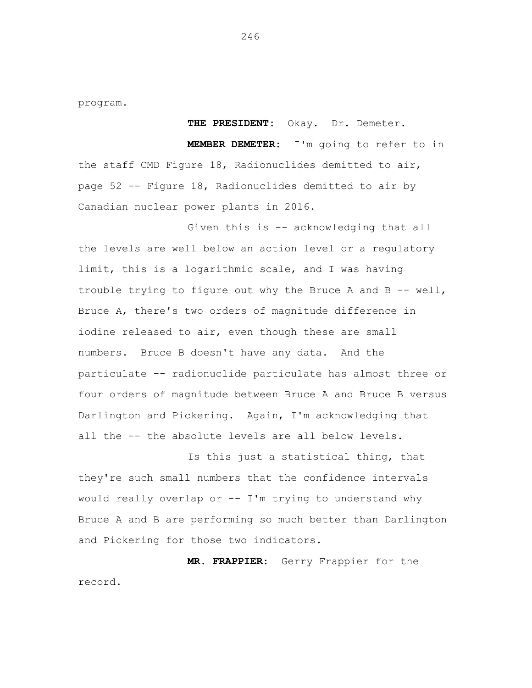program.

**THE PRESIDENT:** Okay. Dr. Demeter. **MEMBER DEMETER:** I'm going to refer to in the staff CMD Figure 18, Radionuclides demitted to air, page 52 -- Figure 18, Radionuclides demitted to air by Canadian nuclear power plants in 2016.

Given this is -- acknowledging that all the levels are well below an action level or a regulatory limit, this is a logarithmic scale, and I was having trouble trying to figure out why the Bruce A and B  $-$  well, Bruce A, there's two orders of magnitude difference in iodine released to air, even though these are small numbers. Bruce B doesn't have any data. And the particulate -- radionuclide particulate has almost three or four orders of magnitude between Bruce A and Bruce B versus Darlington and Pickering. Again, I'm acknowledging that all the -- the absolute levels are all below levels.

Is this just a statistical thing, that they're such small numbers that the confidence intervals would really overlap or -- I'm trying to understand why Bruce A and B are performing so much better than Darlington and Pickering for those two indicators.

**MR. FRAPPIER**: Gerry Frappier for the record.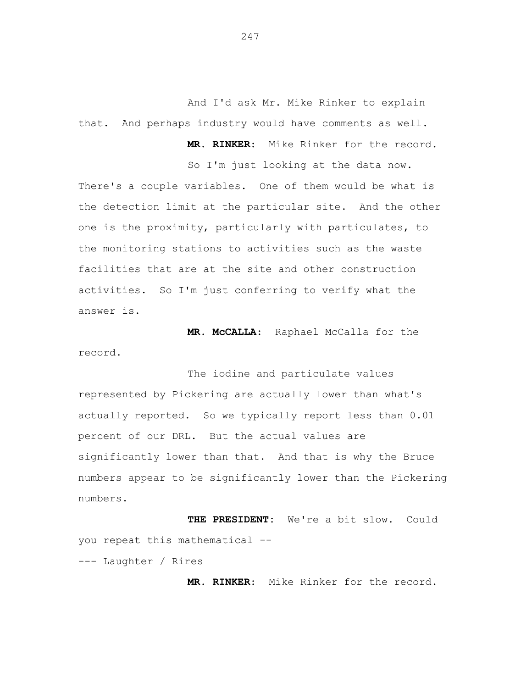And I'd ask Mr. Mike Rinker to explain that. And perhaps industry would have comments as well.

**MR. RINKER**: Mike Rinker for the record.

So I'm just looking at the data now.

There's a couple variables. One of them would be what is the detection limit at the particular site. And the other one is the proximity, particularly with particulates, to the monitoring stations to activities such as the waste facilities that are at the site and other construction activities. So I'm just conferring to verify what the answer is.

**MR. McCALLA**: Raphael McCalla for the record.

The iodine and particulate values represented by Pickering are actually lower than what's actually reported. So we typically report less than 0.01 percent of our DRL. But the actual values are significantly lower than that. And that is why the Bruce numbers appear to be significantly lower than the Pickering numbers.

**THE PRESIDENT:** We're a bit slow. Could you repeat this mathematical -

--- Laughter / Rires

**MR. RINKER**: Mike Rinker for the record.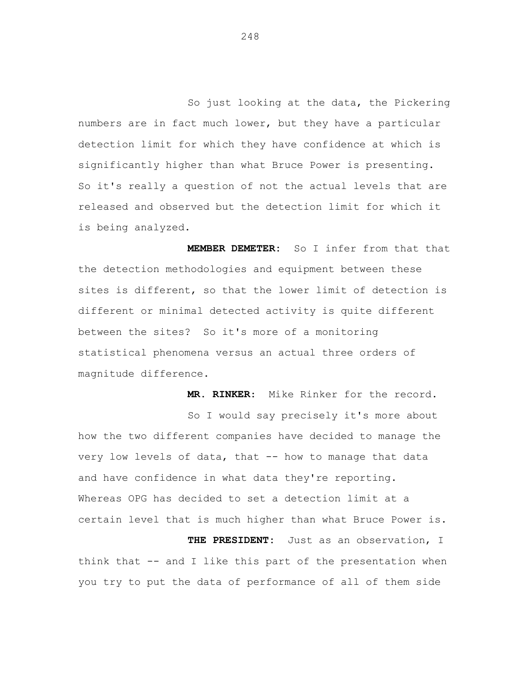So just looking at the data, the Pickering numbers are in fact much lower, but they have a particular detection limit for which they have confidence at which is significantly higher than what Bruce Power is presenting. So it's really a question of not the actual levels that are released and observed but the detection limit for which it is being analyzed.

**MEMBER DEMETER:** So I infer from that that the detection methodologies and equipment between these sites is different, so that the lower limit of detection is different or minimal detected activity is quite different between the sites? So it's more of a monitoring statistical phenomena versus an actual three orders of magnitude difference.

**MR. RINKER**: Mike Rinker for the record. So I would say precisely it's more about how the two different companies have decided to manage the very low levels of data, that -- how to manage that data and have confidence in what data they're reporting. Whereas OPG has decided to set a detection limit at a certain level that is much higher than what Bruce Power is. **THE PRESIDENT:** Just as an observation, I

think that -- and I like this part of the presentation when you try to put the data of performance of all of them side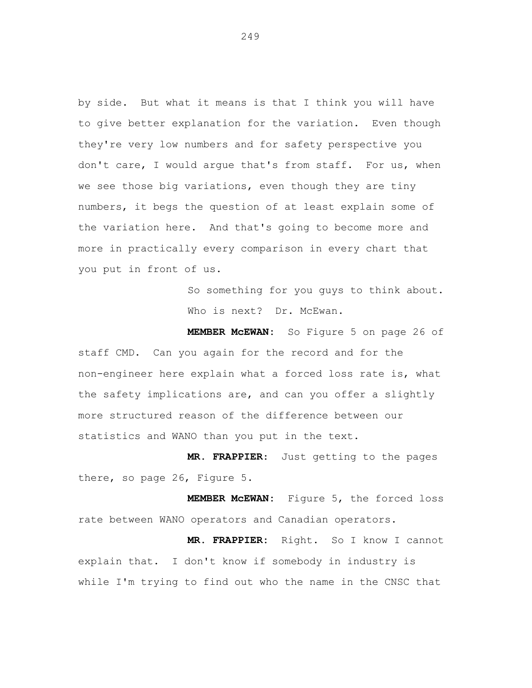by side. But what it means is that I think you will have to give better explanation for the variation. Even though they're very low numbers and for safety perspective you don't care, I would argue that's from staff. For us, when we see those big variations, even though they are tiny numbers, it begs the question of at least explain some of the variation here. And that's going to become more and more in practically every comparison in every chart that you put in front of us.

> So something for you guys to think about. Who is next? Dr. McEwan.

**MEMBER McEWAN:** So Figure 5 on page 26 of staff CMD. Can you again for the record and for the non-engineer here explain what a forced loss rate is, what the safety implications are, and can you offer a slightly more structured reason of the difference between our statistics and WANO than you put in the text.

**MR. FRAPPIER**: Just getting to the pages there, so page 26, Figure 5.

**MEMBER McEWAN:** Figure 5, the forced loss rate between WANO operators and Canadian operators.

**MR. FRAPPIER:** Right. So I know I cannot explain that. I don't know if somebody in industry is while I'm trying to find out who the name in the CNSC that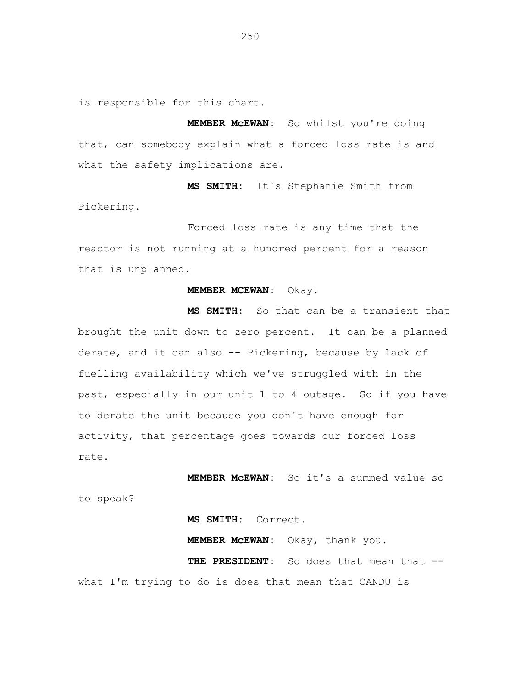is responsible for this chart.

**MEMBER McEWAN:** So whilst you're doing that, can somebody explain what a forced loss rate is and what the safety implications are.

**MS SMITH:** It's Stephanie Smith from Pickering.

Forced loss rate is any time that the reactor is not running at a hundred percent for a reason that is unplanned.

## **MEMBER MCEWAN:** Okay.

**MS SMITH:** So that can be a transient that brought the unit down to zero percent. It can be a planned derate, and it can also -- Pickering, because by lack of fuelling availability which we've struggled with in the past, especially in our unit 1 to 4 outage. So if you have to derate the unit because you don't have enough for activity, that percentage goes towards our forced loss rate.

**MEMBER McEWAN:** So it's a summed value so to speak?

**MS SMITH:** Correct.

**MEMBER McEWAN:** Okay, thank you.

THE PRESIDENT: So does that mean that -what I'm trying to do is does that mean that CANDU is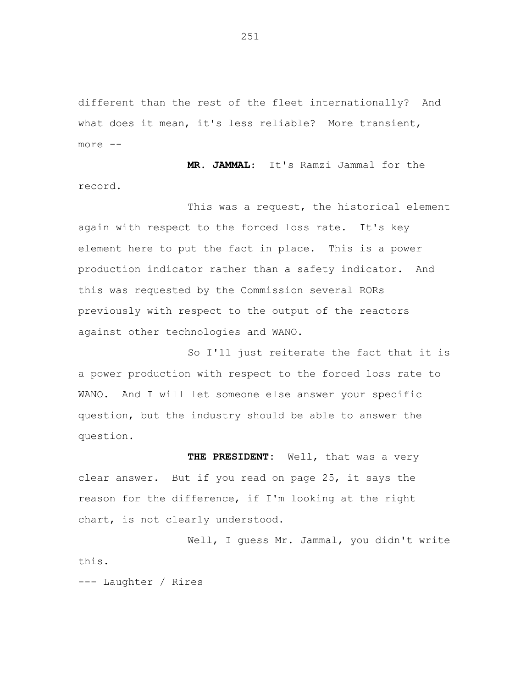different than the rest of the fleet internationally? And what does it mean, it's less reliable? More transient, more -

**MR. JAMMAL**: It's Ramzi Jammal for the record.

This was a request, the historical element again with respect to the forced loss rate. It's key element here to put the fact in place. This is a power production indicator rather than a safety indicator. And this was requested by the Commission several RORs previously with respect to the output of the reactors against other technologies and WANO.

So I'll just reiterate the fact that it is a power production with respect to the forced loss rate to WANO. And I will let someone else answer your specific question, but the industry should be able to answer the question.

**THE PRESIDENT:** Well, that was a very clear answer. But if you read on page 25, it says the reason for the difference, if I'm looking at the right chart, is not clearly understood.

Well, I guess Mr. Jammal, you didn't write this.

--- Laughter / Rires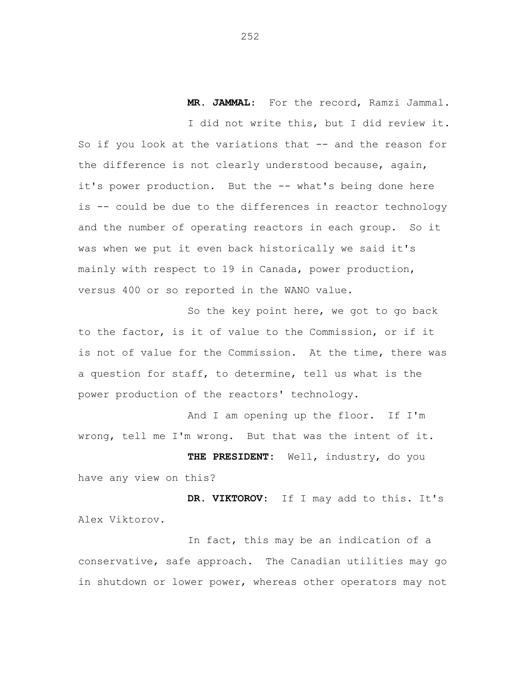**MR. JAMMAL**: For the record, Ramzi Jammal.

I did not write this, but I did review it. So if you look at the variations that -- and the reason for the difference is not clearly understood because, again, it's power production. But the -- what's being done here is -- could be due to the differences in reactor technology and the number of operating reactors in each group. So it was when we put it even back historically we said it's mainly with respect to 19 in Canada, power production, versus 400 or so reported in the WANO value.

So the key point here, we got to go back to the factor, is it of value to the Commission, or if it is not of value for the Commission. At the time, there was a question for staff, to determine, tell us what is the power production of the reactors' technology.

And I am opening up the floor. If I'm wrong, tell me I'm wrong. But that was the intent of it.

**THE PRESIDENT:** Well, industry, do you have any view on this?

**DR. VIKTOROV**: If I may add to this. It's Alex Viktorov.

In fact, this may be an indication of a conservative, safe approach. The Canadian utilities may go in shutdown or lower power, whereas other operators may not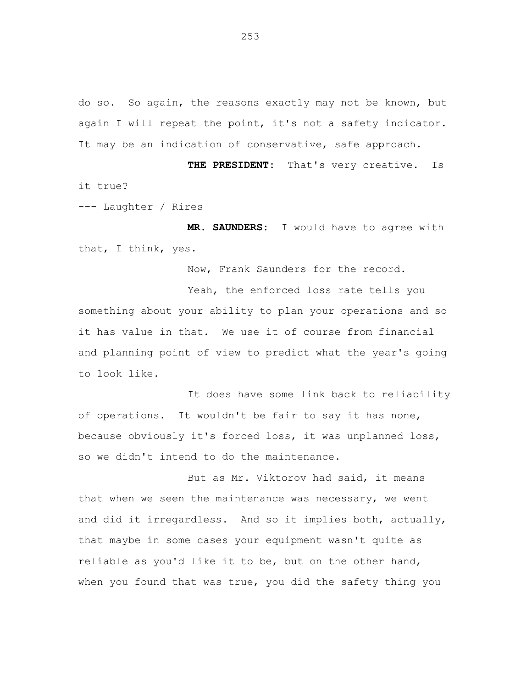do so. So again, the reasons exactly may not be known, but again I will repeat the point, it's not a safety indicator. It may be an indication of conservative, safe approach.

**THE PRESIDENT:** That's very creative. Is it true?

--- Laughter / Rires

**MR. SAUNDERS:** I would have to agree with that, I think, yes.

Now, Frank Saunders for the record.

Yeah, the enforced loss rate tells you something about your ability to plan your operations and so it has value in that. We use it of course from financial and planning point of view to predict what the year's going to look like.

It does have some link back to reliability of operations. It wouldn't be fair to say it has none, because obviously it's forced loss, it was unplanned loss, so we didn't intend to do the maintenance.

But as Mr. Viktorov had said, it means that when we seen the maintenance was necessary, we went and did it irregardless. And so it implies both, actually, that maybe in some cases your equipment wasn't quite as reliable as you'd like it to be, but on the other hand, when you found that was true, you did the safety thing you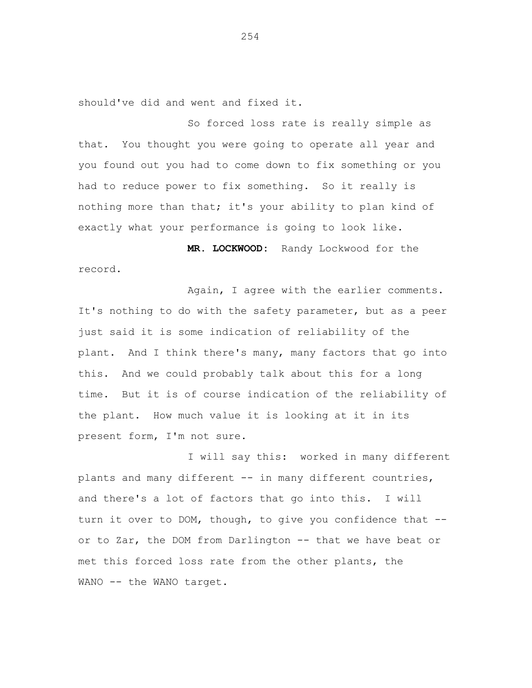should've did and went and fixed it.

So forced loss rate is really simple as that. You thought you were going to operate all year and you found out you had to come down to fix something or you had to reduce power to fix something. So it really is nothing more than that; it's your ability to plan kind of exactly what your performance is going to look like.

**MR. LOCKWOOD:** Randy Lockwood for the record.

Again, I agree with the earlier comments. It's nothing to do with the safety parameter, but as a peer just said it is some indication of reliability of the plant. And I think there's many, many factors that go into this. And we could probably talk about this for a long time. But it is of course indication of the reliability of the plant. How much value it is looking at it in its present form, I'm not sure.

I will say this: worked in many different plants and many different -- in many different countries, and there's a lot of factors that go into this. I will turn it over to DOM, though, to give you confidence that -or to Zar, the DOM from Darlington -- that we have beat or met this forced loss rate from the other plants, the WANO -- the WANO target.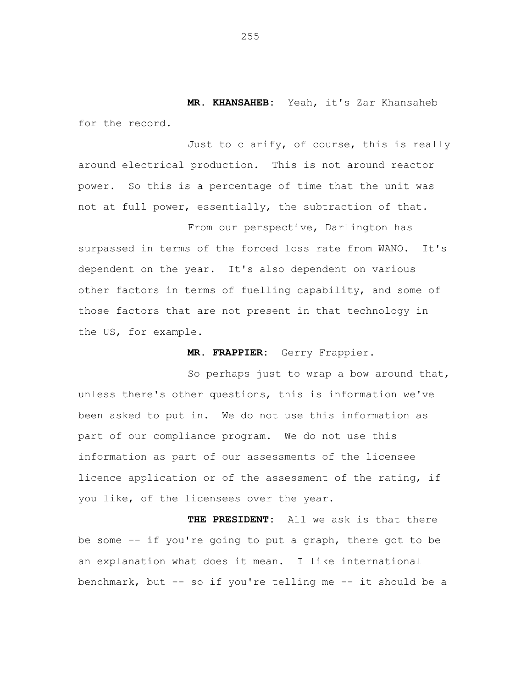**MR. KHANSAHEB:** Yeah, it's Zar Khansaheb for the record.

Just to clarify, of course, this is really around electrical production. This is not around reactor power. So this is a percentage of time that the unit was not at full power, essentially, the subtraction of that.

From our perspective, Darlington has surpassed in terms of the forced loss rate from WANO. It's dependent on the year. It's also dependent on various other factors in terms of fuelling capability, and some of those factors that are not present in that technology in the US, for example.

**MR. FRAPPIER:** Gerry Frappier.

So perhaps just to wrap a bow around that, unless there's other questions, this is information we've been asked to put in. We do not use this information as part of our compliance program. We do not use this information as part of our assessments of the licensee licence application or of the assessment of the rating, if you like, of the licensees over the year.

**THE PRESIDENT:** All we ask is that there be some -- if you're going to put a graph, there got to be an explanation what does it mean. I like international benchmark, but -- so if you're telling me -- it should be a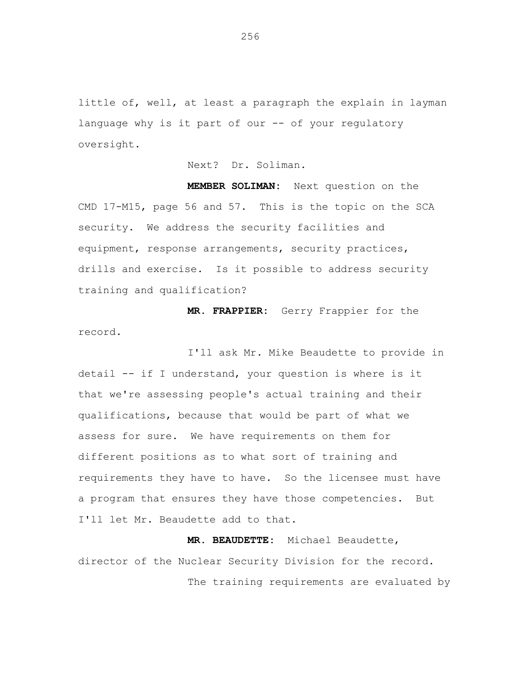little of, well, at least a paragraph the explain in layman language why is it part of our -- of your regulatory oversight.

Next? Dr. Soliman.

**MEMBER SOLIMAN:** Next question on the CMD 17-M15, page 56 and 57. This is the topic on the SCA security. We address the security facilities and equipment, response arrangements, security practices, drills and exercise. Is it possible to address security training and qualification?

**MR. FRAPPIER:** Gerry Frappier for the record.

I'll ask Mr. Mike Beaudette to provide in detail -- if I understand, your question is where is it that we're assessing people's actual training and their qualifications, because that would be part of what we assess for sure. We have requirements on them for different positions as to what sort of training and requirements they have to have. So the licensee must have a program that ensures they have those competencies. But I'll let Mr. Beaudette add to that.

**MR. BEAUDETTE:** Michael Beaudette, director of the Nuclear Security Division for the record.

The training requirements are evaluated by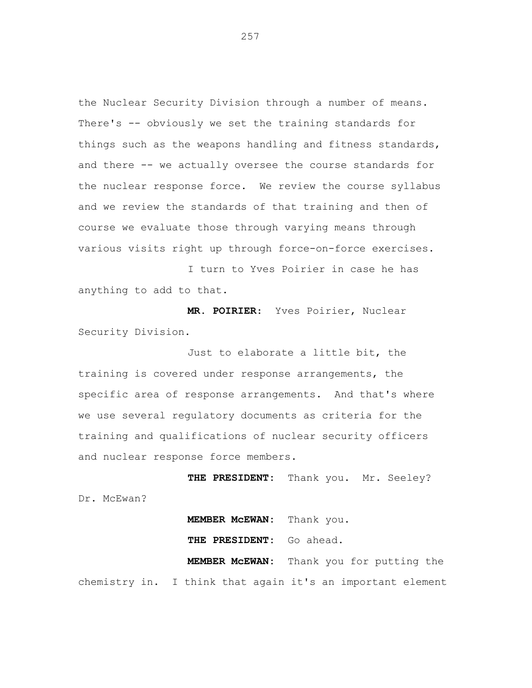the Nuclear Security Division through a number of means. There's -- obviously we set the training standards for things such as the weapons handling and fitness standards, and there -- we actually oversee the course standards for the nuclear response force. We review the course syllabus and we review the standards of that training and then of course we evaluate those through varying means through various visits right up through force-on-force exercises.

I turn to Yves Poirier in case he has anything to add to that.

**MR. POIRIER**: Yves Poirier, Nuclear Security Division.

Just to elaborate a little bit, the training is covered under response arrangements, the specific area of response arrangements. And that's where we use several regulatory documents as criteria for the training and qualifications of nuclear security officers and nuclear response force members.

**THE PRESIDENT:** Thank you. Mr. Seeley? Dr. McEwan?

**MEMBER McEWAN:** Thank you. **THE PRESIDENT:** Go ahead. **MEMBER McEWAN:** Thank you for putting the chemistry in. I think that again it's an important element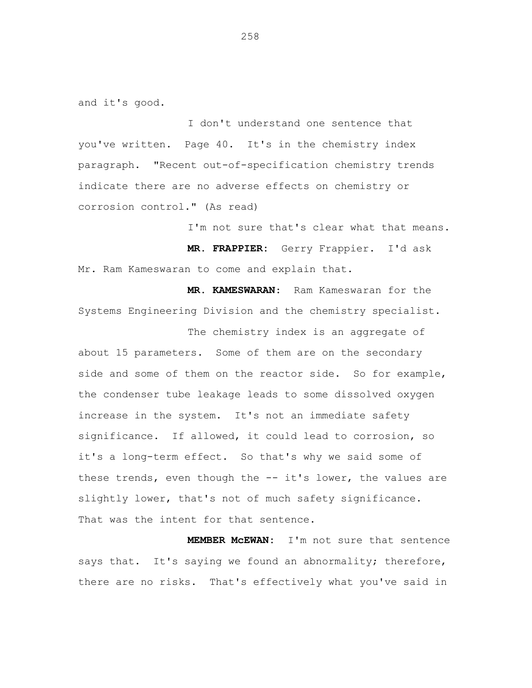and it's good.

I don't understand one sentence that you've written. Page 40. It's in the chemistry index paragraph. "Recent out-of-specification chemistry trends indicate there are no adverse effects on chemistry or corrosion control." (As read)

I'm not sure that's clear what that means.

**MR. FRAPPIER:** Gerry Frappier. I'd ask Mr. Ram Kameswaran to come and explain that.

**MR. KAMESWARAN**: Ram Kameswaran for the Systems Engineering Division and the chemistry specialist.

The chemistry index is an aggregate of about 15 parameters. Some of them are on the secondary side and some of them on the reactor side. So for example, the condenser tube leakage leads to some dissolved oxygen increase in the system. It's not an immediate safety significance. If allowed, it could lead to corrosion, so it's a long-term effect. So that's why we said some of these trends, even though the -- it's lower, the values are slightly lower, that's not of much safety significance. That was the intent for that sentence.

**MEMBER McEWAN:** I'm not sure that sentence says that. It's saying we found an abnormality; therefore, there are no risks. That's effectively what you've said in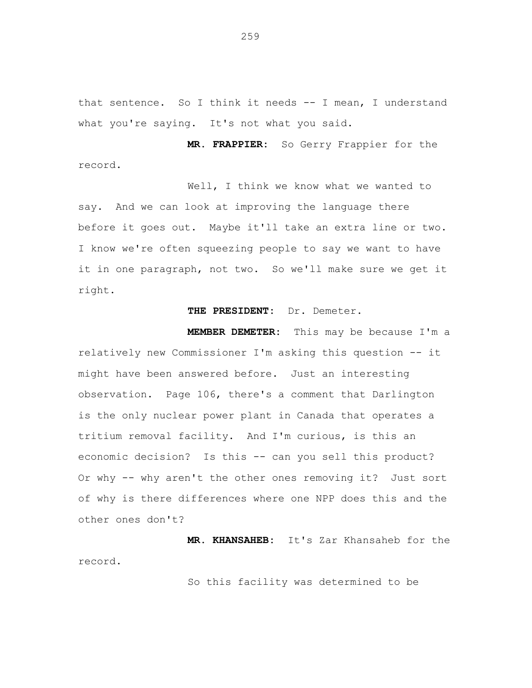that sentence. So I think it needs -- I mean, I understand what you're saying. It's not what you said.

**MR. FRAPPIER:** So Gerry Frappier for the record.

Well, I think we know what we wanted to say. And we can look at improving the language there before it goes out. Maybe it'll take an extra line or two. I know we're often squeezing people to say we want to have it in one paragraph, not two. So we'll make sure we get it right.

# **THE PRESIDENT:** Dr. Demeter.

**MEMBER DEMETER:** This may be because I'm a relatively new Commissioner I'm asking this question -- it might have been answered before. Just an interesting observation. Page 106, there's a comment that Darlington is the only nuclear power plant in Canada that operates a tritium removal facility. And I'm curious, is this an economic decision? Is this -- can you sell this product? Or why -- why aren't the other ones removing it? Just sort of why is there differences where one NPP does this and the other ones don't?

**MR. KHANSAHEB:** It's Zar Khansaheb for the record.

So this facility was determined to be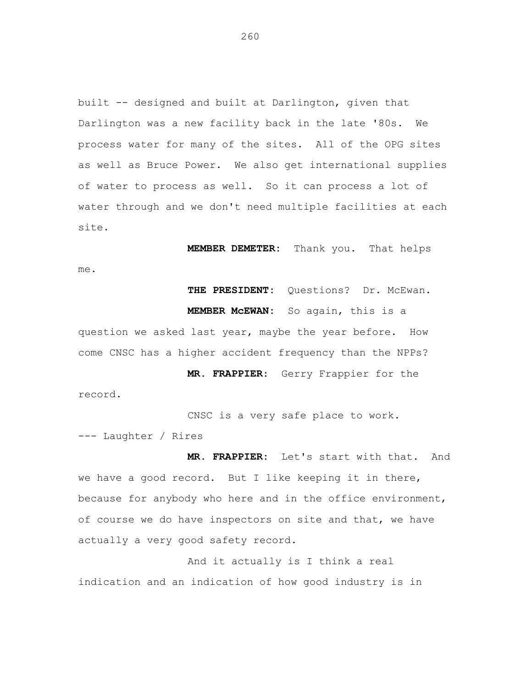built -- designed and built at Darlington, given that Darlington was a new facility back in the late '80s. We process water for many of the sites. All of the OPG sites as well as Bruce Power. We also get international supplies of water to process as well. So it can process a lot of water through and we don't need multiple facilities at each site.

**MEMBER DEMETER:** Thank you. That helps

me.

THE PRESIDENT: Questions? Dr. McEwan.

**MEMBER McEWAN:** So again, this is a

question we asked last year, maybe the year before. How come CNSC has a higher accident frequency than the NPPs?

**MR. FRAPPIER**: Gerry Frappier for the record.

CNSC is a very safe place to work.

--- Laughter / Rires

**MR. FRAPPIER:** Let's start with that. And we have a good record. But I like keeping it in there, because for anybody who here and in the office environment, of course we do have inspectors on site and that, we have actually a very good safety record.

And it actually is I think a real indication and an indication of how good industry is in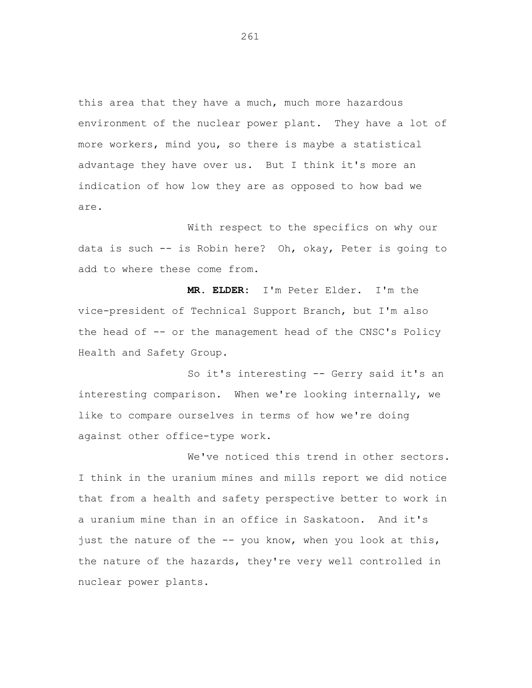this area that they have a much, much more hazardous environment of the nuclear power plant. They have a lot of more workers, mind you, so there is maybe a statistical advantage they have over us. But I think it's more an indication of how low they are as opposed to how bad we are.

With respect to the specifics on why our data is such -- is Robin here? Oh, okay, Peter is going to add to where these come from.

**MR. ELDER:** I'm Peter Elder. I'm the vice-president of Technical Support Branch, but I'm also the head of -- or the management head of the CNSC's Policy Health and Safety Group.

So it's interesting -- Gerry said it's an interesting comparison. When we're looking internally, we like to compare ourselves in terms of how we're doing against other office-type work.

We've noticed this trend in other sectors. I think in the uranium mines and mills report we did notice that from a health and safety perspective better to work in a uranium mine than in an office in Saskatoon. And it's just the nature of the -- you know, when you look at this, the nature of the hazards, they're very well controlled in nuclear power plants.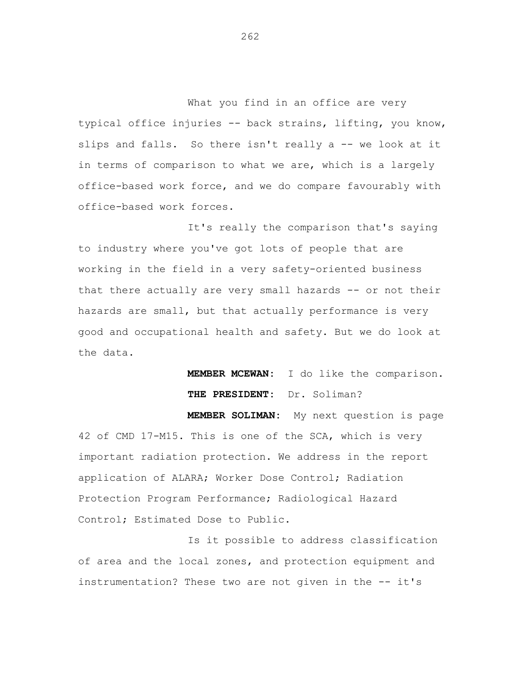What you find in an office are very typical office injuries -- back strains, lifting, you know, slips and falls. So there isn't really a -- we look at it in terms of comparison to what we are, which is a largely office-based work force, and we do compare favourably with office-based work forces.

It's really the comparison that's saying to industry where you've got lots of people that are working in the field in a very safety-oriented business that there actually are very small hazards -- or not their hazards are small, but that actually performance is very good and occupational health and safety. But we do look at the data.

> **MEMBER MCEWAN:** I do like the comparison. **THE PRESIDENT:** Dr. Soliman?

**MEMBER SOLIMAN:** My next question is page 42 of CMD 17-M15. This is one of the SCA, which is very important radiation protection. We address in the report application of ALARA; Worker Dose Control; Radiation Protection Program Performance; Radiological Hazard Control; Estimated Dose to Public.

Is it possible to address classification of area and the local zones, and protection equipment and instrumentation? These two are not given in the -- it's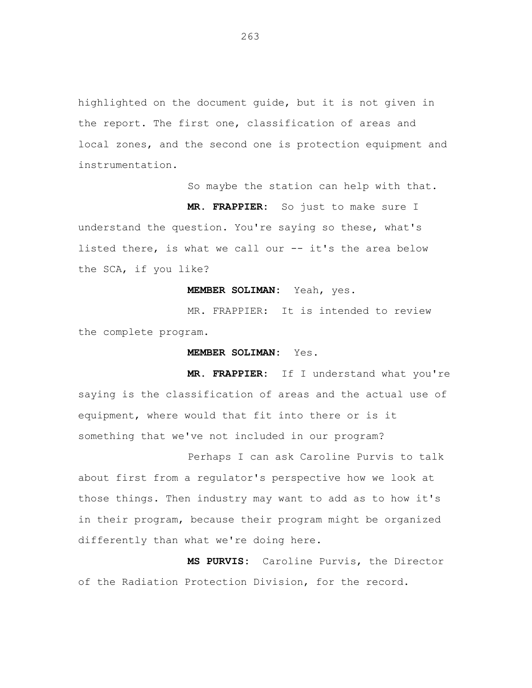highlighted on the document guide, but it is not given in the report. The first one, classification of areas and local zones, and the second one is protection equipment and instrumentation.

So maybe the station can help with that.

**MR. FRAPPIER:** So just to make sure I understand the question. You're saying so these, what's listed there, is what we call our -- it's the area below the SCA, if you like?

#### **MEMBER SOLIMAN:** Yeah, yes.

MR. FRAPPIER: It is intended to review the complete program.

#### **MEMBER SOLIMAN:** Yes.

 **MR. FRAPPIER:** If I understand what you're saying is the classification of areas and the actual use of equipment, where would that fit into there or is it something that we've not included in our program?

Perhaps I can ask Caroline Purvis to talk about first from a regulator's perspective how we look at those things. Then industry may want to add as to how it's in their program, because their program might be organized differently than what we're doing here.

**MS PURVIS:** Caroline Purvis, the Director of the Radiation Protection Division, for the record.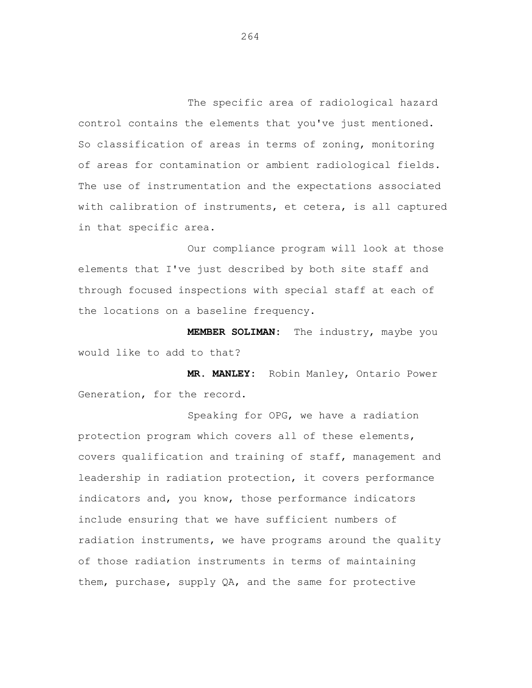The specific area of radiological hazard control contains the elements that you've just mentioned. So classification of areas in terms of zoning, monitoring of areas for contamination or ambient radiological fields. The use of instrumentation and the expectations associated with calibration of instruments, et cetera, is all captured in that specific area.

Our compliance program will look at those elements that I've just described by both site staff and through focused inspections with special staff at each of the locations on a baseline frequency.

**MEMBER SOLIMAN:** The industry, maybe you would like to add to that?

**MR. MANLEY:** Robin Manley, Ontario Power Generation, for the record.

Speaking for OPG, we have a radiation protection program which covers all of these elements, covers qualification and training of staff, management and leadership in radiation protection, it covers performance indicators and, you know, those performance indicators include ensuring that we have sufficient numbers of radiation instruments, we have programs around the quality of those radiation instruments in terms of maintaining them, purchase, supply QA, and the same for protective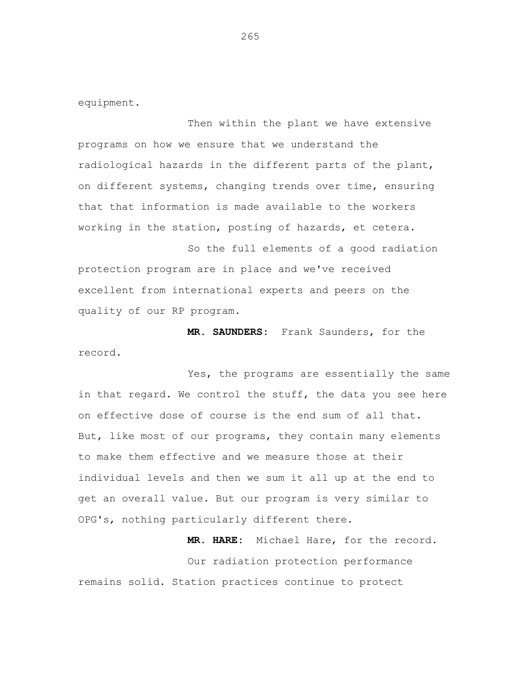equipment.

Then within the plant we have extensive programs on how we ensure that we understand the radiological hazards in the different parts of the plant, on different systems, changing trends over time, ensuring that that information is made available to the workers working in the station, posting of hazards, et cetera.

So the full elements of a good radiation protection program are in place and we've received excellent from international experts and peers on the quality of our RP program.

**MR. SAUNDERS:** Frank Saunders, for the record.

Yes, the programs are essentially the same in that regard. We control the stuff, the data you see here on effective dose of course is the end sum of all that. But, like most of our programs, they contain many elements to make them effective and we measure those at their individual levels and then we sum it all up at the end to get an overall value. But our program is very similar to OPG's, nothing particularly different there.

 **MR. HARE:** Michael Hare, for the record. Our radiation protection performance remains solid. Station practices continue to protect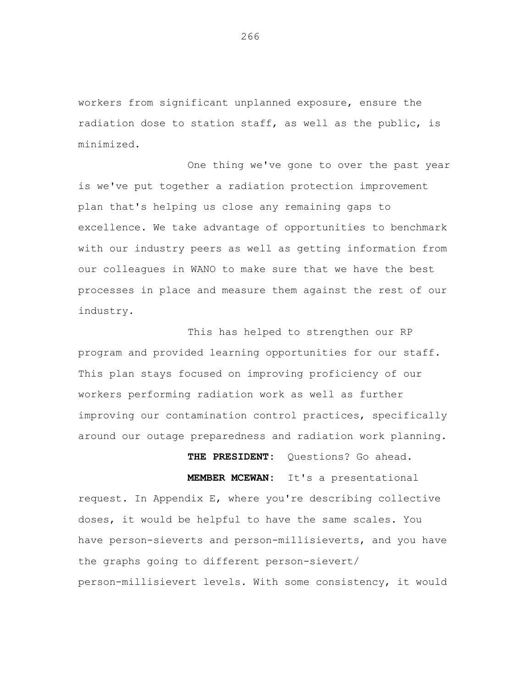workers from significant unplanned exposure, ensure the radiation dose to station staff, as well as the public, is minimized.

One thing we've gone to over the past year is we've put together a radiation protection improvement plan that's helping us close any remaining gaps to excellence. We take advantage of opportunities to benchmark with our industry peers as well as getting information from our colleagues in WANO to make sure that we have the best processes in place and measure them against the rest of our industry.

This has helped to strengthen our RP program and provided learning opportunities for our staff. This plan stays focused on improving proficiency of our workers performing radiation work as well as further improving our contamination control practices, specifically around our outage preparedness and radiation work planning.

 **THE PRESIDENT:** Questions? Go ahead.  **MEMBER MCEWAN:** It's a presentational request. In Appendix E, where you're describing collective doses, it would be helpful to have the same scales. You have person-sieverts and person-millisieverts, and you have the graphs going to different person-sievert/ person-millisievert levels. With some consistency, it would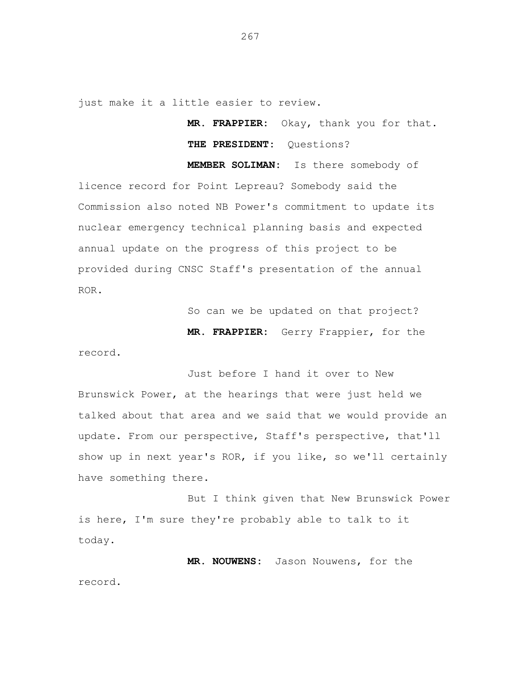just make it a little easier to review.

**MR. FRAPPIER:** Okay, thank you for that. **THE PRESIDENT:** Questions?

 **MEMBER SOLIMAN:** Is there somebody of licence record for Point Lepreau? Somebody said the Commission also noted NB Power's commitment to update its nuclear emergency technical planning basis and expected annual update on the progress of this project to be provided during CNSC Staff's presentation of the annual ROR.

So can we be updated on that project?

 **MR. FRAPPIER:** Gerry Frappier, for the

record.

Just before I hand it over to New Brunswick Power, at the hearings that were just held we talked about that area and we said that we would provide an update. From our perspective, Staff's perspective, that'll show up in next year's ROR, if you like, so we'll certainly have something there.

But I think given that New Brunswick Power is here, I'm sure they're probably able to talk to it today.

 **MR. NOUWENS:** Jason Nouwens, for the record.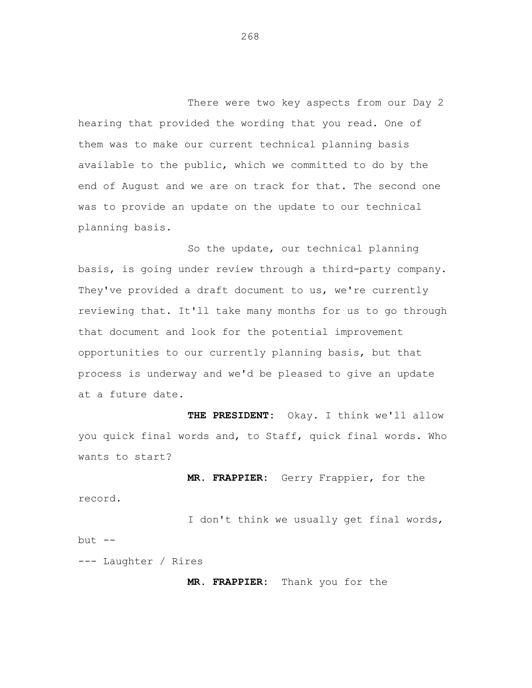There were two key aspects from our Day 2 hearing that provided the wording that you read. One of them was to make our current technical planning basis available to the public, which we committed to do by the end of August and we are on track for that. The second one was to provide an update on the update to our technical planning basis.

So the update, our technical planning basis, is going under review through a third-party company. They've provided a draft document to us, we're currently reviewing that. It'll take many months for us to go through that document and look for the potential improvement opportunities to our currently planning basis, but that process is underway and we'd be pleased to give an update at a future date.

 **THE PRESIDENT:** Okay. I think we'll allow you quick final words and, to Staff, quick final words. Who wants to start?

 **MR. FRAPPIER:** Gerry Frappier, for the record.

I don't think we usually get final words, but  $--$ 

--- Laughter / Rires

**MR. FRAPPIER:** Thank you for the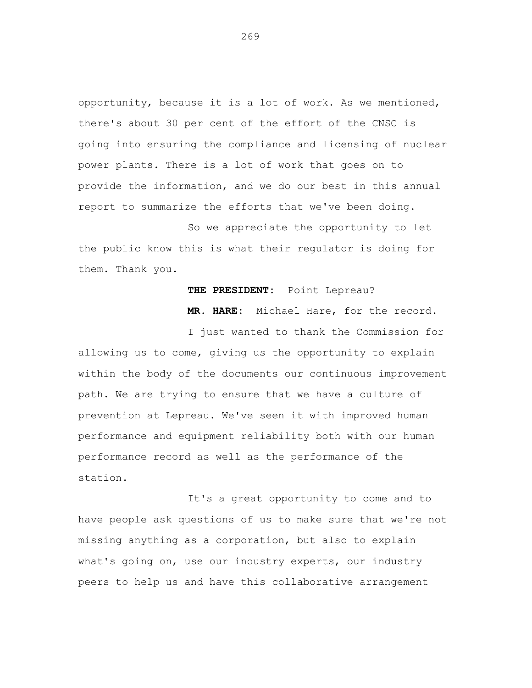opportunity, because it is a lot of work. As we mentioned, there's about 30 per cent of the effort of the CNSC is going into ensuring the compliance and licensing of nuclear power plants. There is a lot of work that goes on to provide the information, and we do our best in this annual report to summarize the efforts that we've been doing.

So we appreciate the opportunity to let the public know this is what their regulator is doing for them. Thank you.

## **THE PRESIDENT:** Point Lepreau?

 **MR. HARE:** Michael Hare, for the record.

I just wanted to thank the Commission for allowing us to come, giving us the opportunity to explain within the body of the documents our continuous improvement path. We are trying to ensure that we have a culture of prevention at Lepreau. We've seen it with improved human performance and equipment reliability both with our human performance record as well as the performance of the station.

It's a great opportunity to come and to have people ask questions of us to make sure that we're not missing anything as a corporation, but also to explain what's going on, use our industry experts, our industry peers to help us and have this collaborative arrangement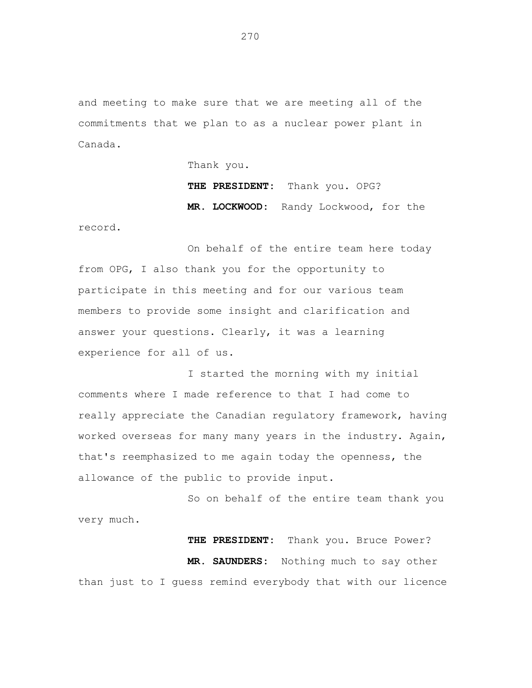and meeting to make sure that we are meeting all of the commitments that we plan to as a nuclear power plant in Canada.

Thank you.

 **THE PRESIDENT:** Thank you. OPG?  **MR. LOCKWOOD:** Randy Lockwood, for the record.

On behalf of the entire team here today from OPG, I also thank you for the opportunity to participate in this meeting and for our various team members to provide some insight and clarification and answer your questions. Clearly, it was a learning experience for all of us.

I started the morning with my initial comments where I made reference to that I had come to really appreciate the Canadian regulatory framework, having worked overseas for many many years in the industry. Again, that's reemphasized to me again today the openness, the allowance of the public to provide input.

So on behalf of the entire team thank you very much.

 **THE PRESIDENT:** Thank you. Bruce Power?  **MR. SAUNDERS:** Nothing much to say other than just to I guess remind everybody that with our licence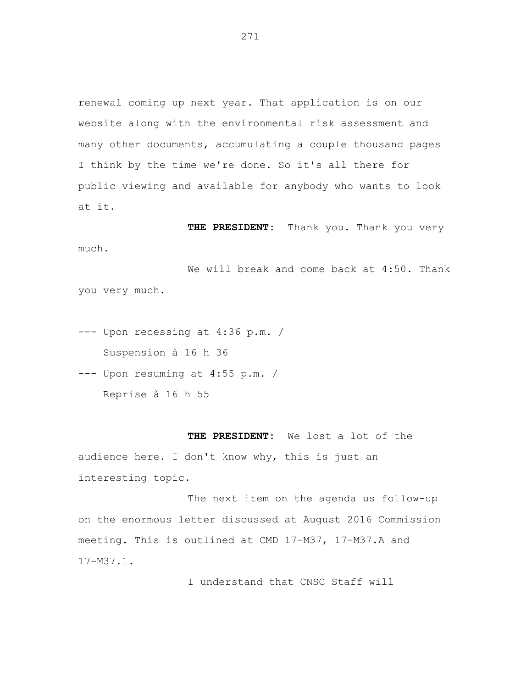renewal coming up next year. That application is on our website along with the environmental risk assessment and many other documents, accumulating a couple thousand pages I think by the time we're done. So it's all there for public viewing and available for anybody who wants to look at it.

 **THE PRESIDENT:** Thank you. Thank you very much.

We will break and come back at 4:50. Thank you very much.

--- Upon recessing at 4:36 p.m. / Suspension à 16 h 36

--- Upon resuming at 4:55 p.m. / Reprise à 16 h 55

**THE PRESIDENT:** We lost a lot of the audience here. I don't know why, this is just an interesting topic.

The next item on the agenda us follow-up on the enormous letter discussed at August 2016 Commission meeting. This is outlined at CMD 17-M37, 17-M37.A and 17-M37.1.

I understand that CNSC Staff will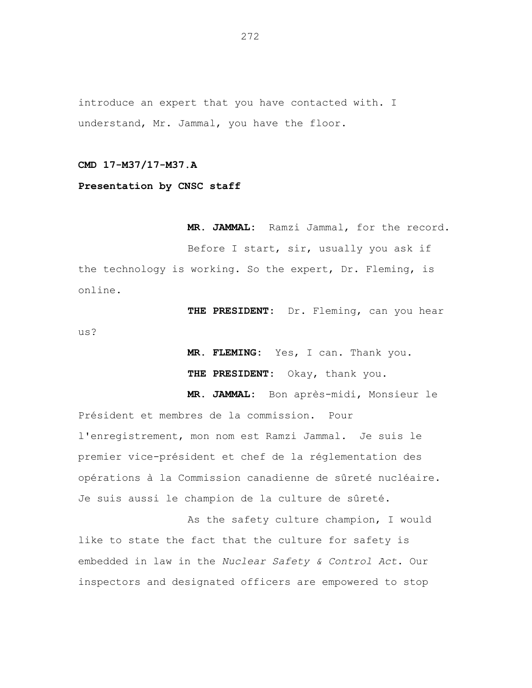introduce an expert that you have contacted with. I understand, Mr. Jammal, you have the floor.

**CMD 17-M37/17-M37.A** 

**Presentation by CNSC staff** 

**MR. JAMMAL:** Ramzi Jammal, for the record. Before I start, sir, usually you ask if the technology is working. So the expert, Dr. Fleming, is online.

**THE PRESIDENT:** Dr. Fleming, can you hear us?

> **MR. FLEMING:** Yes, I can. Thank you. **THE PRESIDENT:** Okay, thank you.

 **MR. JAMMAL:** Bon après-midi, Monsieur le

Président et membres de la commission. Pour l'enregistrement, mon nom est Ramzi Jammal. Je suis le premier vice-président et chef de la réglementation des opérations à la Commission canadienne de sûreté nucléaire. Je suis aussi le champion de la culture de sûreté.

As the safety culture champion, I would like to state the fact that the culture for safety is embedded in law in the *Nuclear Safety & Control Act*. Our inspectors and designated officers are empowered to stop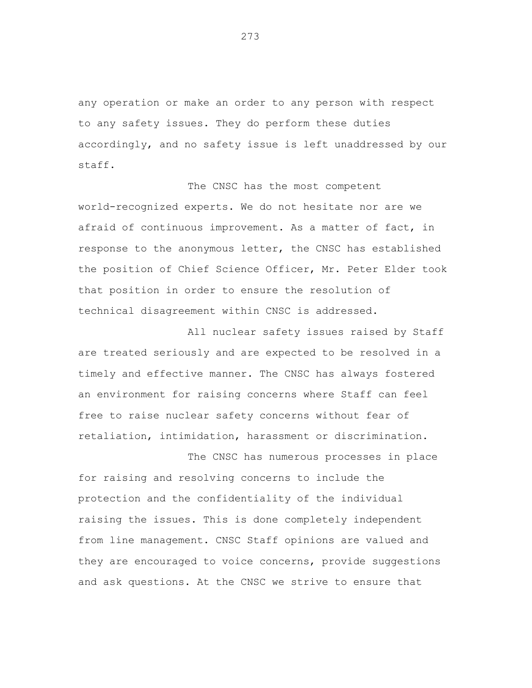any operation or make an order to any person with respect to any safety issues. They do perform these duties accordingly, and no safety issue is left unaddressed by our staff.

The CNSC has the most competent world-recognized experts. We do not hesitate nor are we afraid of continuous improvement. As a matter of fact, in response to the anonymous letter, the CNSC has established the position of Chief Science Officer, Mr. Peter Elder took that position in order to ensure the resolution of technical disagreement within CNSC is addressed.

All nuclear safety issues raised by Staff are treated seriously and are expected to be resolved in a timely and effective manner. The CNSC has always fostered an environment for raising concerns where Staff can feel free to raise nuclear safety concerns without fear of retaliation, intimidation, harassment or discrimination.

The CNSC has numerous processes in place for raising and resolving concerns to include the protection and the confidentiality of the individual raising the issues. This is done completely independent from line management. CNSC Staff opinions are valued and they are encouraged to voice concerns, provide suggestions and ask questions. At the CNSC we strive to ensure that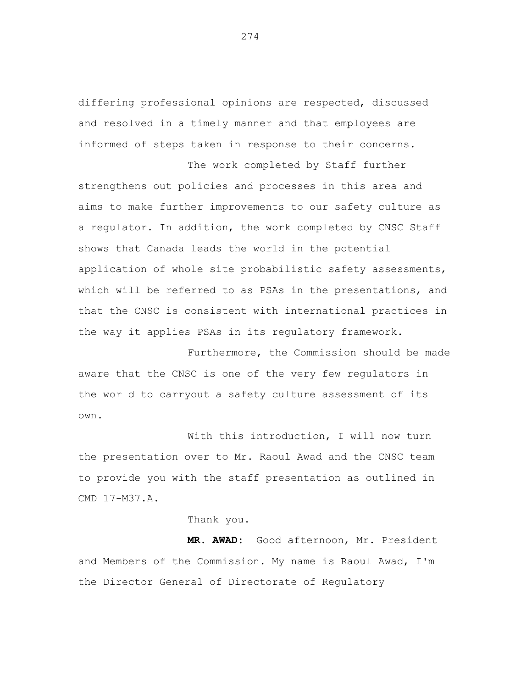differing professional opinions are respected, discussed and resolved in a timely manner and that employees are informed of steps taken in response to their concerns.

The work completed by Staff further strengthens out policies and processes in this area and aims to make further improvements to our safety culture as a regulator. In addition, the work completed by CNSC Staff shows that Canada leads the world in the potential application of whole site probabilistic safety assessments, which will be referred to as PSAs in the presentations, and that the CNSC is consistent with international practices in the way it applies PSAs in its regulatory framework.

Furthermore, the Commission should be made aware that the CNSC is one of the very few regulators in the world to carryout a safety culture assessment of its own.

With this introduction, I will now turn the presentation over to Mr. Raoul Awad and the CNSC team to provide you with the staff presentation as outlined in CMD 17-M37.A.

### Thank you.

**MR. AWAD:** Good afternoon, Mr. President and Members of the Commission. My name is Raoul Awad, I'm the Director General of Directorate of Regulatory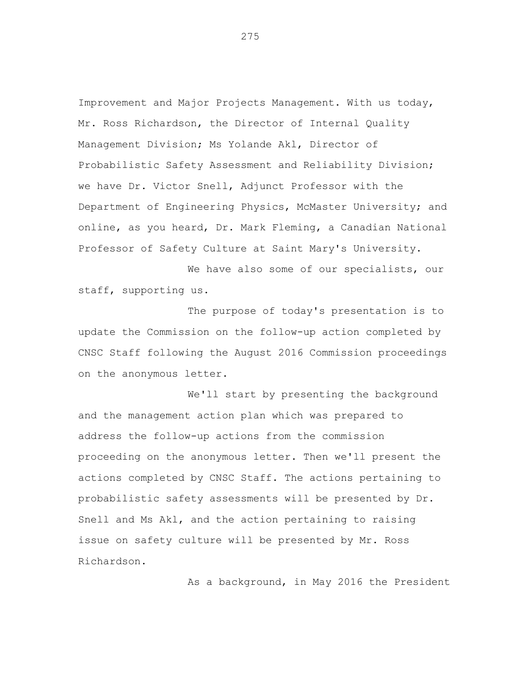Improvement and Major Projects Management. With us today, Mr. Ross Richardson, the Director of Internal Quality Management Division; Ms Yolande Akl, Director of Probabilistic Safety Assessment and Reliability Division; we have Dr. Victor Snell, Adjunct Professor with the Department of Engineering Physics, McMaster University; and online, as you heard, Dr. Mark Fleming, a Canadian National Professor of Safety Culture at Saint Mary's University.

We have also some of our specialists, our staff, supporting us.

The purpose of today's presentation is to update the Commission on the follow-up action completed by CNSC Staff following the August 2016 Commission proceedings on the anonymous letter.

We'll start by presenting the background and the management action plan which was prepared to address the follow-up actions from the commission proceeding on the anonymous letter. Then we'll present the actions completed by CNSC Staff. The actions pertaining to probabilistic safety assessments will be presented by Dr. Snell and Ms Akl, and the action pertaining to raising issue on safety culture will be presented by Mr. Ross Richardson.

As a background, in May 2016 the President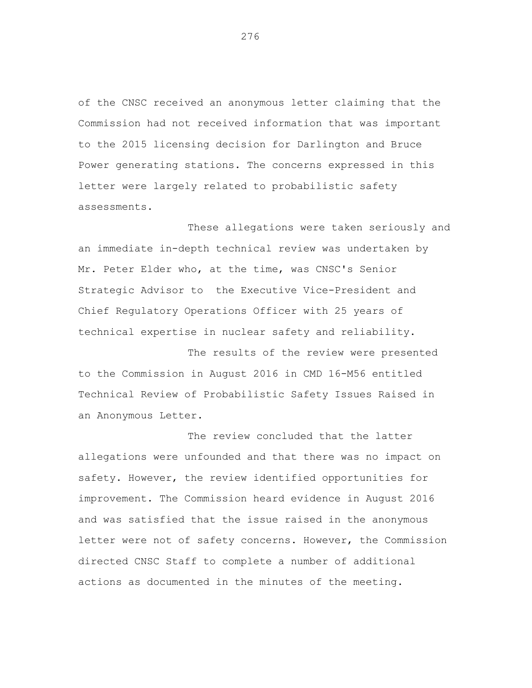of the CNSC received an anonymous letter claiming that the Commission had not received information that was important to the 2015 licensing decision for Darlington and Bruce Power generating stations. The concerns expressed in this letter were largely related to probabilistic safety assessments.

These allegations were taken seriously and an immediate in-depth technical review was undertaken by Mr. Peter Elder who, at the time, was CNSC's Senior Strategic Advisor to the Executive Vice-President and Chief Regulatory Operations Officer with 25 years of technical expertise in nuclear safety and reliability.

The results of the review were presented to the Commission in August 2016 in CMD 16-M56 entitled Technical Review of Probabilistic Safety Issues Raised in an Anonymous Letter.

The review concluded that the latter allegations were unfounded and that there was no impact on safety. However, the review identified opportunities for improvement. The Commission heard evidence in August 2016 and was satisfied that the issue raised in the anonymous letter were not of safety concerns. However, the Commission directed CNSC Staff to complete a number of additional actions as documented in the minutes of the meeting.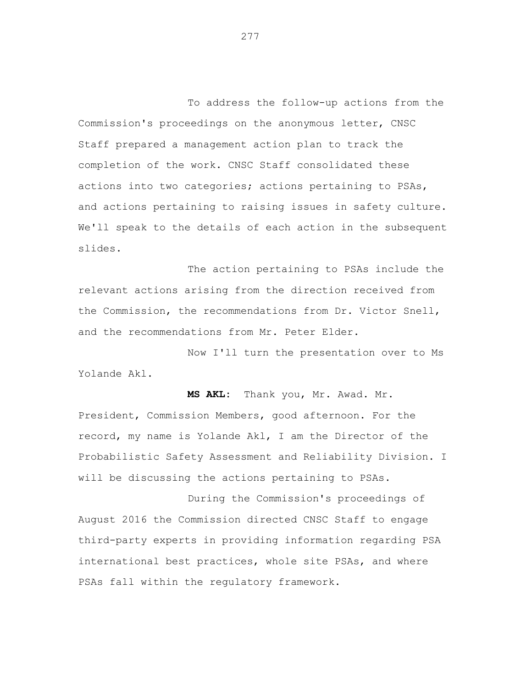To address the follow-up actions from the Commission's proceedings on the anonymous letter, CNSC Staff prepared a management action plan to track the completion of the work. CNSC Staff consolidated these actions into two categories; actions pertaining to PSAs, and actions pertaining to raising issues in safety culture. We'll speak to the details of each action in the subsequent slides.

The action pertaining to PSAs include the relevant actions arising from the direction received from the Commission, the recommendations from Dr. Victor Snell, and the recommendations from Mr. Peter Elder.

Now I'll turn the presentation over to Ms Yolande Akl.

**MS AKL:** Thank you, Mr. Awad. Mr. President, Commission Members, good afternoon. For the record, my name is Yolande Akl, I am the Director of the Probabilistic Safety Assessment and Reliability Division. I will be discussing the actions pertaining to PSAs.

During the Commission's proceedings of August 2016 the Commission directed CNSC Staff to engage third-party experts in providing information regarding PSA international best practices, whole site PSAs, and where PSAs fall within the regulatory framework.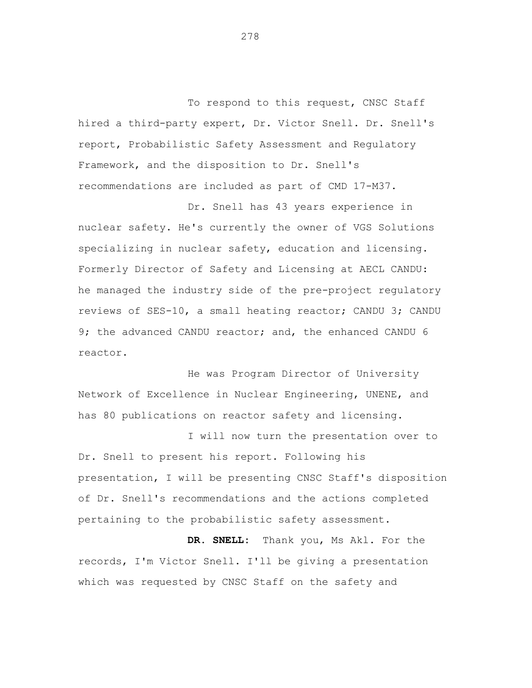To respond to this request, CNSC Staff hired a third-party expert, Dr. Victor Snell. Dr. Snell's report, Probabilistic Safety Assessment and Regulatory Framework, and the disposition to Dr. Snell's recommendations are included as part of CMD 17-M37.

Dr. Snell has 43 years experience in nuclear safety. He's currently the owner of VGS Solutions specializing in nuclear safety, education and licensing. Formerly Director of Safety and Licensing at AECL CANDU: he managed the industry side of the pre-project regulatory reviews of SES-10, a small heating reactor; CANDU 3; CANDU 9; the advanced CANDU reactor; and, the enhanced CANDU 6 reactor.

He was Program Director of University Network of Excellence in Nuclear Engineering, UNENE, and has 80 publications on reactor safety and licensing.

I will now turn the presentation over to Dr. Snell to present his report. Following his presentation, I will be presenting CNSC Staff's disposition of Dr. Snell's recommendations and the actions completed pertaining to the probabilistic safety assessment.

**DR. SNELL:** Thank you, Ms Akl. For the records, I'm Victor Snell. I'll be giving a presentation which was requested by CNSC Staff on the safety and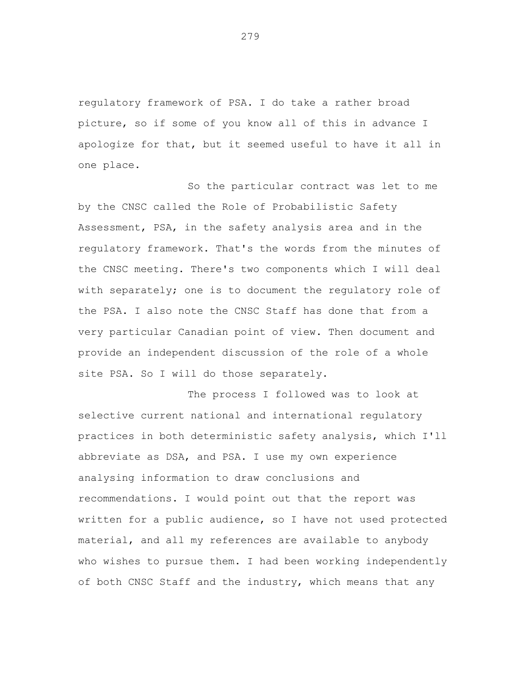regulatory framework of PSA. I do take a rather broad picture, so if some of you know all of this in advance I apologize for that, but it seemed useful to have it all in one place.

So the particular contract was let to me by the CNSC called the Role of Probabilistic Safety Assessment, PSA, in the safety analysis area and in the regulatory framework. That's the words from the minutes of the CNSC meeting. There's two components which I will deal with separately; one is to document the regulatory role of the PSA. I also note the CNSC Staff has done that from a very particular Canadian point of view. Then document and provide an independent discussion of the role of a whole site PSA. So I will do those separately.

The process I followed was to look at selective current national and international regulatory practices in both deterministic safety analysis, which I'll abbreviate as DSA, and PSA. I use my own experience analysing information to draw conclusions and recommendations. I would point out that the report was written for a public audience, so I have not used protected material, and all my references are available to anybody who wishes to pursue them. I had been working independently of both CNSC Staff and the industry, which means that any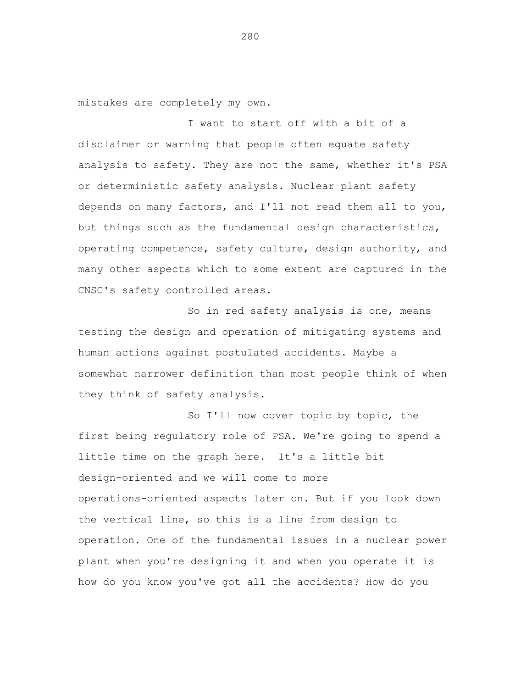mistakes are completely my own.

I want to start off with a bit of a disclaimer or warning that people often equate safety analysis to safety. They are not the same, whether it's PSA or deterministic safety analysis. Nuclear plant safety depends on many factors, and I'll not read them all to you, but things such as the fundamental design characteristics, operating competence, safety culture, design authority, and many other aspects which to some extent are captured in the CNSC's safety controlled areas.

So in red safety analysis is one, means testing the design and operation of mitigating systems and human actions against postulated accidents. Maybe a somewhat narrower definition than most people think of when they think of safety analysis.

So I'll now cover topic by topic, the first being regulatory role of PSA. We're going to spend a little time on the graph here. It's a little bit design-oriented and we will come to more operations-oriented aspects later on. But if you look down the vertical line, so this is a line from design to operation. One of the fundamental issues in a nuclear power plant when you're designing it and when you operate it is how do you know you've got all the accidents? How do you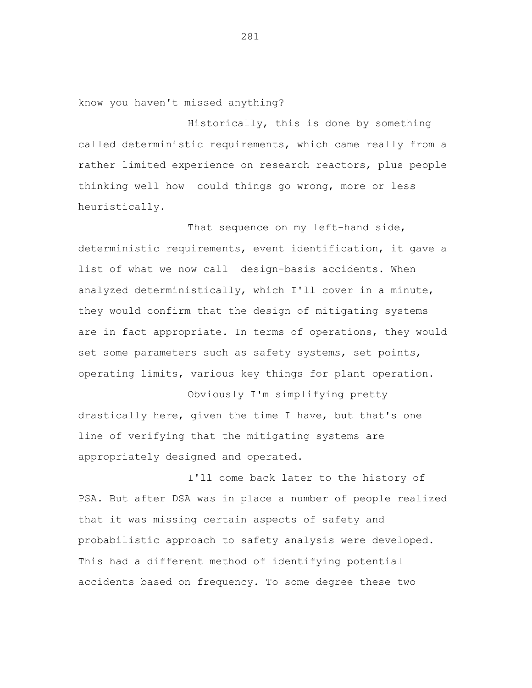know you haven't missed anything?

Historically, this is done by something called deterministic requirements, which came really from a rather limited experience on research reactors, plus people thinking well how could things go wrong, more or less heuristically.

That sequence on my left-hand side, deterministic requirements, event identification, it gave a list of what we now call design-basis accidents. When analyzed deterministically, which I'll cover in a minute, they would confirm that the design of mitigating systems are in fact appropriate. In terms of operations, they would set some parameters such as safety systems, set points, operating limits, various key things for plant operation.

Obviously I'm simplifying pretty drastically here, given the time I have, but that's one line of verifying that the mitigating systems are appropriately designed and operated.

I'll come back later to the history of PSA. But after DSA was in place a number of people realized that it was missing certain aspects of safety and probabilistic approach to safety analysis were developed. This had a different method of identifying potential accidents based on frequency. To some degree these two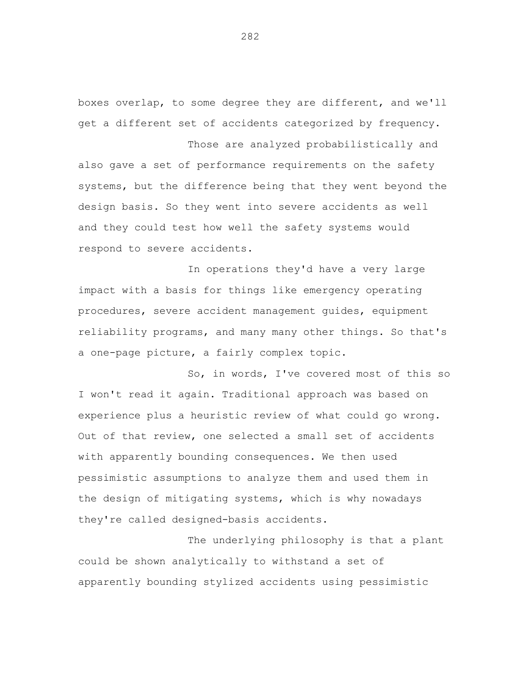boxes overlap, to some degree they are different, and we'll get a different set of accidents categorized by frequency. Those are analyzed probabilistically and

also gave a set of performance requirements on the safety systems, but the difference being that they went beyond the design basis. So they went into severe accidents as well and they could test how well the safety systems would respond to severe accidents.

In operations they'd have a very large impact with a basis for things like emergency operating procedures, severe accident management guides, equipment reliability programs, and many many other things. So that's a one-page picture, a fairly complex topic.

So, in words, I've covered most of this so I won't read it again. Traditional approach was based on experience plus a heuristic review of what could go wrong. Out of that review, one selected a small set of accidents with apparently bounding consequences. We then used pessimistic assumptions to analyze them and used them in the design of mitigating systems, which is why nowadays they're called designed-basis accidents.

The underlying philosophy is that a plant could be shown analytically to withstand a set of apparently bounding stylized accidents using pessimistic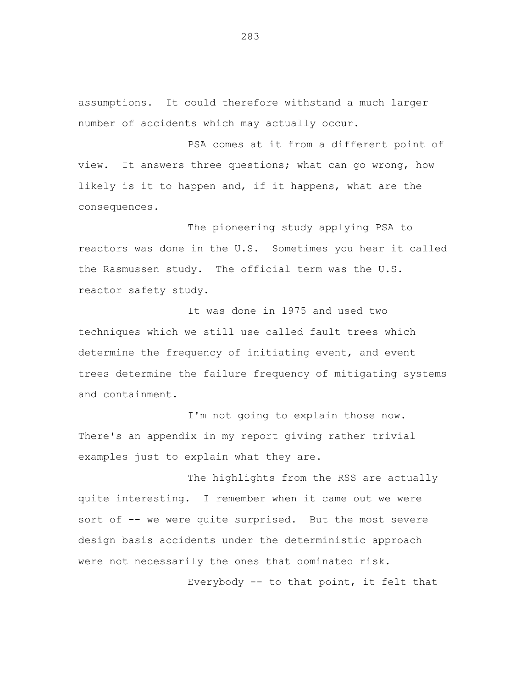assumptions. It could therefore withstand a much larger number of accidents which may actually occur.

PSA comes at it from a different point of view. It answers three questions; what can go wrong, how likely is it to happen and, if it happens, what are the consequences.

The pioneering study applying PSA to reactors was done in the U.S. Sometimes you hear it called the Rasmussen study. The official term was the U.S. reactor safety study.

It was done in 1975 and used two techniques which we still use called fault trees which determine the frequency of initiating event, and event trees determine the failure frequency of mitigating systems and containment.

I'm not going to explain those now. There's an appendix in my report giving rather trivial examples just to explain what they are.

The highlights from the RSS are actually quite interesting. I remember when it came out we were sort of -- we were quite surprised. But the most severe design basis accidents under the deterministic approach were not necessarily the ones that dominated risk.

Everybody -- to that point, it felt that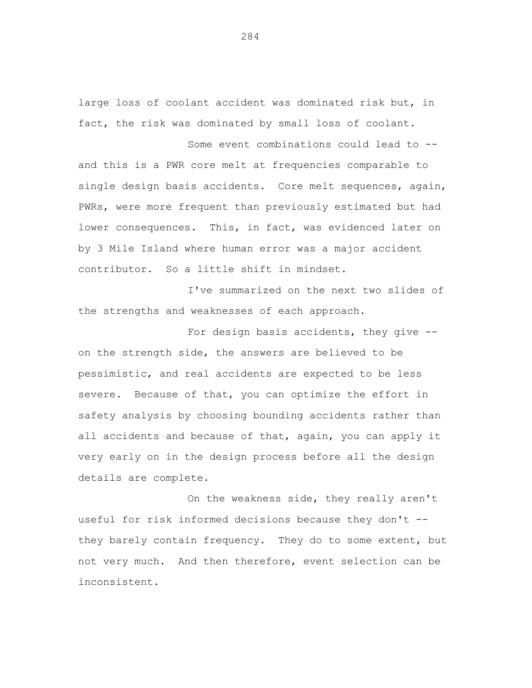large loss of coolant accident was dominated risk but, in fact, the risk was dominated by small loss of coolant.

Some event combinations could lead to and this is a PWR core melt at frequencies comparable to single design basis accidents. Core melt sequences, again, PWRs, were more frequent than previously estimated but had lower consequences. This, in fact, was evidenced later on by 3 Mile Island where human error was a major accident contributor. So a little shift in mindset.

I've summarized on the next two slides of the strengths and weaknesses of each approach.

For design basis accidents, they give on the strength side, the answers are believed to be pessimistic, and real accidents are expected to be less severe. Because of that, you can optimize the effort in safety analysis by choosing bounding accidents rather than all accidents and because of that, again, you can apply it very early on in the design process before all the design details are complete.

On the weakness side, they really aren't useful for risk informed decisions because they don't they barely contain frequency. They do to some extent, but not very much. And then therefore, event selection can be inconsistent.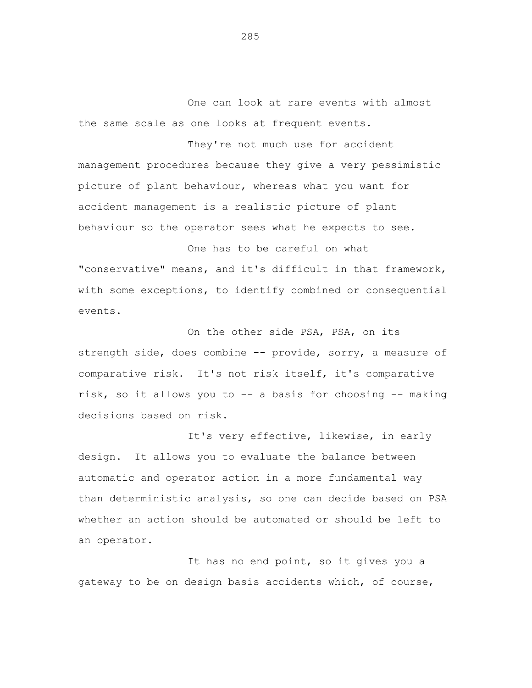One can look at rare events with almost the same scale as one looks at frequent events.

They're not much use for accident management procedures because they give a very pessimistic picture of plant behaviour, whereas what you want for accident management is a realistic picture of plant behaviour so the operator sees what he expects to see.

One has to be careful on what "conservative" means, and it's difficult in that framework, with some exceptions, to identify combined or consequential events.

On the other side PSA, PSA, on its strength side, does combine -- provide, sorry, a measure of comparative risk. It's not risk itself, it's comparative risk, so it allows you to -- a basis for choosing -- making decisions based on risk.

It's very effective, likewise, in early design. It allows you to evaluate the balance between automatic and operator action in a more fundamental way than deterministic analysis, so one can decide based on PSA whether an action should be automated or should be left to an operator.

It has no end point, so it gives you a gateway to be on design basis accidents which, of course,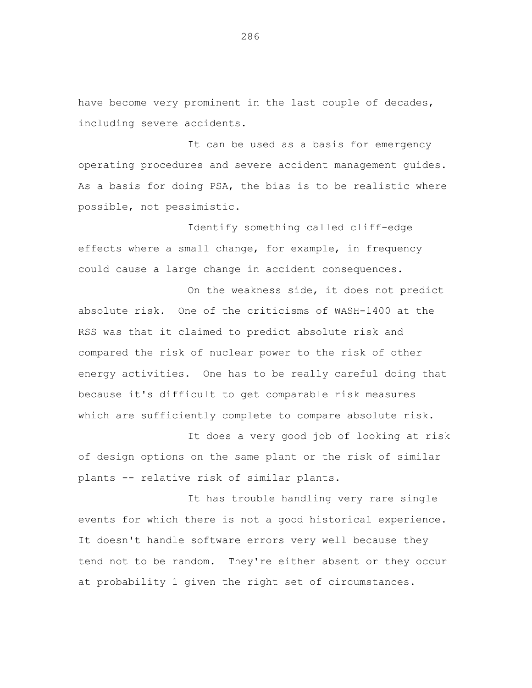have become very prominent in the last couple of decades, including severe accidents.

It can be used as a basis for emergency operating procedures and severe accident management guides. As a basis for doing PSA, the bias is to be realistic where possible, not pessimistic.

Identify something called cliff-edge effects where a small change, for example, in frequency could cause a large change in accident consequences.

On the weakness side, it does not predict absolute risk. One of the criticisms of WASH-1400 at the RSS was that it claimed to predict absolute risk and compared the risk of nuclear power to the risk of other energy activities. One has to be really careful doing that because it's difficult to get comparable risk measures which are sufficiently complete to compare absolute risk.

It does a very good job of looking at risk of design options on the same plant or the risk of similar plants -- relative risk of similar plants.

It has trouble handling very rare single events for which there is not a good historical experience. It doesn't handle software errors very well because they tend not to be random. They're either absent or they occur at probability 1 given the right set of circumstances.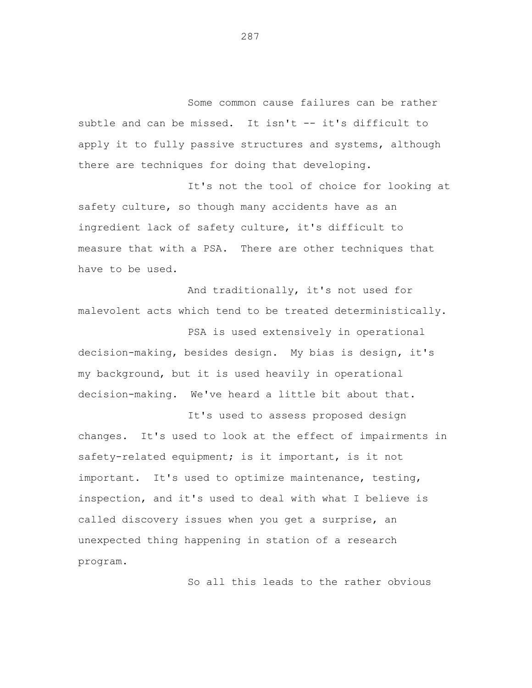Some common cause failures can be rather subtle and can be missed. It isn't -- it's difficult to apply it to fully passive structures and systems, although there are techniques for doing that developing.

It's not the tool of choice for looking at safety culture, so though many accidents have as an ingredient lack of safety culture, it's difficult to measure that with a PSA. There are other techniques that have to be used.

And traditionally, it's not used for malevolent acts which tend to be treated deterministically.

PSA is used extensively in operational decision-making, besides design. My bias is design, it's my background, but it is used heavily in operational decision-making. We've heard a little bit about that.

It's used to assess proposed design changes. It's used to look at the effect of impairments in safety-related equipment; is it important, is it not important. It's used to optimize maintenance, testing, inspection, and it's used to deal with what I believe is called discovery issues when you get a surprise, an unexpected thing happening in station of a research program.

So all this leads to the rather obvious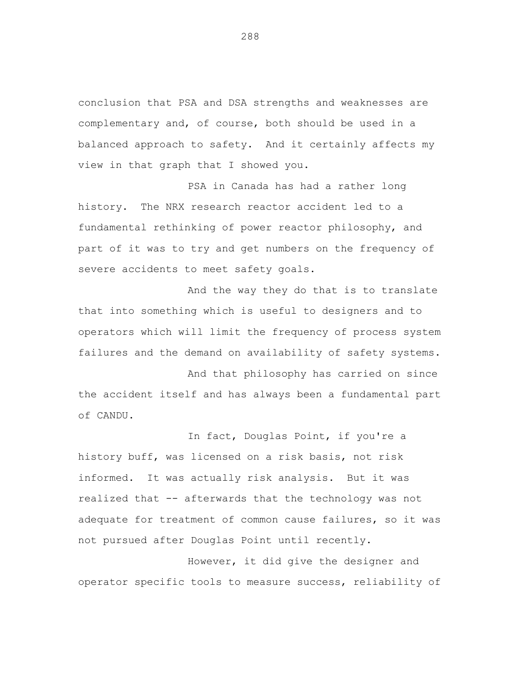conclusion that PSA and DSA strengths and weaknesses are complementary and, of course, both should be used in a balanced approach to safety. And it certainly affects my view in that graph that I showed you.

PSA in Canada has had a rather long history. The NRX research reactor accident led to a fundamental rethinking of power reactor philosophy, and part of it was to try and get numbers on the frequency of severe accidents to meet safety goals.

And the way they do that is to translate that into something which is useful to designers and to operators which will limit the frequency of process system failures and the demand on availability of safety systems.

And that philosophy has carried on since the accident itself and has always been a fundamental part of CANDU.

In fact, Douglas Point, if you're a history buff, was licensed on a risk basis, not risk informed. It was actually risk analysis. But it was realized that -- afterwards that the technology was not adequate for treatment of common cause failures, so it was not pursued after Douglas Point until recently.

However, it did give the designer and operator specific tools to measure success, reliability of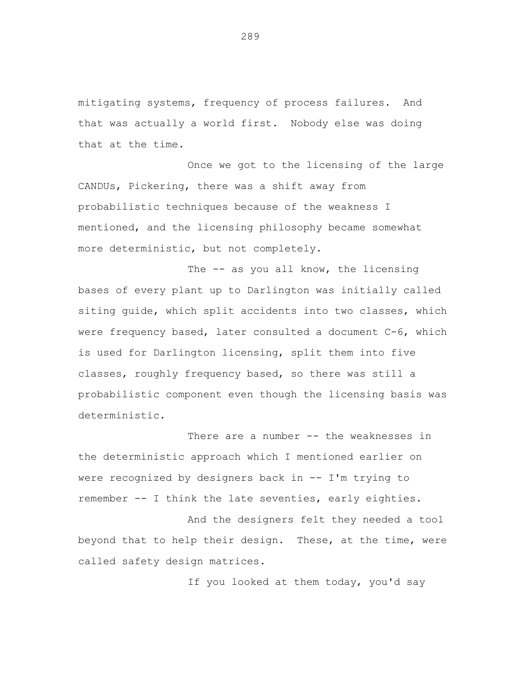mitigating systems, frequency of process failures. And that was actually a world first. Nobody else was doing that at the time.

Once we got to the licensing of the large CANDUs, Pickering, there was a shift away from probabilistic techniques because of the weakness I mentioned, and the licensing philosophy became somewhat more deterministic, but not completely.

The -- as you all know, the licensing bases of every plant up to Darlington was initially called siting guide, which split accidents into two classes, which were frequency based, later consulted a document C-6, which is used for Darlington licensing, split them into five classes, roughly frequency based, so there was still a probabilistic component even though the licensing basis was deterministic.

There are a number -- the weaknesses in the deterministic approach which I mentioned earlier on were recognized by designers back in -- I'm trying to remember -- I think the late seventies, early eighties.

And the designers felt they needed a tool beyond that to help their design. These, at the time, were called safety design matrices.

If you looked at them today, you'd say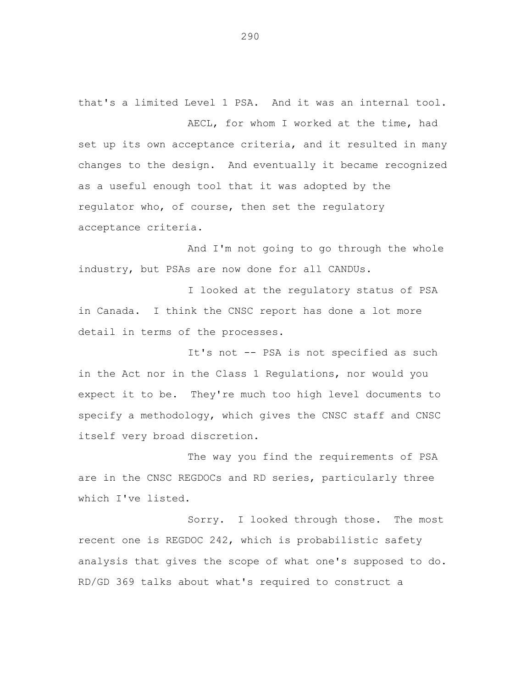that's a limited Level 1 PSA. And it was an internal tool. AECL, for whom I worked at the time, had set up its own acceptance criteria, and it resulted in many changes to the design. And eventually it became recognized as a useful enough tool that it was adopted by the regulator who, of course, then set the regulatory acceptance criteria.

And I'm not going to go through the whole industry, but PSAs are now done for all CANDUs.

I looked at the regulatory status of PSA in Canada. I think the CNSC report has done a lot more detail in terms of the processes.

It's not -- PSA is not specified as such in the Act nor in the Class 1 Regulations, nor would you expect it to be. They're much too high level documents to specify a methodology, which gives the CNSC staff and CNSC itself very broad discretion.

The way you find the requirements of PSA are in the CNSC REGDOCs and RD series, particularly three which I've listed.

Sorry. I looked through those. The most recent one is REGDOC 242, which is probabilistic safety analysis that gives the scope of what one's supposed to do. RD/GD 369 talks about what's required to construct a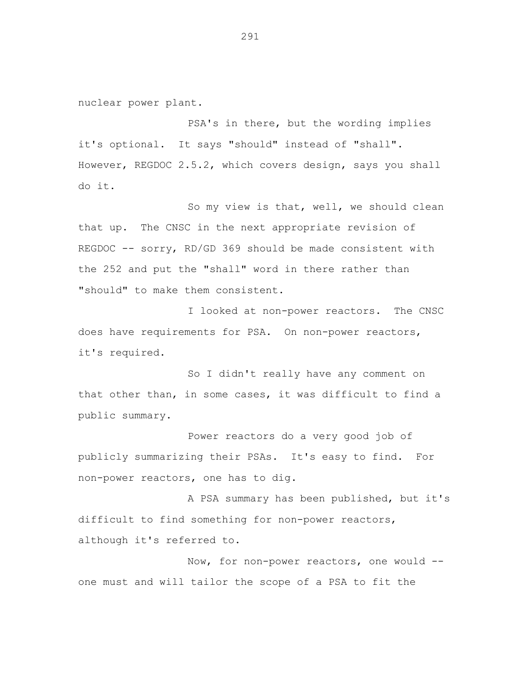nuclear power plant.

PSA's in there, but the wording implies it's optional. It says "should" instead of "shall". However, REGDOC 2.5.2, which covers design, says you shall do it.

So my view is that, well, we should clean that up. The CNSC in the next appropriate revision of REGDOC -- sorry, RD/GD 369 should be made consistent with the 252 and put the "shall" word in there rather than "should" to make them consistent.

I looked at non-power reactors. The CNSC does have requirements for PSA. On non-power reactors, it's required.

So I didn't really have any comment on that other than, in some cases, it was difficult to find a public summary.

Power reactors do a very good job of publicly summarizing their PSAs. It's easy to find. For non-power reactors, one has to dig.

A PSA summary has been published, but it's difficult to find something for non-power reactors, although it's referred to.

Now, for non-power reactors, one would one must and will tailor the scope of a PSA to fit the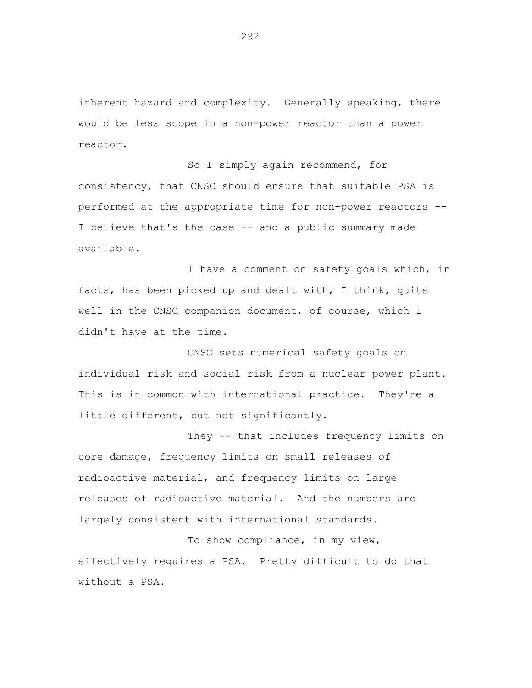inherent hazard and complexity. Generally speaking, there would be less scope in a non-power reactor than a power reactor.

So I simply again recommend, for consistency, that CNSC should ensure that suitable PSA is performed at the appropriate time for non-power reactors - I believe that's the case -- and a public summary made available.

I have a comment on safety goals which, in facts, has been picked up and dealt with, I think, quite well in the CNSC companion document, of course, which I didn't have at the time.

CNSC sets numerical safety goals on individual risk and social risk from a nuclear power plant. This is in common with international practice. They're a little different, but not significantly.

They -- that includes frequency limits on core damage, frequency limits on small releases of radioactive material, and frequency limits on large releases of radioactive material. And the numbers are largely consistent with international standards.

To show compliance, in my view, effectively requires a PSA. Pretty difficult to do that without a PSA.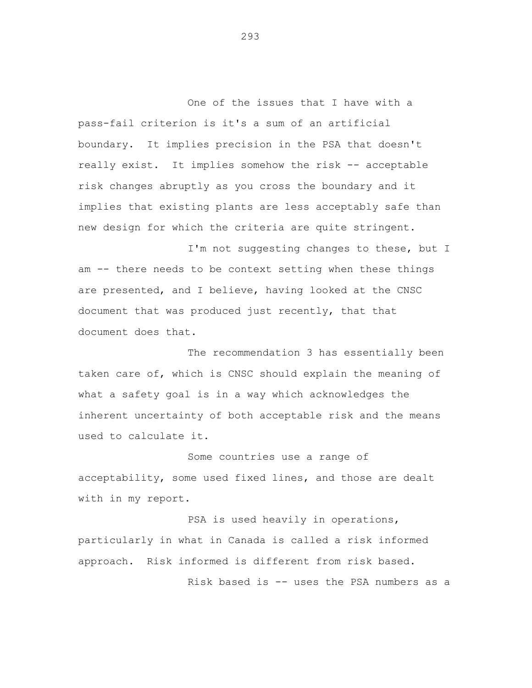One of the issues that I have with a pass-fail criterion is it's a sum of an artificial boundary. It implies precision in the PSA that doesn't really exist. It implies somehow the risk -- acceptable risk changes abruptly as you cross the boundary and it implies that existing plants are less acceptably safe than new design for which the criteria are quite stringent.

I'm not suggesting changes to these, but I am -- there needs to be context setting when these things are presented, and I believe, having looked at the CNSC document that was produced just recently, that that document does that.

The recommendation 3 has essentially been taken care of, which is CNSC should explain the meaning of what a safety goal is in a way which acknowledges the inherent uncertainty of both acceptable risk and the means used to calculate it.

Some countries use a range of acceptability, some used fixed lines, and those are dealt with in my report.

PSA is used heavily in operations, particularly in what in Canada is called a risk informed approach. Risk informed is different from risk based.

Risk based is -- uses the PSA numbers as a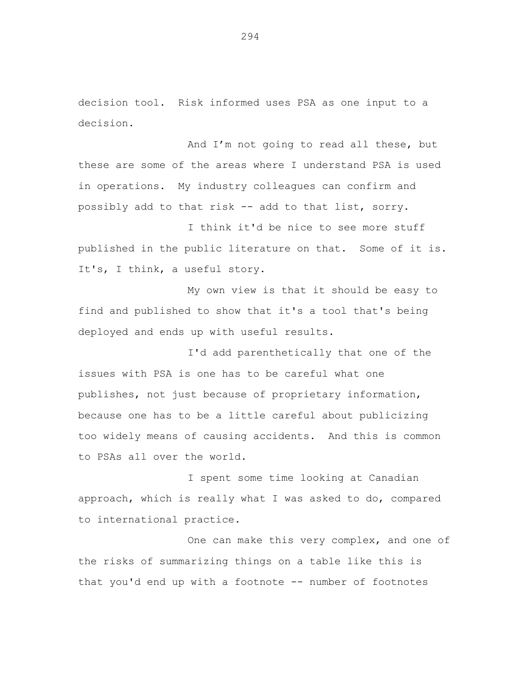decision tool. Risk informed uses PSA as one input to a decision.

And I'm not going to read all these, but these are some of the areas where I understand PSA is used in operations. My industry colleagues can confirm and possibly add to that risk -- add to that list, sorry.

I think it'd be nice to see more stuff published in the public literature on that. Some of it is. It's, I think, a useful story.

My own view is that it should be easy to find and published to show that it's a tool that's being deployed and ends up with useful results.

I'd add parenthetically that one of the issues with PSA is one has to be careful what one publishes, not just because of proprietary information, because one has to be a little careful about publicizing too widely means of causing accidents. And this is common to PSAs all over the world.

I spent some time looking at Canadian approach, which is really what I was asked to do, compared to international practice.

One can make this very complex, and one of the risks of summarizing things on a table like this is that you'd end up with a footnote -- number of footnotes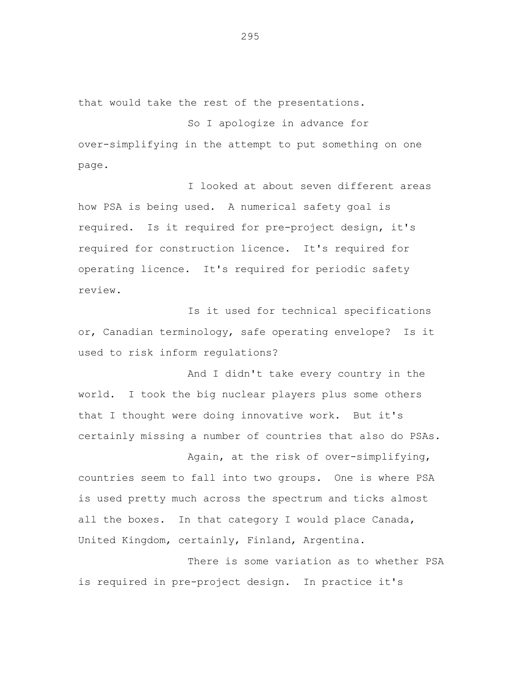that would take the rest of the presentations.

So I apologize in advance for over-simplifying in the attempt to put something on one page.

I looked at about seven different areas how PSA is being used. A numerical safety goal is required. Is it required for pre-project design, it's required for construction licence. It's required for operating licence. It's required for periodic safety review.

Is it used for technical specifications or, Canadian terminology, safe operating envelope? Is it used to risk inform regulations?

And I didn't take every country in the world. I took the big nuclear players plus some others that I thought were doing innovative work. But it's certainly missing a number of countries that also do PSAs.

Again, at the risk of over-simplifying, countries seem to fall into two groups. One is where PSA is used pretty much across the spectrum and ticks almost all the boxes. In that category I would place Canada, United Kingdom, certainly, Finland, Argentina.

There is some variation as to whether PSA is required in pre-project design. In practice it's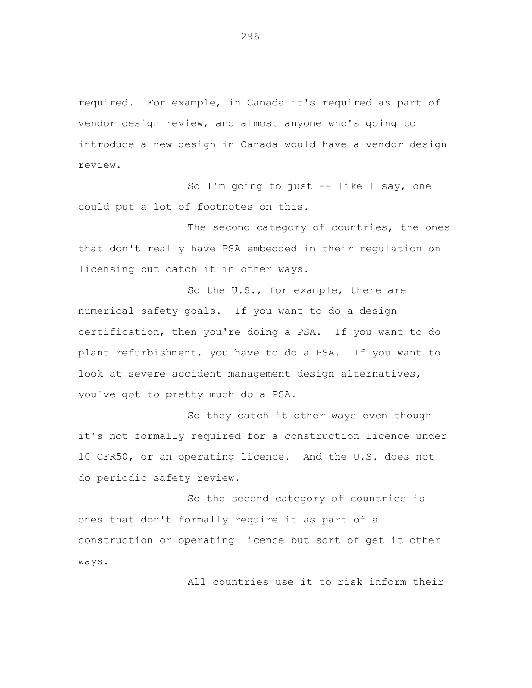required. For example, in Canada it's required as part of vendor design review, and almost anyone who's going to introduce a new design in Canada would have a vendor design review.

So I'm going to just -- like I say, one could put a lot of footnotes on this.

The second category of countries, the ones that don't really have PSA embedded in their regulation on licensing but catch it in other ways.

So the U.S., for example, there are numerical safety goals. If you want to do a design certification, then you're doing a PSA. If you want to do plant refurbishment, you have to do a PSA. If you want to look at severe accident management design alternatives, you've got to pretty much do a PSA.

So they catch it other ways even though it's not formally required for a construction licence under 10 CFR50, or an operating licence. And the U.S. does not do periodic safety review.

So the second category of countries is ones that don't formally require it as part of a construction or operating licence but sort of get it other ways.

All countries use it to risk inform their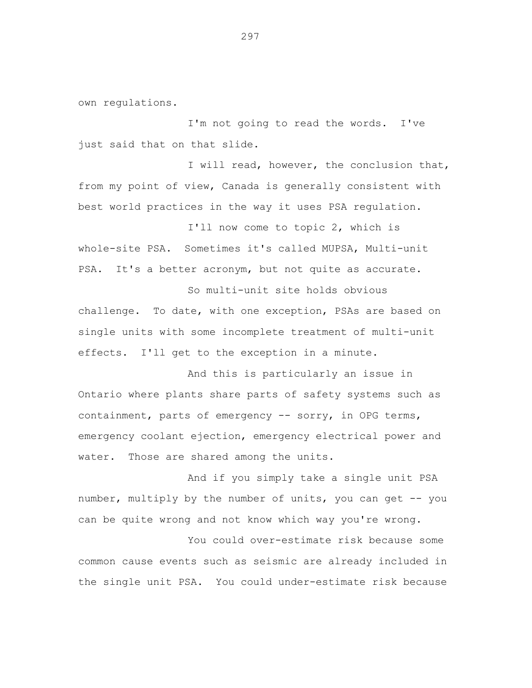own regulations.

I'm not going to read the words. I've just said that on that slide.

I will read, however, the conclusion that, from my point of view, Canada is generally consistent with best world practices in the way it uses PSA regulation.

I'll now come to topic 2, which is whole-site PSA. Sometimes it's called MUPSA, Multi-unit PSA. It's a better acronym, but not quite as accurate.

So multi-unit site holds obvious challenge. To date, with one exception, PSAs are based on single units with some incomplete treatment of multi-unit effects. I'll get to the exception in a minute.

And this is particularly an issue in Ontario where plants share parts of safety systems such as containment, parts of emergency -- sorry, in OPG terms, emergency coolant ejection, emergency electrical power and water. Those are shared among the units.

And if you simply take a single unit PSA number, multiply by the number of units, you can get -- you can be quite wrong and not know which way you're wrong.

You could over-estimate risk because some common cause events such as seismic are already included in the single unit PSA. You could under-estimate risk because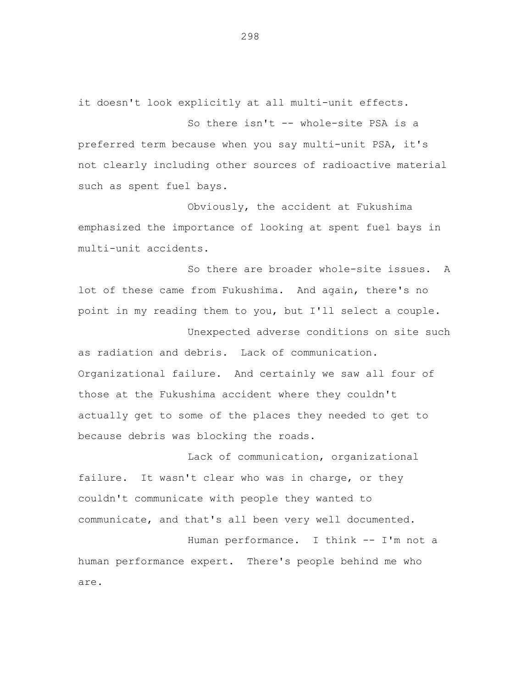it doesn't look explicitly at all multi-unit effects.

So there isn't -- whole-site PSA is a preferred term because when you say multi-unit PSA, it's not clearly including other sources of radioactive material such as spent fuel bays.

Obviously, the accident at Fukushima emphasized the importance of looking at spent fuel bays in multi-unit accidents.

So there are broader whole-site issues. A lot of these came from Fukushima. And again, there's no point in my reading them to you, but I'll select a couple.

Unexpected adverse conditions on site such as radiation and debris. Lack of communication. Organizational failure. And certainly we saw all four of those at the Fukushima accident where they couldn't actually get to some of the places they needed to get to because debris was blocking the roads.

Lack of communication, organizational failure. It wasn't clear who was in charge, or they couldn't communicate with people they wanted to communicate, and that's all been very well documented.

Human performance. I think -- I'm not a human performance expert. There's people behind me who are.